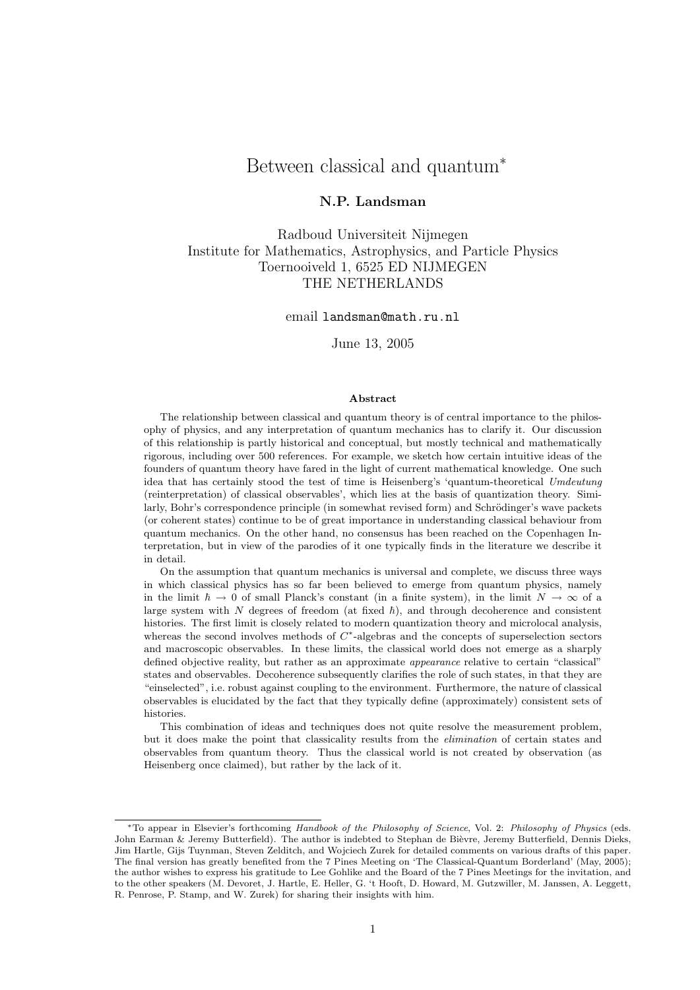# Between classical and quantum<sup>\*</sup>

# N.P. Landsman

# Radboud Universiteit Nijmegen Institute for Mathematics, Astrophysics, and Particle Physics Toernooiveld 1, 6525 ED NIJMEGEN THE NETHERLANDS

### email landsman@math.ru.nl

June 13, 2005

#### Abstract

The relationship between classical and quantum theory is of central importance to the philosophy of physics, and any interpretation of quantum mechanics has to clarify it. Our discussion of this relationship is partly historical and conceptual, but mostly technical and mathematically rigorous, including over 500 references. For example, we sketch how certain intuitive ideas of the founders of quantum theory have fared in the light of current mathematical knowledge. One such idea that has certainly stood the test of time is Heisenberg's 'quantum-theoretical Umdeutung (reinterpretation) of classical observables', which lies at the basis of quantization theory. Similarly, Bohr's correspondence principle (in somewhat revised form) and Schrödinger's wave packets (or coherent states) continue to be of great importance in understanding classical behaviour from quantum mechanics. On the other hand, no consensus has been reached on the Copenhagen Interpretation, but in view of the parodies of it one typically finds in the literature we describe it in detail.

On the assumption that quantum mechanics is universal and complete, we discuss three ways in which classical physics has so far been believed to emerge from quantum physics, namely in the limit  $\hbar \to 0$  of small Planck's constant (in a finite system), in the limit  $N \to \infty$  of a large system with N degrees of freedom (at fixed  $\hbar$ ), and through decoherence and consistent histories. The first limit is closely related to modern quantization theory and microlocal analysis, whereas the second involves methods of  $C^*$ -algebras and the concepts of superselection sectors and macroscopic observables. In these limits, the classical world does not emerge as a sharply defined objective reality, but rather as an approximate appearance relative to certain "classical" states and observables. Decoherence subsequently clarifies the role of such states, in that they are "einselected", i.e. robust against coupling to the environment. Furthermore, the nature of classical observables is elucidated by the fact that they typically define (approximately) consistent sets of histories.

This combination of ideas and techniques does not quite resolve the measurement problem, but it does make the point that classicality results from the elimination of certain states and observables from quantum theory. Thus the classical world is not created by observation (as Heisenberg once claimed), but rather by the lack of it.

<sup>∗</sup>To appear in Elsevier's forthcoming Handbook of the Philosophy of Science, Vol. 2: Philosophy of Physics (eds. John Earman & Jeremy Butterfield). The author is indebted to Stephan de Bièvre, Jeremy Butterfield, Dennis Dieks, Jim Hartle, Gijs Tuynman, Steven Zelditch, and Wojciech Zurek for detailed comments on various drafts of this paper. The final version has greatly benefited from the 7 Pines Meeting on 'The Classical-Quantum Borderland' (May, 2005); the author wishes to express his gratitude to Lee Gohlike and the Board of the 7 Pines Meetings for the invitation, and to the other speakers (M. Devoret, J. Hartle, E. Heller, G. 't Hooft, D. Howard, M. Gutzwiller, M. Janssen, A. Leggett, R. Penrose, P. Stamp, and W. Zurek) for sharing their insights with him.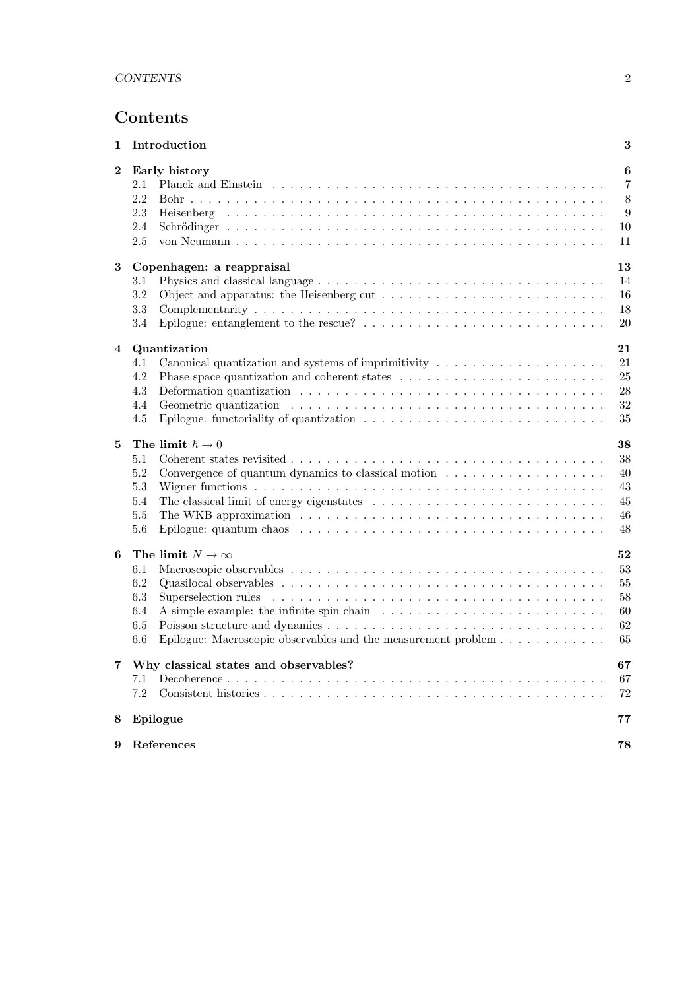# Contents

| 1                       | Introduction                                                                                                                                                                                                                                                             | 3                                      |
|-------------------------|--------------------------------------------------------------------------------------------------------------------------------------------------------------------------------------------------------------------------------------------------------------------------|----------------------------------------|
| 2                       | Early history<br>2.1<br>2.2<br>2.3<br>2.4<br>2.5                                                                                                                                                                                                                         | 6<br>7<br>8<br>9<br>10<br>11           |
| 3                       | Copenhagen: a reappraisal<br>3.1<br>3.2<br>3.3<br>3.4                                                                                                                                                                                                                    | 13<br>14<br>16<br>18<br>20             |
| $\overline{\mathbf{4}}$ | Quantization<br>Canonical quantization and systems of imprimitivity<br>4.1<br>4.2<br>4.3<br>4.4<br>Geometric quantization<br>4.5<br>Epilogue: functoriality of quantization $\dots \dots \dots \dots \dots \dots \dots \dots \dots \dots \dots$                          | 21<br>21<br>25<br>28<br>32<br>35       |
| 5                       | The limit $\hbar\rightarrow 0$<br>5.1<br>5.2<br>5.3<br>5.4<br>5.5<br>5.6<br>Epilogue: quantum chaos $\dots \dots \dots \dots \dots \dots \dots \dots \dots \dots \dots \dots \dots \dots$                                                                                | 38<br>38<br>40<br>43<br>45<br>46<br>48 |
| 6                       | The limit $N \to \infty$<br>6.1<br>6.2<br>6.3<br>6.4<br>A simple example: the infinite spin chain $\dots \dots \dots \dots \dots \dots \dots \dots \dots \dots$<br>6.5<br>6.6<br>Epilogue: Macroscopic observables and the measurement problem $\dots \dots \dots \dots$ | 52<br>53<br>55<br>58<br>60<br>62<br>65 |
| 7                       | Why classical states and observables?<br>7.1<br>7.2                                                                                                                                                                                                                      | 67<br>67<br>72                         |
| 8                       | Epilogue                                                                                                                                                                                                                                                                 | 77                                     |
| 9                       | References                                                                                                                                                                                                                                                               | 78                                     |
|                         |                                                                                                                                                                                                                                                                          |                                        |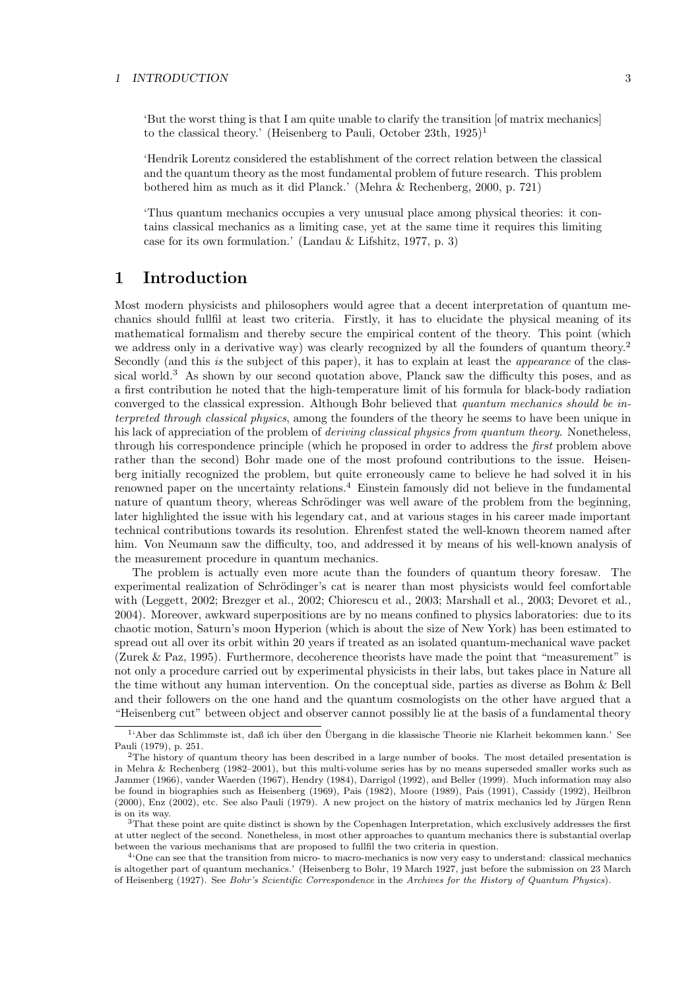#### 1 INTRODUCTION 3

'But the worst thing is that I am quite unable to clarify the transition [of matrix mechanics] to the classical theory.' (Heisenberg to Pauli, October 23th,  $1925$ )<sup>1</sup>

'Hendrik Lorentz considered the establishment of the correct relation between the classical and the quantum theory as the most fundamental problem of future research. This problem bothered him as much as it did Planck.' (Mehra & Rechenberg, 2000, p. 721)

'Thus quantum mechanics occupies a very unusual place among physical theories: it contains classical mechanics as a limiting case, yet at the same time it requires this limiting case for its own formulation.' (Landau & Lifshitz, 1977, p. 3)

# 1 Introduction

Most modern physicists and philosophers would agree that a decent interpretation of quantum mechanics should fullfil at least two criteria. Firstly, it has to elucidate the physical meaning of its mathematical formalism and thereby secure the empirical content of the theory. This point (which we address only in a derivative way) was clearly recognized by all the founders of quantum theory.<sup>2</sup> Secondly (and this is the subject of this paper), it has to explain at least the *appearance* of the classical world.<sup>3</sup> As shown by our second quotation above, Planck saw the difficulty this poses, and as a first contribution he noted that the high-temperature limit of his formula for black-body radiation converged to the classical expression. Although Bohr believed that quantum mechanics should be interpreted through classical physics, among the founders of the theory he seems to have been unique in his lack of appreciation of the problem of *deriving classical physics from quantum theory*. Nonetheless, through his correspondence principle (which he proposed in order to address the first problem above rather than the second) Bohr made one of the most profound contributions to the issue. Heisenberg initially recognized the problem, but quite erroneously came to believe he had solved it in his renowned paper on the uncertainty relations.<sup>4</sup> Einstein famously did not believe in the fundamental nature of quantum theory, whereas Schrödinger was well aware of the problem from the beginning, later highlighted the issue with his legendary cat, and at various stages in his career made important technical contributions towards its resolution. Ehrenfest stated the well-known theorem named after him. Von Neumann saw the difficulty, too, and addressed it by means of his well-known analysis of the measurement procedure in quantum mechanics.

The problem is actually even more acute than the founders of quantum theory foresaw. The experimental realization of Schrödinger's cat is nearer than most physicists would feel comfortable with (Leggett, 2002; Brezger et al., 2002; Chiorescu et al., 2003; Marshall et al., 2003; Devoret et al., 2004). Moreover, awkward superpositions are by no means confined to physics laboratories: due to its chaotic motion, Saturn's moon Hyperion (which is about the size of New York) has been estimated to spread out all over its orbit within 20 years if treated as an isolated quantum-mechanical wave packet (Zurek & Paz, 1995). Furthermore, decoherence theorists have made the point that "measurement" is not only a procedure carried out by experimental physicists in their labs, but takes place in Nature all the time without any human intervention. On the conceptual side, parties as diverse as Bohm & Bell and their followers on the one hand and the quantum cosmologists on the other have argued that a "Heisenberg cut" between object and observer cannot possibly lie at the basis of a fundamental theory

<sup>3</sup>That these point are quite distinct is shown by the Copenhagen Interpretation, which exclusively addresses the first at utter neglect of the second. Nonetheless, in most other approaches to quantum mechanics there is substantial overlap between the various mechanisms that are proposed to fullfil the two criteria in question.

<sup>&</sup>lt;sup>1</sup>'Aber das Schlimmste ist, daß ich über den Übergang in die klassische Theorie nie Klarheit bekommen kann.' See Pauli (1979), p. 251.

<sup>&</sup>lt;sup>2</sup>The history of quantum theory has been described in a large number of books. The most detailed presentation is in Mehra & Rechenberg (1982–2001), but this multi-volume series has by no means superseded smaller works such as Jammer (1966), vander Waerden (1967), Hendry (1984), Darrigol (1992), and Beller (1999). Much information may also be found in biographies such as Heisenberg (1969), Pais (1982), Moore (1989), Pais (1991), Cassidy (1992), Heilbron (2000), Enz (2002), etc. See also Pauli (1979). A new project on the history of matrix mechanics led by Jürgen Renn is on its way.

<sup>4</sup> 'One can see that the transition from micro- to macro-mechanics is now very easy to understand: classical mechanics is altogether part of quantum mechanics.' (Heisenberg to Bohr, 19 March 1927, just before the submission on 23 March of Heisenberg (1927). See Bohr's Scientific Correspondence in the Archives for the History of Quantum Physics).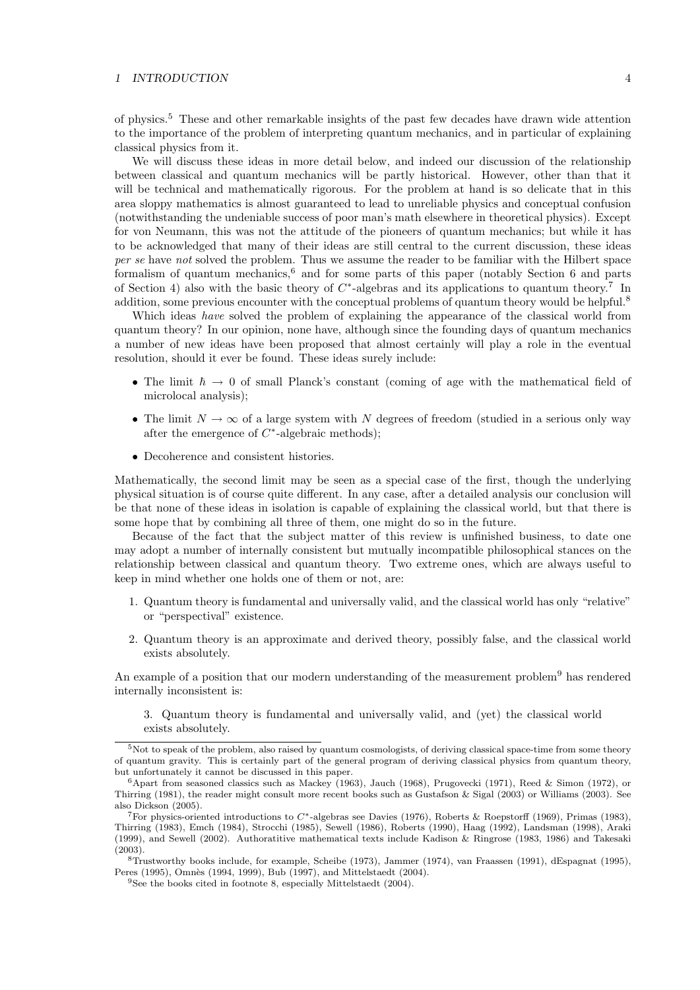#### 1 INTRODUCTION 4

of physics.<sup>5</sup> These and other remarkable insights of the past few decades have drawn wide attention to the importance of the problem of interpreting quantum mechanics, and in particular of explaining classical physics from it.

We will discuss these ideas in more detail below, and indeed our discussion of the relationship between classical and quantum mechanics will be partly historical. However, other than that it will be technical and mathematically rigorous. For the problem at hand is so delicate that in this area sloppy mathematics is almost guaranteed to lead to unreliable physics and conceptual confusion (notwithstanding the undeniable success of poor man's math elsewhere in theoretical physics). Except for von Neumann, this was not the attitude of the pioneers of quantum mechanics; but while it has to be acknowledged that many of their ideas are still central to the current discussion, these ideas per se have not solved the problem. Thus we assume the reader to be familiar with the Hilbert space formalism of quantum mechanics,<sup>6</sup> and for some parts of this paper (notably Section 6 and parts of Section 4) also with the basic theory of  $C^*$ -algebras and its applications to quantum theory.<sup>7</sup> In addition, some previous encounter with the conceptual problems of quantum theory would be helpful.<sup>8</sup>

Which ideas have solved the problem of explaining the appearance of the classical world from quantum theory? In our opinion, none have, although since the founding days of quantum mechanics a number of new ideas have been proposed that almost certainly will play a role in the eventual resolution, should it ever be found. These ideas surely include:

- The limit  $\hbar \rightarrow 0$  of small Planck's constant (coming of age with the mathematical field of microlocal analysis);
- The limit  $N \to \infty$  of a large system with N degrees of freedom (studied in a serious only way after the emergence of  $C^*$ -algebraic methods);
- Decoherence and consistent histories.

Mathematically, the second limit may be seen as a special case of the first, though the underlying physical situation is of course quite different. In any case, after a detailed analysis our conclusion will be that none of these ideas in isolation is capable of explaining the classical world, but that there is some hope that by combining all three of them, one might do so in the future.

Because of the fact that the subject matter of this review is unfinished business, to date one may adopt a number of internally consistent but mutually incompatible philosophical stances on the relationship between classical and quantum theory. Two extreme ones, which are always useful to keep in mind whether one holds one of them or not, are:

- 1. Quantum theory is fundamental and universally valid, and the classical world has only "relative" or "perspectival" existence.
- 2. Quantum theory is an approximate and derived theory, possibly false, and the classical world exists absolutely.

An example of a position that our modern understanding of the measurement problem<sup>9</sup> has rendered internally inconsistent is:

3. Quantum theory is fundamental and universally valid, and (yet) the classical world exists absolutely.

<sup>5</sup>Not to speak of the problem, also raised by quantum cosmologists, of deriving classical space-time from some theory of quantum gravity. This is certainly part of the general program of deriving classical physics from quantum theory, but unfortunately it cannot be discussed in this paper.

 $6A$ part from seasoned classics such as Mackey (1963), Jauch (1968), Prugovecki (1971), Reed & Simon (1972), or Thirring (1981), the reader might consult more recent books such as Gustafson & Sigal (2003) or Williams (2003). See also Dickson (2005).

<sup>7</sup>For physics-oriented introductions to C∗-algebras see Davies (1976), Roberts & Roepstorff (1969), Primas (1983), Thirring (1983), Emch (1984), Strocchi (1985), Sewell (1986), Roberts (1990), Haag (1992), Landsman (1998), Araki (1999), and Sewell (2002). Authoratitive mathematical texts include Kadison & Ringrose (1983, 1986) and Takesaki (2003).

<sup>8</sup>Trustworthy books include, for example, Scheibe (1973), Jammer (1974), van Fraassen (1991), dEspagnat (1995), Peres (1995), Omnès (1994, 1999), Bub (1997), and Mittelstaedt (2004).

 $9$ See the books cited in footnote 8, especially Mittelstaedt (2004).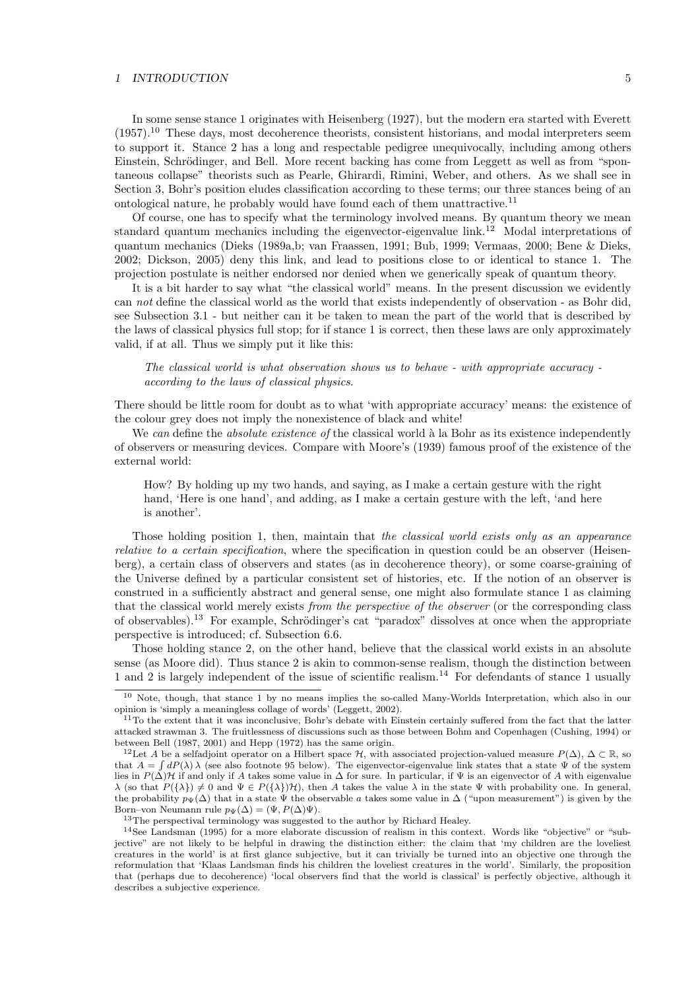#### 1 INTRODUCTION 5

In some sense stance 1 originates with Heisenberg (1927), but the modern era started with Everett  $(1957).$ <sup>10</sup> These days, most decoherence theorists, consistent historians, and modal interpreters seem to support it. Stance 2 has a long and respectable pedigree unequivocally, including among others Einstein, Schrödinger, and Bell. More recent backing has come from Leggett as well as from "spontaneous collapse" theorists such as Pearle, Ghirardi, Rimini, Weber, and others. As we shall see in Section 3, Bohr's position eludes classification according to these terms; our three stances being of an ontological nature, he probably would have found each of them unattractive.<sup>11</sup>

Of course, one has to specify what the terminology involved means. By quantum theory we mean standard quantum mechanics including the eigenvector-eigenvalue link.<sup>12</sup> Modal interpretations of quantum mechanics (Dieks (1989a,b; van Fraassen, 1991; Bub, 1999; Vermaas, 2000; Bene & Dieks, 2002; Dickson, 2005) deny this link, and lead to positions close to or identical to stance 1. The projection postulate is neither endorsed nor denied when we generically speak of quantum theory.

It is a bit harder to say what "the classical world" means. In the present discussion we evidently can not define the classical world as the world that exists independently of observation - as Bohr did, see Subsection 3.1 - but neither can it be taken to mean the part of the world that is described by the laws of classical physics full stop; for if stance 1 is correct, then these laws are only approximately valid, if at all. Thus we simply put it like this:

The classical world is what observation shows us to behave - with appropriate accuracy according to the laws of classical physics.

There should be little room for doubt as to what 'with appropriate accuracy' means: the existence of the colour grey does not imply the nonexistence of black and white!

We can define the *absolute existence of* the classical world à la Bohr as its existence independently of observers or measuring devices. Compare with Moore's (1939) famous proof of the existence of the external world:

How? By holding up my two hands, and saying, as I make a certain gesture with the right hand, 'Here is one hand', and adding, as I make a certain gesture with the left, 'and here is another'.

Those holding position 1, then, maintain that the classical world exists only as an appearance relative to a certain specification, where the specification in question could be an observer (Heisenberg), a certain class of observers and states (as in decoherence theory), or some coarse-graining of the Universe defined by a particular consistent set of histories, etc. If the notion of an observer is construed in a sufficiently abstract and general sense, one might also formulate stance 1 as claiming that the classical world merely exists from the perspective of the observer (or the corresponding class of observables).<sup>13</sup> For example, Schrödinger's cat "paradox" dissolves at once when the appropriate perspective is introduced; cf. Subsection 6.6.

Those holding stance 2, on the other hand, believe that the classical world exists in an absolute sense (as Moore did). Thus stance 2 is akin to common-sense realism, though the distinction between 1 and 2 is largely independent of the issue of scientific realism.<sup>14</sup> For defendants of stance 1 usually

<sup>13</sup>The perspectival terminology was suggested to the author by Richard Healey.

<sup>10</sup> Note, though, that stance 1 by no means implies the so-called Many-Worlds Interpretation, which also in our opinion is 'simply a meaningless collage of words' (Leggett, 2002).

 $11$ To the extent that it was inconclusive, Bohr's debate with Einstein certainly suffered from the fact that the latter attacked strawman 3. The fruitlessness of discussions such as those between Bohm and Copenhagen (Cushing, 1994) or between Bell (1987, 2001) and Hepp (1972) has the same origin.

<sup>&</sup>lt;sup>12</sup>Let A be a selfadjoint operator on a Hilbert space H, with associated projection-valued measure  $P(\Delta)$ ,  $\Delta \subset \mathbb{R}$ , so that  $A = \int dP(\lambda) \lambda$  (see also footnote 95 below). The eigenvector-eigenvalue link states that a state  $\Psi$  of the system lies in  $P(\Delta)\mathcal{H}$  if and only if A takes some value in  $\Delta$  for sure. In particular, if  $\Psi$  is an eigenvector of A with eigenvalue  $\lambda$  (so that  $P(\{\lambda\}) \neq 0$  and  $\Psi \in P(\{\lambda\})\mathcal{H}$ ), then A takes the value  $\lambda$  in the state  $\Psi$  with probability one. In general, the probability  $p_{\Psi}(\Delta)$  that in a state  $\Psi$  the observable a takes some value in  $\Delta$  ("upon measurement") is given by the Born–von Neumann rule  $p_{\Psi}(\Delta) = (\Psi, P(\Delta)\Psi).$ 

<sup>14</sup>See Landsman (1995) for a more elaborate discussion of realism in this context. Words like "objective" or "subjective" are not likely to be helpful in drawing the distinction either: the claim that 'my children are the loveliest creatures in the world' is at first glance subjective, but it can trivially be turned into an objective one through the reformulation that 'Klaas Landsman finds his children the loveliest creatures in the world'. Similarly, the proposition that (perhaps due to decoherence) 'local observers find that the world is classical' is perfectly objective, although it describes a subjective experience.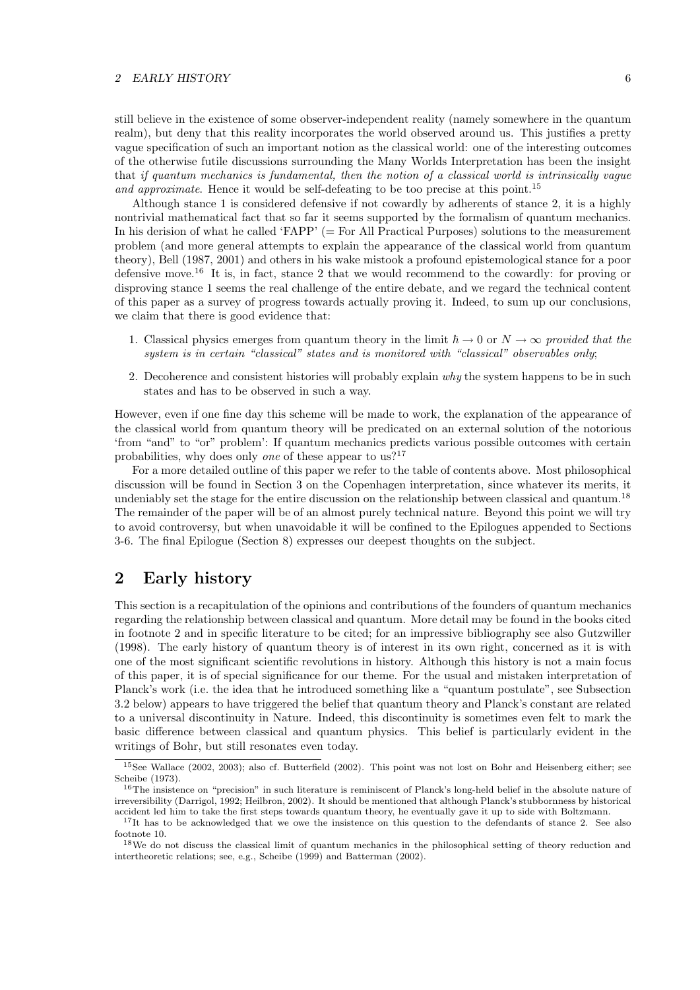still believe in the existence of some observer-independent reality (namely somewhere in the quantum realm), but deny that this reality incorporates the world observed around us. This justifies a pretty vague specification of such an important notion as the classical world: one of the interesting outcomes of the otherwise futile discussions surrounding the Many Worlds Interpretation has been the insight that if quantum mechanics is fundamental, then the notion of a classical world is intrinsically vague and approximate. Hence it would be self-defeating to be too precise at this point.<sup>15</sup>

Although stance 1 is considered defensive if not cowardly by adherents of stance 2, it is a highly nontrivial mathematical fact that so far it seems supported by the formalism of quantum mechanics. In his derision of what he called 'FAPP' (= For All Practical Purposes) solutions to the measurement problem (and more general attempts to explain the appearance of the classical world from quantum theory), Bell (1987, 2001) and others in his wake mistook a profound epistemological stance for a poor defensive move.<sup>16</sup> It is, in fact, stance 2 that we would recommend to the cowardly: for proving or disproving stance 1 seems the real challenge of the entire debate, and we regard the technical content of this paper as a survey of progress towards actually proving it. Indeed, to sum up our conclusions, we claim that there is good evidence that:

- 1. Classical physics emerges from quantum theory in the limit  $\hbar \to 0$  or  $N \to \infty$  provided that the system is in certain "classical" states and is monitored with "classical" observables only;
- 2. Decoherence and consistent histories will probably explain why the system happens to be in such states and has to be observed in such a way.

However, even if one fine day this scheme will be made to work, the explanation of the appearance of the classical world from quantum theory will be predicated on an external solution of the notorious 'from "and" to "or" problem': If quantum mechanics predicts various possible outcomes with certain probabilities, why does only one of these appear to us?<sup>17</sup>

For a more detailed outline of this paper we refer to the table of contents above. Most philosophical discussion will be found in Section 3 on the Copenhagen interpretation, since whatever its merits, it undeniably set the stage for the entire discussion on the relationship between classical and quantum.<sup>18</sup> The remainder of the paper will be of an almost purely technical nature. Beyond this point we will try to avoid controversy, but when unavoidable it will be confined to the Epilogues appended to Sections 3-6. The final Epilogue (Section 8) expresses our deepest thoughts on the subject.

# 2 Early history

This section is a recapitulation of the opinions and contributions of the founders of quantum mechanics regarding the relationship between classical and quantum. More detail may be found in the books cited in footnote 2 and in specific literature to be cited; for an impressive bibliography see also Gutzwiller (1998). The early history of quantum theory is of interest in its own right, concerned as it is with one of the most significant scientific revolutions in history. Although this history is not a main focus of this paper, it is of special significance for our theme. For the usual and mistaken interpretation of Planck's work (i.e. the idea that he introduced something like a "quantum postulate", see Subsection 3.2 below) appears to have triggered the belief that quantum theory and Planck's constant are related to a universal discontinuity in Nature. Indeed, this discontinuity is sometimes even felt to mark the basic difference between classical and quantum physics. This belief is particularly evident in the writings of Bohr, but still resonates even today.

<sup>&</sup>lt;sup>15</sup>See Wallace (2002, 2003); also cf. Butterfield (2002). This point was not lost on Bohr and Heisenberg either; see Scheibe (1973).

<sup>&</sup>lt;sup>16</sup>The insistence on "precision" in such literature is reminiscent of Planck's long-held belief in the absolute nature of irreversibility (Darrigol, 1992; Heilbron, 2002). It should be mentioned that although Planck's stubbornness by historical accident led him to take the first steps towards quantum theory, he eventually gave it up to side with Boltzmann.

<sup>&</sup>lt;sup>17</sup>It has to be acknowledged that we owe the insistence on this question to the defendants of stance 2. See also footnote 10.

<sup>&</sup>lt;sup>18</sup>We do not discuss the classical limit of quantum mechanics in the philosophical setting of theory reduction and intertheoretic relations; see, e.g., Scheibe (1999) and Batterman (2002).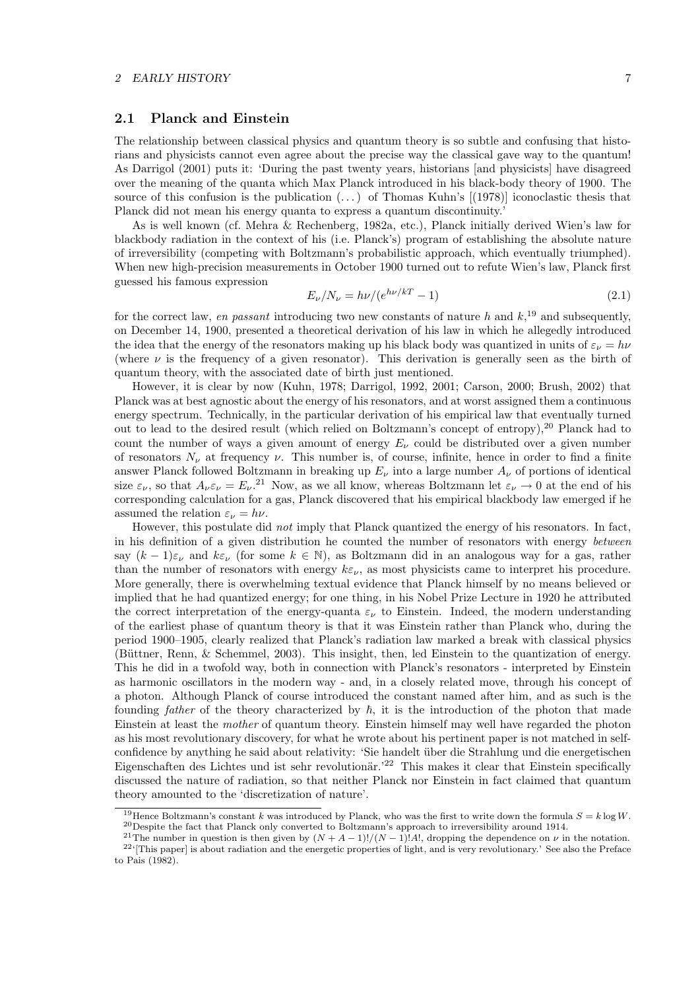#### 2.1 Planck and Einstein

The relationship between classical physics and quantum theory is so subtle and confusing that historians and physicists cannot even agree about the precise way the classical gave way to the quantum! As Darrigol (2001) puts it: 'During the past twenty years, historians [and physicists] have disagreed over the meaning of the quanta which Max Planck introduced in his black-body theory of 1900. The source of this confusion is the publication  $(\ldots)$  of Thomas Kuhn's  $[(1978)]$  iconoclastic thesis that Planck did not mean his energy quanta to express a quantum discontinuity.'

As is well known (cf. Mehra & Rechenberg, 1982a, etc.), Planck initially derived Wien's law for blackbody radiation in the context of his (i.e. Planck's) program of establishing the absolute nature of irreversibility (competing with Boltzmann's probabilistic approach, which eventually triumphed). When new high-precision measurements in October 1900 turned out to refute Wien's law, Planck first guessed his famous expression

$$
E_{\nu}/N_{\nu} = h\nu/(e^{h\nu/kT} - 1)
$$
\n(2.1)

for the correct law, en passant introducing two new constants of nature h and  $k,$ <sup>19</sup> and subsequently, on December 14, 1900, presented a theoretical derivation of his law in which he allegedly introduced the idea that the energy of the resonators making up his black body was quantized in units of  $\varepsilon_{\nu} = h\nu$ (where  $\nu$  is the frequency of a given resonator). This derivation is generally seen as the birth of quantum theory, with the associated date of birth just mentioned.

However, it is clear by now (Kuhn, 1978; Darrigol, 1992, 2001; Carson, 2000; Brush, 2002) that Planck was at best agnostic about the energy of his resonators, and at worst assigned them a continuous energy spectrum. Technically, in the particular derivation of his empirical law that eventually turned out to lead to the desired result (which relied on Boltzmann's concept of entropy),<sup>20</sup> Planck had to count the number of ways a given amount of energy  $E_{\nu}$  could be distributed over a given number of resonators  $N_{\nu}$  at frequency  $\nu$ . This number is, of course, infinite, hence in order to find a finite answer Planck followed Boltzmann in breaking up  $E_\nu$  into a large number  $A_\nu$  of portions of identical size  $\varepsilon_{\nu}$ , so that  $A_{\nu}\varepsilon_{\nu} = E_{\nu}^{21}$ . Now, as we all know, whereas Boltzmann let  $\varepsilon_{\nu} \to 0$  at the end of his corresponding calculation for a gas, Planck discovered that his empirical blackbody law emerged if he assumed the relation  $\varepsilon_{\nu} = h\nu$ .

However, this postulate did not imply that Planck quantized the energy of his resonators. In fact, in his definition of a given distribution he counted the number of resonators with energy between say  $(k-1)\varepsilon_{\nu}$  and  $k\varepsilon_{\nu}$  (for some  $k \in \mathbb{N}$ ), as Boltzmann did in an analogous way for a gas, rather than the number of resonators with energy  $k\epsilon_{\nu}$ , as most physicists came to interpret his procedure. More generally, there is overwhelming textual evidence that Planck himself by no means believed or implied that he had quantized energy; for one thing, in his Nobel Prize Lecture in 1920 he attributed the correct interpretation of the energy-quanta  $\varepsilon_{\nu}$  to Einstein. Indeed, the modern understanding of the earliest phase of quantum theory is that it was Einstein rather than Planck who, during the period 1900–1905, clearly realized that Planck's radiation law marked a break with classical physics (Büttner, Renn, & Schemmel, 2003). This insight, then, led Einstein to the quantization of energy. This he did in a twofold way, both in connection with Planck's resonators - interpreted by Einstein as harmonic oscillators in the modern way - and, in a closely related move, through his concept of a photon. Although Planck of course introduced the constant named after him, and as such is the founding father of the theory characterized by  $\hbar$ , it is the introduction of the photon that made Einstein at least the mother of quantum theory. Einstein himself may well have regarded the photon as his most revolutionary discovery, for what he wrote about his pertinent paper is not matched in selfconfidence by anything he said about relativity: 'Sie handelt über die Strahlung und die energetischen Eigenschaften des Lichtes und ist sehr revolutionär.<sup>'22</sup> This makes it clear that Einstein specifically discussed the nature of radiation, so that neither Planck nor Einstein in fact claimed that quantum theory amounted to the 'discretization of nature'.

<sup>&</sup>lt;sup>19</sup>Hence Boltzmann's constant k was introduced by Planck, who was the first to write down the formula  $S = k \log W$ .  $^{20}\rm{Despite}$  the fact that Planck only converted to Boltzmann's approach to irreversibility around 1914.

<sup>&</sup>lt;sup>21</sup>The number in question is then given by  $(N + A - 1)!/(N - 1)!A!$ , dropping the dependence on  $\nu$  in the notation.

<sup>&</sup>lt;sup>22</sup>'[This paper] is about radiation and the energetic properties of light, and is very revolutionary.' See also the Preface to Pais (1982).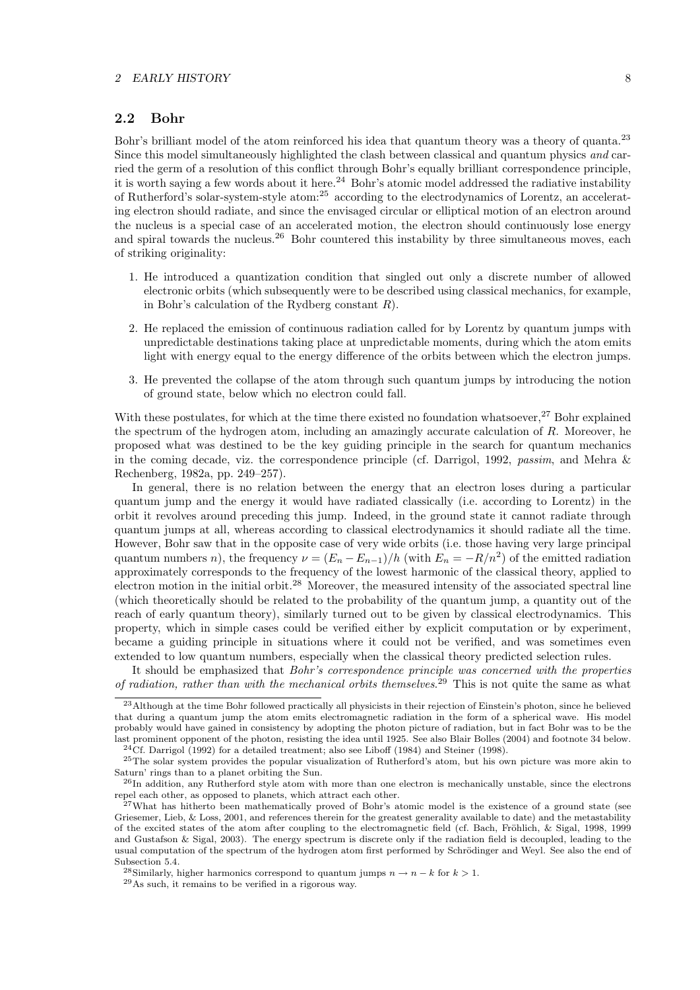### 2.2 Bohr

Bohr's brilliant model of the atom reinforced his idea that quantum theory was a theory of quanta.<sup>23</sup> Since this model simultaneously highlighted the clash between classical and quantum physics and carried the germ of a resolution of this conflict through Bohr's equally brilliant correspondence principle, it is worth saying a few words about it here.<sup>24</sup> Bohr's atomic model addressed the radiative instability of Rutherford's solar-system-style atom:<sup>25</sup> according to the electrodynamics of Lorentz, an accelerating electron should radiate, and since the envisaged circular or elliptical motion of an electron around the nucleus is a special case of an accelerated motion, the electron should continuously lose energy and spiral towards the nucleus.<sup>26</sup> Bohr countered this instability by three simultaneous moves, each of striking originality:

- 1. He introduced a quantization condition that singled out only a discrete number of allowed electronic orbits (which subsequently were to be described using classical mechanics, for example, in Bohr's calculation of the Rydberg constant  $R$ ).
- 2. He replaced the emission of continuous radiation called for by Lorentz by quantum jumps with unpredictable destinations taking place at unpredictable moments, during which the atom emits light with energy equal to the energy difference of the orbits between which the electron jumps.
- 3. He prevented the collapse of the atom through such quantum jumps by introducing the notion of ground state, below which no electron could fall.

With these postulates, for which at the time there existed no foundation whatsoever,  $27$  Bohr explained the spectrum of the hydrogen atom, including an amazingly accurate calculation of  $R$ . Moreover, he proposed what was destined to be the key guiding principle in the search for quantum mechanics in the coming decade, viz. the correspondence principle (cf. Darrigol, 1992, passim, and Mehra & Rechenberg, 1982a, pp. 249–257).

In general, there is no relation between the energy that an electron loses during a particular quantum jump and the energy it would have radiated classically (i.e. according to Lorentz) in the orbit it revolves around preceding this jump. Indeed, in the ground state it cannot radiate through quantum jumps at all, whereas according to classical electrodynamics it should radiate all the time. However, Bohr saw that in the opposite case of very wide orbits (i.e. those having very large principal quantum numbers n), the frequency  $\nu = (E_n - E_{n-1})/h$  (with  $E_n = -R/n^2$ ) of the emitted radiation approximately corresponds to the frequency of the lowest harmonic of the classical theory, applied to electron motion in the initial orbit.<sup>28</sup> Moreover, the measured intensity of the associated spectral line (which theoretically should be related to the probability of the quantum jump, a quantity out of the reach of early quantum theory), similarly turned out to be given by classical electrodynamics. This property, which in simple cases could be verified either by explicit computation or by experiment, became a guiding principle in situations where it could not be verified, and was sometimes even extended to low quantum numbers, especially when the classical theory predicted selection rules.

It should be emphasized that Bohr's correspondence principle was concerned with the properties of radiation, rather than with the mechanical orbits themselves. <sup>29</sup> This is not quite the same as what

<sup>&</sup>lt;sup>23</sup>Although at the time Bohr followed practically all physicists in their rejection of Einstein's photon, since he believed that during a quantum jump the atom emits electromagnetic radiation in the form of a spherical wave. His model probably would have gained in consistency by adopting the photon picture of radiation, but in fact Bohr was to be the last prominent opponent of the photon, resisting the idea until 1925. See also Blair Bolles (2004) and footnote 34 below.  $24$ Cf. Darrigol (1992) for a detailed treatment; also see Liboff (1984) and Steiner (1998).

<sup>&</sup>lt;sup>25</sup>The solar system provides the popular visualization of Rutherford's atom, but his own picture was more akin to

Saturn' rings than to a planet orbiting the Sun.

<sup>&</sup>lt;sup>26</sup>In addition, any Rutherford style atom with more than one electron is mechanically unstable, since the electrons repel each other, as opposed to planets, which attract each other.

<sup>27</sup>What has hitherto been mathematically proved of Bohr's atomic model is the existence of a ground state (see Griesemer, Lieb, & Loss, 2001, and references therein for the greatest generality available to date) and the metastability of the excited states of the atom after coupling to the electromagnetic field (cf. Bach, Fröhlich, & Sigal, 1998, 1999 and Gustafson & Sigal, 2003). The energy spectrum is discrete only if the radiation field is decoupled, leading to the usual computation of the spectrum of the hydrogen atom first performed by Schrödinger and Weyl. See also the end of Subsection 5.4.

<sup>&</sup>lt;sup>28</sup>Similarly, higher harmonics correspond to quantum jumps  $n \to n - k$  for  $k > 1$ .

<sup>29</sup>As such, it remains to be verified in a rigorous way.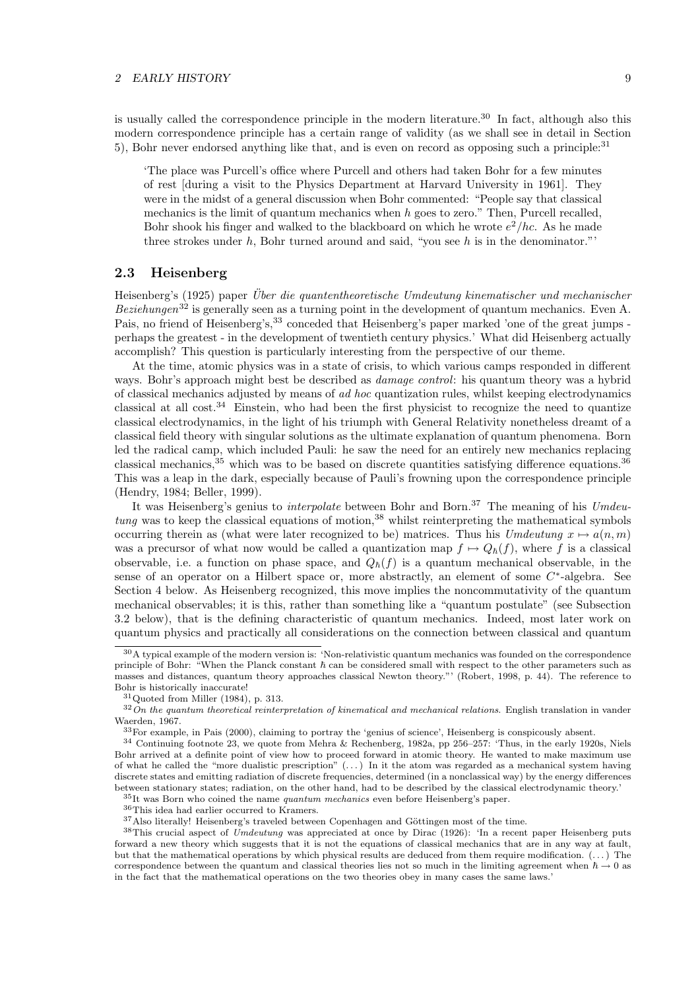is usually called the correspondence principle in the modern literature.<sup>30</sup> In fact, although also this modern correspondence principle has a certain range of validity (as we shall see in detail in Section 5), Bohr never endorsed anything like that, and is even on record as opposing such a principle:<sup>31</sup>

'The place was Purcell's office where Purcell and others had taken Bohr for a few minutes of rest [during a visit to the Physics Department at Harvard University in 1961]. They were in the midst of a general discussion when Bohr commented: "People say that classical mechanics is the limit of quantum mechanics when h goes to zero." Then, Purcell recalled, Bohr shook his finger and walked to the blackboard on which he wrote  $e^2/hc$ . As he made three strokes under  $h$ , Bohr turned around and said, "you see  $h$  is in the denominator."

# 2.3 Heisenberg

Heisenberg's (1925) paper Über die quantentheoretische Umdeutung kinematischer und mechanischer Beziehungen<sup>32</sup> is generally seen as a turning point in the development of quantum mechanics. Even A. Pais, no friend of Heisenberg's,<sup>33</sup> conceded that Heisenberg's paper marked 'one of the great jumps perhaps the greatest - in the development of twentieth century physics.' What did Heisenberg actually accomplish? This question is particularly interesting from the perspective of our theme.

At the time, atomic physics was in a state of crisis, to which various camps responded in different ways. Bohr's approach might best be described as *damage control*: his quantum theory was a hybrid of classical mechanics adjusted by means of ad hoc quantization rules, whilst keeping electrodynamics classical at all cost.<sup>34</sup> Einstein, who had been the first physicist to recognize the need to quantize classical electrodynamics, in the light of his triumph with General Relativity nonetheless dreamt of a classical field theory with singular solutions as the ultimate explanation of quantum phenomena. Born led the radical camp, which included Pauli: he saw the need for an entirely new mechanics replacing classical mechanics,  $35$  which was to be based on discrete quantities satisfying difference equations.  $36$ This was a leap in the dark, especially because of Pauli's frowning upon the correspondence principle (Hendry, 1984; Beller, 1999).

It was Heisenberg's genius to *interpolate* between Bohr and Born.<sup>37</sup> The meaning of his Umdeu $tung$  was to keep the classical equations of motion,<sup>38</sup> whilst reinterpreting the mathematical symbols occurring therein as (what were later recognized to be) matrices. Thus his Umdeutung  $x \mapsto a(n, m)$ was a precursor of what now would be called a quantization map  $f \mapsto Q_h(f)$ , where f is a classical observable, i.e. a function on phase space, and  $Q_h(f)$  is a quantum mechanical observable, in the sense of an operator on a Hilbert space or, more abstractly, an element of some  $C^*$ -algebra. See Section 4 below. As Heisenberg recognized, this move implies the noncommutativity of the quantum mechanical observables; it is this, rather than something like a "quantum postulate" (see Subsection 3.2 below), that is the defining characteristic of quantum mechanics. Indeed, most later work on quantum physics and practically all considerations on the connection between classical and quantum

<sup>30</sup>A typical example of the modern version is: 'Non-relativistic quantum mechanics was founded on the correspondence principle of Bohr: "When the Planck constant  $\hbar$  can be considered small with respect to the other parameters such as masses and distances, quantum theory approaches classical Newton theory."' (Robert, 1998, p. 44). The reference to Bohr is historically inaccurate!

<sup>31</sup>Quoted from Miller (1984), p. 313.

 $32$ On the quantum theoretical reinterpretation of kinematical and mechanical relations. English translation in vander Waerden, 1967.

<sup>&</sup>lt;sup>33</sup>For example, in Pais (2000), claiming to portray the 'genius of science', Heisenberg is conspicously absent.

<sup>34</sup> Continuing footnote 23, we quote from Mehra & Rechenberg, 1982a, pp 256–257: 'Thus, in the early 1920s, Niels Bohr arrived at a definite point of view how to proceed forward in atomic theory. He wanted to make maximum use of what he called the "more dualistic prescription"  $(\ldots)$  In it the atom was regarded as a mechanical system having discrete states and emitting radiation of discrete frequencies, determined (in a nonclassical way) by the energy differences between stationary states; radiation, on the other hand, had to be described by the classical electrodynamic theory.'

 $35$ It was Born who coined the name *quantum mechanics* even before Heisenberg's paper.

 $\rm{^{36}This}$ idea had earlier occurred to Kramers.

 $37A$ lso literally! Heisenberg's traveled between Copenhagen and Göttingen most of the time.

<sup>&</sup>lt;sup>38</sup>This crucial aspect of Umdeutung was appreciated at once by Dirac (1926): 'In a recent paper Heisenberg puts forward a new theory which suggests that it is not the equations of classical mechanics that are in any way at fault, but that the mathematical operations by which physical results are deduced from them require modification. (. . . ) The correspondence between the quantum and classical theories lies not so much in the limiting agreement when  $\hbar \to 0$  as in the fact that the mathematical operations on the two theories obey in many cases the same laws.'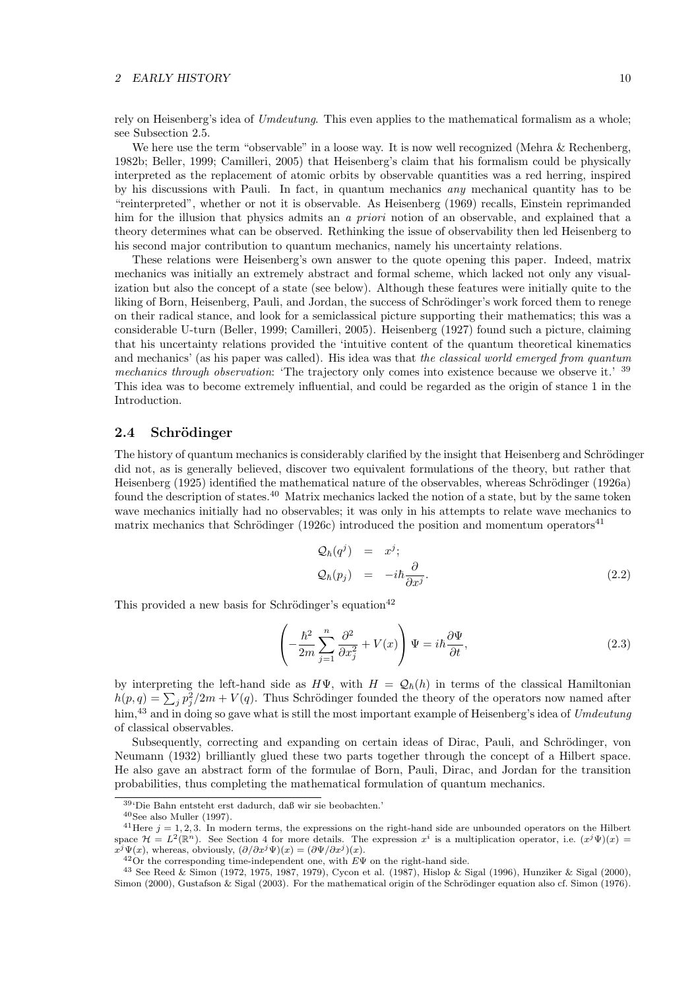rely on Heisenberg's idea of Umdeutung. This even applies to the mathematical formalism as a whole; see Subsection 2.5.

We here use the term "observable" in a loose way. It is now well recognized (Mehra & Rechenberg, 1982b; Beller, 1999; Camilleri, 2005) that Heisenberg's claim that his formalism could be physically interpreted as the replacement of atomic orbits by observable quantities was a red herring, inspired by his discussions with Pauli. In fact, in quantum mechanics any mechanical quantity has to be "reinterpreted", whether or not it is observable. As Heisenberg (1969) recalls, Einstein reprimanded him for the illusion that physics admits an *a priori* notion of an observable, and explained that a theory determines what can be observed. Rethinking the issue of observability then led Heisenberg to his second major contribution to quantum mechanics, namely his uncertainty relations.

These relations were Heisenberg's own answer to the quote opening this paper. Indeed, matrix mechanics was initially an extremely abstract and formal scheme, which lacked not only any visualization but also the concept of a state (see below). Although these features were initially quite to the liking of Born, Heisenberg, Pauli, and Jordan, the success of Schrödinger's work forced them to renege on their radical stance, and look for a semiclassical picture supporting their mathematics; this was a considerable U-turn (Beller, 1999; Camilleri, 2005). Heisenberg (1927) found such a picture, claiming that his uncertainty relations provided the 'intuitive content of the quantum theoretical kinematics and mechanics' (as his paper was called). His idea was that the classical world emerged from quantum mechanics through observation: 'The trajectory only comes into existence because we observe it.' <sup>39</sup> This idea was to become extremely influential, and could be regarded as the origin of stance 1 in the Introduction.

# 2.4 Schrödinger

The history of quantum mechanics is considerably clarified by the insight that Heisenberg and Schrödinger did not, as is generally believed, discover two equivalent formulations of the theory, but rather that Heisenberg (1925) identified the mathematical nature of the observables, whereas Schrödinger (1926a) found the description of states.<sup>40</sup> Matrix mechanics lacked the notion of a state, but by the same token wave mechanics initially had no observables; it was only in his attempts to relate wave mechanics to matrix mechanics that Schrödinger (1926c) introduced the position and momentum operators<sup>41</sup>

$$
\mathcal{Q}_{\hbar}(q^{j}) = x^{j}; \n\mathcal{Q}_{\hbar}(p_{j}) = -i\hbar \frac{\partial}{\partial x^{j}}.
$$
\n(2.2)

This provided a new basis for Schrödinger's equation<sup>42</sup>

$$
\left(-\frac{\hbar^2}{2m}\sum_{j=1}^n\frac{\partial^2}{\partial x_j^2} + V(x)\right)\Psi = i\hbar\frac{\partial\Psi}{\partial t},\tag{2.3}
$$

by interpreting the left-hand side as  $H\Psi$ , with  $H = \mathcal{Q}_{\hbar}(h)$  in terms of the classical Hamiltonian  $h(p,q) = \sum_j p_j^2/2m + V(q)$ . Thus Schrödinger founded the theory of the operators now named after him,<sup>43</sup> and in doing so gave what is still the most important example of Heisenberg's idea of Umdeutung of classical observables.

Subsequently, correcting and expanding on certain ideas of Dirac, Pauli, and Schrödinger, von Neumann (1932) brilliantly glued these two parts together through the concept of a Hilbert space. He also gave an abstract form of the formulae of Born, Pauli, Dirac, and Jordan for the transition probabilities, thus completing the mathematical formulation of quantum mechanics.

<sup>39</sup>'Die Bahn entsteht erst dadurch, daß wir sie beobachten.'

<sup>40</sup>See also Muller (1997).

<sup>&</sup>lt;sup>41</sup>Here  $j = 1, 2, 3$ . In modern terms, the expressions on the right-hand side are unbounded operators on the Hilbert space  $\mathcal{H} = L^2(\mathbb{R}^n)$ . See Section 4 for more details. The expression  $x^i$  is a multiplication operator, i.e.  $(x^j\Psi)(x)$  $x^{j}\Psi(x)$ , whereas, obviously,  $(\partial/\partial x^{j}\Psi)(x) = (\partial \Psi/\partial x^{j})(x)$ .

 ${}^{42}\mathrm{Or}$  the corresponding time-independent one, with  $E\Psi$  on the right-hand side.

<sup>43</sup> See Reed & Simon (1972, 1975, 1987, 1979), Cycon et al. (1987), Hislop & Sigal (1996), Hunziker & Sigal (2000), Simon (2000), Gustafson & Sigal (2003). For the mathematical origin of the Schrödinger equation also cf. Simon (1976).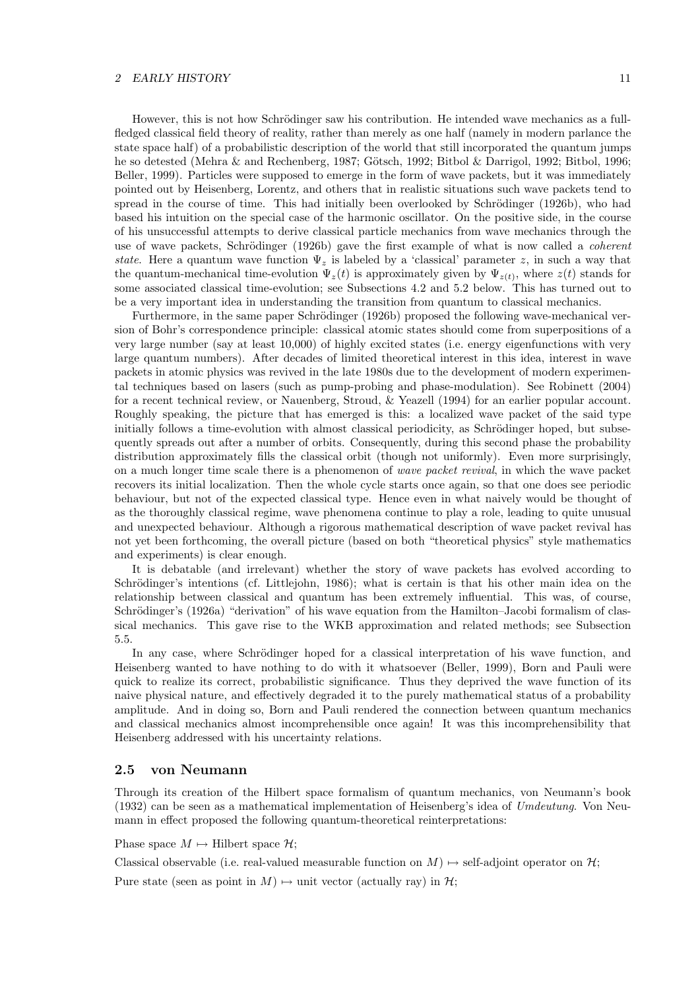However, this is not how Schrödinger saw his contribution. He intended wave mechanics as a fullfledged classical field theory of reality, rather than merely as one half (namely in modern parlance the state space half) of a probabilistic description of the world that still incorporated the quantum jumps he so detested (Mehra & and Rechenberg, 1987; Götsch, 1992; Bitbol & Darrigol, 1992; Bitbol, 1996; Beller, 1999). Particles were supposed to emerge in the form of wave packets, but it was immediately pointed out by Heisenberg, Lorentz, and others that in realistic situations such wave packets tend to spread in the course of time. This had initially been overlooked by Schrödinger (1926b), who had based his intuition on the special case of the harmonic oscillator. On the positive side, in the course of his unsuccessful attempts to derive classical particle mechanics from wave mechanics through the use of wave packets, Schrödinger (1926b) gave the first example of what is now called a *coherent* state. Here a quantum wave function  $\Psi_z$  is labeled by a 'classical' parameter z, in such a way that the quantum-mechanical time-evolution  $\Psi_z(t)$  is approximately given by  $\Psi_{z(t)}$ , where  $z(t)$  stands for some associated classical time-evolution; see Subsections 4.2 and 5.2 below. This has turned out to be a very important idea in understanding the transition from quantum to classical mechanics.

Furthermore, in the same paper Schrödinger (1926b) proposed the following wave-mechanical version of Bohr's correspondence principle: classical atomic states should come from superpositions of a very large number (say at least 10,000) of highly excited states (i.e. energy eigenfunctions with very large quantum numbers). After decades of limited theoretical interest in this idea, interest in wave packets in atomic physics was revived in the late 1980s due to the development of modern experimental techniques based on lasers (such as pump-probing and phase-modulation). See Robinett (2004) for a recent technical review, or Nauenberg, Stroud, & Yeazell (1994) for an earlier popular account. Roughly speaking, the picture that has emerged is this: a localized wave packet of the said type initially follows a time-evolution with almost classical periodicity, as Schrödinger hoped, but subsequently spreads out after a number of orbits. Consequently, during this second phase the probability distribution approximately fills the classical orbit (though not uniformly). Even more surprisingly, on a much longer time scale there is a phenomenon of wave packet revival, in which the wave packet recovers its initial localization. Then the whole cycle starts once again, so that one does see periodic behaviour, but not of the expected classical type. Hence even in what naively would be thought of as the thoroughly classical regime, wave phenomena continue to play a role, leading to quite unusual and unexpected behaviour. Although a rigorous mathematical description of wave packet revival has not yet been forthcoming, the overall picture (based on both "theoretical physics" style mathematics and experiments) is clear enough.

It is debatable (and irrelevant) whether the story of wave packets has evolved according to Schrödinger's intentions (cf. Littlejohn, 1986); what is certain is that his other main idea on the relationship between classical and quantum has been extremely influential. This was, of course, Schrödinger's (1926a) "derivation" of his wave equation from the Hamilton-Jacobi formalism of classical mechanics. This gave rise to the WKB approximation and related methods; see Subsection 5.5.

In any case, where Schrödinger hoped for a classical interpretation of his wave function, and Heisenberg wanted to have nothing to do with it whatsoever (Beller, 1999), Born and Pauli were quick to realize its correct, probabilistic significance. Thus they deprived the wave function of its naive physical nature, and effectively degraded it to the purely mathematical status of a probability amplitude. And in doing so, Born and Pauli rendered the connection between quantum mechanics and classical mechanics almost incomprehensible once again! It was this incomprehensibility that Heisenberg addressed with his uncertainty relations.

# 2.5 von Neumann

Through its creation of the Hilbert space formalism of quantum mechanics, von Neumann's book (1932) can be seen as a mathematical implementation of Heisenberg's idea of Umdeutung. Von Neumann in effect proposed the following quantum-theoretical reinterpretations:

Phase space  $M \mapsto$  Hilbert space H;

Classical observable (i.e. real-valued measurable function on  $M$ )  $\mapsto$  self-adjoint operator on H;

Pure state (seen as point in  $M$ )  $\mapsto$  unit vector (actually ray) in H;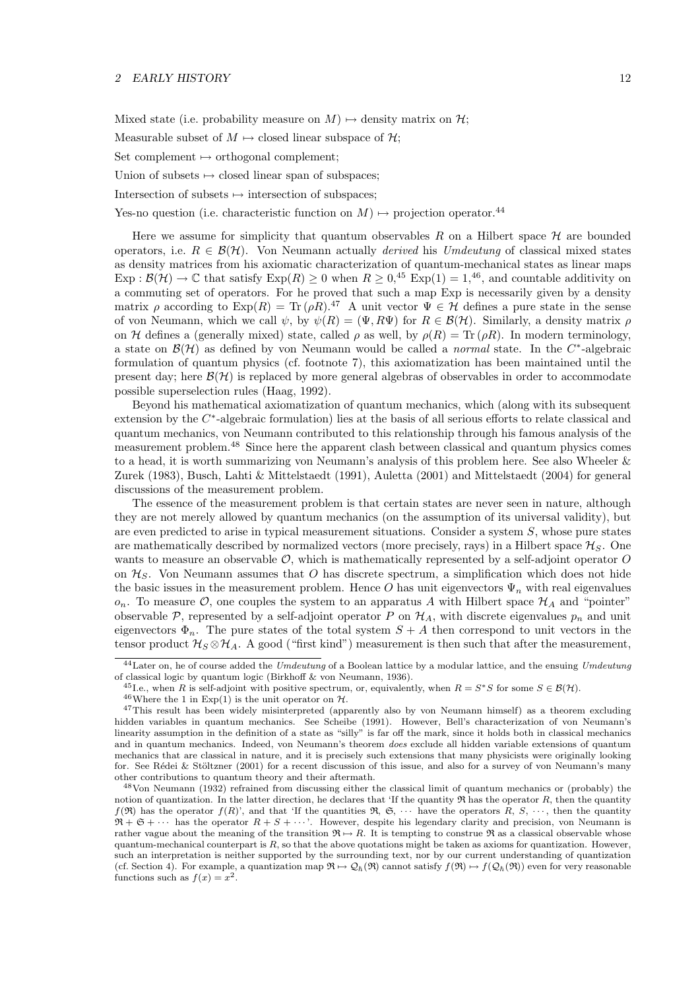Mixed state (i.e. probability measure on  $M$ )  $\mapsto$  density matrix on  $\mathcal{H}$ ; Measurable subset of  $M \mapsto$  closed linear subspace of H; Set complement  $\mapsto$  orthogonal complement; Union of subsets  $\mapsto$  closed linear span of subspaces; Intersection of subsets  $\mapsto$  intersection of subspaces;

Yes-no question (i.e. characteristic function on  $M$ )  $\mapsto$  projection operator.<sup>44</sup>

Here we assume for simplicity that quantum observables R on a Hilbert space  $\mathcal H$  are bounded operators, i.e.  $R \in \mathcal{B}(\mathcal{H})$ . Von Neumann actually *derived* his Umdeutung of classical mixed states as density matrices from his axiomatic characterization of quantum-mechanical states as linear maps  $Exp : \mathcal{B}(\mathcal{H}) \to \mathbb{C}$  that satisfy  $Exp(R) \geq 0$  when  $R \geq 0,^{45}$   $Exp(1) = 1,^{46}$ , and countable additivity on a commuting set of operators. For he proved that such a map Exp is necessarily given by a density matrix ρ according to  $\text{Exp}(R) = \text{Tr}(\rho R)^{47}$ . A unit vector  $\Psi \in \mathcal{H}$  defines a pure state in the sense of von Neumann, which we call  $\psi$ , by  $\psi(R) = (\Psi, R\Psi)$  for  $R \in \mathcal{B}(\mathcal{H})$ . Similarly, a density matrix  $\rho$ on H defines a (generally mixed) state, called  $\rho$  as well, by  $\rho(R) = \text{Tr}(\rho R)$ . In modern terminology, a state on  $\mathcal{B}(\mathcal{H})$  as defined by von Neumann would be called a *normal* state. In the C<sup>\*</sup>-algebraic formulation of quantum physics (cf. footnote 7), this axiomatization has been maintained until the present day; here  $\mathcal{B}(\mathcal{H})$  is replaced by more general algebras of observables in order to accommodate possible superselection rules (Haag, 1992).

Beyond his mathematical axiomatization of quantum mechanics, which (along with its subsequent extension by the  $C^*$ -algebraic formulation) lies at the basis of all serious efforts to relate classical and quantum mechanics, von Neumann contributed to this relationship through his famous analysis of the measurement problem.<sup>48</sup> Since here the apparent clash between classical and quantum physics comes to a head, it is worth summarizing von Neumann's analysis of this problem here. See also Wheeler & Zurek (1983), Busch, Lahti & Mittelstaedt (1991), Auletta (2001) and Mittelstaedt (2004) for general discussions of the measurement problem.

The essence of the measurement problem is that certain states are never seen in nature, although they are not merely allowed by quantum mechanics (on the assumption of its universal validity), but are even predicted to arise in typical measurement situations. Consider a system  $S$ , whose pure states are mathematically described by normalized vectors (more precisely, rays) in a Hilbert space  $\mathcal{H}_S$ . One wants to measure an observable  $\mathcal{O}$ , which is mathematically represented by a self-adjoint operator  $\mathcal{O}$ on  $\mathcal{H}_S$ . Von Neumann assumes that O has discrete spectrum, a simplification which does not hide the basic issues in the measurement problem. Hence O has unit eigenvectors  $\Psi_n$  with real eigenvalues  $o_n$ . To measure  $\mathcal{O}_1$ , one couples the system to an apparatus A with Hilbert space  $\mathcal{H}_A$  and "pointer" observable  $P$ , represented by a self-adjoint operator P on  $\mathcal{H}_A$ , with discrete eigenvalues  $p_n$  and unit eigenvectors  $\Phi_n$ . The pure states of the total system  $S + A$  then correspond to unit vectors in the tensor product  $\mathcal{H}_{S} \otimes \mathcal{H}_{A}$ . A good ("first kind") measurement is then such that after the measurement,

 $^{44}$ Later on, he of course added the Umdeutung of a Boolean lattice by a modular lattice, and the ensuing Umdeutung of classical logic by quantum logic (Birkhoff & von Neumann, 1936).

<sup>&</sup>lt;sup>45</sup>I.e., when R is self-adjoint with positive spectrum, or, equivalently, when  $R = S^*S$  for some  $S \in \mathcal{B}(\mathcal{H})$ .

 $46$ Where the 1 in Exp(1) is the unit operator on  $H$ .

<sup>&</sup>lt;sup>47</sup>This result has been widely misinterpreted (apparently also by von Neumann himself) as a theorem excluding hidden variables in quantum mechanics. See Scheibe (1991). However, Bell's characterization of von Neumann's linearity assumption in the definition of a state as "silly" is far off the mark, since it holds both in classical mechanics and in quantum mechanics. Indeed, von Neumann's theorem does exclude all hidden variable extensions of quantum mechanics that are classical in nature, and it is precisely such extensions that many physicists were originally looking for. See Rédei & Stöltzner (2001) for a recent discussion of this issue, and also for a survey of von Neumann's many other contributions to quantum theory and their aftermath.

<sup>48</sup>Von Neumann (1932) refrained from discussing either the classical limit of quantum mechanics or (probably) the notion of quantization. In the latter direction, he declares that 'If the quantity  $\Re$  has the operator  $R$ , then the quantity  $f(\mathfrak{R})$  has the operator  $f(R)$ ', and that 'If the quantities  $\mathfrak{R}, \mathfrak{S}, \cdots$  have the operators  $R, S, \cdots$ , then the quantity  $\mathfrak{R} + \mathfrak{S} + \cdots$  has the operator  $R + S + \cdots$ . However, despite his legendary clarity and precision, von Neumann is rather vague about the meaning of the transition  $\mathfrak{R} \mapsto R$ . It is tempting to construe  $\mathfrak{R}$  as a classical observable whose quantum-mechanical counterpart is  $R$ , so that the above quotations might be taken as axioms for quantization. However, such an interpretation is neither supported by the surrounding text, nor by our current understanding of quantization (cf. Section 4). For example, a quantization map  $\mathfrak{R} \mapsto \mathcal{Q}_{h}(\mathfrak{R})$  cannot satisfy  $f(\mathfrak{R}) \mapsto f(\mathcal{Q}_{h}(\mathfrak{R}))$  even for very reasonable functions such as  $f(x) = x^2$ .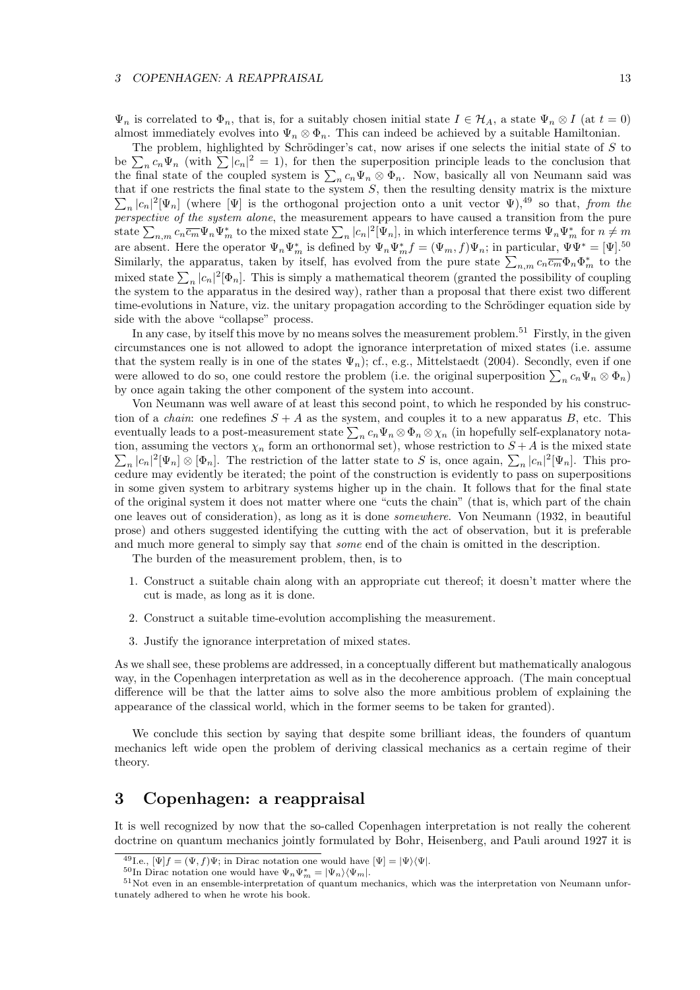$\Psi_n$  is correlated to  $\Phi_n$ , that is, for a suitably chosen initial state  $I \in \mathcal{H}_A$ , a state  $\Psi_n \otimes I$  (at  $t = 0$ ) almost immediately evolves into  $\Psi_n \otimes \Phi_n$ . This can indeed be achieved by a suitable Hamiltonian.

The problem, highlighted by Schrödinger's cat, now arises if one selects the initial state of  $S$  to be  $\sum_{n} c_n \Psi_n$  (with  $\sum |c_n|^2 = 1$ ), for then the superposition principle leads to the conclusion that the final state of the coupled system is  $\sum_n c_n \Psi_n \otimes \Phi_n$ . Now, basically all von Neumann said was that if one restricts the final state to the system  $S$ , then the resulting density matrix is the mixture  $\sum_{n} |c_n|^2 [\Psi_n]$  (where  $[\Psi]$  is the orthogonal projection onto a unit vector  $\Psi$ ),<sup>49</sup> so that, from the *perspective of the system alone*, the measurement appears to have caused a transition from the pure state  $\sum_{n,m} c_n \overline{c_m} \Psi_n \Psi_m^*$  to the mixed state  $\sum_n |c_n|^2 [\Psi_n]$ , in which interference terms  $\Psi_n \Psi_m^*$  for  $n \neq m$ are absent. Here the operator  $\Psi_n\Psi_m^*$  is defined by  $\Psi_n\Psi_m^*f = (\Psi_m, f)\Psi_n$ ; in particular,  $\Psi\Psi^* = [\Psi].^{50}$ Similarly, the apparatus, taken by itself, has evolved from the pure state  $\sum_{n,m} c_n \overline{c_m} \Phi_n \Phi_m^*$  to the mixed state  $\sum_{n} |c_n|^2 [\Phi_n]$ . This is simply a mathematical theorem (granted the possibility of coupling the system to the apparatus in the desired way), rather than a proposal that there exist two different time-evolutions in Nature, viz. the unitary propagation according to the Schrödinger equation side by side with the above "collapse" process.

In any case, by itself this move by no means solves the measurement problem.<sup>51</sup> Firstly, in the given circumstances one is not allowed to adopt the ignorance interpretation of mixed states (i.e. assume that the system really is in one of the states  $\Psi_n$ ); cf., e.g., Mittelstaedt (2004). Secondly, even if one were allowed to do so, one could restore the problem (i.e. the original superposition  $\sum_n c_n \Psi_n \otimes \Phi_n$ ) by once again taking the other component of the system into account.

Von Neumann was well aware of at least this second point, to which he responded by his construction of a *chain*: one redefines  $S + A$  as the system, and couples it to a new apparatus B, etc. This eventually leads to a post-measurement state  $\sum_n c_n \Psi_n \otimes \Phi_n \otimes \chi_n$  (in hopefully self-explanatory notation, assuming the vectors  $\chi_n$  form an orthonormal set), whose restriction to  $S + A$  is the mixed state  $\sum_{n} |c_n|^2 [\Psi_n] \otimes [\Phi_n]$ . The restriction of the latter state to S is, once again,  $\sum_{n} |c_n|^2 [\Psi_n]$ . This procedure may evidently be iterated; the point of the construction is evidently to pass on superpositions in some given system to arbitrary systems higher up in the chain. It follows that for the final state of the original system it does not matter where one "cuts the chain" (that is, which part of the chain one leaves out of consideration), as long as it is done somewhere. Von Neumann (1932, in beautiful prose) and others suggested identifying the cutting with the act of observation, but it is preferable and much more general to simply say that *some* end of the chain is omitted in the description.

The burden of the measurement problem, then, is to

- 1. Construct a suitable chain along with an appropriate cut thereof; it doesn't matter where the cut is made, as long as it is done.
- 2. Construct a suitable time-evolution accomplishing the measurement.
- 3. Justify the ignorance interpretation of mixed states.

As we shall see, these problems are addressed, in a conceptually different but mathematically analogous way, in the Copenhagen interpretation as well as in the decoherence approach. (The main conceptual difference will be that the latter aims to solve also the more ambitious problem of explaining the appearance of the classical world, which in the former seems to be taken for granted).

We conclude this section by saying that despite some brilliant ideas, the founders of quantum mechanics left wide open the problem of deriving classical mechanics as a certain regime of their theory.

# 3 Copenhagen: a reappraisal

It is well recognized by now that the so-called Copenhagen interpretation is not really the coherent doctrine on quantum mechanics jointly formulated by Bohr, Heisenberg, and Pauli around 1927 it is

<sup>&</sup>lt;sup>49</sup>I.e.,  $[\Psi]f = (\Psi, f)\Psi$ ; in Dirac notation one would have  $[\Psi] = [\Psi \rangle \langle \Psi]$ .

<sup>&</sup>lt;sup>50</sup>In Dirac notation one would have  $\Psi_n\Psi_m^* = |\Psi_n\rangle \langle \Psi_m|$ .

<sup>51</sup>Not even in an ensemble-interpretation of quantum mechanics, which was the interpretation von Neumann unfortunately adhered to when he wrote his book.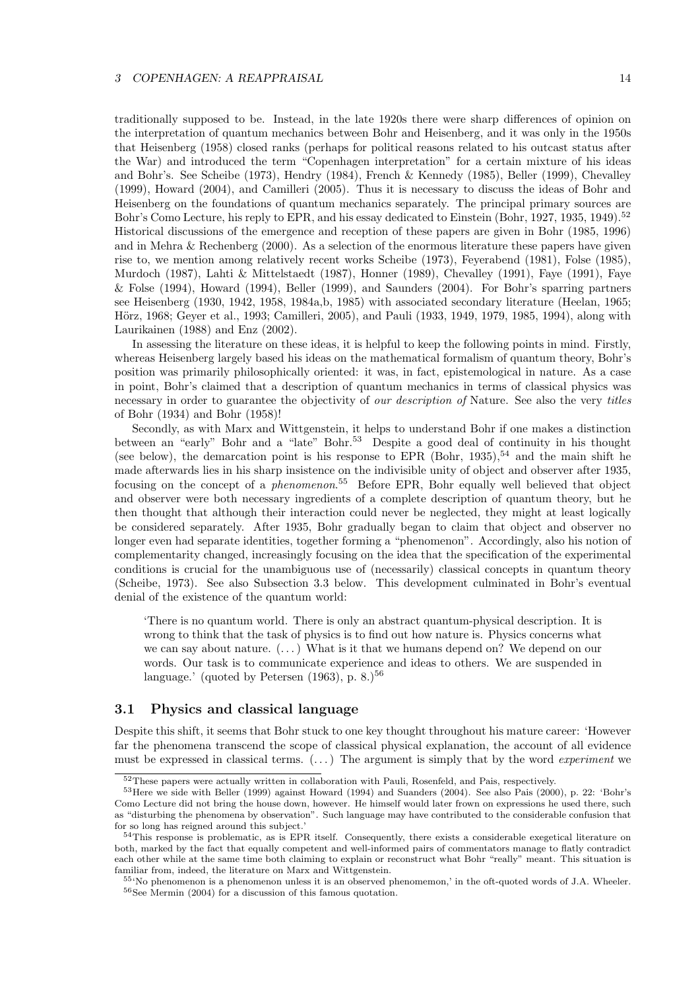traditionally supposed to be. Instead, in the late 1920s there were sharp differences of opinion on the interpretation of quantum mechanics between Bohr and Heisenberg, and it was only in the 1950s that Heisenberg (1958) closed ranks (perhaps for political reasons related to his outcast status after the War) and introduced the term "Copenhagen interpretation" for a certain mixture of his ideas and Bohr's. See Scheibe (1973), Hendry (1984), French & Kennedy (1985), Beller (1999), Chevalley (1999), Howard (2004), and Camilleri (2005). Thus it is necessary to discuss the ideas of Bohr and Heisenberg on the foundations of quantum mechanics separately. The principal primary sources are Bohr's Como Lecture, his reply to EPR, and his essay dedicated to Einstein (Bohr, 1927, 1935, 1949).<sup>52</sup> Historical discussions of the emergence and reception of these papers are given in Bohr (1985, 1996) and in Mehra & Rechenberg (2000). As a selection of the enormous literature these papers have given rise to, we mention among relatively recent works Scheibe (1973), Feyerabend (1981), Folse (1985), Murdoch (1987), Lahti & Mittelstaedt (1987), Honner (1989), Chevalley (1991), Faye (1991), Faye & Folse (1994), Howard (1994), Beller (1999), and Saunders (2004). For Bohr's sparring partners see Heisenberg (1930, 1942, 1958, 1984a,b, 1985) with associated secondary literature (Heelan, 1965; Hörz, 1968; Geyer et al., 1993; Camilleri, 2005), and Pauli (1933, 1949, 1979, 1985, 1994), along with Laurikainen (1988) and Enz (2002).

In assessing the literature on these ideas, it is helpful to keep the following points in mind. Firstly, whereas Heisenberg largely based his ideas on the mathematical formalism of quantum theory, Bohr's position was primarily philosophically oriented: it was, in fact, epistemological in nature. As a case in point, Bohr's claimed that a description of quantum mechanics in terms of classical physics was necessary in order to guarantee the objectivity of our description of Nature. See also the very titles of Bohr (1934) and Bohr (1958)!

Secondly, as with Marx and Wittgenstein, it helps to understand Bohr if one makes a distinction between an "early" Bohr and a "late" Bohr.<sup>53</sup> Despite a good deal of continuity in his thought (see below), the demarcation point is his response to EPR (Bohr, 1935),<sup>54</sup> and the main shift he made afterwards lies in his sharp insistence on the indivisible unity of object and observer after 1935, focusing on the concept of a *phenomenon*.<sup>55</sup> Before EPR, Bohr equally well believed that object and observer were both necessary ingredients of a complete description of quantum theory, but he then thought that although their interaction could never be neglected, they might at least logically be considered separately. After 1935, Bohr gradually began to claim that object and observer no longer even had separate identities, together forming a "phenomenon". Accordingly, also his notion of complementarity changed, increasingly focusing on the idea that the specification of the experimental conditions is crucial for the unambiguous use of (necessarily) classical concepts in quantum theory (Scheibe, 1973). See also Subsection 3.3 below. This development culminated in Bohr's eventual denial of the existence of the quantum world:

'There is no quantum world. There is only an abstract quantum-physical description. It is wrong to think that the task of physics is to find out how nature is. Physics concerns what we can say about nature.  $(\ldots)$  What is it that we humans depend on? We depend on our words. Our task is to communicate experience and ideas to others. We are suspended in language.' (quoted by Petersen  $(1963)$ , p. 8.)<sup>56</sup>

# 3.1 Physics and classical language

Despite this shift, it seems that Bohr stuck to one key thought throughout his mature career: 'However far the phenomena transcend the scope of classical physical explanation, the account of all evidence must be expressed in classical terms.  $(\ldots)$  The argument is simply that by the word *experiment* we

<sup>&</sup>lt;sup>52</sup>These papers were actually written in collaboration with Pauli, Rosenfeld, and Pais, respectively.

<sup>53</sup>Here we side with Beller (1999) against Howard (1994) and Suanders (2004). See also Pais (2000), p. 22: 'Bohr's Como Lecture did not bring the house down, however. He himself would later frown on expressions he used there, such as "disturbing the phenomena by observation". Such language may have contributed to the considerable confusion that for so long has reigned around this subject.'

<sup>&</sup>lt;sup>54</sup>This response is problematic, as is EPR itself. Consequently, there exists a considerable exegetical literature on both, marked by the fact that equally competent and well-informed pairs of commentators manage to flatly contradict each other while at the same time both claiming to explain or reconstruct what Bohr "really" meant. This situation is familiar from, indeed, the literature on Marx and Wittgenstein.

<sup>55</sup>'No phenomenon is a phenomenon unless it is an observed phenomemon,' in the oft-quoted words of J.A. Wheeler.  $56$ See Mermin (2004) for a discussion of this famous quotation.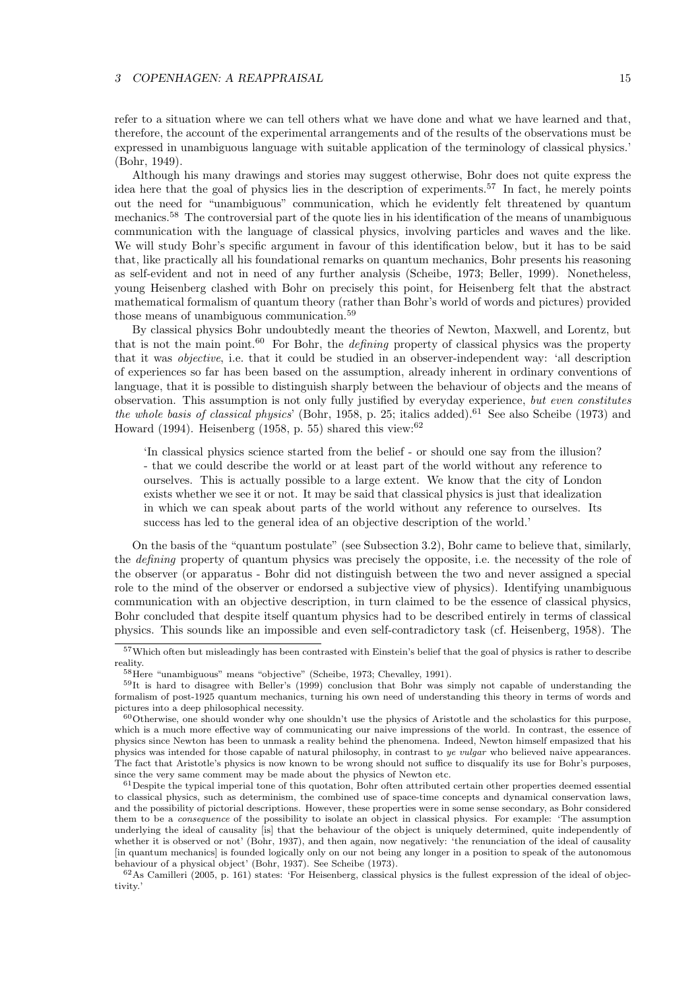refer to a situation where we can tell others what we have done and what we have learned and that, therefore, the account of the experimental arrangements and of the results of the observations must be expressed in unambiguous language with suitable application of the terminology of classical physics.' (Bohr, 1949).

Although his many drawings and stories may suggest otherwise, Bohr does not quite express the idea here that the goal of physics lies in the description of experiments.<sup>57</sup> In fact, he merely points out the need for "unambiguous" communication, which he evidently felt threatened by quantum mechanics.<sup>58</sup> The controversial part of the quote lies in his identification of the means of unambiguous communication with the language of classical physics, involving particles and waves and the like. We will study Bohr's specific argument in favour of this identification below, but it has to be said that, like practically all his foundational remarks on quantum mechanics, Bohr presents his reasoning as self-evident and not in need of any further analysis (Scheibe, 1973; Beller, 1999). Nonetheless, young Heisenberg clashed with Bohr on precisely this point, for Heisenberg felt that the abstract mathematical formalism of quantum theory (rather than Bohr's world of words and pictures) provided those means of unambiguous communication.<sup>59</sup>

By classical physics Bohr undoubtedly meant the theories of Newton, Maxwell, and Lorentz, but that is not the main point.<sup>60</sup> For Bohr, the *defining* property of classical physics was the property that it was objective, i.e. that it could be studied in an observer-independent way: 'all description of experiences so far has been based on the assumption, already inherent in ordinary conventions of language, that it is possible to distinguish sharply between the behaviour of objects and the means of observation. This assumption is not only fully justified by everyday experience, but even constitutes the whole basis of classical physics' (Bohr, 1958, p. 25; italics added).<sup>61</sup> See also Scheibe (1973) and Howard (1994). Heisenberg (1958, p. 55) shared this view:  $62$ 

'In classical physics science started from the belief - or should one say from the illusion? - that we could describe the world or at least part of the world without any reference to ourselves. This is actually possible to a large extent. We know that the city of London exists whether we see it or not. It may be said that classical physics is just that idealization in which we can speak about parts of the world without any reference to ourselves. Its success has led to the general idea of an objective description of the world.'

On the basis of the "quantum postulate" (see Subsection 3.2), Bohr came to believe that, similarly, the defining property of quantum physics was precisely the opposite, i.e. the necessity of the role of the observer (or apparatus - Bohr did not distinguish between the two and never assigned a special role to the mind of the observer or endorsed a subjective view of physics). Identifying unambiguous communication with an objective description, in turn claimed to be the essence of classical physics, Bohr concluded that despite itself quantum physics had to be described entirely in terms of classical physics. This sounds like an impossible and even self-contradictory task (cf. Heisenberg, 1958). The

<sup>57</sup>Which often but misleadingly has been contrasted with Einstein's belief that the goal of physics is rather to describe reality.

<sup>58</sup>Here "unambiguous" means "objective" (Scheibe, 1973; Chevalley, 1991).

<sup>59</sup>It is hard to disagree with Beller's (1999) conclusion that Bohr was simply not capable of understanding the formalism of post-1925 quantum mechanics, turning his own need of understanding this theory in terms of words and pictures into a deep philosophical necessity.

 $60$ Otherwise, one should wonder why one shouldn't use the physics of Aristotle and the scholastics for this purpose, which is a much more effective way of communicating our naive impressions of the world. In contrast, the essence of physics since Newton has been to unmask a reality behind the phenomena. Indeed, Newton himself empasized that his physics was intended for those capable of natural philosophy, in contrast to ye vulgar who believed naive appearances. The fact that Aristotle's physics is now known to be wrong should not suffice to disqualify its use for Bohr's purposes, since the very same comment may be made about the physics of Newton etc.

 $61$  Despite the typical imperial tone of this quotation, Bohr often attributed certain other properties deemed essential to classical physics, such as determinism, the combined use of space-time concepts and dynamical conservation laws, and the possibility of pictorial descriptions. However, these properties were in some sense secondary, as Bohr considered them to be a consequence of the possibility to isolate an object in classical physics. For example: 'The assumption underlying the ideal of causality [is] that the behaviour of the object is uniquely determined, quite independently of whether it is observed or not' (Bohr, 1937), and then again, now negatively: 'the renunciation of the ideal of causality [in quantum mechanics] is founded logically only on our not being any longer in a position to speak of the autonomous behaviour of a physical object' (Bohr, 1937). See Scheibe (1973).

 $62\text{As}$  Camilleri (2005, p. 161) states: 'For Heisenberg, classical physics is the fullest expression of the ideal of objectivity.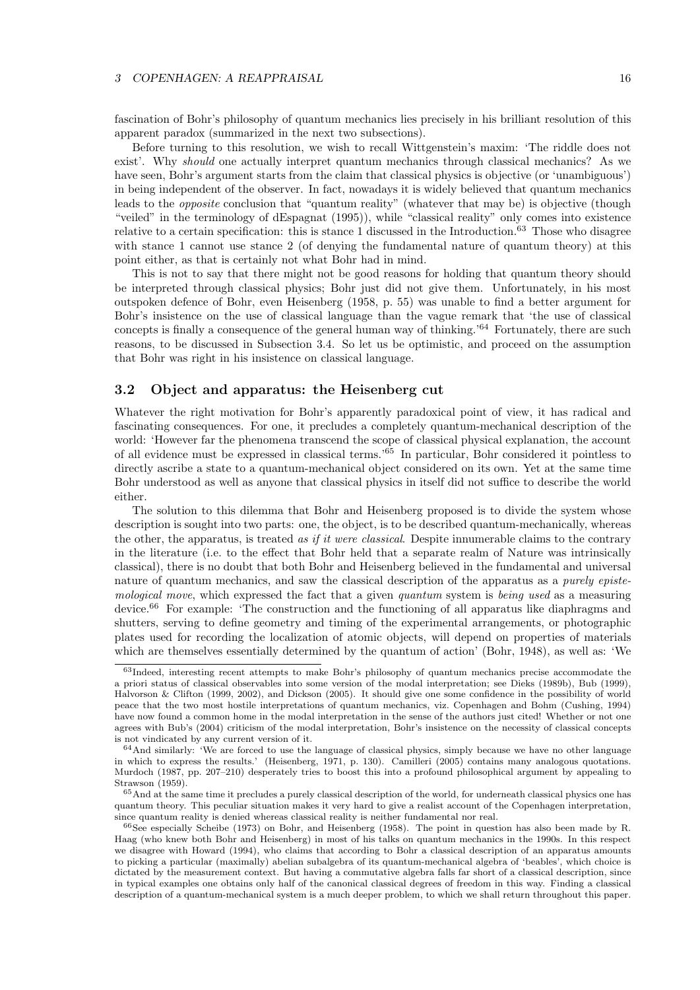fascination of Bohr's philosophy of quantum mechanics lies precisely in his brilliant resolution of this apparent paradox (summarized in the next two subsections).

Before turning to this resolution, we wish to recall Wittgenstein's maxim: 'The riddle does not exist'. Why should one actually interpret quantum mechanics through classical mechanics? As we have seen, Bohr's argument starts from the claim that classical physics is objective (or 'unambiguous') in being independent of the observer. In fact, nowadays it is widely believed that quantum mechanics leads to the *opposite* conclusion that "quantum reality" (whatever that may be) is objective (though "veiled" in the terminology of dEspagnat (1995)), while "classical reality" only comes into existence relative to a certain specification: this is stance 1 discussed in the Introduction.<sup>63</sup> Those who disagree with stance 1 cannot use stance 2 (of denying the fundamental nature of quantum theory) at this point either, as that is certainly not what Bohr had in mind.

This is not to say that there might not be good reasons for holding that quantum theory should be interpreted through classical physics; Bohr just did not give them. Unfortunately, in his most outspoken defence of Bohr, even Heisenberg (1958, p. 55) was unable to find a better argument for Bohr's insistence on the use of classical language than the vague remark that 'the use of classical concepts is finally a consequence of the general human way of thinking.<sup>'64</sup> Fortunately, there are such reasons, to be discussed in Subsection 3.4. So let us be optimistic, and proceed on the assumption that Bohr was right in his insistence on classical language.

# 3.2 Object and apparatus: the Heisenberg cut

Whatever the right motivation for Bohr's apparently paradoxical point of view, it has radical and fascinating consequences. For one, it precludes a completely quantum-mechanical description of the world: 'However far the phenomena transcend the scope of classical physical explanation, the account of all evidence must be expressed in classical terms.'<sup>65</sup> In particular, Bohr considered it pointless to directly ascribe a state to a quantum-mechanical object considered on its own. Yet at the same time Bohr understood as well as anyone that classical physics in itself did not suffice to describe the world either.

The solution to this dilemma that Bohr and Heisenberg proposed is to divide the system whose description is sought into two parts: one, the object, is to be described quantum-mechanically, whereas the other, the apparatus, is treated as if it were classical. Despite innumerable claims to the contrary in the literature (i.e. to the effect that Bohr held that a separate realm of Nature was intrinsically classical), there is no doubt that both Bohr and Heisenberg believed in the fundamental and universal nature of quantum mechanics, and saw the classical description of the apparatus as a *purely episte*mological move, which expressed the fact that a given quantum system is being used as a measuring device.<sup>66</sup> For example: 'The construction and the functioning of all apparatus like diaphragms and shutters, serving to define geometry and timing of the experimental arrangements, or photographic plates used for recording the localization of atomic objects, will depend on properties of materials which are themselves essentially determined by the quantum of action' (Bohr, 1948), as well as: 'We

<sup>63</sup>Indeed, interesting recent attempts to make Bohr's philosophy of quantum mechanics precise accommodate the a priori status of classical observables into some version of the modal interpretation; see Dieks (1989b), Bub (1999), Halvorson & Clifton (1999, 2002), and Dickson (2005). It should give one some confidence in the possibility of world peace that the two most hostile interpretations of quantum mechanics, viz. Copenhagen and Bohm (Cushing, 1994) have now found a common home in the modal interpretation in the sense of the authors just cited! Whether or not one agrees with Bub's (2004) criticism of the modal interpretation, Bohr's insistence on the necessity of classical concepts is not vindicated by any current version of it.

 $64$ And similarly: 'We are forced to use the language of classical physics, simply because we have no other language in which to express the results.' (Heisenberg, 1971, p. 130). Camilleri (2005) contains many analogous quotations. Murdoch (1987, pp. 207–210) desperately tries to boost this into a profound philosophical argument by appealing to Strawson (1959).

 $65$ And at the same time it precludes a purely classical description of the world, for underneath classical physics one has quantum theory. This peculiar situation makes it very hard to give a realist account of the Copenhagen interpretation, since quantum reality is denied whereas classical reality is neither fundamental nor real.

<sup>66</sup>See especially Scheibe (1973) on Bohr, and Heisenberg (1958). The point in question has also been made by R. Haag (who knew both Bohr and Heisenberg) in most of his talks on quantum mechanics in the 1990s. In this respect we disagree with Howard (1994), who claims that according to Bohr a classical description of an apparatus amounts to picking a particular (maximally) abelian subalgebra of its quantum-mechanical algebra of 'beables', which choice is dictated by the measurement context. But having a commutative algebra falls far short of a classical description, since in typical examples one obtains only half of the canonical classical degrees of freedom in this way. Finding a classical description of a quantum-mechanical system is a much deeper problem, to which we shall return throughout this paper.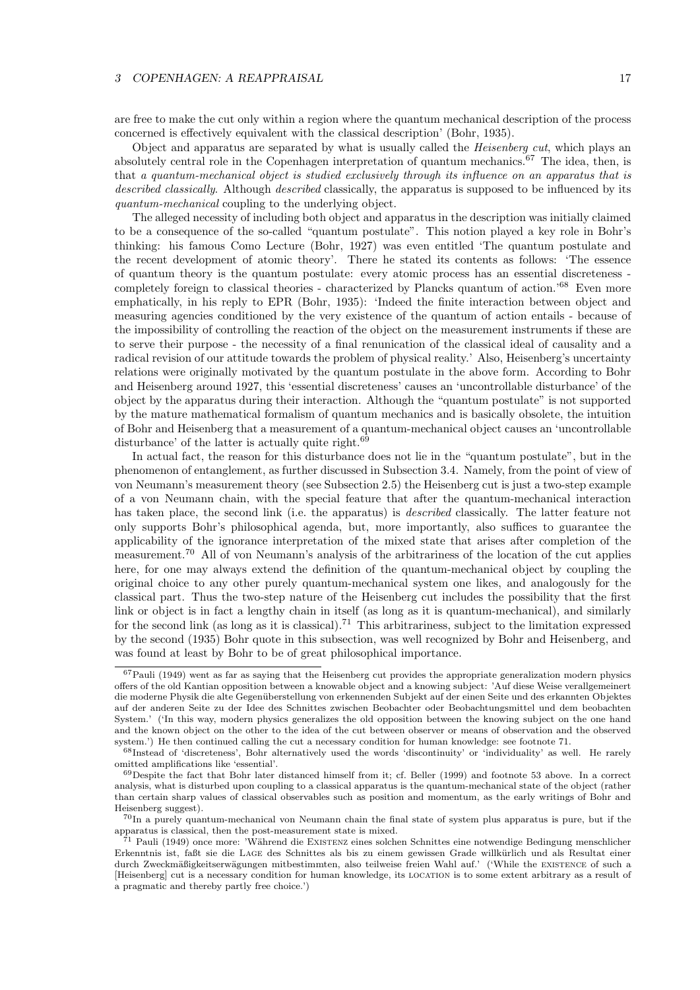are free to make the cut only within a region where the quantum mechanical description of the process concerned is effectively equivalent with the classical description' (Bohr, 1935).

Object and apparatus are separated by what is usually called the Heisenberg cut, which plays an absolutely central role in the Copenhagen interpretation of quantum mechanics.<sup>67</sup> The idea, then, is that a quantum-mechanical object is studied exclusively through its influence on an apparatus that is described classically. Although described classically, the apparatus is supposed to be influenced by its quantum-mechanical coupling to the underlying object.

The alleged necessity of including both object and apparatus in the description was initially claimed to be a consequence of the so-called "quantum postulate". This notion played a key role in Bohr's thinking: his famous Como Lecture (Bohr, 1927) was even entitled 'The quantum postulate and the recent development of atomic theory'. There he stated its contents as follows: 'The essence of quantum theory is the quantum postulate: every atomic process has an essential discreteness completely foreign to classical theories - characterized by Plancks quantum of action.'68 Even more emphatically, in his reply to EPR (Bohr, 1935): 'Indeed the finite interaction between object and measuring agencies conditioned by the very existence of the quantum of action entails - because of the impossibility of controlling the reaction of the object on the measurement instruments if these are to serve their purpose - the necessity of a final renunication of the classical ideal of causality and a radical revision of our attitude towards the problem of physical reality.' Also, Heisenberg's uncertainty relations were originally motivated by the quantum postulate in the above form. According to Bohr and Heisenberg around 1927, this 'essential discreteness' causes an 'uncontrollable disturbance' of the object by the apparatus during their interaction. Although the "quantum postulate" is not supported by the mature mathematical formalism of quantum mechanics and is basically obsolete, the intuition of Bohr and Heisenberg that a measurement of a quantum-mechanical object causes an 'uncontrollable disturbance' of the latter is actually quite right.<sup>69</sup>

In actual fact, the reason for this disturbance does not lie in the "quantum postulate", but in the phenomenon of entanglement, as further discussed in Subsection 3.4. Namely, from the point of view of von Neumann's measurement theory (see Subsection 2.5) the Heisenberg cut is just a two-step example of a von Neumann chain, with the special feature that after the quantum-mechanical interaction has taken place, the second link (i.e. the apparatus) is *described* classically. The latter feature not only supports Bohr's philosophical agenda, but, more importantly, also suffices to guarantee the applicability of the ignorance interpretation of the mixed state that arises after completion of the measurement.<sup>70</sup> All of von Neumann's analysis of the arbitrariness of the location of the cut applies here, for one may always extend the definition of the quantum-mechanical object by coupling the original choice to any other purely quantum-mechanical system one likes, and analogously for the classical part. Thus the two-step nature of the Heisenberg cut includes the possibility that the first link or object is in fact a lengthy chain in itself (as long as it is quantum-mechanical), and similarly for the second link (as long as it is classical).<sup>71</sup> This arbitrariness, subject to the limitation expressed by the second (1935) Bohr quote in this subsection, was well recognized by Bohr and Heisenberg, and was found at least by Bohr to be of great philosophical importance.

<sup>67</sup>Pauli (1949) went as far as saying that the Heisenberg cut provides the appropriate generalization modern physics offers of the old Kantian opposition between a knowable object and a knowing subject: 'Auf diese Weise verallgemeinert die moderne Physik die alte Gegenüberstellung von erkennenden Subjekt auf der einen Seite und des erkannten Objektes auf der anderen Seite zu der Idee des Schnittes zwischen Beobachter oder Beobachtungsmittel und dem beobachten System.' ('In this way, modern physics generalizes the old opposition between the knowing subject on the one hand and the known object on the other to the idea of the cut between observer or means of observation and the observed system.') He then continued calling the cut a necessary condition for human knowledge: see footnote 71.

<sup>68</sup>Instead of 'discreteness', Bohr alternatively used the words 'discontinuity' or 'individuality' as well. He rarely omitted amplifications like 'essential'.

<sup>&</sup>lt;sup>69</sup>Despite the fact that Bohr later distanced himself from it; cf. Beller (1999) and footnote 53 above. In a correct analysis, what is disturbed upon coupling to a classical apparatus is the quantum-mechanical state of the object (rather than certain sharp values of classical observables such as position and momentum, as the early writings of Bohr and Heisenberg suggest).

<sup>70</sup>In a purely quantum-mechanical von Neumann chain the final state of system plus apparatus is pure, but if the apparatus is classical, then the post-measurement state is mixed.

 $71$  Pauli (1949) once more: 'Während die Existenz eines solchen Schnittes eine notwendige Bedingung menschlicher Erkenntnis ist, faßt sie die Lage des Schnittes als bis zu einem gewissen Grade willk¨urlich und als Resultat einer durch Zweckmäßigkeitserwägungen mitbestimmten, also teilweise freien Wahl auf.' ('While the EXISTENCE of such a [Heisenberg] cut is a necessary condition for human knowledge, its LOCATION is to some extent arbitrary as a result of a pragmatic and thereby partly free choice.')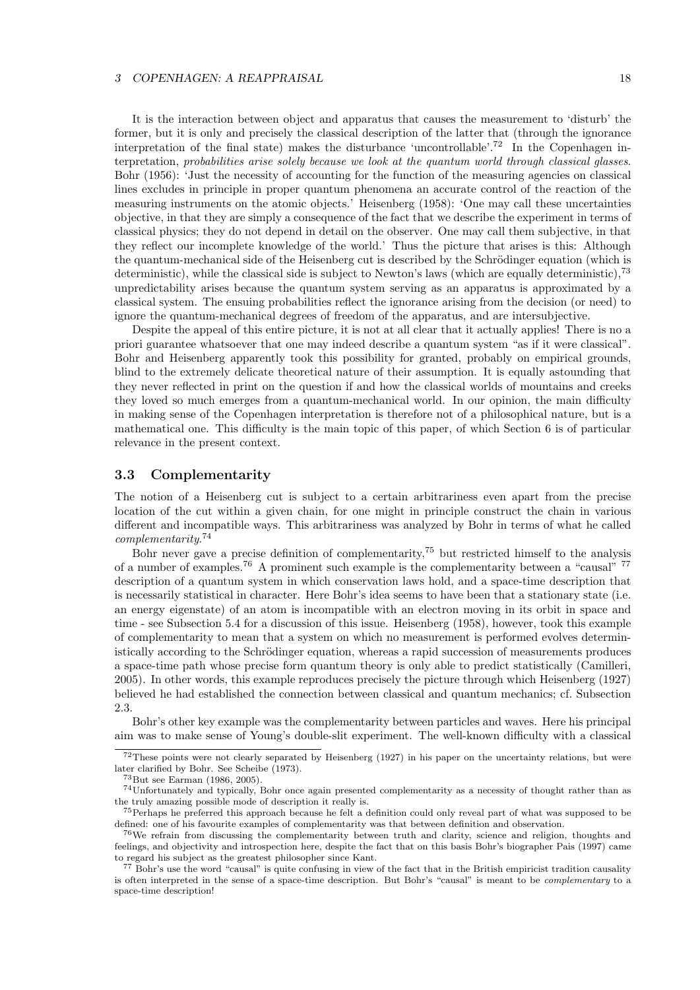It is the interaction between object and apparatus that causes the measurement to 'disturb' the former, but it is only and precisely the classical description of the latter that (through the ignorance interpretation of the final state) makes the disturbance 'uncontrollable'.<sup>72</sup> In the Copenhagen interpretation, probabilities arise solely because we look at the quantum world through classical glasses. Bohr (1956): 'Just the necessity of accounting for the function of the measuring agencies on classical lines excludes in principle in proper quantum phenomena an accurate control of the reaction of the measuring instruments on the atomic objects.' Heisenberg (1958): 'One may call these uncertainties objective, in that they are simply a consequence of the fact that we describe the experiment in terms of classical physics; they do not depend in detail on the observer. One may call them subjective, in that they reflect our incomplete knowledge of the world.' Thus the picture that arises is this: Although the quantum-mechanical side of the Heisenberg cut is described by the Schrödinger equation (which is deterministic), while the classical side is subject to Newton's laws (which are equally deterministic), $^{73}$ unpredictability arises because the quantum system serving as an apparatus is approximated by a classical system. The ensuing probabilities reflect the ignorance arising from the decision (or need) to ignore the quantum-mechanical degrees of freedom of the apparatus, and are intersubjective.

Despite the appeal of this entire picture, it is not at all clear that it actually applies! There is no a priori guarantee whatsoever that one may indeed describe a quantum system "as if it were classical". Bohr and Heisenberg apparently took this possibility for granted, probably on empirical grounds, blind to the extremely delicate theoretical nature of their assumption. It is equally astounding that they never reflected in print on the question if and how the classical worlds of mountains and creeks they loved so much emerges from a quantum-mechanical world. In our opinion, the main difficulty in making sense of the Copenhagen interpretation is therefore not of a philosophical nature, but is a mathematical one. This difficulty is the main topic of this paper, of which Section 6 is of particular relevance in the present context.

### 3.3 Complementarity

The notion of a Heisenberg cut is subject to a certain arbitrariness even apart from the precise location of the cut within a given chain, for one might in principle construct the chain in various different and incompatible ways. This arbitrariness was analyzed by Bohr in terms of what he called complementarity. 74

Bohr never gave a precise definition of complementarity,<sup>75</sup> but restricted himself to the analysis of a number of examples.<sup>76</sup> A prominent such example is the complementarity between a "causal"  $77$ description of a quantum system in which conservation laws hold, and a space-time description that is necessarily statistical in character. Here Bohr's idea seems to have been that a stationary state (i.e. an energy eigenstate) of an atom is incompatible with an electron moving in its orbit in space and time - see Subsection 5.4 for a discussion of this issue. Heisenberg (1958), however, took this example of complementarity to mean that a system on which no measurement is performed evolves deterministically according to the Schrödinger equation, whereas a rapid succession of measurements produces a space-time path whose precise form quantum theory is only able to predict statistically (Camilleri, 2005). In other words, this example reproduces precisely the picture through which Heisenberg (1927) believed he had established the connection between classical and quantum mechanics; cf. Subsection 2.3.

Bohr's other key example was the complementarity between particles and waves. Here his principal aim was to make sense of Young's double-slit experiment. The well-known difficulty with a classical

<sup>72</sup>These points were not clearly separated by Heisenberg (1927) in his paper on the uncertainty relations, but were later clarified by Bohr. See Scheibe (1973).

<sup>73</sup>But see Earman (1986, 2005).

<sup>74</sup>Unfortunately and typically, Bohr once again presented complementarity as a necessity of thought rather than as the truly amazing possible mode of description it really is.

<sup>75</sup>Perhaps he preferred this approach because he felt a definition could only reveal part of what was supposed to be defined: one of his favourite examples of complementarity was that between definition and observation.

<sup>76</sup>We refrain from discussing the complementarity between truth and clarity, science and religion, thoughts and feelings, and objectivity and introspection here, despite the fact that on this basis Bohr's biographer Pais (1997) came to regard his subject as the greatest philosopher since Kant.

<sup>77</sup> Bohr's use the word "causal" is quite confusing in view of the fact that in the British empiricist tradition causality is often interpreted in the sense of a space-time description. But Bohr's "causal" is meant to be complementary to a space-time description!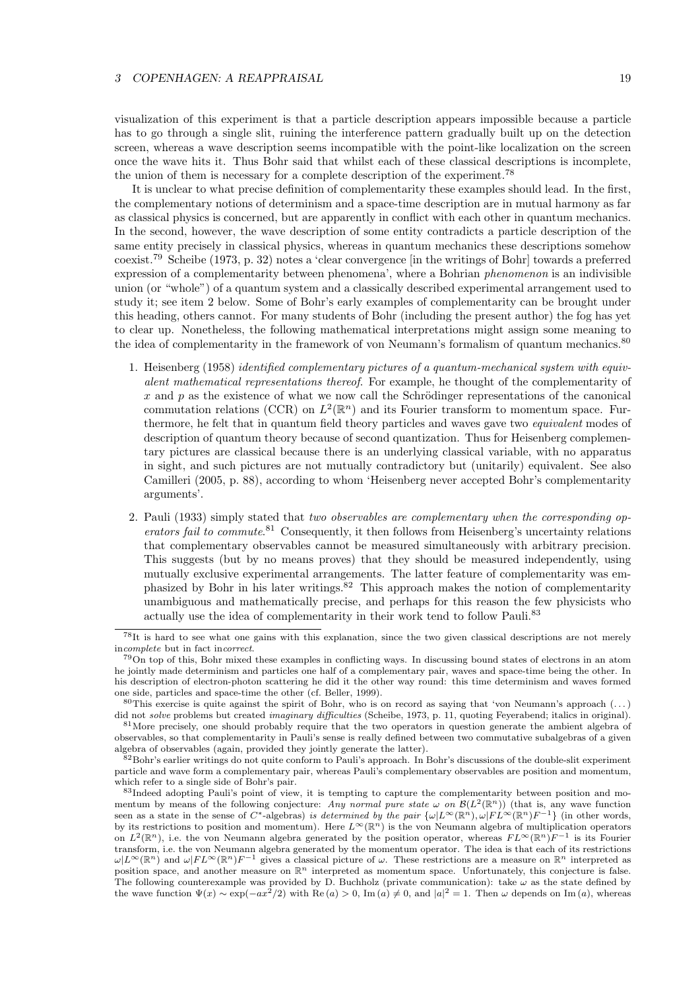visualization of this experiment is that a particle description appears impossible because a particle has to go through a single slit, ruining the interference pattern gradually built up on the detection screen, whereas a wave description seems incompatible with the point-like localization on the screen once the wave hits it. Thus Bohr said that whilst each of these classical descriptions is incomplete, the union of them is necessary for a complete description of the experiment.<sup>78</sup>

It is unclear to what precise definition of complementarity these examples should lead. In the first, the complementary notions of determinism and a space-time description are in mutual harmony as far as classical physics is concerned, but are apparently in conflict with each other in quantum mechanics. In the second, however, the wave description of some entity contradicts a particle description of the same entity precisely in classical physics, whereas in quantum mechanics these descriptions somehow coexist.<sup>79</sup> Scheibe (1973, p. 32) notes a 'clear convergence [in the writings of Bohr] towards a preferred expression of a complementarity between phenomena', where a Bohrian phenomenon is an indivisible union (or "whole") of a quantum system and a classically described experimental arrangement used to study it; see item 2 below. Some of Bohr's early examples of complementarity can be brought under this heading, others cannot. For many students of Bohr (including the present author) the fog has yet to clear up. Nonetheless, the following mathematical interpretations might assign some meaning to the idea of complementarity in the framework of von Neumann's formalism of quantum mechanics.<sup>80</sup>

- 1. Heisenberg (1958) identified complementary pictures of a quantum-mechanical system with equivalent mathematical representations thereof. For example, he thought of the complementarity of x and p as the existence of what we now call the Schrödinger representations of the canonical commutation relations (CCR) on  $L^2(\mathbb{R}^n)$  and its Fourier transform to momentum space. Furthermore, he felt that in quantum field theory particles and waves gave two equivalent modes of description of quantum theory because of second quantization. Thus for Heisenberg complementary pictures are classical because there is an underlying classical variable, with no apparatus in sight, and such pictures are not mutually contradictory but (unitarily) equivalent. See also Camilleri (2005, p. 88), according to whom 'Heisenberg never accepted Bohr's complementarity arguments'.
- 2. Pauli (1933) simply stated that two observables are complementary when the corresponding operators fail to commute.<sup>81</sup> Consequently, it then follows from Heisenberg's uncertainty relations that complementary observables cannot be measured simultaneously with arbitrary precision. This suggests (but by no means proves) that they should be measured independently, using mutually exclusive experimental arrangements. The latter feature of complementarity was emphasized by Bohr in his later writings.<sup>82</sup> This approach makes the notion of complementarity unambiguous and mathematically precise, and perhaps for this reason the few physicists who actually use the idea of complementarity in their work tend to follow Pauli.<sup>83</sup>

<sup>78</sup>It is hard to see what one gains with this explanation, since the two given classical descriptions are not merely incomplete but in fact incorrect.

 $79$ On top of this, Bohr mixed these examples in conflicting ways. In discussing bound states of electrons in an atom he jointly made determinism and particles one half of a complementary pair, waves and space-time being the other. In his description of electron-photon scattering he did it the other way round: this time determinism and waves formed one side, particles and space-time the other (cf. Beller, 1999).

 $80$ This exercise is quite against the spirit of Bohr, who is on record as saying that 'von Neumann's approach  $(\dots)$ did not solve problems but created *imaginary difficulties* (Scheibe, 1973, p. 11, quoting Feyerabend; italics in original).

<sup>&</sup>lt;sup>81</sup>More precisely, one should probably require that the two operators in question generate the ambient algebra of observables, so that complementarity in Pauli's sense is really defined between two commutative subalgebras of a given algebra of observables (again, provided they jointly generate the latter).

<sup>&</sup>lt;sup>82</sup>Bohr's earlier writings do not quite conform to Pauli's approach. In Bohr's discussions of the double-slit experiment particle and wave form a complementary pair, whereas Pauli's complementary observables are position and momentum, which refer to a single side of Bohr's pair.

<sup>83</sup>Indeed adopting Pauli's point of view, it is tempting to capture the complementarity between position and momentum by means of the following conjecture: Any normal pure state  $\omega$  on  $\mathcal{B}(L^2(\mathbb{R}^n))$  (that is, any wave function seen as a state in the sense of  $C^*$ -algebras) is determined by the pair  $\{\omega | L^{\infty}(\mathbb{R}^n), \omega | F L^{\infty}(\mathbb{R}^n) F^{-1}\}\$  (in other words, by its restrictions to position and momentum). Here  $L^{\infty}(\mathbb{R}^n)$  is the von Neumann algebra of multiplication operators on  $L^2(\mathbb{R}^n)$ , i.e. the von Neumann algebra generated by the position operator, whereas  $FL^\infty(\mathbb{R}^n)F^{-1}$  is its Fourier transform, i.e. the von Neumann algebra generated by the momentum operator. The idea is that each of its restrictions  $\omega |L^{\infty}(\mathbb{R}^n)$  and  $\omega |FL^{\infty}(\mathbb{R}^n)F^{-1}$  gives a classical picture of  $\omega$ . These restrictions are a measure on  $\mathbb{R}^n$  interpreted as position space, and another measure on  $\mathbb{R}^n$  interpreted as momentum space. Unfortunately, this conjecture is false. The following counterexample was provided by D. Buchholz (private communication): take  $\omega$  as the state defined by the wave function  $\Psi(x) \sim \exp(-ax^2/2)$  with Re  $(a) > 0$ , Im  $(a) \neq 0$ , and  $|a|^2 = 1$ . Then  $\omega$  depends on Im  $(a)$ , whereas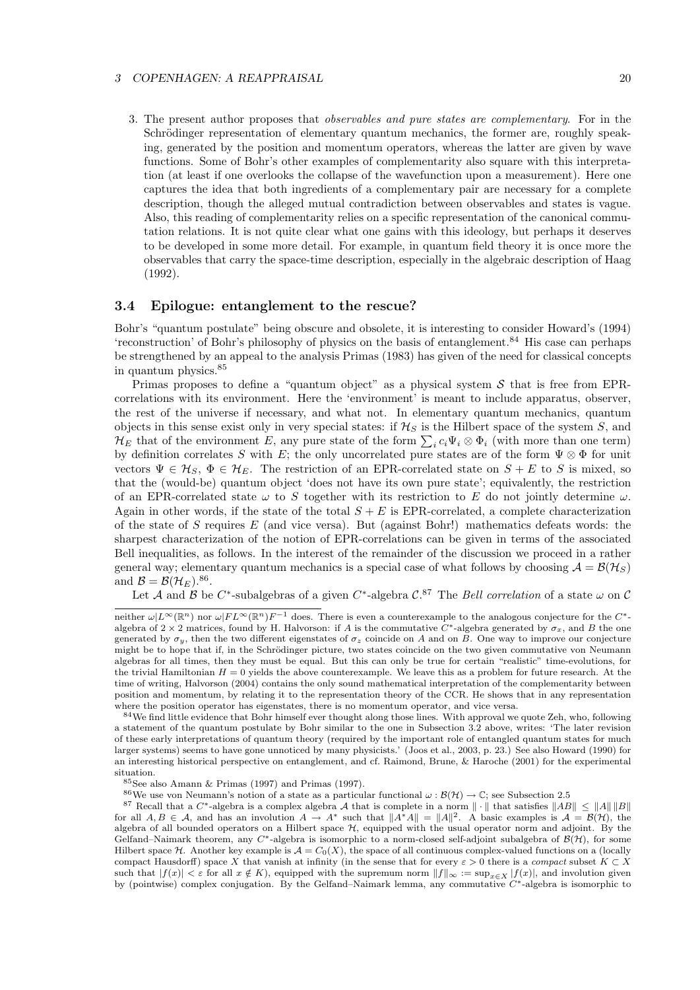3. The present author proposes that observables and pure states are complementary. For in the Schrödinger representation of elementary quantum mechanics, the former are, roughly speaking, generated by the position and momentum operators, whereas the latter are given by wave functions. Some of Bohr's other examples of complementarity also square with this interpretation (at least if one overlooks the collapse of the wavefunction upon a measurement). Here one captures the idea that both ingredients of a complementary pair are necessary for a complete description, though the alleged mutual contradiction between observables and states is vague. Also, this reading of complementarity relies on a specific representation of the canonical commutation relations. It is not quite clear what one gains with this ideology, but perhaps it deserves to be developed in some more detail. For example, in quantum field theory it is once more the observables that carry the space-time description, especially in the algebraic description of Haag (1992).

# 3.4 Epilogue: entanglement to the rescue?

Bohr's "quantum postulate" being obscure and obsolete, it is interesting to consider Howard's (1994) 'reconstruction' of Bohr's philosophy of physics on the basis of entanglement.<sup>84</sup> His case can perhaps be strengthened by an appeal to the analysis Primas (1983) has given of the need for classical concepts in quantum physics.<sup>85</sup>

Primas proposes to define a "quantum object" as a physical system  $S$  that is free from EPRcorrelations with its environment. Here the 'environment' is meant to include apparatus, observer, the rest of the universe if necessary, and what not. In elementary quantum mechanics, quantum objects in this sense exist only in very special states: if  $\mathcal{H}_S$  is the Hilbert space of the system S, and  $\mathcal{H}_E$  that of the environment E, any pure state of the form  $\sum_i c_i \Psi_i \otimes \Phi_i$  (with more than one term) by definition correlates S with E; the only uncorrelated pure states are of the form  $\Psi \otimes \Phi$  for unit vectors  $\Psi \in \mathcal{H}_S$ ,  $\Phi \in \mathcal{H}_E$ . The restriction of an EPR-correlated state on  $S + E$  to S is mixed, so that the (would-be) quantum object 'does not have its own pure state'; equivalently, the restriction of an EPR-correlated state  $\omega$  to S together with its restriction to E do not jointly determine  $\omega$ . Again in other words, if the state of the total  $S + E$  is EPR-correlated, a complete characterization of the state of S requires  $E$  (and vice versa). But (against Bohr!) mathematics defeats words: the sharpest characterization of the notion of EPR-correlations can be given in terms of the associated Bell inequalities, as follows. In the interest of the remainder of the discussion we proceed in a rather general way; elementary quantum mechanics is a special case of what follows by choosing  $A = \mathcal{B}(\mathcal{H}_S)$ and  $\mathcal{B} = \mathcal{B}(\mathcal{H}_E)^{86}$ .

Let A and B be C<sup>\*</sup>-subalgebras of a given C<sup>\*</sup>-algebra  $\mathcal{C}^{.87}$  The Bell correlation of a state  $\omega$  on C

84We find little evidence that Bohr himself ever thought along those lines. With approval we quote Zeh, who, following a statement of the quantum postulate by Bohr similar to the one in Subsection 3.2 above, writes: 'The later revision of these early interpretations of quantum theory (required by the important role of entangled quantum states for much larger systems) seems to have gone unnoticed by many physicists.' (Joos et al., 2003, p. 23.) See also Howard (1990) for an interesting historical perspective on entanglement, and cf. Raimond, Brune, & Haroche (2001) for the experimental situation.

 $85\mbox{See}$  also Amann & Primas (1997).

<sup>86</sup>We use von Neumann's notion of a state as a particular functional  $\omega : \mathcal{B}(\mathcal{H}) \to \mathbb{C}$ ; see Subsection 2.5

87 Recall that a C<sup>∗</sup>-algebra is a complex algebra A that is complete in a norm  $\|\cdot\|$  that satisfies  $||AB|| \le ||A|| ||B||$ for all  $A, B \in \mathcal{A}$ , and has an involution  $A \to A^*$  such that  $||A^*A|| = ||A||^2$ . A basic examples is  $\mathcal{A} = \mathcal{B}(\mathcal{H})$ , the algebra of all bounded operators on a Hilbert space  $H$ , equipped with the usual operator norm and adjoint. By the Gelfand–Naimark theorem, any  $C^*$ -algebra is isomorphic to a norm-closed self-adjoint subalgebra of  $\mathcal{B}(\mathcal{H})$ , for some Hilbert space  $\mathcal H$ . Another key example is  $\mathcal A = C_0(X)$ , the space of all continuous complex-valued functions on a (locally compact Hausdorff) space X that vanish at infinity (in the sense that for every  $\varepsilon > 0$  there is a *compact* subset  $K \subset X$ such that  $|f(x)| < \varepsilon$  for all  $x \notin K$ , equipped with the supremum norm  $||f||_{\infty} := \sup_{x \in X} |f(x)|$ , and involution given by (pointwise) complex conjugation. By the Gelfand–Naimark lemma, any commutative  $C^*$ -algebra is isomorphic to

neither  $\omega|L^{\infty}(\mathbb{R}^n)$  nor  $\omega|FL^{\infty}(\mathbb{R}^n)F^{-1}$  does. There is even a counterexample to the analogous conjecture for the  $C^*$ algebra of 2 × 2 matrices, found by H. Halvorson: if A is the commutative C<sup>∗</sup>-algebra generated by  $\sigma_x$ , and B the one generated by  $\sigma_y$ , then the two different eigenstates of  $\sigma_z$  coincide on A and on B. One way to improve our conjecture might be to hope that if, in the Schrödinger picture, two states coincide on the two given commutative von Neumann algebras for all times, then they must be equal. But this can only be true for certain "realistic" time-evolutions, for the trivial Hamiltonian  $H = 0$  yields the above counterexample. We leave this as a problem for future research. At the time of writing, Halvorson (2004) contains the only sound mathematical interpretation of the complementarity between position and momentum, by relating it to the representation theory of the CCR. He shows that in any representation where the position operator has eigenstates, there is no momentum operator, and vice versa.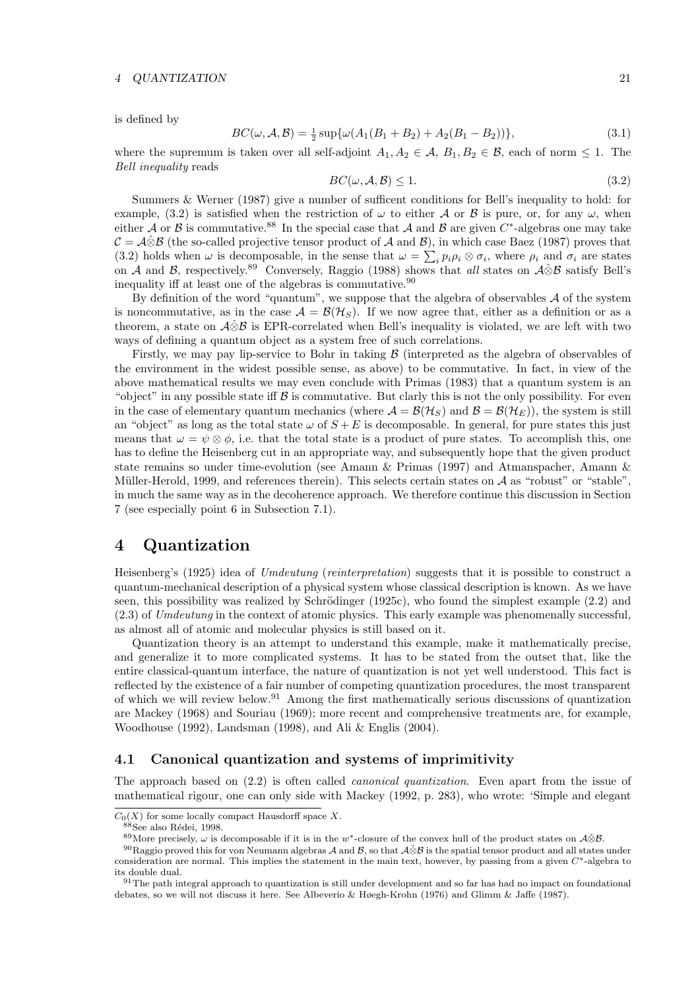is defined by

$$
BC(\omega, \mathcal{A}, \mathcal{B}) = \frac{1}{2} \sup \{ \omega(A_1(B_1 + B_2) + A_2(B_1 - B_2)) \},\tag{3.1}
$$

where the supremum is taken over all self-adjoint  $A_1, A_2 \in \mathcal{A}, B_1, B_2 \in \mathcal{B}$ , each of norm  $\leq 1$ . The Bell inequality reads

$$
BC(\omega, \mathcal{A}, \mathcal{B}) \le 1. \tag{3.2}
$$

Summers & Werner (1987) give a number of sufficent conditions for Bell's inequality to hold: for example, (3.2) is satisfied when the restriction of  $\omega$  to either A or B is pure, or, for any  $\omega$ , when either A or B is commutative.<sup>88</sup> In the special case that A and B are given  $C^*$ -algebras one may take  $\mathcal{C} = \mathcal{A} \hat{\otimes} \mathcal{B}$  (the so-called projective tensor product of  $\mathcal{A}$  and  $\mathcal{B}$ ), in which case Baez (1987) proves that (3.2) holds when  $\omega$  is decomposable, in the sense that  $\omega = \sum_i p_i \rho_i \otimes \sigma_i$ , where  $\rho_i$  and  $\sigma_i$  are states on  $\mathcal A$  and  $\mathcal B$ , respectively.<sup>89</sup> Conversely, Raggio (1988) shows that *all* states on  $\mathcal A\hat\otimes\mathcal B$  satisfy Bell's inequality iff at least one of the algebras is commutative.<sup>90</sup>

By definition of the word "quantum", we suppose that the algebra of observables  $A$  of the system is noncommutative, as in the case  $A = \mathcal{B}(\mathcal{H}_S)$ . If we now agree that, either as a definition or as a theorem, a state on  $\hat{A} \hat{\otimes} \hat{\mathcal{B}}$  is EPR-correlated when Bell's inequality is violated, we are left with two ways of defining a quantum object as a system free of such correlations.

Firstly, we may pay lip-service to Bohr in taking  $\beta$  (interpreted as the algebra of observables of the environment in the widest possible sense, as above) to be commutative. In fact, in view of the above mathematical results we may even conclude with Primas (1983) that a quantum system is an "object" in any possible state iff  $\mathcal B$  is commutative. But clarly this is not the only possibility. For even in the case of elementary quantum mechanics (where  $\mathcal{A} = \mathcal{B}(\mathcal{H}_S)$  and  $\mathcal{B} = \mathcal{B}(\mathcal{H}_E)$ ), the system is still an "object" as long as the total state  $\omega$  of  $S + E$  is decomposable. In general, for pure states this just means that  $\omega = \psi \otimes \phi$ , i.e. that the total state is a product of pure states. To accomplish this, one has to define the Heisenberg cut in an appropriate way, and subsequently hope that the given product state remains so under time-evolution (see Amann & Primas (1997) and Atmanspacher, Amann & Müller-Herold, 1999, and references therein). This selects certain states on  $A$  as "robust" or "stable", in much the same way as in the decoherence approach. We therefore continue this discussion in Section 7 (see especially point 6 in Subsection 7.1).

# 4 Quantization

Heisenberg's (1925) idea of Umdeutung (reinterpretation) suggests that it is possible to construct a quantum-mechanical description of a physical system whose classical description is known. As we have seen, this possibility was realized by Schrödinger (1925c), who found the simplest example (2.2) and (2.3) of Umdeutung in the context of atomic physics. This early example was phenomenally successful, as almost all of atomic and molecular physics is still based on it.

Quantization theory is an attempt to understand this example, make it mathematically precise, and generalize it to more complicated systems. It has to be stated from the outset that, like the entire classical-quantum interface, the nature of quantization is not yet well understood. This fact is reflected by the existence of a fair number of competing quantization procedures, the most transparent of which we will review below.<sup>91</sup> Among the first mathematically serious discussions of quantization are Mackey (1968) and Souriau (1969); more recent and comprehensive treatments are, for example, Woodhouse (1992), Landsman (1998), and Ali & Englis (2004).

# 4.1 Canonical quantization and systems of imprimitivity

The approach based on  $(2.2)$  is often called *canonical quantization*. Even apart from the issue of mathematical rigour, one can only side with Mackey (1992, p. 283), who wrote: 'Simple and elegant

 $C_0(X)$  for some locally compact Hausdorff space X.

<sup>88</sup>See also Rédei, 1998.

<sup>89</sup>More precisely,  $\omega$  is decomposable if it is in the w<sup>\*</sup>-closure of the convex hull of the product states on  $\mathcal{A}\hat{\otimes}\mathcal{B}$ .

<sup>&</sup>lt;sup>90</sup>Raggio proved this for von Neumann algebras A and B, so that  $\mathcal{A}\hat{\otimes}\mathcal{B}$  is the spatial tensor product and all states under consideration are normal. This implies the statement in the main text, however, by passing from a given  $C^*$ -algebra to its double dual.

<sup>91</sup>The path integral approach to quantization is still under development and so far has had no impact on foundational debates, so we will not discuss it here. See Albeverio & Høegh-Krohn (1976) and Glimm & Jaffe (1987).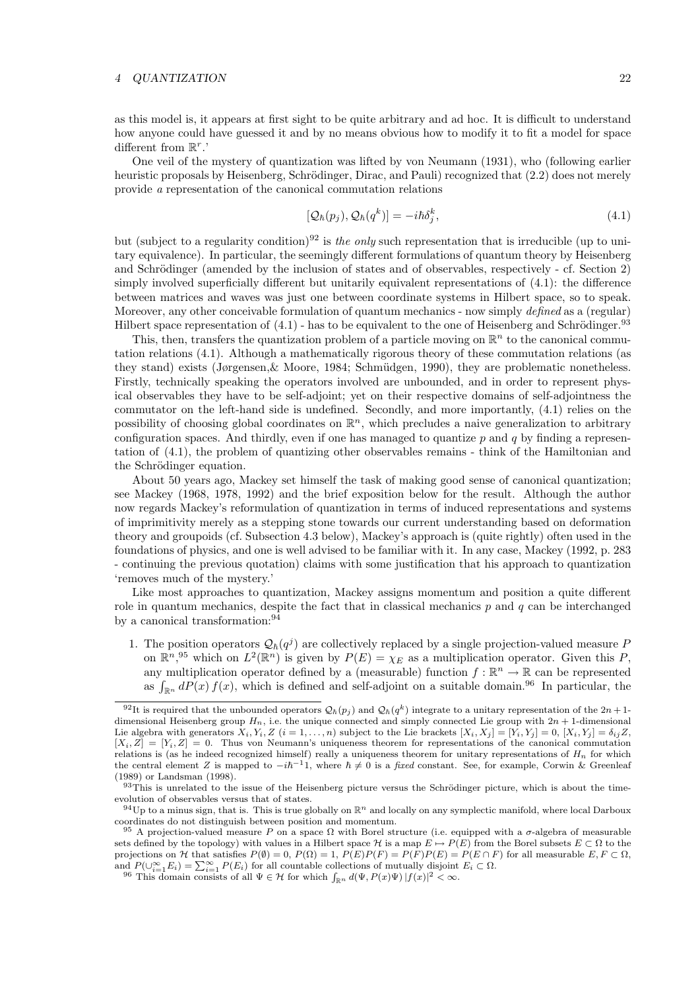as this model is, it appears at first sight to be quite arbitrary and ad hoc. It is difficult to understand how anyone could have guessed it and by no means obvious how to modify it to fit a model for space different from  $\mathbb{R}^r$ .'

One veil of the mystery of quantization was lifted by von Neumann (1931), who (following earlier heuristic proposals by Heisenberg, Schrödinger, Dirac, and Pauli) recognized that  $(2.2)$  does not merely provide a representation of the canonical commutation relations

$$
[\mathcal{Q}_{\hbar}(p_j), \mathcal{Q}_{\hbar}(q^k)] = -i\hbar \delta_j^k, \qquad (4.1)
$$

but (subject to a regularity condition)<sup>92</sup> is the only such representation that is irreducible (up to unitary equivalence). In particular, the seemingly different formulations of quantum theory by Heisenberg and Schrödinger (amended by the inclusion of states and of observables, respectively - cf. Section 2) simply involved superficially different but unitarily equivalent representations of (4.1): the difference between matrices and waves was just one between coordinate systems in Hilbert space, so to speak. Moreover, any other conceivable formulation of quantum mechanics - now simply defined as a (regular) Hilbert space representation of  $(4.1)$  - has to be equivalent to the one of Heisenberg and Schrödinger.<sup>93</sup>

This, then, transfers the quantization problem of a particle moving on  $\mathbb{R}^n$  to the canonical commutation relations (4.1). Although a mathematically rigorous theory of these commutation relations (as they stand) exists (Jørgensen, & Moore, 1984; Schmüdgen, 1990), they are problematic nonetheless. Firstly, technically speaking the operators involved are unbounded, and in order to represent physical observables they have to be self-adjoint; yet on their respective domains of self-adjointness the commutator on the left-hand side is undefined. Secondly, and more importantly, (4.1) relies on the possibility of choosing global coordinates on  $\mathbb{R}^n$ , which precludes a naive generalization to arbitrary configuration spaces. And thirdly, even if one has managed to quantize  $p$  and  $q$  by finding a representation of (4.1), the problem of quantizing other observables remains - think of the Hamiltonian and the Schrödinger equation.

About 50 years ago, Mackey set himself the task of making good sense of canonical quantization; see Mackey (1968, 1978, 1992) and the brief exposition below for the result. Although the author now regards Mackey's reformulation of quantization in terms of induced representations and systems of imprimitivity merely as a stepping stone towards our current understanding based on deformation theory and groupoids (cf. Subsection 4.3 below), Mackey's approach is (quite rightly) often used in the foundations of physics, and one is well advised to be familiar with it. In any case, Mackey (1992, p. 283 - continuing the previous quotation) claims with some justification that his approach to quantization 'removes much of the mystery.'

Like most approaches to quantization, Mackey assigns momentum and position a quite different role in quantum mechanics, despite the fact that in classical mechanics  $p$  and  $q$  can be interchanged by a canonical transformation: <sup>94</sup>

1. The position operators  $\mathcal{Q}_{\hbar}(q^j)$  are collectively replaced by a single projection-valued measure F on  $\mathbb{R}^n$ ,<sup>95</sup> which on  $L^2(\mathbb{R}^n)$  is given by  $P(E) = \chi_E$  as a multiplication operator. Given this P, any multiplication operator defined by a (measurable) function  $f : \mathbb{R}^n \to \mathbb{R}$  can be represented as  $\int_{\mathbb{R}^n} dP(x) f(x)$ , which is defined and self-adjoint on a suitable domain.<sup>96</sup> In particular, the

 $94$ Up to a minus sign, that is. This is true globally on  $\mathbb{R}^n$  and locally on any symplectic manifold, where local Darboux coordinates do not distinguish between position and momentum.

<sup>96</sup> This domain consists of all  $\Psi \in H$  for which  $\int_{\mathbb{R}^n} d(\Psi, P(x)\Psi) |f(x)|^2 < \infty$ .

<sup>&</sup>lt;sup>92</sup>It is required that the unbounded operators  $\mathcal{Q}_h(p_j)$  and  $\mathcal{Q}_h(q^k)$  integrate to a unitary representation of the  $2n+1$ dimensional Heisenberg group  $H_n$ , i.e. the unique connected and simply connected Lie group with  $2n + 1$ -dimensional Lie algebra with generators  $X_i, Y_i, Z$   $(i = 1, ..., n)$  subject to the Lie brackets  $[X_i, X_j] = [Y_i, Y_j] = 0$ ,  $[X_i, Y_j] = \delta_{ij} Z$ ,  $[X_i, Z] = [Y_i, Z] = 0$ . Thus von Neumann's uniqueness theorem for representations of the canonical commutation relations is (as he indeed recognized himself) really a uniqueness theorem for unitary representations of  $H_n$  for which the central element Z is mapped to  $-i\hbar^{-1}\hat{1}$ , where  $\hbar \neq 0$  is a fixed constant. See, for example, Corwin & Greenleaf (1989) or Landsman (1998).

 $93$ This is unrelated to the issue of the Heisenberg picture versus the Schrödinger picture, which is about the timeevolution of observables versus that of states.

<sup>&</sup>lt;sup>95</sup> A projection-valued measure P on a space  $\Omega$  with Borel structure (i.e. equipped with a  $\sigma$ -algebra of measurable sets defined by the topology) with values in a Hilbert space H is a map  $E \mapsto P(E)$  from the Borel subsets  $E \subset \Omega$  to the projections on H that satisfies  $P(\emptyset) = 0$ ,  $P(\Omega) = 1$ ,  $P(E)P(F) = P(F)P(E) = P(E \cap F)$  for all measurable  $E, F \subset \Omega$ , and  $P(\bigcup_{i=1}^{\infty} E_i) = \sum_{i=1}^{\infty} P(E_i)$  for all countable collections of mutually disjoint  $E_i \subset \Omega$ .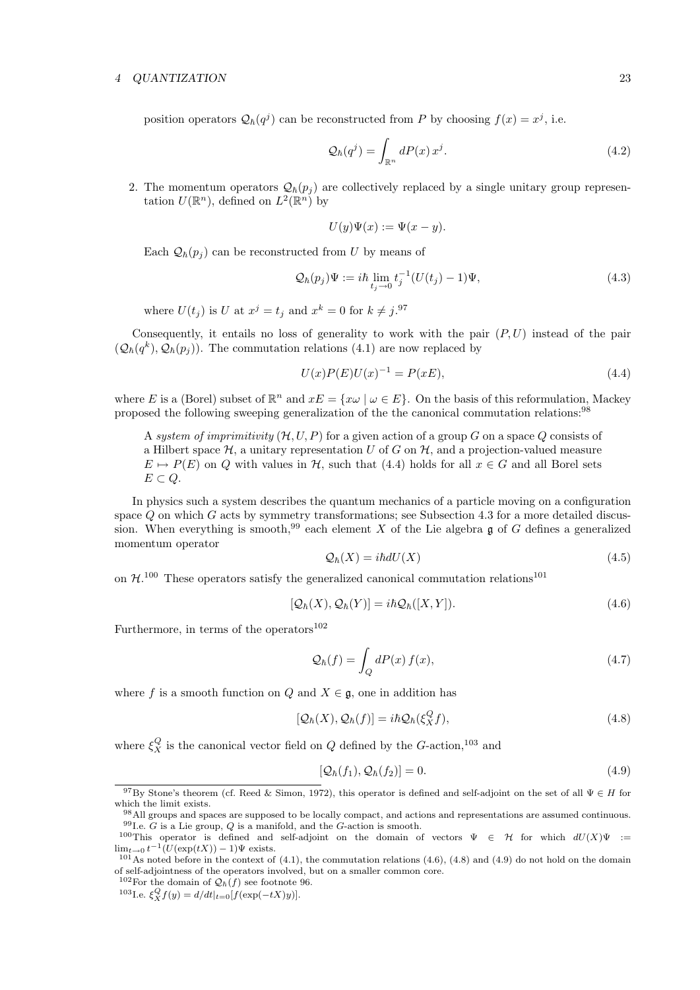position operators  $\mathcal{Q}_{\hbar}(q^j)$  can be reconstructed from P by choosing  $f(x) = x^j$ , i.e.

$$
\mathcal{Q}_{\hbar}(q^j) = \int_{\mathbb{R}^n} dP(x) x^j.
$$
\n(4.2)

2. The momentum operators  $\mathcal{Q}_{\hbar}(p_j)$  are collectively replaced by a single unitary group representation  $U(\mathbb{R}^n)$ , defined on  $L^2(\mathbb{R}^n)$  by

$$
U(y)\Psi(x) := \Psi(x - y).
$$

Each  $\mathcal{Q}_{\hbar}(p_i)$  can be reconstructed from U by means of

$$
\mathcal{Q}_{\hbar}(p_j)\Psi := i\hbar \lim_{t_j \to 0} t_j^{-1} (U(t_j) - 1)\Psi,
$$
\n(4.3)

where  $U(t_j)$  is U at  $x^j = t_j$  and  $x^k = 0$  for  $k \neq j$ .<sup>97</sup>

Consequently, it entails no loss of generality to work with the pair  $(P, U)$  instead of the pair  $(Q_h(q^k), Q_h(p_j))$ . The commutation relations (4.1) are now replaced by

$$
U(x)P(E)U(x)^{-1} = P(xE),
$$
\n(4.4)

where E is a (Borel) subset of  $\mathbb{R}^n$  and  $xE = \{x \omega \mid \omega \in E\}$ . On the basis of this reformulation, Mackey proposed the following sweeping generalization of the the canonical commutation relations:<sup>98</sup>

A system of imprimitivity  $(H, U, P)$  for a given action of a group G on a space Q consists of a Hilbert space  $\mathcal{H}$ , a unitary representation U of G on  $\mathcal{H}$ , and a projection-valued measure  $E \mapsto P(E)$  on Q with values in H, such that (4.4) holds for all  $x \in G$  and all Borel sets  $E \subset Q$ .

In physics such a system describes the quantum mechanics of a particle moving on a configuration space  $Q$  on which  $G$  acts by symmetry transformations; see Subsection 4.3 for a more detailed discussion. When everything is smooth,<sup>99</sup> each element X of the Lie algebra g of G defines a generalized momentum operator

$$
\mathcal{Q}_{\hbar}(X) = i\hbar dU(X) \tag{4.5}
$$

on  $\mathcal{H}^{100}$  These operators satisfy the generalized canonical commutation relations<sup>101</sup>

$$
[\mathcal{Q}_{\hbar}(X), \mathcal{Q}_{\hbar}(Y)] = i\hbar \mathcal{Q}_{\hbar}([X, Y]). \qquad (4.6)
$$

Furthermore, in terms of the operators<sup>102</sup>

$$
\mathcal{Q}_{\hbar}(f) = \int_{Q} dP(x) f(x), \qquad (4.7)
$$

where f is a smooth function on Q and  $X \in \mathfrak{g}$ , one in addition has

$$
[\mathcal{Q}_{\hbar}(X), \mathcal{Q}_{\hbar}(f)] = i\hbar \mathcal{Q}_{\hbar}(\xi_X^Q f), \qquad (4.8)
$$

where  $\xi_X^Q$  is the canonical vector field on  $Q$  defined by the G-action,<sup>103</sup> and

$$
[\mathcal{Q}_{\hbar}(f_1), \mathcal{Q}_{\hbar}(f_2)] = 0. \tag{4.9}
$$

 $^{102}\mathrm{For}$  the domain of  $\mathcal{Q}_{\hbar}(f)$  see footnote 96.

<sup>&</sup>lt;sup>97</sup>By Stone's theorem (cf. Reed & Simon, 1972), this operator is defined and self-adjoint on the set of all  $\Psi \in H$  for which the limit exists.

<sup>98</sup>All groups and spaces are supposed to be locally compact, and actions and representations are assumed continuous.  $^{99}{\rm Le.}$   $G$  is a Lie group,  $Q$  is a manifold, and the  $G\text{-action}$  is smooth.

<sup>&</sup>lt;sup>100</sup>This operator is defined and self-adjoint on the domain of vectors  $\Psi \in \mathcal{H}$  for which  $dU(X)\Psi :=$  $\lim_{t\to 0} t^{-1}(U(\exp(tX))-1)\Psi$  exists.

 $101\,\text{As}$  noted before in the context of (4.1), the commutation relations (4.6), (4.8) and (4.9) do not hold on the domain of self-adjointness of the operators involved, but on a smaller common core.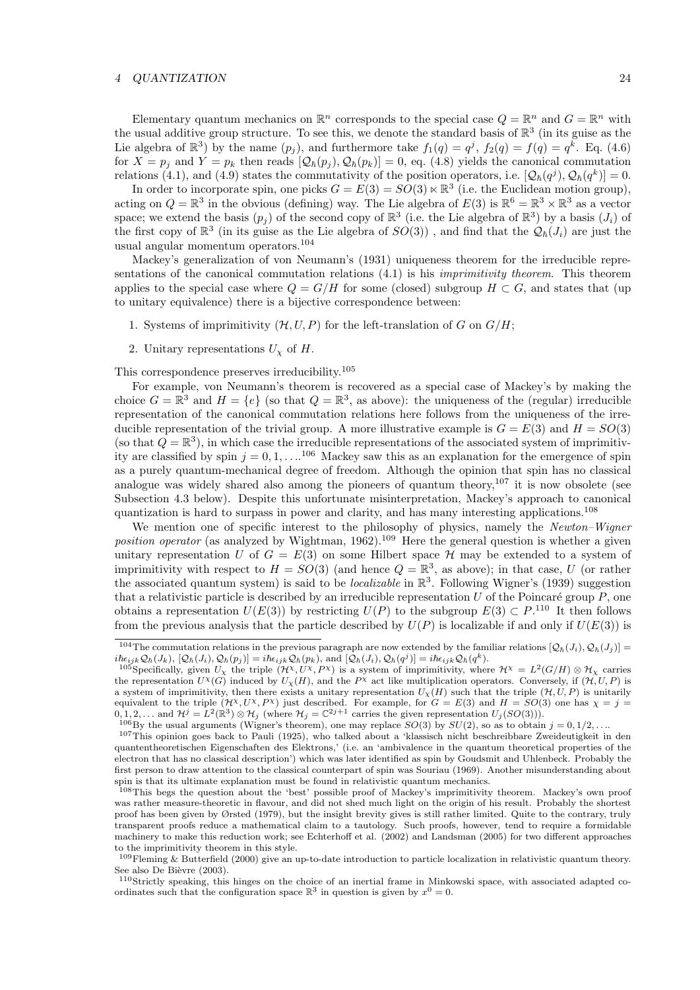Elementary quantum mechanics on  $\mathbb{R}^n$  corresponds to the special case  $Q = \mathbb{R}^n$  and  $G = \mathbb{R}^n$  with the usual additive group structure. To see this, we denote the standard basis of  $\mathbb{R}^3$  (in its guise as the Lie algebra of  $\mathbb{R}^3$  by the name  $(p_j)$ , and furthermore take  $f_1(q) = q^j$ ,  $f_2(q) = f(q) = q^k$ . Eq. (4.6) for  $X = p_i$  and  $Y = p_k$  then reads  $[Q_h(p_i), Q_h(p_k)] = 0$ , eq. (4.8) yields the canonical commutation relations (4.1), and (4.9) states the commutativity of the position operators, i.e.  $[Q_{\hbar}(q^j), Q_{\hbar}(q^k)] = 0$ .

In order to incorporate spin, one picks  $G = E(3) = SO(3) \ltimes \mathbb{R}^3$  (i.e. the Euclidean motion group), acting on  $Q = \mathbb{R}^3$  in the obvious (defining) way. The Lie algebra of  $E(3)$  is  $\mathbb{R}^6 = \mathbb{R}^3 \times \mathbb{R}^3$  as a vector space; we extend the basis  $(p_j)$  of the second copy of  $\mathbb{R}^3$  (i.e. the Lie algebra of  $\mathbb{R}^3$ ) by a basis  $(J_i)$  of the first copy of  $\mathbb{R}^3$  (in its guise as the Lie algebra of  $SO(3)$ ), and find that the  $\mathcal{Q}_{\hbar}(J_i)$  are just the usual angular momentum operators.<sup>104</sup>

Mackey's generalization of von Neumann's (1931) uniqueness theorem for the irreducible representations of the canonical commutation relations  $(4.1)$  is his *imprimitivity theorem*. This theorem applies to the special case where  $Q = G/H$  for some (closed) subgroup  $H \subset G$ , and states that (up to unitary equivalence) there is a bijective correspondence between:

- 1. Systems of imprimitivity  $(H, U, P)$  for the left-translation of G on  $G/H$ ;
- 2. Unitary representations  $U_x$  of  $H$ .

This correspondence preserves irreducibility.<sup>105</sup>

For example, von Neumann's theorem is recovered as a special case of Mackey's by making the choice  $G = \mathbb{R}^3$  and  $H = \{e\}$  (so that  $Q = \mathbb{R}^3$ , as above): the uniqueness of the (regular) irreducible representation of the canonical commutation relations here follows from the uniqueness of the irreducible representation of the trivial group. A more illustrative example is  $G = E(3)$  and  $H = SO(3)$ (so that  $Q = \mathbb{R}^3$ ), in which case the irreducible representations of the associated system of imprimitivity are classified by spin  $j = 0, 1, \ldots^{106}$  Mackey saw this as an explanation for the emergence of spin as a purely quantum-mechanical degree of freedom. Although the opinion that spin has no classical analogue was widely shared also among the pioneers of quantum theory,  $107$  it is now obsolete (see Subsection 4.3 below). Despite this unfortunate misinterpretation, Mackey's approach to canonical quantization is hard to surpass in power and clarity, and has many interesting applications.<sup>108</sup>

We mention one of specific interest to the philosophy of physics, namely the Newton–Wigner position operator (as analyzed by Wightman,  $1962$ ).<sup>109</sup> Here the general question is whether a given unitary representation U of  $G = E(3)$  on some Hilbert space H may be extended to a system of imprimitivity with respect to  $H = SO(3)$  (and hence  $Q = \mathbb{R}^3$ , as above); in that case, U (or rather the associated quantum system) is said to be *localizable* in  $\mathbb{R}^3$ . Following Wigner's (1939) suggestion that a relativistic particle is described by an irreducible representation  $U$  of the Poincaré group  $P$ , one obtains a representation  $U(E(3))$  by restricting  $U(P)$  to the subgroup  $E(3) \subset P$ .<sup>110</sup> It then follows from the previous analysis that the particle described by  $U(P)$  is localizable if and only if  $U(E(3))$  is

<sup>&</sup>lt;sup>104</sup>The commutation relations in the previous paragraph are now extended by the familiar relations  $[Q_h(J_i), Q_h(J_j)] =$  $i\hbar\epsilon_{ijk}\mathcal{Q}_{\hbar}(J_k),\ [\mathcal{Q}_{\hbar}(J_i),\mathcal{Q}_{\hbar}(p_j)]=i\hbar\epsilon_{ijk}\mathcal{Q}_{\hbar}(p_k), \text{ and } [\mathcal{Q}_{\hbar}(J_i),\mathcal{Q}_{\hbar}(q^j)]=i\hbar\epsilon_{ijk}\mathcal{Q}_{\hbar}(q^k).$ 

<sup>&</sup>lt;sup>105</sup>Specifically, given  $U_\chi$  the triple  $(\mathcal{H}^\chi, U^\chi, P^\chi)$  is a system of imprimitivity, where  $\mathcal{H}^\chi = L^2(G/H) \otimes \mathcal{H}_\chi$  carries the representation  $U^{\chi}(G)$  induced by  $U_{\chi}(H)$ , and the P<sup>x</sup> act like multiplication operators. Conversely, if  $(\mathcal{H}, U, P)$  is a system of imprimitivity, then there exists a unitary representation  $U_{\chi}(H)$  such that the triple  $(\mathcal{H}, U, P)$  is unitarily equivalent to the triple  $(H^{\chi}, U^{\chi}, P^{\chi})$  just described. For example, for  $G = E(3)$  and  $H = SO(3)$  one has  $\chi = j =$  $0, 1, 2, \ldots$  and  $\mathcal{H}^j = L^2(\mathbb{R}^3) \otimes \mathcal{H}_j$  (where  $\mathcal{H}_j = \mathbb{C}^{2j+1}$  carries the given representation  $U_j(SO(3))$ ).

 $10^6$ By the usual arguments (Wigner's theorem), one may replace  $SO(3)$  by  $SU(2)$ , so as to obtain  $j = 0, 1/2, \ldots$ 

<sup>107</sup>This opinion goes back to Pauli (1925), who talked about a 'klassisch nicht beschreibbare Zweideutigkeit in den quantentheoretischen Eigenschaften des Elektrons,' (i.e. an 'ambivalence in the quantum theoretical properties of the electron that has no classical description') which was later identified as spin by Goudsmit and Uhlenbeck. Probably the first person to draw attention to the classical counterpart of spin was Souriau (1969). Another misunderstanding about spin is that its ultimate explanation must be found in relativistic quantum mechanics.

<sup>108</sup>This begs the question about the 'best' possible proof of Mackey's imprimitivity theorem. Mackey's own proof was rather measure-theoretic in flavour, and did not shed much light on the origin of his result. Probably the shortest proof has been given by Ørsted (1979), but the insight brevity gives is still rather limited. Quite to the contrary, truly transparent proofs reduce a mathematical claim to a tautology. Such proofs, however, tend to require a formidable machinery to make this reduction work; see Echterhoff et al. (2002) and Landsman (2005) for two different approaches to the imprimitivity theorem in this style.

 $109$  Fleming & Butterfield (2000) give an up-to-date introduction to particle localization in relativistic quantum theory. See also De Bièvre (2003).

<sup>110</sup>Strictly speaking, this hinges on the choice of an inertial frame in Minkowski space, with associated adapted coordinates such that the configuration space  $\mathbb{R}^3$  in question is given by  $x^0 = 0$ .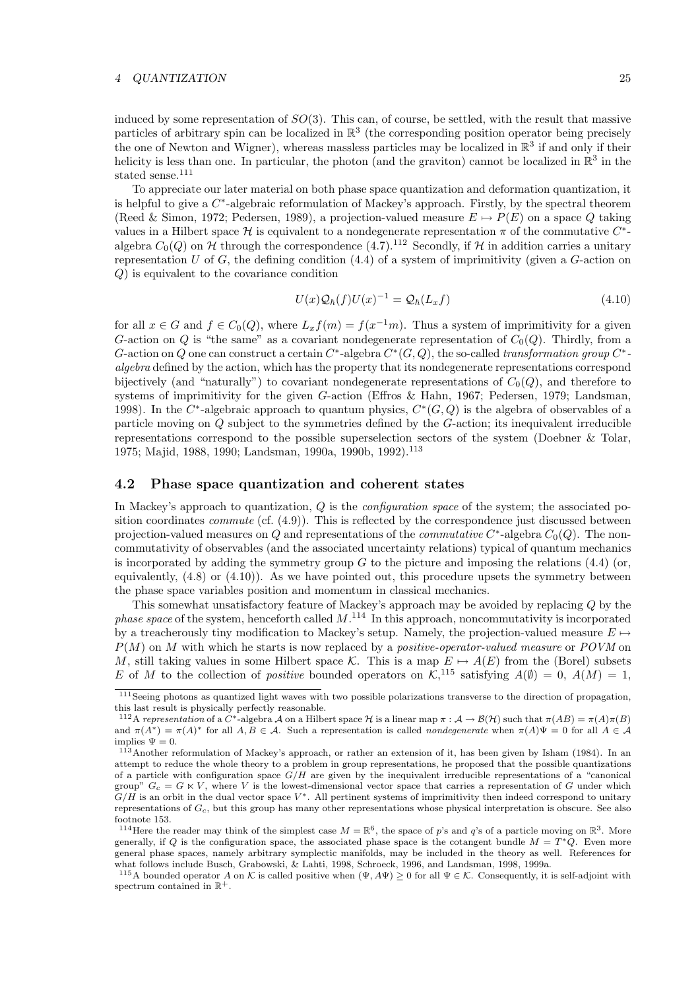induced by some representation of  $SO(3)$ . This can, of course, be settled, with the result that massive particles of arbitrary spin can be localized in  $\mathbb{R}^3$  (the corresponding position operator being precisely the one of Newton and Wigner), whereas massless particles may be localized in  $\mathbb{R}^3$  if and only if their helicity is less than one. In particular, the photon (and the graviton) cannot be localized in  $\mathbb{R}^3$  in the stated sense.<sup>111</sup>

To appreciate our later material on both phase space quantization and deformation quantization, it is helpful to give a  $C^*$ -algebraic reformulation of Mackey's approach. Firstly, by the spectral theorem (Reed & Simon, 1972; Pedersen, 1989), a projection-valued measure  $E \mapsto P(E)$  on a space Q taking values in a Hilbert space  $\mathcal H$  is equivalent to a nondegenerate representation  $\pi$  of the commutative  $C^*$ algebra  $C_0(Q)$  on H through the correspondence  $(4.7)$ .<sup>112</sup> Secondly, if H in addition carries a unitary representation U of G, the defining condition  $(4.4)$  of a system of imprimitivity (given a G-action on Q) is equivalent to the covariance condition

$$
U(x)\mathcal{Q}_{\hbar}(f)U(x)^{-1} = \mathcal{Q}_{\hbar}(L_x f) \tag{4.10}
$$

for all  $x \in G$  and  $f \in C_0(Q)$ , where  $L_x f(m) = f(x^{-1}m)$ . Thus a system of imprimitivity for a given G-action on Q is "the same" as a covariant nondegenerate representation of  $C_0(Q)$ . Thirdly, from a G-action on Q one can construct a certain  $C^*$ -algebra  $C^*(G, Q)$ , the so-called transformation group  $C^*$ algebra defined by the action, which has the property that its nondegenerate representations correspond bijectively (and "naturally") to covariant nondegenerate representations of  $C_0(Q)$ , and therefore to systems of imprimitivity for the given G-action (Effros & Hahn, 1967; Pedersen, 1979; Landsman, 1998). In the C<sup>\*</sup>-algebraic approach to quantum physics,  $C^*(G, Q)$  is the algebra of observables of a particle moving on Q subject to the symmetries defined by the G-action; its inequivalent irreducible representations correspond to the possible superselection sectors of the system (Doebner & Tolar, 1975; Majid, 1988, 1990; Landsman, 1990a, 1990b, 1992).<sup>113</sup>

### 4.2 Phase space quantization and coherent states

In Mackey's approach to quantization, Q is the *configuration space* of the system; the associated position coordinates *commute* (cf.  $(4.9)$ ). This is reflected by the correspondence just discussed between projection-valued measures on Q and representations of the *commutative*  $C^*$ -algebra  $C_0(Q)$ . The noncommutativity of observables (and the associated uncertainty relations) typical of quantum mechanics is incorporated by adding the symmetry group G to the picture and imposing the relations  $(4.4)$  (or, equivalently,  $(4.8)$  or  $(4.10)$ ). As we have pointed out, this procedure upsets the symmetry between the phase space variables position and momentum in classical mechanics.

This somewhat unsatisfactory feature of Mackey's approach may be avoided by replacing Q by the phase space of the system, henceforth called  $M$ .<sup>114</sup> In this approach, noncommutativity is incorporated by a treacherously tiny modification to Mackey's setup. Namely, the projection-valued measure  $E \mapsto$  $P(M)$  on M with which he starts is now replaced by a *positive-operator-valued measure* or  $POVM$  on M, still taking values in some Hilbert space K. This is a map  $E \mapsto A(E)$  from the (Borel) subsets E of M to the collection of *positive* bounded operators on  $K$ ,<sup>115</sup> satisfying  $A(\emptyset) = 0$ ,  $A(M) = 1$ ,

<sup>&</sup>lt;sup>111</sup>Seeing photons as quantized light waves with two possible polarizations transverse to the direction of propagation, this last result is physically perfectly reasonable.

<sup>&</sup>lt;sup>112</sup>A representation of a  $C^*$ -algebra A on a Hilbert space H is a linear map  $\pi : \mathcal{A} \to \mathcal{B}(\mathcal{H})$  such that  $\pi(AB) = \pi(A)\pi(B)$ and  $\pi(A^*) = \pi(A)^*$  for all  $A, B \in \mathcal{A}$ . Such a representation is called *nondegenerate* when  $\pi(A)\Psi = 0$  for all  $A \in \mathcal{A}$ implies  $\Psi = 0$ .

<sup>113</sup>Another reformulation of Mackey's approach, or rather an extension of it, has been given by Isham (1984). In an attempt to reduce the whole theory to a problem in group representations, he proposed that the possible quantizations of a particle with configuration space  $G/H$  are given by the inequivalent irreducible representations of a "canonical" group"  $G_c = G \ltimes V$ , where V is the lowest-dimensional vector space that carries a representation of G under which  $G/H$  is an orbit in the dual vector space  $V^*$ . All pertinent systems of imprimitivity then indeed correspond to unitary representations of  $G_c$ , but this group has many other representations whose physical interpretation is obscure. See also footnote 153.

<sup>&</sup>lt;sup>114</sup>Here the reader may think of the simplest case  $M = \mathbb{R}^6$ , the space of p's and q's of a particle moving on  $\mathbb{R}^3$ . More generally, if Q is the configuration space, the associated phase space is the cotangent bundle  $M = T^*Q$ . Even more general phase spaces, namely arbitrary symplectic manifolds, may be included in the theory as well. References for what follows include Busch, Grabowski, & Lahti, 1998, Schroeck, 1996, and Landsman, 1998, 1999a.

<sup>&</sup>lt;sup>115</sup>A bounded operator A on K is called positive when  $(\Psi, A\Psi) > 0$  for all  $\Psi \in \mathcal{K}$ . Consequently, it is self-adjoint with spectrum contained in  $\mathbb{R}^+$ .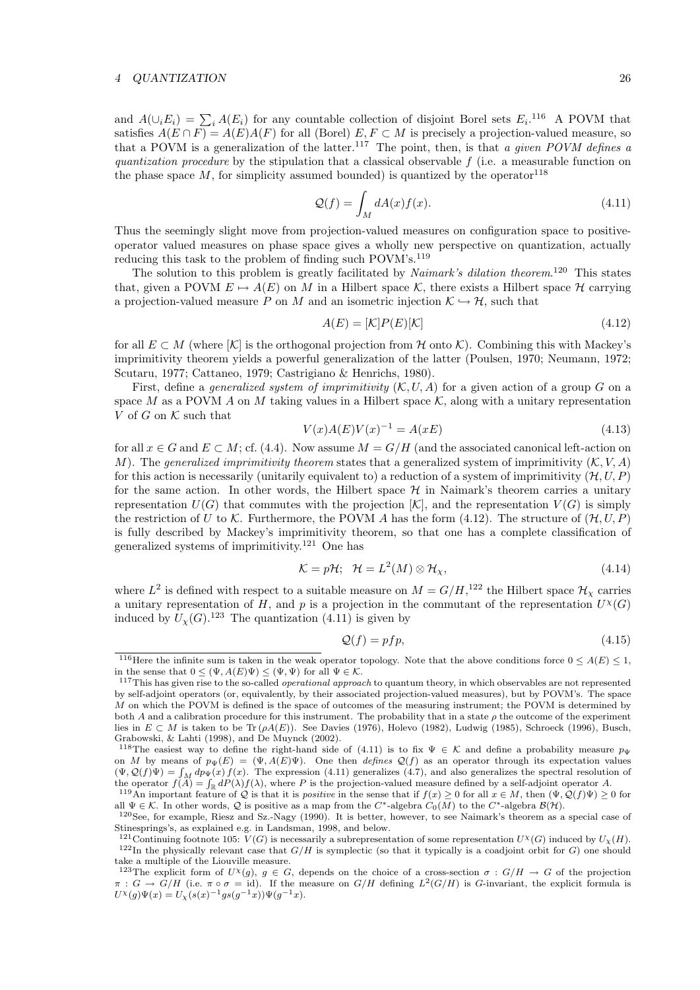and  $A(\cup_i E_i) = \sum_i A(E_i)$  for any countable collection of disjoint Borel sets  $E_i$ <sup>116</sup> A POVM that satisfies  $A(E \cap F) = A(E)A(F)$  for all (Borel)  $E, F \subset M$  is precisely a projection-valued measure, so that a POVM is a generalization of the latter.<sup>117</sup> The point, then, is that a given POVM defines a quantization procedure by the stipulation that a classical observable f (i.e. a measurable function on the phase space M, for simplicity assumed bounded) is quantized by the operator<sup>118</sup>

$$
\mathcal{Q}(f) = \int_{M} dA(x) f(x). \tag{4.11}
$$

Thus the seemingly slight move from projection-valued measures on configuration space to positiveoperator valued measures on phase space gives a wholly new perspective on quantization, actually reducing this task to the problem of finding such POVM's.<sup>119</sup>

The solution to this problem is greatly facilitated by *Naimark's dilation theorem*.<sup>120</sup> This states that, given a POVM  $E \mapsto A(E)$  on M in a Hilbert space K, there exists a Hilbert space H carrying a projection-valued measure P on M and an isometric injection  $K \hookrightarrow \mathcal{H}$ , such that

$$
A(E) = [\mathcal{K}]P(E)[\mathcal{K}] \tag{4.12}
$$

for all  $E \subset M$  (where  $\vert \mathcal{K} \vert$  is the orthogonal projection from H onto K). Combining this with Mackey's imprimitivity theorem yields a powerful generalization of the latter (Poulsen, 1970; Neumann, 1972; Scutaru, 1977; Cattaneo, 1979; Castrigiano & Henrichs, 1980).

First, define a *generalized system of imprimitivity*  $(K, U, A)$  for a given action of a group G on a space M as a POVM A on M taking values in a Hilbert space  $K$ , along with a unitary representation V of G on  $\mathcal K$  such that

$$
V(x)A(E)V(x)^{-1} = A(xE)
$$
\n(4.13)

for all  $x \in G$  and  $E \subset M$ ; cf. (4.4). Now assume  $M = G/H$  (and the associated canonical left-action on M). The generalized imprimitivity theorem states that a generalized system of imprimitivity  $(K, V, A)$ for this action is necessarily (unitarily equivalent to) a reduction of a system of imprimitivity  $(\mathcal{H}, U, P)$ for the same action. In other words, the Hilbert space  $\mathcal H$  in Naimark's theorem carries a unitary representation  $U(G)$  that commutes with the projection  $[\mathcal{K}]$ , and the representation  $V(G)$  is simply the restriction of U to K. Furthermore, the POVM A has the form (4.12). The structure of  $(\mathcal{H}, U, P)$ is fully described by Mackey's imprimitivity theorem, so that one has a complete classification of generalized systems of imprimitivity.<sup>121</sup> One has

$$
\mathcal{K} = p\mathcal{H}; \quad \mathcal{H} = L^2(M) \otimes \mathcal{H}_\chi,\tag{4.14}
$$

where  $L^2$  is defined with respect to a suitable measure on  $M = G/H$ ,<sup>122</sup> the Hilbert space  $\mathcal{H}_\chi$  carries a unitary representation of H, and p is a projection in the commutant of the representation  $U^{\chi}(G)$ induced by  $U_y(G)$ .<sup>123</sup> The quantization (4.11) is given by

$$
\mathcal{Q}(f) = pfp,\tag{4.15}
$$

<sup>&</sup>lt;sup>116</sup>Here the infinite sum is taken in the weak operator topology. Note that the above conditions force  $0 \leq A(E) \leq 1$ , in the sense that  $0 \leq (\Psi, A(E)\Psi) \leq (\Psi, \Psi)$  for all  $\Psi \in \mathcal{K}$ .

 $117$ This has given rise to the so-called *operational approach* to quantum theory, in which observables are not represented by self-adjoint operators (or, equivalently, by their associated projection-valued measures), but by POVM's. The space M on which the POVM is defined is the space of outcomes of the measuring instrument; the POVM is determined by both A and a calibration procedure for this instrument. The probability that in a state  $\rho$  the outcome of the experiment lies in  $E \subset M$  is taken to be Tr  $(\rho A(E))$ . See Davies (1976), Holevo (1982), Ludwig (1985), Schroeck (1996), Busch, Grabowski, & Lahti (1998), and De Muynck (2002).

<sup>&</sup>lt;sup>118</sup>The easiest way to define the right-hand side of (4.11) is to fix  $\Psi \in \mathcal{K}$  and define a probability measure  $p_{\Psi}$ on M by means of  $p_{\Psi}(E) = (\Psi, A(E)\Psi)$ . One then defines  $\mathcal{Q}(f)$  as an operator through its expectation values  $(\Psi, \mathcal{Q}(f)\Psi) = \int_M dp_{\Psi}(x) f(x)$ . The expression (4.11) generalizes (4.7), and also generalizes the spectral resolution of<br>the operator  $f(A) = \int_{\mathbb{R}} dP(\lambda) f(\lambda)$ , where P is the projection-valued measure defined by a self-adj

<sup>&</sup>lt;sup>119</sup>An important feature of Q is that it is *positive* in the sense that if  $f(x) \geq 0$  for all  $x \in M$ , then  $(\Psi, \mathcal{Q}(f)\Psi) \geq 0$  for all  $\Psi \in \mathcal{K}$ . In other words, Q is positive as a map from the C<sup>\*</sup>-algebra  $C_0(\overline{M})$  to the C<sup>\*</sup>-algebra  $\mathcal{B}(\mathcal{H})$ .

<sup>120</sup>See, for example, Riesz and Sz.-Nagy (1990). It is better, however, to see Naimark's theorem as a special case of Stinesprings's, as explained e.g. in Landsman, 1998, and below.

<sup>&</sup>lt;sup>121</sup>Continuing footnote 105:  $V(G)$  is necessarily a subrepresentation of some representation  $U^{\chi}(G)$  induced by  $U_{\chi}(H)$ .  $122$ In the physically relevant case that  $G/H$  is symplectic (so that it typically is a coadjoint orbit for G) one should take a multiple of the Liouville measure.

<sup>&</sup>lt;sup>123</sup>The explicit form of  $U^{\chi}(g)$ ,  $g \in G$ , depends on the choice of a cross-section  $\sigma : G/H \to G$  of the projection  $\pi: G \to G/H$  (i.e.  $\pi \circ \sigma = id$ ). If the measure on  $G/H$  defining  $L^2(G/H)$  is G-invariant, the explicit formula is  $U^{\chi}(g)\Psi(x) = U_{\chi}(s(x)^{-1}gs(g^{-1}x))\Psi(g^{-1}x).$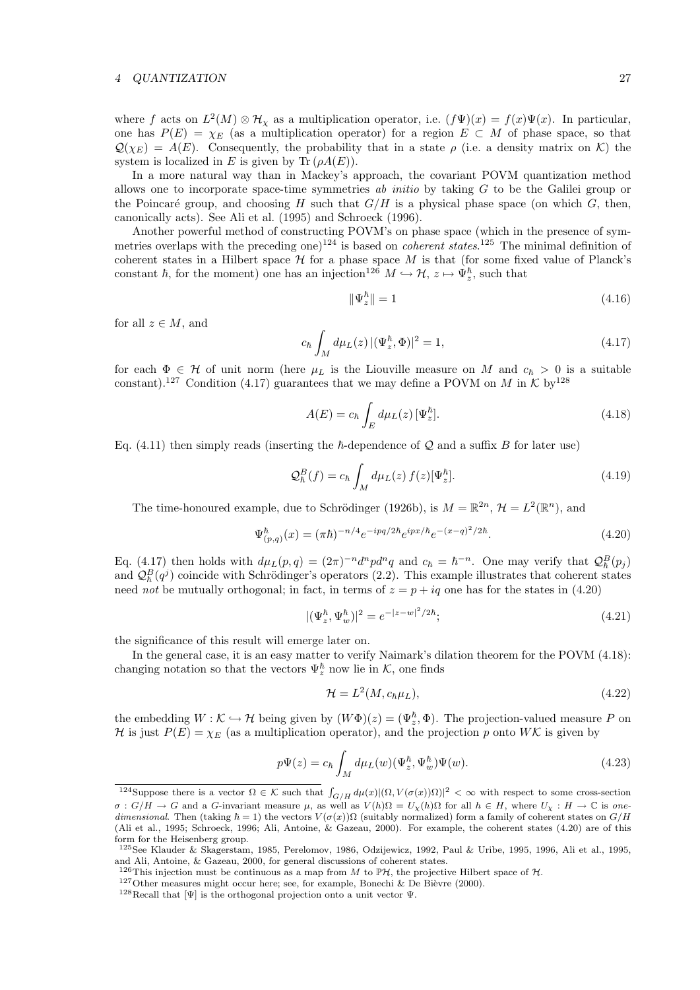where f acts on  $L^2(M) \otimes \mathcal{H}_{\chi}$  as a multiplication operator, i.e.  $(f\Psi)(x) = f(x)\Psi(x)$ . In particular, one has  $P(E) = \chi_E$  (as a multiplication operator) for a region  $E \subset M$  of phase space, so that  $\mathcal{Q}(\chi_E) = A(E)$ . Consequently, the probability that in a state  $\rho$  (i.e. a density matrix on K) the system is localized in E is given by Tr  $(\rho A(E))$ .

In a more natural way than in Mackey's approach, the covariant POVM quantization method allows one to incorporate space-time symmetries  $ab$  *initio* by taking  $G$  to be the Galilei group or the Poincaré group, and choosing H such that  $G/H$  is a physical phase space (on which G, then, canonically acts). See Ali et al. (1995) and Schroeck (1996).

Another powerful method of constructing POVM's on phase space (which in the presence of symmetries overlaps with the preceding one)<sup>124</sup> is based on *coherent states*.<sup>125</sup> The minimal definition of coherent states in a Hilbert space  $\mathcal H$  for a phase space M is that (for some fixed value of Planck's constant  $\hbar$ , for the moment) one has an injection<sup>126</sup>  $M \hookrightarrow H$ ,  $z \mapsto \Psi_z^{\hbar}$ , such that

$$
\|\Psi_z^{\hbar}\| = 1\tag{4.16}
$$

for all  $z \in M$ , and

$$
c_{\hbar} \int_{M} d\mu_{L}(z) \, |(\Psi_{z}^{\hbar}, \Phi)|^{2} = 1, \tag{4.17}
$$

for each  $\Phi \in \mathcal{H}$  of unit norm (here  $\mu_L$  is the Liouville measure on M and  $c_h > 0$  is a suitable constant).<sup>127</sup> Condition (4.17) guarantees that we may define a POVM on M in K by<sup>128</sup>

$$
A(E) = c_{\hbar} \int_{E} d\mu_{L}(z) \left[\Psi_{z}^{\hbar}\right]. \tag{4.18}
$$

Eq. (4.11) then simply reads (inserting the  $\hbar$ -dependence of Q and a suffix B for later use)

$$
\mathcal{Q}_{\hbar}^{B}(f) = c_{\hbar} \int_{M} d\mu_{L}(z) f(z) [\Psi_{z}^{\hbar}]. \tag{4.19}
$$

The time-honoured example, due to Schrödinger (1926b), is  $M = \mathbb{R}^{2n}$ ,  $\mathcal{H} = L^2(\mathbb{R}^n)$ , and

$$
\Psi_{(p,q)}^{\hbar}(x) = (\pi \hbar)^{-n/4} e^{-ipq/2\hbar} e^{ipx/\hbar} e^{-(x-q)^2/2\hbar}.
$$
\n(4.20)

Eq. (4.17) then holds with  $d\mu_L(p,q) = (2\pi)^{-n} d^n p d^n q$  and  $c_{\hbar} = \hbar^{-n}$ . One may verify that  $\mathcal{Q}_{\hbar}^B(p_j)$ and  $\mathcal{Q}_{\hbar}^{B}(q^{j})$  coincide with Schrödinger's operators (2.2). This example illustrates that coherent states need not be mutually orthogonal; in fact, in terms of  $z = p + iq$  one has for the states in (4.20)

$$
|(\Psi_z^{\hbar}, \Psi_w^{\hbar})|^2 = e^{-|z-w|^2/2\hbar};\tag{4.21}
$$

the significance of this result will emerge later on.

In the general case, it is an easy matter to verify Naimark's dilation theorem for the POVM (4.18): changing notation so that the vectors  $\Psi_z^{\hbar}$  now lie in K, one finds

$$
\mathcal{H} = L^2(M, c_h \mu_L), \tag{4.22}
$$

the embedding  $W : \mathcal{K} \hookrightarrow \mathcal{H}$  being given by  $(W\Phi)(z) = (\Psi_z^{\hbar}, \Phi)$ . The projection-valued measure P on H is just  $P(E) = \chi_E$  (as a multiplication operator), and the projection p onto WK is given by

$$
p\Psi(z) = c_{\hbar} \int_M d\mu_L(w) (\Psi_z^{\hbar}, \Psi_w^{\hbar}) \Psi(w).
$$
\n(4.23)

<sup>&</sup>lt;sup>124</sup>Suppose there is a vector  $\Omega \in \mathcal{K}$  such that  $\int_{G/H} d\mu(x) |(\Omega, V(\sigma(x))\Omega)|^2 < \infty$  with respect to some cross-section  $\sigma : G/H \to G$  and a G-invariant measure  $\mu$ , as well as  $V(h)\Omega = U_{\chi}(h)\Omega$  for all  $h \in H$ , where  $U_{\chi}: H \to \mathbb{C}$  is onedimensional. Then (taking  $\hbar = 1$ ) the vectors  $V(\sigma(x))\Omega$  (suitably normalized) form a family of coherent states on  $G/H$ (Ali et al., 1995; Schroeck, 1996; Ali, Antoine, & Gazeau, 2000). For example, the coherent states (4.20) are of this form for the Heisenberg group.

<sup>125</sup>See Klauder & Skagerstam, 1985, Perelomov, 1986, Odzijewicz, 1992, Paul & Uribe, 1995, 1996, Ali et al., 1995, and Ali, Antoine, & Gazeau, 2000, for general discussions of coherent states.

<sup>&</sup>lt;sup>126</sup>This injection must be continuous as a map from M to  $\mathbb{P}\mathcal{H}$ , the projective Hilbert space of  $\mathcal{H}$ .

<sup>&</sup>lt;sup>127</sup>Other measures might occur here; see, for example, Bonechi & De Bièvre (2000).

 $^{128}\text{Recall}$  that  $[\Psi]$  is the orthogonal projection onto a unit vector  $\Psi.$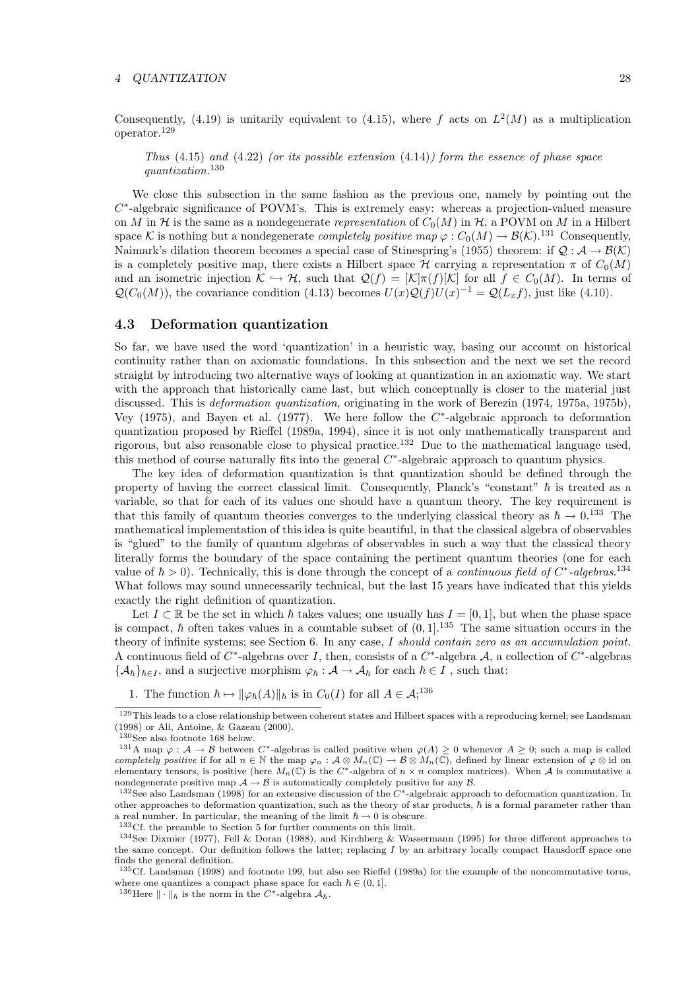Consequently, (4.19) is unitarily equivalent to (4.15), where f acts on  $L^2(M)$  as a multiplication operator.<sup>129</sup>

Thus  $(4.15)$  and  $(4.22)$  (or its possible extension  $(4.14)$ ) form the essence of phase space quantization.<sup>130</sup>

We close this subsection in the same fashion as the previous one, namely by pointing out the C<sup>\*</sup>-algebraic significance of POVM's. This is extremely easy: whereas a projection-valued measure on M in H is the same as a nondegenerate representation of  $C_0(M)$  in H, a POVM on M in a Hilbert space K is nothing but a nondegenerate *completely positive map*  $\varphi : C_0(M) \to \mathcal{B}(\mathcal{K})$ .<sup>131</sup> Consequently, Naimark's dilation theorem becomes a special case of Stinespring's (1955) theorem: if  $\mathcal{Q} : \mathcal{A} \to \mathcal{B}(\mathcal{K})$ is a completely positive map, there exists a Hilbert space H carrying a representation  $\pi$  of  $C_0(M)$ and an isometric injection  $\mathcal{K} \hookrightarrow \mathcal{H}$ , such that  $\mathcal{Q}(f) = |\mathcal{K}|\pi(f)|\mathcal{K}$  for all  $f \in C_0(M)$ . In terms of  $\mathcal{Q}(C_0(M))$ , the covariance condition (4.13) becomes  $U(x)\mathcal{Q}(f)U(x)^{-1} = \mathcal{Q}(L_x f)$ , just like (4.10).

#### 4.3 Deformation quantization

So far, we have used the word 'quantization' in a heuristic way, basing our account on historical continuity rather than on axiomatic foundations. In this subsection and the next we set the record straight by introducing two alternative ways of looking at quantization in an axiomatic way. We start with the approach that historically came last, but which conceptually is closer to the material just discussed. This is *deformation quantization*, originating in the work of Berezin (1974, 1975a, 1975b), Vey (1975), and Bayen et al. (1977). We here follow the  $C^*$ -algebraic approach to deformation quantization proposed by Rieffel (1989a, 1994), since it is not only mathematically transparent and rigorous, but also reasonable close to physical practice.<sup>132</sup> Due to the mathematical language used, this method of course naturally fits into the general  $C^*$ -algebraic approach to quantum physics.

The key idea of deformation quantization is that quantization should be defined through the property of having the correct classical limit. Consequently, Planck's "constant"  $\hbar$  is treated as a variable, so that for each of its values one should have a quantum theory. The key requirement is that this family of quantum theories converges to the underlying classical theory as  $\hbar \to 0.133$  The mathematical implementation of this idea is quite beautiful, in that the classical algebra of observables is "glued" to the family of quantum algebras of observables in such a way that the classical theory literally forms the boundary of the space containing the pertinent quantum theories (one for each value of  $\hbar > 0$ ). Technically, this is done through the concept of a *continuous field of*  $C^*$ -algebras.<sup>134</sup> What follows may sound unnecessarily technical, but the last 15 years have indicated that this yields exactly the right definition of quantization.

Let  $I \subset \mathbb{R}$  be the set in which  $\hbar$  takes values; one usually has  $I = [0, 1]$ , but when the phase space is compact,  $\hbar$  often takes values in a countable subset of  $(0, 1]$ .<sup>135</sup> The same situation occurs in the theory of infinite systems; see Section 6. In any case, I should contain zero as an accumulation point. A continuous field of  $C^*$ -algebras over I, then, consists of a  $C^*$ -algebra A, a collection of  $C^*$ -algebras  ${A_{\hbar}}_{\hbar\in I}$ , and a surjective morphism  $\varphi_{\hbar} : A \to A_{\hbar}$  for each  $\hbar \in I$ , such that:

1. The function  $\hbar \mapsto ||\varphi_{\hbar}(A)||_{\hbar}$  is in  $C_0(I)$  for all  $A \in \mathcal{A}$ ;<sup>136</sup>,

<sup>&</sup>lt;sup>129</sup>This leads to a close relationship between coherent states and Hilbert spaces with a reproducing kernel; see Landsman (1998) or Ali, Antoine, & Gazeau (2000).

 $^{130}\mathrm{See}$  also footnote 168 below.

<sup>&</sup>lt;sup>131</sup>A map  $\varphi : \mathcal{A} \to \mathcal{B}$  between C<sup>\*</sup>-algebras is called positive when  $\varphi(A) \geq 0$  whenever  $A \geq 0$ ; such a map is called completely positive if for all  $n \in \mathbb{N}$  the map  $\varphi_n : A \otimes M_n(\mathbb{C}) \to B \otimes M_n(\mathbb{C})$ , defined by linear extension of  $\varphi \otimes id$  on elementary tensors, is positive (here  $M_n(\mathbb{C})$  is the C<sup>∗</sup>-algebra of  $n \times n$  complex matrices). When A is commutative a nondegenerate positive map  $A \rightarrow B$  is automatically completely positive for any B.

<sup>132</sup>See also Landsman (1998) for an extensive discussion of the C∗-algebraic approach to deformation quantization. In other approaches to deformation quantization, such as the theory of star products,  $\hbar$  is a formal parameter rather than a real number. In particular, the meaning of the limit  $\hbar \to 0$  is obscure.

<sup>133</sup>Cf. the preamble to Section 5 for further comments on this limit.

<sup>134</sup>See Dixmier (1977), Fell & Doran (1988), and Kirchberg & Wassermann (1995) for three different approaches to the same concept. Our definition follows the latter; replacing  $I$  by an arbitrary locally compact Hausdorff space one finds the general definition.

<sup>135</sup>Cf. Landsman (1998) and footnote 199, but also see Rieffel (1989a) for the example of the noncommutative torus, where one quantizes a compact phase space for each  $h \in (0, 1]$ .

<sup>&</sup>lt;sup>136</sup>Here  $\|\cdot\|_{\hbar}$  is the norm in the C<sup>\*</sup>-algebra  $\mathcal{A}_{\hbar}$ .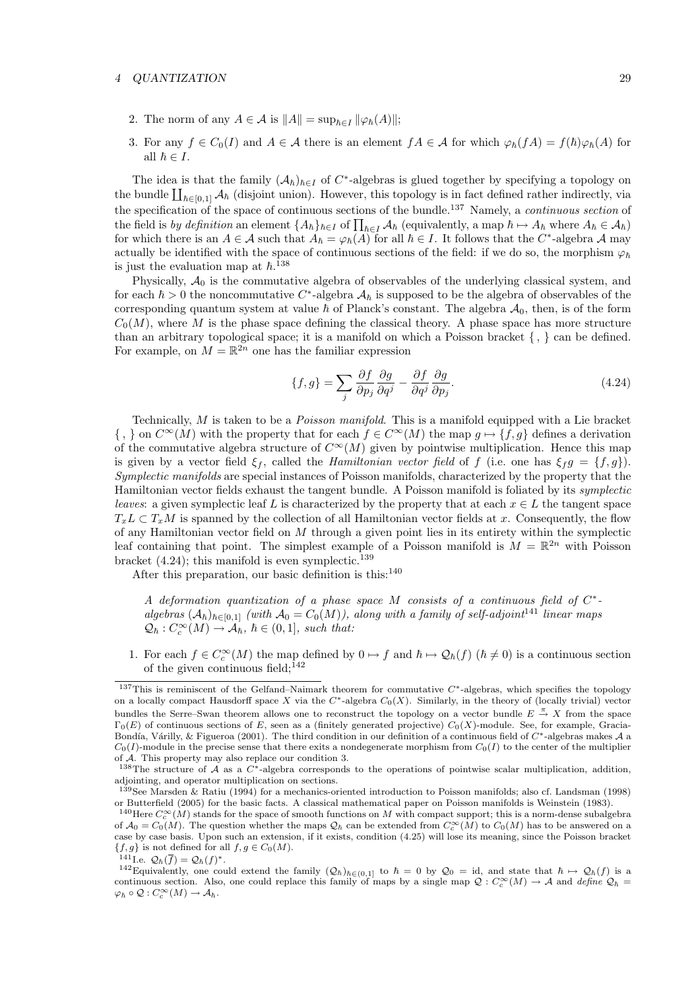- 2. The norm of any  $A \in \mathcal{A}$  is  $||A|| = \sup_{\hbar \in I} ||\varphi_{\hbar}(A)||;$
- 3. For any  $f \in C_0(I)$  and  $A \in \mathcal{A}$  there is an element  $fA \in \mathcal{A}$  for which  $\varphi_{\hbar}(fA) = f(\hbar)\varphi_{\hbar}(A)$  for all  $h \in I$ .

The idea is that the family  $(A_{\hbar})_{\hbar \in I}$  of C<sup>\*</sup>-algebras is glued together by specifying a topology on the bundle  $\prod_{\hbar \in [0,1]} \mathcal{A}_{\hbar}$  (disjoint union). However, this topology is in fact defined rather indirectly, via the specification of the space of continuous sections of the bundle.<sup>137</sup> Namely, a continuous section of the field is by definition an element  $\{A_{\hbar}\}_{{\hbar}\in I}$  of  $\prod_{{\hbar}\in I}\mathcal{A}_{\hbar}$  (equivalently, a map  ${\hbar}\mapsto A_{\hbar}$  where  $A_{\hbar}\in \mathcal{A}_{\hbar}$ ) for which there is an  $A \in \mathcal{A}$  such that  $A_{\hbar} = \varphi_{\hbar}(A)$  for all  $\hbar \in I$ . It follows that the  $C^*$ -algebra  $\mathcal{A}$  may actually be identified with the space of continuous sections of the field: if we do so, the morphism  $\varphi_h$ is just the evaluation map at  $\hbar$ .<sup>138</sup>

Physically,  $A_0$  is the commutative algebra of observables of the underlying classical system, and for each  $\hbar > 0$  the noncommutative C<sup>\*</sup>-algebra  $A_{\hbar}$  is supposed to be the algebra of observables of the corresponding quantum system at value  $\hbar$  of Planck's constant. The algebra  $\mathcal{A}_0$ , then, is of the form  $C_0(M)$ , where M is the phase space defining the classical theory. A phase space has more structure than an arbitrary topological space; it is a manifold on which a Poisson bracket { , } can be defined. For example, on  $M = \mathbb{R}^{2n}$  one has the familiar expression

$$
\{f,g\} = \sum_{j} \frac{\partial f}{\partial p_j} \frac{\partial g}{\partial q^j} - \frac{\partial f}{\partial q^j} \frac{\partial g}{\partial p_j}.
$$
\n(4.24)

Technically, M is taken to be a Poisson manifold. This is a manifold equipped with a Lie bracket  $\{ , \}$  on  $C^{\infty}(M)$  with the property that for each  $f \in C^{\infty}(M)$  the map  $g \mapsto \{ f,g \}$  defines a derivation of the commutative algebra structure of  $C^{\infty}(M)$  given by pointwise multiplication. Hence this map is given by a vector field  $\xi_f$ , called the *Hamiltonian vector field* of f (i.e. one has  $\xi_f g = \{f, g\}$ ). Symplectic manifolds are special instances of Poisson manifolds, characterized by the property that the Hamiltonian vector fields exhaust the tangent bundle. A Poisson manifold is foliated by its symplectic leaves: a given symplectic leaf L is characterized by the property that at each  $x \in L$  the tangent space  $T_xL \subset T_xM$  is spanned by the collection of all Hamiltonian vector fields at x. Consequently, the flow of any Hamiltonian vector field on  $M$  through a given point lies in its entirety within the symplectic leaf containing that point. The simplest example of a Poisson manifold is  $M = \mathbb{R}^{2n}$  with Poisson bracket  $(4.24)$ ; this manifold is even symplectic.<sup>139</sup>

After this preparation, our basic definition is this:<sup>140</sup>

A deformation quantization of a phase space M consists of a continuous field of  $C^*$ algebras  $(A_{\hbar})_{\hbar \in [0,1]}$  (with  $A_0 = C_0(M)$ ), along with a family of self-adjoint<sup>141</sup> linear maps  $\mathcal{Q}_{\hbar}: C_c^{\infty}(M) \to \mathcal{A}_{\hbar}, \hbar \in (0,1], \text{ such that:}$ 

1. For each  $f \in C_c^{\infty}(M)$  the map defined by  $0 \mapsto f$  and  $\hbar \mapsto \mathcal{Q}_{\hbar}(f)$   $(\hbar \neq 0)$  is a continuous section of the given continuous field;  $142$ 

<sup>141</sup>I.e.  $\mathcal{Q}_{\hbar}(\overline{f}) = \mathcal{Q}_{\hbar}(f)^*$ .

<sup>&</sup>lt;sup>137</sup>This is reminiscent of the Gelfand–Naimark theorem for commutative  $C^*$ -algebras, which specifies the topology on a locally compact Hausdorff space X via the  $C^*$ -algebra  $C_0(X)$ . Similarly, in the theory of (locally trivial) vector bundles the Serre–Swan theorem allows one to reconstruct the topology on a vector bundle  $E \stackrel{\pi}{\rightarrow} X$  from the space  $\Gamma_0(E)$  of continuous sections of E, seen as a (finitely generated projective)  $C_0(X)$ -module. See, for example, Gracia-Bondía, Várilly, & Figueroa (2001). The third condition in our definition of a continuous field of  $C^*$ -algebras makes A a  $C_0(I)$ -module in the precise sense that there exits a nondegenerate morphism from  $C_0(I)$  to the center of the multiplier of A. This property may also replace our condition 3.

<sup>&</sup>lt;sup>138</sup>The structure of  $\mathcal{A}$  as a  $C^*$ -algebra corresponds to the operations of pointwise scalar multiplication, addition, adjointing, and operator multiplication on sections.

 $139$ See Marsden & Ratiu (1994) for a mechanics-oriented introduction to Poisson manifolds; also cf. Landsman (1998) or Butterfield (2005) for the basic facts. A classical mathematical paper on Poisson manifolds is Weinstein (1983).

<sup>&</sup>lt;sup>140</sup>Here  $C_c^{\infty}(M)$  stands for the space of smooth functions on M with compact support; this is a norm-dense subalgebra of  $\mathcal{A}_0 = C_0(M)$ . The question whether the maps  $\mathcal{Q}_h$  can be extended from  $C_c^{\infty}(M)$  to  $C_0(M)$  has to be answered on a case by case basis. Upon such an extension, if it exists, condition (4.25) will lose its meaning, since the Poisson bracket  ${f, g}$  is not defined for all  $f, g \in C_0(M)$ .

<sup>142</sup>Equivalently, one could extend the family  $(Q_{\hbar})_{\hbar \in (0,1]}$  to  $\hbar = 0$  by  $Q_0 = id$ , and state that  $\hbar \mapsto Q_{\hbar}(f)$  is a continuous section. Also, one could replace this family of maps by a single map  $\mathcal{Q}: C_c^{\infty}(M) \to \mathcal{A}$  and define  $\mathcal{Q}_\hbar$  $\varphi_{\hbar} \circ \mathcal{Q} : C_c^{\infty}(M) \to \mathcal{A}_{\hbar}.$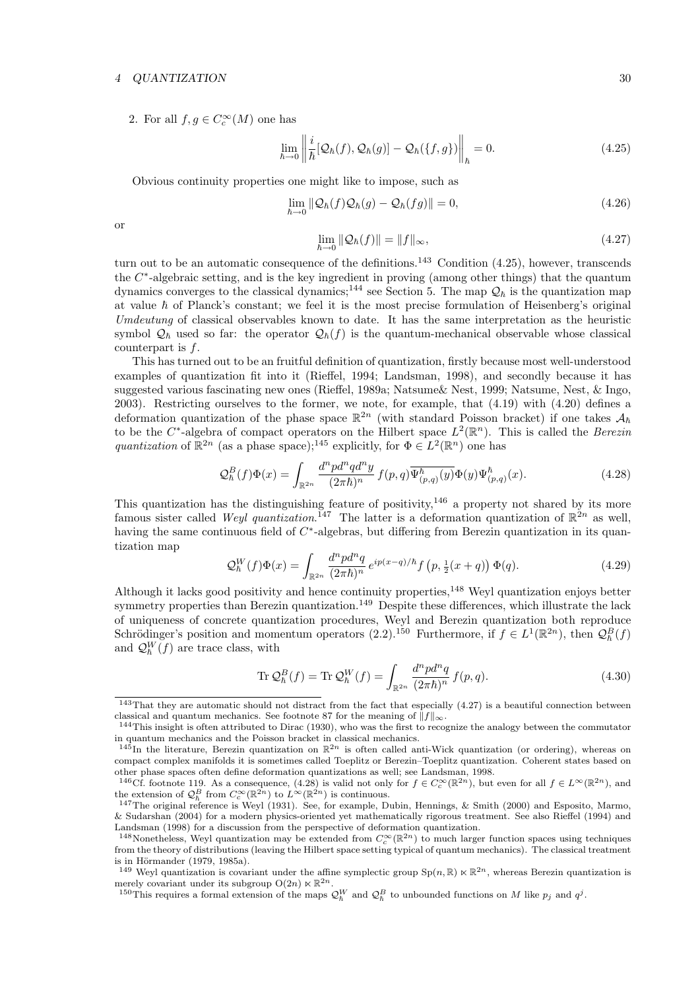2. For all  $f, g \in C_c^{\infty}(M)$  one has

$$
\lim_{\hbar \to 0} \left\| \frac{i}{\hbar} [\mathcal{Q}_{\hbar}(f), \mathcal{Q}_{\hbar}(g)] - \mathcal{Q}_{\hbar}(\{f, g\}) \right\|_{\hbar} = 0. \tag{4.25}
$$

Obvious continuity properties one might like to impose, such as

$$
\lim_{\hbar \to 0} \|\mathcal{Q}_{\hbar}(f)\mathcal{Q}_{\hbar}(g) - \mathcal{Q}_{\hbar}(fg)\| = 0, \tag{4.26}
$$

or

$$
\lim_{\hbar \to 0} \| \mathcal{Q}_{\hbar}(f) \| = \| f \|_{\infty}, \tag{4.27}
$$

turn out to be an automatic consequence of the definitions.<sup>143</sup> Condition  $(4.25)$ , however, transcends the  $C^*$ -algebraic setting, and is the key ingredient in proving (among other things) that the quantum dynamics converges to the classical dynamics;<sup>144</sup> see Section 5. The map  $\mathcal{Q}_\hbar$  is the quantization map at value  $\hbar$  of Planck's constant; we feel it is the most precise formulation of Heisenberg's original Umdeutung of classical observables known to date. It has the same interpretation as the heuristic symbol  $\mathcal{Q}_\hbar$  used so far: the operator  $\mathcal{Q}_\hbar(f)$  is the quantum-mechanical observable whose classical counterpart is  $f$ .

This has turned out to be an fruitful definition of quantization, firstly because most well-understood examples of quantization fit into it (Rieffel, 1994; Landsman, 1998), and secondly because it has suggested various fascinating new ones (Rieffel, 1989a; Natsume& Nest, 1999; Natsume, Nest, & Ingo, 2003). Restricting ourselves to the former, we note, for example, that (4.19) with (4.20) defines a deformation quantization of the phase space  $\mathbb{R}^{2n}$  (with standard Poisson bracket) if one takes  $\mathcal{A}_{\hbar}$ to be the C<sup>\*</sup>-algebra of compact operators on the Hilbert space  $L^2(\mathbb{R}^n)$ . This is called the Berezin quantization of  $\mathbb{R}^{2n}$  (as a phase space);<sup>145</sup> explicitly, for  $\Phi \in L^2(\mathbb{R}^n)$  one has

$$
\mathcal{Q}_{\hbar}^{B}(f)\Phi(x) = \int_{\mathbb{R}^{2n}} \frac{d^{n}p d^{n}q d^{n}y}{(2\pi\hbar)^{n}} f(p,q)\overline{\Psi_{(p,q)}^{\hbar}(y)}\Phi(y)\Psi_{(p,q)}^{\hbar}(x).
$$
\n(4.28)

This quantization has the distinguishing feature of positivity, $146$  a property not shared by its more famous sister called Weyl quantization.<sup>147</sup> The latter is a deformation quantization of  $\mathbb{R}^{2n}$  as well, having the same continuous field of C<sup>\*</sup>-algebras, but differing from Berezin quantization in its quantization map

$$
\mathcal{Q}_{\hbar}^{W}(f)\Phi(x) = \int_{\mathbb{R}^{2n}} \frac{d^{n}p d^{n}q}{(2\pi\hbar)^{n}} e^{ip(x-q)/\hbar} f\left(p, \frac{1}{2}(x+q)\right) \Phi(q). \tag{4.29}
$$

Although it lacks good positivity and hence continuity properties,<sup>148</sup> Weyl quantization enjoys better symmetry properties than Berezin quantization.<sup>149</sup> Despite these differences, which illustrate the lack of uniqueness of concrete quantization procedures, Weyl and Berezin quantization both reproduce Schrödinger's position and momentum operators (2.2).<sup>150</sup> Furthermore, if  $f \in L^1(\mathbb{R}^{2n})$ , then  $\mathcal{Q}_{\hbar}^B(f)$ and  $\mathcal{Q}_{\hbar}^{W}(f)$  are trace class, with

$$
\operatorname{Tr}\mathcal{Q}_{\hbar}^{B}(f) = \operatorname{Tr}\mathcal{Q}_{\hbar}^{W}(f) = \int_{\mathbb{R}^{2n}} \frac{d^{n}p d^{n}q}{(2\pi\hbar)^{n}} f(p,q). \tag{4.30}
$$

<sup>&</sup>lt;sup>143</sup>That they are automatic should not distract from the fact that especially (4.27) is a beautiful connection between classical and quantum mechanics. See footnote 87 for the meaning of  $||f||_{\infty}$ .

<sup>144</sup>This insight is often attributed to Dirac (1930), who was the first to recognize the analogy between the commutator in quantum mechanics and the Poisson bracket in classical mechanics.

<sup>&</sup>lt;sup>145</sup>In the literature, Berezin quantization on  $\mathbb{R}^{2n}$  is often called anti-Wick quantization (or ordering), whereas on compact complex manifolds it is sometimes called Toeplitz or Berezin–Toeplitz quantization. Coherent states based on other phase spaces often define deformation quantizations as well; see Landsman, 1998.

<sup>&</sup>lt;sup>146</sup>Cf. footnote 119. As a consequence, (4.28) is valid not only for  $f \in C_c^{\infty}(\mathbb{R}^{2n})$ , but even for all  $f \in L^{\infty}(\mathbb{R}^{2n})$ , and the extension of  $\mathcal{Q}_{\hbar}^B$  from  $C_c^{\infty}(\mathbb{R}^{2n})$  to  $L^{\infty}(\mathbb{R}^{2n})$  is continuous.

<sup>&</sup>lt;sup>147</sup>The original reference is Weyl (1931). See, for example, Dubin, Hennings, & Smith (2000) and Esposito, Marmo, & Sudarshan (2004) for a modern physics-oriented yet mathematically rigorous treatment. See also Rieffel (1994) and Landsman (1998) for a discussion from the perspective of deformation quantization.

<sup>&</sup>lt;sup>148</sup>Nonetheless, Weyl quantization may be extended from  $C_c^{\infty}(\mathbb{R}^{2n})$  to much larger function spaces using techniques from the theory of distributions (leaving the Hilbert space setting typical of quantum mechanics). The classical treatment is in Hörmander  $(1979, 1985a)$ .

<sup>&</sup>lt;sup>149</sup> Weyl quantization is covariant under the affine symplectic group  $Sp(n, \mathbb{R}) \ltimes \mathbb{R}^{2n}$ , whereas Berezin quantization is merely covariant under its subgroup  $O(2n) \ltimes \mathbb{R}^{2n}$ .

<sup>&</sup>lt;sup>150</sup>This requires a formal extension of the maps  $\mathcal{Q}_h^W$  and  $\mathcal{Q}_h^B$  to unbounded functions on M like  $p_j$  and  $q^j$ .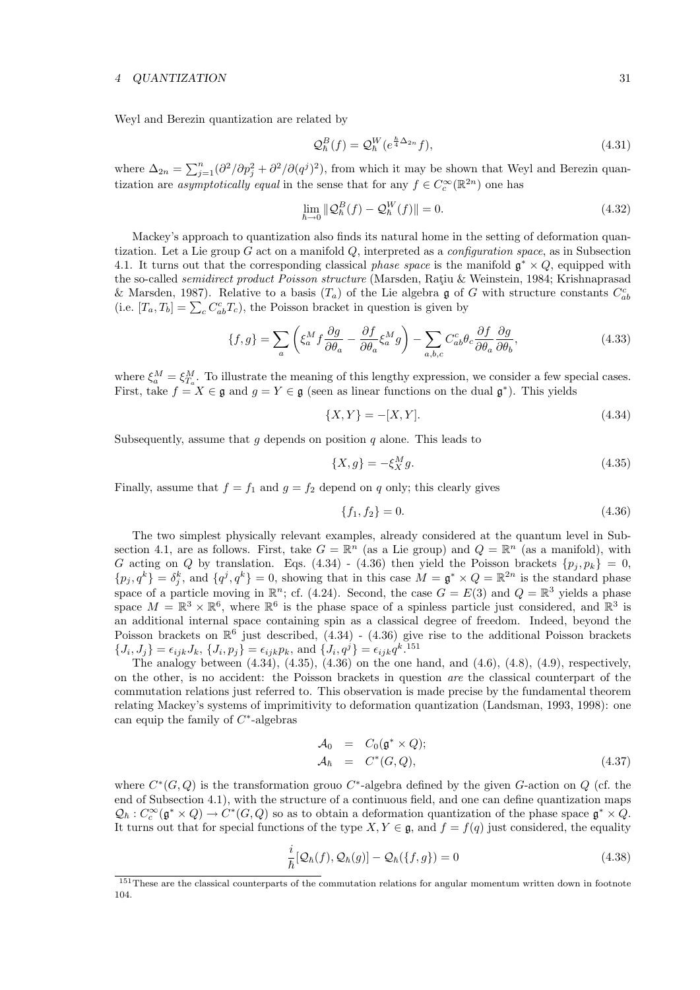Weyl and Berezin quantization are related by

$$
\mathcal{Q}_{\hbar}^{B}(f) = \mathcal{Q}_{\hbar}^{W}(e^{\frac{\hbar}{4}\Delta_{2n}}f),\tag{4.31}
$$

where  $\Delta_{2n} = \sum_{j=1}^{n} (\partial^2/\partial p_j^2 + \partial^2/\partial (q^j)^2)$ , from which it may be shown that Weyl and Berezin quantization are *asymptotically equal* in the sense that for any  $f \in C_c^{\infty}(\mathbb{R}^{2n})$  one has

$$
\lim_{\hbar \to 0} \| \mathcal{Q}_{\hbar}^{B}(f) - \mathcal{Q}_{\hbar}^{W}(f) \| = 0.
$$
\n(4.32)

Mackey's approach to quantization also finds its natural home in the setting of deformation quantization. Let a Lie group  $G$  act on a manifold  $Q$ , interpreted as a *configuration space*, as in Subsection 4.1. It turns out that the corresponding classical *phase space* is the manifold  $\mathfrak{g}^* \times Q$ , equipped with the so-called *semidirect product Poisson structure* (Marsden, Ratiu & Weinstein, 1984; Krishnaprasad & Marsden, 1987). Relative to a basis  $(T_a)$  of the Lie algebra g of G with structure constants  $C_{ab}^c$ (i.e.  $[T_a, T_b] = \sum_c C_{ab}^c T_c$ ), the Poisson bracket in question is given by

$$
\{f,g\} = \sum_{a} \left( \xi_a^M f \frac{\partial g}{\partial \theta_a} - \frac{\partial f}{\partial \theta_a} \xi_a^M g \right) - \sum_{a,b,c} C_{ab}^c \theta_c \frac{\partial f}{\partial \theta_a} \frac{\partial g}{\partial \theta_b},\tag{4.33}
$$

where  $\xi_a^M = \xi_{T_a}^M$ . To illustrate the meaning of this lengthy expression, we consider a few special cases. First, take  $f = X \in \mathfrak{g}$  and  $g = Y \in \mathfrak{g}$  (seen as linear functions on the dual  $\mathfrak{g}^*$ ). This yields

$$
\{X, Y\} = -[X, Y].
$$
\n(4.34)

Subsequently, assume that q depends on position q alone. This leads to

$$
\{X,g\} = -\xi_X^M g. \tag{4.35}
$$

Finally, assume that  $f = f_1$  and  $g = f_2$  depend on q only; this clearly gives

$$
\{f_1, f_2\} = 0.\t\t(4.36)
$$

The two simplest physically relevant examples, already considered at the quantum level in Subsection 4.1, are as follows. First, take  $G = \mathbb{R}^n$  (as a Lie group) and  $Q = \mathbb{R}^n$  (as a manifold), with G acting on Q by translation. Eqs. (4.34) - (4.36) then yield the Poisson brackets  $\{p_j, p_k\} = 0$ ,  $\{p_j, q^k\} = \delta_j^k$ , and  $\{q^j, q^k\} = 0$ , showing that in this case  $M = \mathfrak{g}^* \times Q = \mathbb{R}^{2n}$  is the standard phase space of a particle moving in  $\mathbb{R}^n$ ; cf. (4.24). Second, the case  $G = E(3)$  and  $Q = \mathbb{R}^3$  yields a phase space  $M = \mathbb{R}^3 \times \mathbb{R}^6$ , where  $\mathbb{R}^6$  is the phase space of a spinless particle just considered, and  $\mathbb{R}^3$  is an additional internal space containing spin as a classical degree of freedom. Indeed, beyond the Poisson brackets on  $\mathbb{R}^6$  just described, (4.34) - (4.36) give rise to the additional Poisson brackets  $\{J_i, J_j\} = \epsilon_{ijk} J_k, \{J_i, p_j\} = \epsilon_{ijk} p_k, \text{ and } \{J_i, q^j\} = \epsilon_{ijk} q^k.$ <sup>151</sup>

The analogy between  $(4.34)$ ,  $(4.35)$ ,  $(4.36)$  on the one hand, and  $(4.6)$ ,  $(4.8)$ ,  $(4.9)$ , respectively, on the other, is no accident: the Poisson brackets in question are the classical counterpart of the commutation relations just referred to. This observation is made precise by the fundamental theorem relating Mackey's systems of imprimitivity to deformation quantization (Landsman, 1993, 1998): one can equip the family of  $C^*$ -algebras

$$
\mathcal{A}_0 = C_0(\mathfrak{g}^* \times Q); \n\mathcal{A}_h = C^*(G, Q),
$$
\n(4.37)

where  $C^*(G, Q)$  is the transformation grouo  $C^*$ -algebra defined by the given G-action on Q (cf. the end of Subsection 4.1), with the structure of a continuous field, and one can define quantization maps  $\mathcal{Q}_\hbar : C_c^{\infty}(\mathfrak{g}^* \times Q) \to C^*(G, Q)$  so as to obtain a deformation quantization of the phase space  $\mathfrak{g}^* \times Q$ . It turns out that for special functions of the type  $X, Y \in \mathfrak{g}$ , and  $f = f(q)$  just considered, the equality

$$
\frac{i}{\hbar}[\mathcal{Q}_{\hbar}(f),\mathcal{Q}_{\hbar}(g)] - \mathcal{Q}_{\hbar}(\{f,g\}) = 0
$$
\n(4.38)

<sup>&</sup>lt;sup>151</sup>These are the classical counterparts of the commutation relations for angular momentum written down in footnote 104.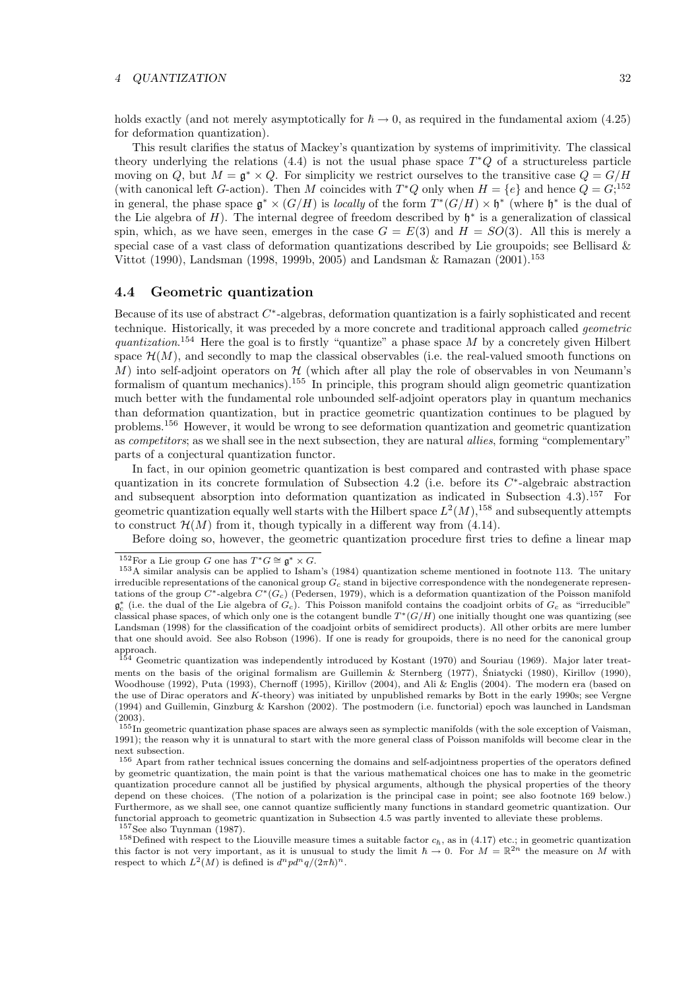holds exactly (and not merely asymptotically for  $\hbar \rightarrow 0$ , as required in the fundamental axiom (4.25) for deformation quantization).

This result clarifies the status of Mackey's quantization by systems of imprimitivity. The classical theory underlying the relations  $(4.4)$  is not the usual phase space  $T^*Q$  of a structureless particle moving on Q, but  $M = \mathfrak{g}^* \times Q$ . For simplicity we restrict ourselves to the transitive case  $Q = G/H$ (with canonical left G-action). Then M coincides with  $T^*Q$  only when  $H = \{e\}$  and hence  $Q = G_1^{152}$ in general, the phase space  $\mathfrak{g}^* \times (G/H)$  is locally of the form  $T^*(G/H) \times \mathfrak{h}^*$  (where  $\mathfrak{h}^*$  is the dual of the Lie algebra of  $H$ ). The internal degree of freedom described by  $\mathfrak{h}^*$  is a generalization of classical spin, which, as we have seen, emerges in the case  $G = E(3)$  and  $H = SO(3)$ . All this is merely a special case of a vast class of deformation quantizations described by Lie groupoids; see Bellisard & Vittot (1990), Landsman (1998, 1999b, 2005) and Landsman & Ramazan (2001).<sup>153</sup>

# 4.4 Geometric quantization

Because of its use of abstract  $C^*$ -algebras, deformation quantization is a fairly sophisticated and recent technique. Historically, it was preceded by a more concrete and traditional approach called geometric quantization.<sup>154</sup> Here the goal is to firstly "quantize" a phase space  $M$  by a concretely given Hilbert space  $\mathcal{H}(M)$ , and secondly to map the classical observables (i.e. the real-valued smooth functions on M) into self-adjoint operators on  $H$  (which after all play the role of observables in von Neumann's formalism of quantum mechanics).<sup>155</sup> In principle, this program should align geometric quantization much better with the fundamental role unbounded self-adjoint operators play in quantum mechanics than deformation quantization, but in practice geometric quantization continues to be plagued by problems.<sup>156</sup> However, it would be wrong to see deformation quantization and geometric quantization as competitors; as we shall see in the next subsection, they are natural allies, forming "complementary" parts of a conjectural quantization functor.

In fact, in our opinion geometric quantization is best compared and contrasted with phase space quantization in its concrete formulation of Subsection 4.2 (i.e. before its  $C^*$ -algebraic abstraction and subsequent absorption into deformation quantization as indicated in Subsection  $4.3$ ).<sup>157</sup> For geometric quantization equally well starts with the Hilbert space  $L^2(M)$ , <sup>158</sup> and subsequently attempts to construct  $\mathcal{H}(M)$  from it, though typically in a different way from (4.14).

Before doing so, however, the geometric quantization procedure first tries to define a linear map

<sup>&</sup>lt;sup>152</sup>For a Lie group G one has  $T^*G \cong \mathfrak{g}^* \times G$ .

<sup>153</sup>A similar analysis can be applied to Isham's (1984) quantization scheme mentioned in footnote 113. The unitary irreducible representations of the canonical group  $G_c$  stand in bijective correspondence with the nondegenerate representations of the group  $C^*$ -algebra  $C^*(G_c)$  (Pedersen, 1979), which is a deformation quantization of the Poisson manifold  $\mathfrak{g}_c^*$  (i.e. the dual of the Lie algebra of  $G_c$ ). This Poisson manifold contains the coadjoint orbits of  $G_c$  as "irreducible" classical phase spaces, of which only one is the cotangent bundle  $T^*(G/H)$  one initially thought one was quantizing (see Landsman (1998) for the classification of the coadjoint orbits of semidirect products). All other orbits are mere lumber that one should avoid. See also Robson (1996). If one is ready for groupoids, there is no need for the canonical group approach.

<sup>&</sup>lt;sup>154</sup> Geometric quantization was independently introduced by Kostant (1970) and Souriau (1969). Major later treatments on the basis of the original formalism are Guillemin & Sternberg (1977), Śniatycki (1980), Kirillov (1990), Woodhouse (1992), Puta (1993), Chernoff (1995), Kirillov (2004), and Ali & Englis (2004). The modern era (based on the use of Dirac operators and K-theory) was initiated by unpublished remarks by Bott in the early 1990s; see Vergne (1994) and Guillemin, Ginzburg & Karshon (2002). The postmodern (i.e. functorial) epoch was launched in Landsman (2003).

<sup>&</sup>lt;sup>155</sup>In geometric quantization phase spaces are always seen as symplectic manifolds (with the sole exception of Vaisman, 1991); the reason why it is unnatural to start with the more general class of Poisson manifolds will become clear in the next subsection.

<sup>156</sup> Apart from rather technical issues concerning the domains and self-adjointness properties of the operators defined by geometric quantization, the main point is that the various mathematical choices one has to make in the geometric quantization procedure cannot all be justified by physical arguments, although the physical properties of the theory depend on these choices. (The notion of a polarization is the principal case in point; see also footnote 169 below.) Furthermore, as we shall see, one cannot quantize sufficiently many functions in standard geometric quantization. Our functorial approach to geometric quantization in Subsection 4.5 was partly invented to alleviate these problems. <sup>157</sup>See also Tuynman (1987).

<sup>&</sup>lt;sup>158</sup>Defined with respect to the Liouville measure times a suitable factor  $c_h$ , as in (4.17) etc.; in geometric quantization this factor is not very important, as it is unusual to study the limit  $\hbar \to 0$ . For  $M = \mathbb{R}^{2n}$  the measure on M with respect to which  $L^2(M)$  is defined is  $d^n p d^n q/(2\pi\hbar)^n$ .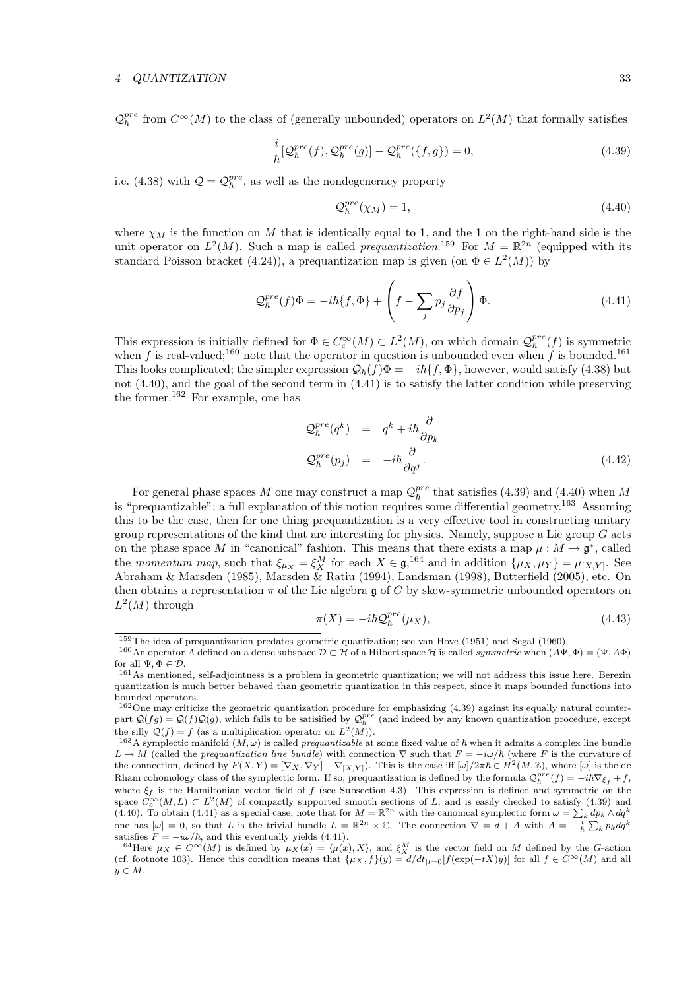$\mathcal{Q}_{\hbar}^{pre}$  from  $C^{\infty}(M)$  to the class of (generally unbounded) operators on  $L^2(M)$  that formally satisfies

$$
\frac{i}{\hbar}[\mathcal{Q}_{\hbar}^{pre}(f), \mathcal{Q}_{\hbar}^{pre}(g)] - \mathcal{Q}_{\hbar}^{pre}(\{f, g\}) = 0,
$$
\n(4.39)

i.e. (4.38) with  $\mathcal{Q} = \mathcal{Q}_\hbar^{pre}$ , as well as the nondegeneracy property

$$
\mathcal{Q}_{\hbar}^{pre}(\chi_M) = 1,\tag{4.40}
$$

where  $\chi_M$  is the function on M that is identically equal to 1, and the 1 on the right-hand side is the unit operator on  $L^2(M)$ . Such a map is called *prequantization*.<sup>159</sup> For  $M = \mathbb{R}^{2n}$  (equipped with its standard Poisson bracket (4.24)), a prequantization map is given (on  $\Phi \in L^2(M)$ ) by

$$
\mathcal{Q}_{\hbar}^{pre}(f)\Phi = -i\hbar\{f,\Phi\} + \left(f - \sum_{j} p_{j} \frac{\partial f}{\partial p_{j}}\right)\Phi.
$$
\n(4.41)

This expression is initially defined for  $\Phi \in C_c^{\infty}(M) \subset L^2(M)$ , on which domain  $\mathcal{Q}_{\hbar}^{pre}(f)$  is symmetric when f is real-valued;<sup>160</sup> note that the operator in question is unbounded even when f is bounded.<sup>161</sup> This looks complicated; the simpler expression  $\mathcal{Q}_{\hbar}(f)\Phi = -i\hbar\{f,\Phi\}$ , however, would satisfy (4.38) but not (4.40), and the goal of the second term in (4.41) is to satisfy the latter condition while preserving the former.<sup>162</sup> For example, one has

$$
\mathcal{Q}_{\hbar}^{pre}(q^{k}) = q^{k} + i\hbar \frac{\partial}{\partial p_{k}}
$$
\n
$$
\mathcal{Q}_{\hbar}^{pre}(p_{j}) = -i\hbar \frac{\partial}{\partial q^{j}}.
$$
\n(4.42)

For general phase spaces M one may construct a map  $\mathcal{Q}_{\hbar}^{pre}$  that satisfies (4.39) and (4.40) when M is "prequantizable"; a full explanation of this notion requires some differential geometry.<sup>163</sup> Assuming this to be the case, then for one thing prequantization is a very effective tool in constructing unitary group representations of the kind that are interesting for physics. Namely, suppose a Lie group  $G$  acts on the phase space M in "canonical" fashion. This means that there exists a map  $\mu : M \to \mathfrak{g}^*$ , called the momentum map, such that  $\xi_{\mu_X} = \xi_X^M$  for each  $X \in \mathfrak{g}^{164}$  and in addition  $\{\mu_X, \mu_Y\} = \mu_{[X,Y]}$ . See Abraham & Marsden (1985), Marsden & Ratiu (1994), Landsman (1998), Butterfield (2005), etc. On then obtains a representation  $\pi$  of the Lie algebra g of G by skew-symmetric unbounded operators on  $L^2(M)$  through

$$
\pi(X) = -i\hbar \mathcal{Q}_{\hbar}^{pre}(\mu_X),\tag{4.43}
$$

<sup>159</sup>The idea of prequantization predates geometric quantization; see van Hove (1951) and Segal (1960).

<sup>&</sup>lt;sup>160</sup>An operator A defined on a dense subspace  $\mathcal{D} \subset \mathcal{H}$  of a Hilbert space H is called *symmetric* when  $(A\Psi, \Phi) = (\Psi, A\Phi)$ for all  $\Psi, \Phi \in \mathcal{D}$ .

<sup>161</sup>As mentioned, self-adjointness is a problem in geometric quantization; we will not address this issue here. Berezin quantization is much better behaved than geometric quantization in this respect, since it maps bounded functions into bounded operators.

<sup>162</sup>One may criticize the geometric quantization procedure for emphasizing (4.39) against its equally natural counterpart  $Q(fg) = Q(f)Q(g)$ , which fails to be satisified by  $Q_h^{pre}$  (and indeed by any known quantization procedure, except the silly  $\mathcal{Q}(f) = f$  (as a multiplication operator on  $L^2(M)$ ).

<sup>&</sup>lt;sup>163</sup>A symplectic manifold  $(M, \omega)$  is called *prequantizable* at some fixed value of  $\hbar$  when it admits a complex line bundle L → M (called the prequantization line bundle) with connection  $\nabla$  such that  $F = -i\omega/\hbar$  (where F is the curvature of the connection, defined by  $F(X,Y) = [\nabla_X, \nabla_Y] - \nabla_{[X,Y]}$ . This is the case iff  $[\omega]/2\pi\hbar \in H^2(M,\mathbb{Z})$ , where  $[\omega]$  is the de Rham cohomology class of the symplectic form. If so, prequantization is defined by the formula  $\mathcal{Q}_{\hbar}^{pre}(f) = -i\hbar \nabla_{\xi_f} + f$ , where  $\xi_f$  is the Hamiltonian vector field of f (see Subsection 4.3). This expression is defined and symmetric on the space  $C_c^{\infty}(M, L) \subset L^2(M)$  of compactly supported smooth sections of L, and is easily checked to satisfy (4.39) and (4.40). To obtain (4.41) as a special case, note that for  $M = \mathbb{R}^{2n}$  with the canonical symplectic fo one has  $[\omega] = 0$ , so that L is the trivial bundle  $L = \mathbb{R}^{2n} \times \mathbb{C}$ . The connection  $\nabla = d + A$  with  $A = -\frac{i}{\hbar} \sum_{k} p_{k} dq^{k}$ satisfies  $\overline{F} = -i\omega/\hbar$ , and this eventually yields (4.41).

<sup>&</sup>lt;sup>164</sup>Here  $\mu_X \in C^{\infty}(M)$  is defined by  $\mu_X(x) = \langle \mu(x), X \rangle$ , and  $\xi_X^M$  is the vector field on M defined by the G-action (cf. footnote 103). Hence this condition means that  $\{\mu_X, f\}(y) = d/dt_{|t=0}[f(\exp(-tX)y)]$  for all  $f \in C^{\infty}(M)$  and all  $y \in M$ .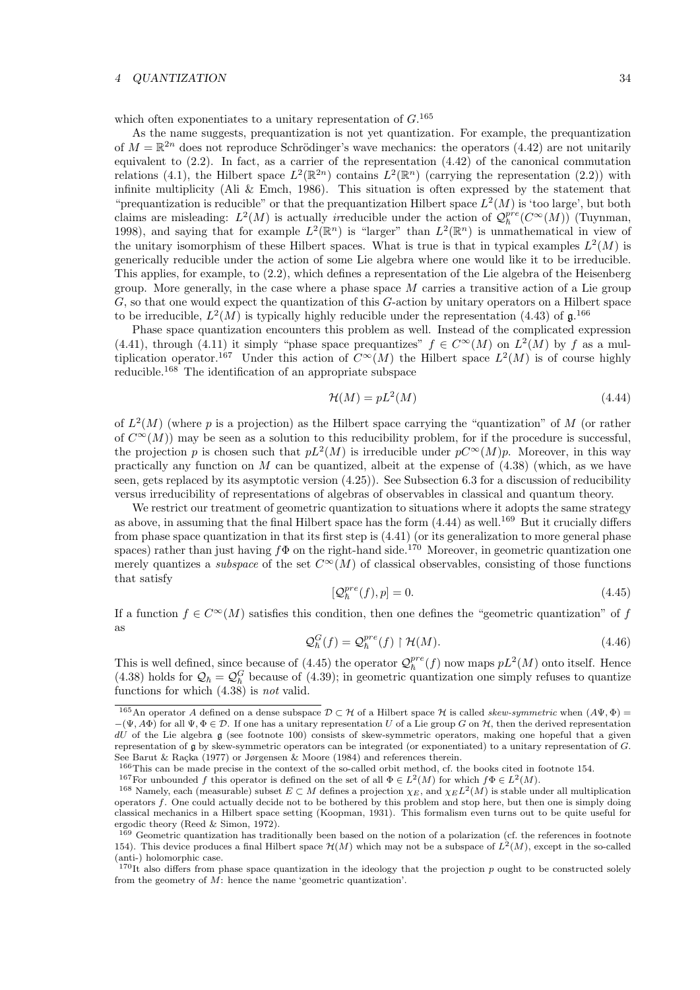which often exponentiates to a unitary representation of  $G$ .<sup>165</sup>

As the name suggests, prequantization is not yet quantization. For example, the prequantization of  $M = \mathbb{R}^{2n}$  does not reproduce Schrödinger's wave mechanics: the operators (4.42) are not unitarily equivalent to (2.2). In fact, as a carrier of the representation (4.42) of the canonical commutation relations (4.1), the Hilbert space  $L^2(\mathbb{R}^2)$  contains  $L^2(\mathbb{R}^n)$  (carrying the representation (2.2)) with infinite multiplicity (Ali & Emch, 1986). This situation is often expressed by the statement that "prequantization is reducible" or that the prequantization Hilbert space  $L^2(M)$  is 'too large', but both claims are misleading:  $L^2(M)$  is actually irreducible under the action of  $\mathcal{Q}_\hbar^{pre}(C^{\infty}(M))$  (Tuynman, 1998), and saying that for example  $L^2(\mathbb{R}^n)$  is "larger" than  $L^2(\mathbb{R}^n)$  is unmathematical in view of the unitary isomorphism of these Hilbert spaces. What is true is that in typical examples  $L^2(M)$  is generically reducible under the action of some Lie algebra where one would like it to be irreducible. This applies, for example, to (2.2), which defines a representation of the Lie algebra of the Heisenberg group. More generally, in the case where a phase space  $M$  carries a transitive action of a Lie group G, so that one would expect the quantization of this G-action by unitary operators on a Hilbert space to be irreducible,  $L^2(M)$  is typically highly reducible under the representation (4.43) of  $\mathfrak{g}$ .<sup>166</sup>

Phase space quantization encounters this problem as well. Instead of the complicated expression (4.41), through (4.11) it simply "phase space prequantizes"  $f \in C^{\infty}(M)$  on  $L^2(M)$  by f as a multiplication operator.<sup>167</sup> Under this action of  $C^{\infty}(M)$  the Hilbert space  $L^2(M)$  is of course highly reducible.<sup>168</sup> The identification of an appropriate subspace

$$
\mathcal{H}(M) = pL^2(M) \tag{4.44}
$$

of  $L^2(M)$  (where p is a projection) as the Hilbert space carrying the "quantization" of M (or rather of  $C^{\infty}(M)$ ) may be seen as a solution to this reducibility problem, for if the procedure is successful, the projection p is chosen such that  $pL^2(M)$  is irreducible under  $pC^{\infty}(M)p$ . Moreover, in this way practically any function on  $M$  can be quantized, albeit at the expense of  $(4.38)$  (which, as we have seen, gets replaced by its asymptotic version (4.25)). See Subsection 6.3 for a discussion of reducibility versus irreducibility of representations of algebras of observables in classical and quantum theory.

We restrict our treatment of geometric quantization to situations where it adopts the same strategy as above, in assuming that the final Hilbert space has the form  $(4.44)$  as well.<sup>169</sup> But it crucially differs from phase space quantization in that its first step is (4.41) (or its generalization to more general phase spaces) rather than just having  $f\Phi$  on the right-hand side.<sup>170</sup> Moreover, in geometric quantization one merely quantizes a *subspace* of the set  $C^{\infty}(M)$  of classical observables, consisting of those functions that satisfy

$$
[\mathcal{Q}_{\hbar}^{pre}(f), p] = 0. \tag{4.45}
$$

If a function  $f \in C^{\infty}(M)$  satisfies this condition, then one defines the "geometric quantization" of f as

$$
\mathcal{Q}_{\hbar}^{G}(f) = \mathcal{Q}_{\hbar}^{pre}(f) \upharpoonright \mathcal{H}(M). \tag{4.46}
$$

This is well defined, since because of (4.45) the operator  $\mathcal{Q}_{\hbar}^{pre}(f)$  now maps  $pL^2(M)$  onto itself. Hence (4.38) holds for  $\mathcal{Q}_{\hbar} = \mathcal{Q}_{\hbar}^G$  because of (4.39); in geometric quantization one simply refuses to quantize functions for which  $(4.38)$  is not valid.

 $\overline{165}$ An operator A defined on a dense subspace  $\mathcal{D} \subset \mathcal{H}$  of a Hilbert space  $\mathcal{H}$  is called skew-symmetric when  $(A\Psi, \Phi)$  =  $-(\Psi, A\Phi)$  for all  $\Psi, \Phi \in \mathcal{D}$ . If one has a unitary representation U of a Lie group G on H, then the derived representation  $dU$  of the Lie algebra  $g$  (see footnote 100) consists of skew-symmetric operators, making one hopeful that a given representation of g by skew-symmetric operators can be integrated (or exponentiated) to a unitary representation of G. See Barut & Raçka (1977) or Jørgensen & Moore (1984) and references therein.

<sup>166</sup>This can be made precise in the context of the so-called orbit method, cf. the books cited in footnote 154.

<sup>&</sup>lt;sup>167</sup>For unbounded f this operator is defined on the set of all  $\Phi \in L^2(M)$  for which  $f\Phi \in L^2(M)$ .

<sup>&</sup>lt;sup>168</sup> Namely, each (measurable) subset  $E \subset M$  defines a projection  $\chi_E$ , and  $\chi_E L^2(M)$  is stable under all multiplication operators f. One could actually decide not to be bothered by this problem and stop here, but then one is simply doing classical mechanics in a Hilbert space setting (Koopman, 1931). This formalism even turns out to be quite useful for ergodic theory (Reed & Simon, 1972).

 $169$  Geometric quantization has traditionally been based on the notion of a polarization (cf. the references in footnote 154). This device produces a final Hilbert space  $\mathcal{H}(M)$  which may not be a subspace of  $L^2(M)$ , except in the so-called (anti-) holomorphic case.

 $170$ It also differs from phase space quantization in the ideology that the projection p ought to be constructed solely from the geometry of M: hence the name 'geometric quantization'.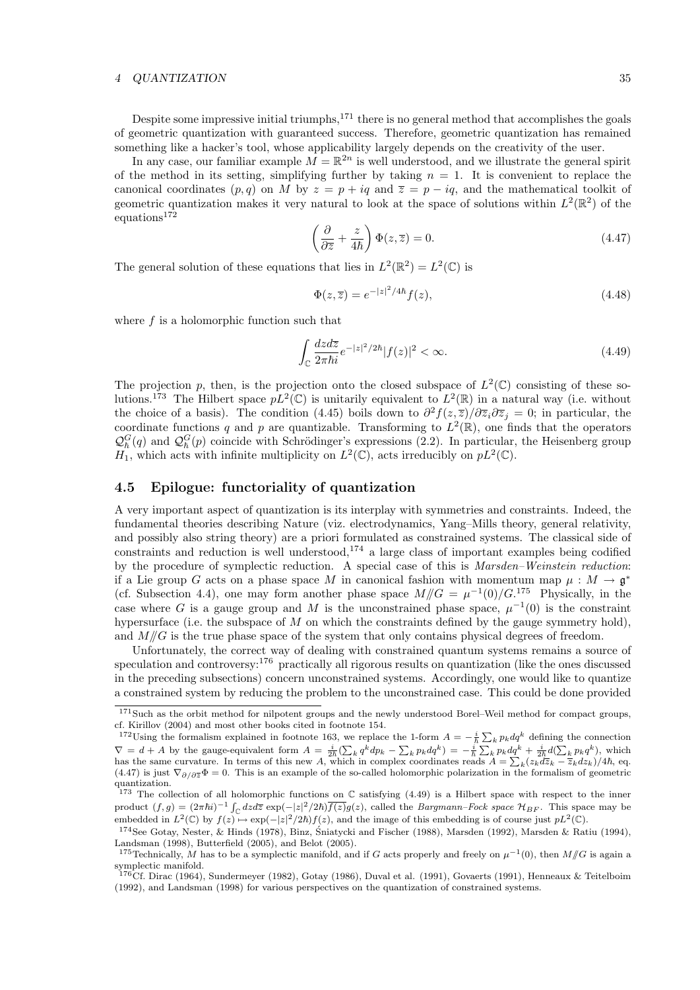Despite some impressive initial triumphs,<sup>171</sup> there is no general method that accomplishes the goals of geometric quantization with guaranteed success. Therefore, geometric quantization has remained something like a hacker's tool, whose applicability largely depends on the creativity of the user.

In any case, our familiar example  $M = \mathbb{R}^{2n}$  is well understood, and we illustrate the general spirit of the method in its setting, simplifying further by taking  $n = 1$ . It is convenient to replace the canonical coordinates  $(p, q)$  on M by  $z = p + iq$  and  $\overline{z} = p - iq$ , and the mathematical toolkit of geometric quantization makes it very natural to look at the space of solutions within  $L^2(\mathbb{R}^2)$  of the equations<sup>172</sup>

$$
\left(\frac{\partial}{\partial \overline{z}} + \frac{z}{4\hbar}\right) \Phi(z, \overline{z}) = 0.
$$
\n(4.47)

The general solution of these equations that lies in  $L^2(\mathbb{R}^2) = L^2(\mathbb{C})$  is

$$
\Phi(z,\overline{z}) = e^{-|z|^2/4\hbar} f(z),\tag{4.48}
$$

where  $f$  is a holomorphic function such that

$$
\int_{\mathbb{C}} \frac{dzd\overline{z}}{2\pi\hbar i} e^{-|z|^2/2\hbar} |f(z)|^2 < \infty. \tag{4.49}
$$

The projection p, then, is the projection onto the closed subspace of  $L^2(\mathbb{C})$  consisting of these solutions.<sup>173</sup> The Hilbert space  $pL^2(\mathbb{C})$  is unitarily equivalent to  $L^2(\mathbb{R})$  in a natural way (i.e. without the choice of a basis). The condition (4.45) boils down to  $\partial^2 f(z,\overline{z})/\partial \overline{z}_i \partial \overline{z}_j = 0$ ; in particular, the coordinate functions q and p are quantizable. Transforming to  $L^2(\mathbb{R})$ , one finds that the operators  $\mathcal{Q}_{\hbar}^G(q)$  and  $\mathcal{Q}_{\hbar}^G(p)$  coincide with Schrödinger's expressions (2.2). In particular, the Heisenberg group  $H_1$ , which acts with infinite multiplicity on  $L^2(\mathbb{C})$ , acts irreducibly on  $pL^2(\mathbb{C})$ .

### 4.5 Epilogue: functoriality of quantization

A very important aspect of quantization is its interplay with symmetries and constraints. Indeed, the fundamental theories describing Nature (viz. electrodynamics, Yang–Mills theory, general relativity, and possibly also string theory) are a priori formulated as constrained systems. The classical side of constraints and reduction is well understood,  $174$  a large class of important examples being codified by the procedure of symplectic reduction. A special case of this is Marsden–Weinstein reduction: if a Lie group G acts on a phase space M in canonical fashion with momentum map  $\mu : M \to \mathfrak{g}^*$ (cf. Subsection 4.4), one may form another phase space  $M/\!\!/ G = \mu^{-1}(0)/G$ .<sup>175</sup> Physically, in the case where G is a gauge group and M is the unconstrained phase space,  $\mu^{-1}(0)$  is the constraint hypersurface (i.e. the subspace of  $M$  on which the constraints defined by the gauge symmetry hold), and  $M/\sqrt{G}$  is the true phase space of the system that only contains physical degrees of freedom.

Unfortunately, the correct way of dealing with constrained quantum systems remains a source of speculation and controversy:<sup>176</sup> practically all rigorous results on quantization (like the ones discussed in the preceding subsections) concern unconstrained systems. Accordingly, one would like to quantize a constrained system by reducing the problem to the unconstrained case. This could be done provided

<sup>&</sup>lt;sup>171</sup>Such as the orbit method for nilpotent groups and the newly understood Borel–Weil method for compact groups, cf. Kirillov (2004) and most other books cited in footnote 154.

<sup>&</sup>lt;sup>172</sup>Using the formalism explained in footnote 163, we replace the 1-form  $A = -\frac{i}{\hbar} \sum_k p_k dq^k$  defining the connection  $\nabla = d + A$  by the gauge-equivalent form  $A = \frac{i}{2\hbar} (\sum_k q^k dp_k - \sum_k p_k dq^k) = -\frac{i}{\hbar} \sum_k p_k dq^k + \frac{i}{2\hbar} d(\sum_k p_k q^k)$ , which has the same curvature. In terms of this new A, which in complex coordinates reads  $A = \sum_k (z_k d\overline{z}_k - \overline{z}_k dz_k)/4\hbar$ , eq. (4.47) is just  $\nabla_{\partial/\partial \bar{z}}\Phi = 0$ . This is an example of the so-called holomorphic polarization in the formalism of geometric quantization.<br><sup>173</sup> The collection of all holomorphic functions on  $\mathbb C$  satisfying (4.49) is a Hilbert space with respect to the inner

product  $(f, g) = (2\pi\hbar i)^{-1} \int_{\mathbb{C}} dz d\overline{z} \exp(-|z|^2/2\hbar) \overline{f(z)} g(z)$ , called the Bargmann–Fock space  $\mathcal{H}_{BF}$ . This space may be embedded in  $L^2(\mathbb{C})$  by  $f(z) \mapsto \exp(-|z|^2/2\hbar) f(z)$ , and the image of this embedding is of course just  $pL^2(\mathbb{C})$ .

 $174$ See Gotay, Nester, & Hinds (1978), Binz, Sniatycki and Fischer (1988), Marsden (1992), Marsden & Ratiu (1994), Landsman (1998), Butterfield (2005), and Belot (2005).

<sup>&</sup>lt;sup>175</sup>Technically, M has to be a symplectic manifold, and if G acts properly and freely on  $\mu^{-1}(0)$ , then M/C is again a symplectic manifold.

<sup>&</sup>lt;sup>176</sup>Cf. Dirac (1964), Sundermeyer (1982), Gotay (1986), Duval et al. (1991), Govaerts (1991), Henneaux & Teitelboim (1992), and Landsman (1998) for various perspectives on the quantization of constrained systems.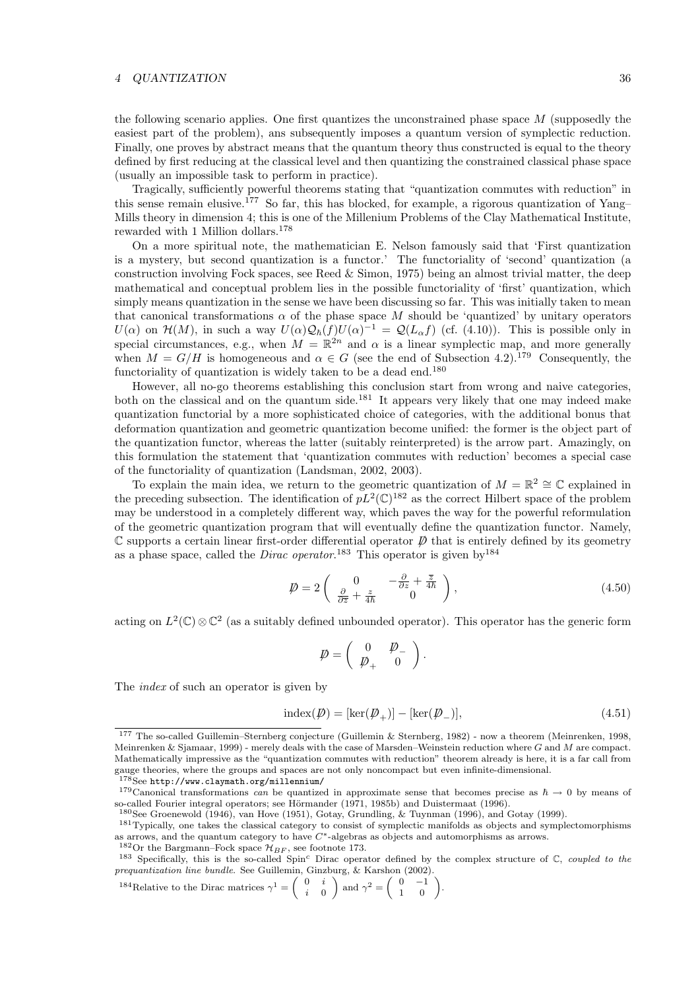the following scenario applies. One first quantizes the unconstrained phase space  $M$  (supposedly the easiest part of the problem), ans subsequently imposes a quantum version of symplectic reduction. Finally, one proves by abstract means that the quantum theory thus constructed is equal to the theory defined by first reducing at the classical level and then quantizing the constrained classical phase space (usually an impossible task to perform in practice).

Tragically, sufficiently powerful theorems stating that "quantization commutes with reduction" in this sense remain elusive.<sup>177</sup> So far, this has blocked, for example, a rigorous quantization of Yang– Mills theory in dimension 4; this is one of the Millenium Problems of the Clay Mathematical Institute, rewarded with 1 Million dollars.<sup>178</sup>

On a more spiritual note, the mathematician E. Nelson famously said that 'First quantization is a mystery, but second quantization is a functor.' The functoriality of 'second' quantization (a construction involving Fock spaces, see Reed & Simon, 1975) being an almost trivial matter, the deep mathematical and conceptual problem lies in the possible functoriality of 'first' quantization, which simply means quantization in the sense we have been discussing so far. This was initially taken to mean that canonical transformations  $\alpha$  of the phase space M should be 'quantized' by unitary operators  $U(\alpha)$  on  $\mathcal{H}(M)$ , in such a way  $U(\alpha) \mathcal{Q}_{\hbar}(f)U(\alpha)^{-1} = \mathcal{Q}(L_{\alpha}f)$  (cf. (4.10)). This is possible only in special circumstances, e.g., when  $M = \mathbb{R}^{2n}$  and  $\alpha$  is a linear symplectic map, and more generally when  $M = G/H$  is homogeneous and  $\alpha \in G$  (see the end of Subsection 4.2).<sup>179</sup> Consequently, the functoriality of quantization is widely taken to be a dead end.<sup>180</sup>

However, all no-go theorems establishing this conclusion start from wrong and naive categories, both on the classical and on the quantum side.<sup>181</sup> It appears very likely that one may indeed make quantization functorial by a more sophisticated choice of categories, with the additional bonus that deformation quantization and geometric quantization become unified: the former is the object part of the quantization functor, whereas the latter (suitably reinterpreted) is the arrow part. Amazingly, on this formulation the statement that 'quantization commutes with reduction' becomes a special case of the functoriality of quantization (Landsman, 2002, 2003).

To explain the main idea, we return to the geometric quantization of  $M = \mathbb{R}^2 \cong \mathbb{C}$  explained in the preceding subsection. The identification of  $pL^2(\mathbb{C})^{182}$  as the correct Hilbert space of the problem may be understood in a completely different way, which paves the way for the powerful reformulation of the geometric quantization program that will eventually define the quantization functor. Namely,  $\mathbb C$  supports a certain linear first-order differential operator  $\mathbb D$  that is entirely defined by its geometry as a phase space, called the *Dirac operator*.<sup>183</sup> This operator is given by<sup>184</sup>

$$
\mathcal{D} = 2 \begin{pmatrix} 0 & -\frac{\partial}{\partial z} + \frac{\overline{z}}{4\hbar} \\ \frac{\partial}{\partial \overline{z}} + \frac{\overline{z}}{4\hbar} & 0 \end{pmatrix},\tag{4.50}
$$

acting on  $L^2(\mathbb{C}) \otimes \mathbb{C}^2$  (as a suitably defined unbounded operator). This operator has the generic form

$$
\not\!\!D = \left(\begin{array}{cc} 0 & \not\!\!D_- \\ \not\!\!D_+ & 0 \end{array}\right)
$$

The *index* of such an operator is given by

$$
index(\mathcal{D}) = [ker(\mathcal{D}_{+})] - [ker(\mathcal{D}_{-})],
$$
\n(4.51)

.

<sup>178</sup>See http://www.claymath.org/millennium/

$$
^{184}\text{Relative to the Dirac matrices }\gamma^1=\left(\begin{array}{cc}0&i\\i&0\end{array}\right)\text{ and }\gamma^2=\left(\begin{array}{cc}0&-1\\1&0\end{array}\right).
$$

<sup>&</sup>lt;sup>177</sup> The so-called Guillemin–Sternberg conjecture (Guillemin & Sternberg, 1982) - now a theorem (Meinrenken, 1998, Meinrenken & Sjamaar, 1999) - merely deals with the case of Marsden–Weinstein reduction where G and M are compact. Mathematically impressive as the "quantization commutes with reduction" theorem already is here, it is a far call from gauge theories, where the groups and spaces are not only noncompact but even infinite-dimensional.

<sup>&</sup>lt;sup>179</sup>Canonical transformations can be quantized in approximate sense that becomes precise as  $\hbar \to 0$  by means of so-called Fourier integral operators; see Hörmander (1971, 1985b) and Duistermaat (1996).

<sup>180</sup>See Groenewold (1946), van Hove (1951), Gotay, Grundling, & Tuynman (1996), and Gotay (1999).

<sup>181</sup>Typically, one takes the classical category to consist of symplectic manifolds as objects and symplectomorphisms as arrows, and the quantum category to have C∗-algebras as objects and automorphisms as arrows. <sup>182</sup>Or the Bargmann–Fock space  $\mathcal{H}_{BF}$ , see footnote 173.

<sup>&</sup>lt;sup>183</sup> Specifically, this is the so-called Spin<sup>c</sup> Dirac operator defined by the complex structure of  $\mathbb{C}$ , *coupled to the* prequantization line bundle. See Guillemin, Ginzburg, & Karshon (2002).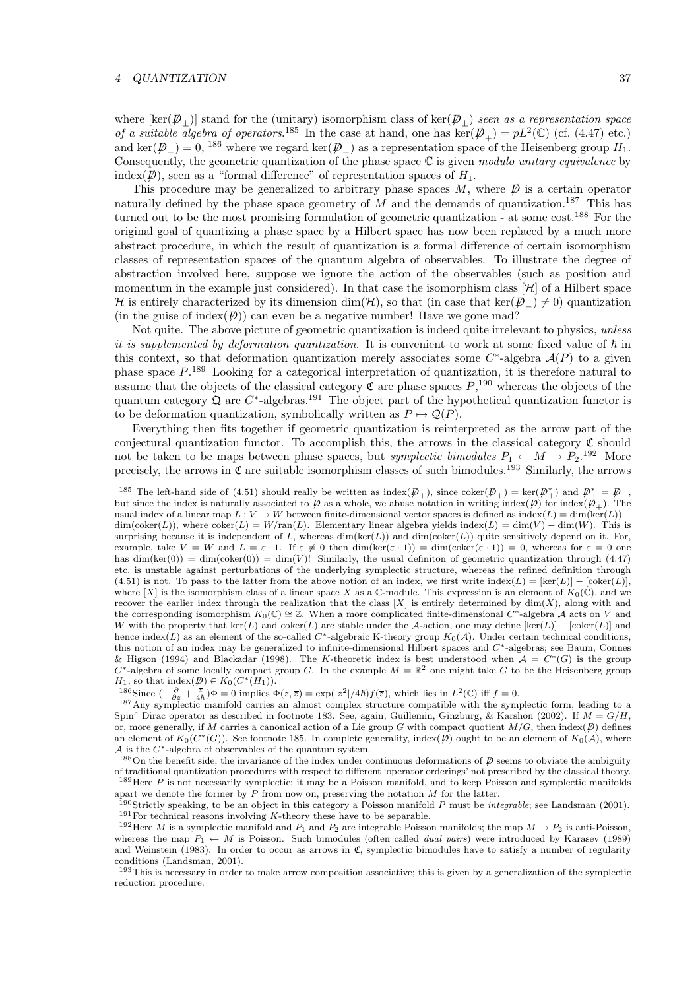#### QUANTIZATION 37

where  $[\ker(\mathcal{D}_{\pm})]$  stand for the (unitary) isomorphism class of  $\ker(\mathcal{D}_{\pm})$  seen as a representation space of a suitable algebra of operators.<sup>185</sup> In the case at hand, one has  $\ker(\mathcal{P}_+) = pL^2(\mathbb{C})$  (cf. (4.47) etc.) and ker( $\mathcal{D}_-$ ) = 0, <sup>186</sup> where we regard ker( $\mathcal{D}_+$ ) as a representation space of the Heisenberg group  $H_1$ . Consequently, the geometric quantization of the phase space  $\mathbb C$  is given modulo unitary equivalence by index( $\mathbb{D}$ ), seen as a "formal difference" of representation spaces of  $H_1$ .

This procedure may be generalized to arbitrary phase spaces  $M$ , where  $\bar{p}$  is a certain operator naturally defined by the phase space geometry of  $M$  and the demands of quantization.<sup>187</sup> This has turned out to be the most promising formulation of geometric quantization - at some cost.<sup>188</sup> For the original goal of quantizing a phase space by a Hilbert space has now been replaced by a much more abstract procedure, in which the result of quantization is a formal difference of certain isomorphism classes of representation spaces of the quantum algebra of observables. To illustrate the degree of abstraction involved here, suppose we ignore the action of the observables (such as position and momentum in the example just considered). In that case the isomorphism class  $[\mathcal{H}]$  of a Hilbert space H is entirely characterized by its dimension dim(H), so that (in case that ker( $\not\!\!D$ )  $\neq$  0) quantization (in the guise of index( $\mathcal{D}$ )) can even be a negative number! Have we gone mad?

Not quite. The above picture of geometric quantization is indeed quite irrelevant to physics, unless it is supplemented by deformation quantization. It is convenient to work at some fixed value of  $\hbar$  in this context, so that deformation quantization merely associates some  $C^*$ -algebra  $\mathcal{A}(P)$  to a given phase space  $P^{189}$  Looking for a categorical interpretation of quantization, it is therefore natural to assume that the objects of the classical category  $\mathfrak C$  are phase spaces  $P,^{190}$  whereas the objects of the quantum category  $\mathfrak{Q}$  are  $C^*$ -algebras.<sup>191</sup> The object part of the hypothetical quantization functor is to be deformation quantization, symbolically written as  $P \mapsto \mathcal{Q}(P)$ .

Everything then fits together if geometric quantization is reinterpreted as the arrow part of the conjectural quantization functor. To accomplish this, the arrows in the classical category  $\mathfrak C$  should not be taken to be maps between phase spaces, but *symplectic bimodules*  $P_1 \leftarrow M \rightarrow P_2$ .<sup>192</sup> More precisely, the arrows in  $\mathfrak C$  are suitable isomorphism classes of such bimodules.<sup>193</sup> Similarly, the arrows

<sup>&</sup>lt;sup>185</sup> The left-hand side of (4.51) should really be written as  $index(\mathcal{P}_{+})$ , since  $coker(\mathcal{P}_{+}) = ker(\mathcal{P}_{+}^{*})$  and  $\mathcal{P}_{+}^{*} = \mathcal{P}_{-}$ , but since the index is naturally associated to  $\not\!\!D$  as a whole, we abuse notation in writing index $(\not\!\!D)$  for index $(\not\!\!D)_+$ ). The usual index of a linear map  $L: V \to W$  between finite-dimensional vector spaces is defined as  $index(L) = dim(ker(L))$  $dim(coker(L))$ , where  $coker(L) = W/ran(L)$ . Elementary linear algebra yields  $index(L) = dim(V) - dim(W)$ . This is surprising because it is independent of L, whereas  $\dim(\ker(L))$  and  $\dim(\operatorname{coker}(L))$  quite sensitively depend on it. For, example, take  $V = W$  and  $L = \varepsilon \cdot 1$ . If  $\varepsilon \neq 0$  then  $\dim(\ker(\varepsilon \cdot 1)) = \dim(\operatorname{coker}(\varepsilon \cdot 1)) = 0$ , whereas for  $\varepsilon = 0$  one has dim(ker(0)) = dim(coker(0)) = dim(V)! Similarly, the usual definiton of geometric quantization through (4.47) etc. is unstable against perturbations of the underlying symplectic structure, whereas the refined definition through (4.51) is not. To pass to the latter from the above notion of an index, we first write  $index(L) = [ker(L)] - [coker(L)]$ ,<br>where [X] is the isomorphism class of a linear space X as a C-module. This expression is an element of  $K_0(\mathbb{C})$ , recover the earlier index through the realization that the class  $[X]$  is entirely determined by dim(X), along with and the corresponding isomorphism  $K_0(\mathbb{C}) \cong \mathbb{Z}$ . When a more complicated finite-dimensional C<sup>∗</sup>-algebra A acts on V and W with the property that ker(L) and coker(L) are stable under the A-action, one may define  $[\ker(L)] - [\operatorname{coker}(L)]$  and hence index(L) as an element of the so-called C<sup>∗</sup>-algebraic K-theory group  $K_0(\mathcal{A})$ . Under certain technical conditions, this notion of an index may be generalized to infinite-dimensional Hilbert spaces and C∗-algebras; see Baum, Connes & Higson (1994) and Blackadar (1998). The K-theoretic index is best understood when  $\mathcal{A} = C^*(G)$  is the group  $C^*$ -algebra of some locally compact group G. In the example  $M = \mathbb{R}^2$  one might take G to be the Heisenberg group  $H_1$ , so that index $(\not\!\!D) \in K_0(C^*(H_1)).$ 

 $\frac{186}{2}$ Since  $\left(-\frac{\partial}{\partial z} + \frac{\overline{z}}{4\hbar}\right)\Phi = 0$  implies  $\Phi(z,\overline{z}) = \exp(|z^2|/4\hbar)f(\overline{z})$ , which lies in  $L^2(\mathbb{C})$  iff  $f = 0$ .

 $^{187}$ Any symplectic manifold carries an almost complex structure compatible with the symplectic form, leading to a Spin<sup>c</sup> Dirac operator as described in footnote 183. See, again, Guillemin, Ginzburg, & Karshon (2002). If  $M = G/H$ , or, more generally, if M carries a canonical action of a Lie group G with compact quotient  $M/G$ , then index( $\not$ ) defines an element of  $K_0(C^*(G))$ . See footnote 185. In complete generality, index( $\emptyset$ ) ought to be an element of  $K_0(\mathcal{A})$ , where  $A$  is the  $C^*$ -algebra of observables of the quantum system.

<sup>&</sup>lt;sup>188</sup>On the benefit side, the invariance of the index under continuous deformations of  $\not\!\!D$  seems to obviate the ambiguity of traditional quantization procedures with respect to different 'operator orderings' not prescribed by the classical theory. <sup>189</sup>Here P is not necessarily symplectic; it may be a Poisson manifold, and to keep Poisson and symplectic manifolds

apart we denote the former by  $P$  from now on, preserving the notation  $M$  for the latter. <sup>190</sup>Strictly speaking, to be an object in this category a Poisson manifold P must be *integrable*; see Landsman (2001).

 $191$  For technical reasons involving K-theory these have to be separable. <sup>192</sup>Here M is a symplectic manifold and  $P_1$  and  $P_2$  are integrable Poisson manifolds; the map  $M \to P_2$  is anti-Poisson, whereas the map  $P_1 \leftarrow M$  is Poisson. Such bimodules (often called *dual pairs*) were introduced by Karasev (1989) and Weinstein (1983). In order to occur as arrows in  $\mathfrak{C}$ , symplectic bimodules have to satisfy a number of regularity conditions (Landsman, 2001).

<sup>193</sup>This is necessary in order to make arrow composition associative; this is given by a generalization of the symplectic reduction procedure.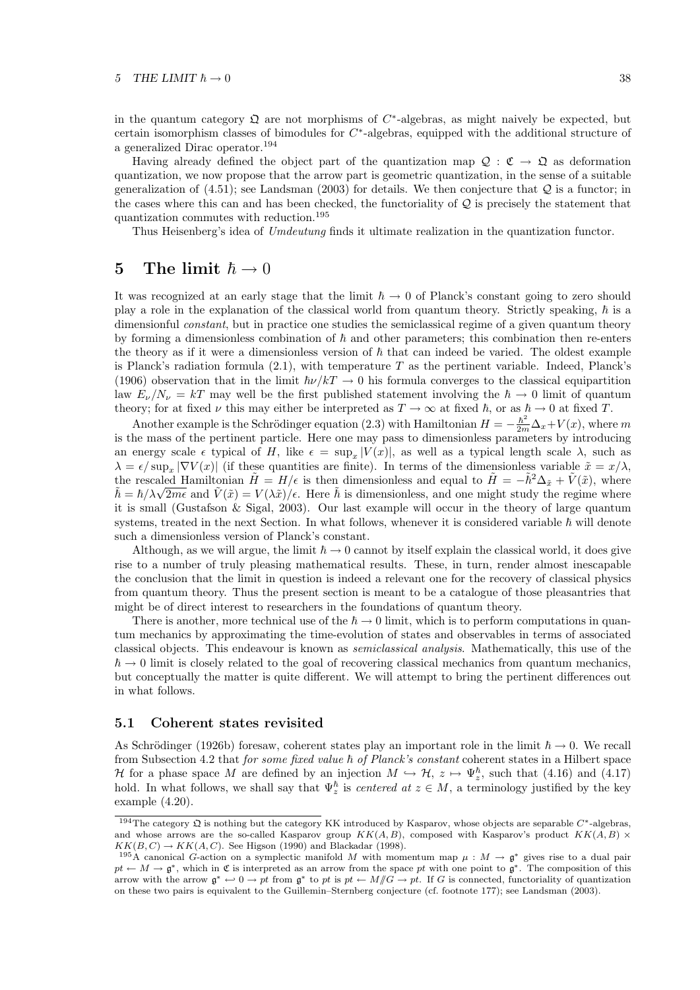in the quantum category  $\mathfrak{Q}$  are not morphisms of  $C^*$ -algebras, as might naively be expected, but certain isomorphism classes of bimodules for  $C^*$ -algebras, equipped with the additional structure of a generalized Dirac operator.<sup>194</sup>

Having already defined the object part of the quantization map  $\mathcal{Q}: \mathfrak{C} \to \mathfrak{Q}$  as deformation quantization, we now propose that the arrow part is geometric quantization, in the sense of a suitable generalization of  $(4.51)$ ; see Landsman (2003) for details. We then conjecture that  $\mathcal Q$  is a functor; in the cases where this can and has been checked, the functoriality of  $Q$  is precisely the statement that quantization commutes with reduction.<sup>195</sup>

Thus Heisenberg's idea of Umdeutung finds it ultimate realization in the quantization functor.

# 5 The limit  $\hbar \to 0$

It was recognized at an early stage that the limit  $\hbar \to 0$  of Planck's constant going to zero should play a role in the explanation of the classical world from quantum theory. Strictly speaking,  $\hbar$  is a dimensionful *constant*, but in practice one studies the semiclassical regime of a given quantum theory by forming a dimensionless combination of  $\hbar$  and other parameters; this combination then re-enters the theory as if it were a dimensionless version of  $\hbar$  that can indeed be varied. The oldest example is Planck's radiation formula  $(2.1)$ , with temperature T as the pertinent variable. Indeed, Planck's (1906) observation that in the limit  $\hbar \nu / kT \to 0$  his formula converges to the classical equipartition law  $E_{\nu}/N_{\nu} = kT$  may well be the first published statement involving the  $\hbar \to 0$  limit of quantum theory; for at fixed  $\nu$  this may either be interpreted as  $T \to \infty$  at fixed  $\hbar$ , or as  $\hbar \to 0$  at fixed T.

Another example is the Schrödinger equation (2.3) with Hamiltonian  $H = -\frac{\hbar^2}{2m}\Delta_x + V(x)$ , where m is the mass of the pertinent particle. Here one may pass to dimensionless parameters by introducing an energy scale  $\epsilon$  typical of H, like  $\epsilon = \sup_x |V(x)|$ , as well as a typical length scale  $\lambda$ , such as  $\lambda = \epsilon/\sup_x |\nabla V(x)|$  (if these quantities are finite). In terms of the dimensionless variable  $\tilde{x} = x/\lambda$ , the rescaled Hamiltonian  $\tilde{H} = H/\epsilon$  is then dimensionless and equal to  $\tilde{H} = -\tilde{\hbar}^2 \Delta_{\tilde{x}} + \tilde{V}(\tilde{x})$ , where the rescaled Hamiltonian  $H = H/\epsilon$  is then dimensionless and equal to  $H = -h^2 \Delta_{\tilde{x}} + V(x)$ , where  $\tilde{h} = \hbar/\lambda\sqrt{2m\epsilon}$  and  $\tilde{V}(\tilde{x}) = V(\lambda \tilde{x})/\epsilon$ . Here  $\tilde{h}$  is dimensionless, and one might study the regime where it is small (Gustafson & Sigal, 2003). Our last example will occur in the theory of large quantum systems, treated in the next Section. In what follows, whenever it is considered variable  $\hbar$  will denote such a dimensionless version of Planck's constant.

Although, as we will argue, the limit  $\hbar \to 0$  cannot by itself explain the classical world, it does give rise to a number of truly pleasing mathematical results. These, in turn, render almost inescapable the conclusion that the limit in question is indeed a relevant one for the recovery of classical physics from quantum theory. Thus the present section is meant to be a catalogue of those pleasantries that might be of direct interest to researchers in the foundations of quantum theory.

There is another, more technical use of the  $\hbar \to 0$  limit, which is to perform computations in quantum mechanics by approximating the time-evolution of states and observables in terms of associated classical objects. This endeavour is known as semiclassical analysis. Mathematically, this use of the  $\hbar \rightarrow 0$  limit is closely related to the goal of recovering classical mechanics from quantum mechanics, but conceptually the matter is quite different. We will attempt to bring the pertinent differences out in what follows.

### 5.1 Coherent states revisited

As Schrödinger (1926b) foresaw, coherent states play an important role in the limit  $\hbar \to 0$ . We recall from Subsection 4.2 that for some fixed value  $\hbar$  of Planck's constant coherent states in a Hilbert space H for a phase space M are defined by an injection  $M \hookrightarrow H$ ,  $z \mapsto \Psi_z^{\hbar}$ , such that (4.16) and (4.17) hold. In what follows, we shall say that  $\Psi_z^{\hbar}$  is *centered at*  $z \in M$ , a terminology justified by the key example (4.20).

 $194$ The category  $\Omega$  is nothing but the category KK introduced by Kasparov, whose objects are separable  $C^*$ -algebras, and whose arrows are the so-called Kasparov group  $KK(A, B)$ , composed with Kasparov's product  $KK(A, B)$  $KK(B, C) \rightarrow KK(A, C)$ . See Higson (1990) and Blackadar (1998).

<sup>&</sup>lt;sup>195</sup>A canonical G-action on a symplectic manifold M with momentum map  $\mu : M \to \mathfrak{g}^*$  gives rise to a dual pair  $pt \leftarrow M \rightarrow \mathfrak{g}^*$ , which in  $\mathfrak{C}$  is interpreted as an arrow from the space pt with one point to  $\mathfrak{g}^*$ . The composition of this arrow with the arrow  $\mathfrak{g}^* \leftarrow 0 \rightarrow pt$  from  $\mathfrak{g}^*$  to pt is  $pt \leftarrow M/G \rightarrow pt$ . If G is connected, functoriality of quantization on these two pairs is equivalent to the Guillemin–Sternberg conjecture (cf. footnote 177); see Landsman (2003).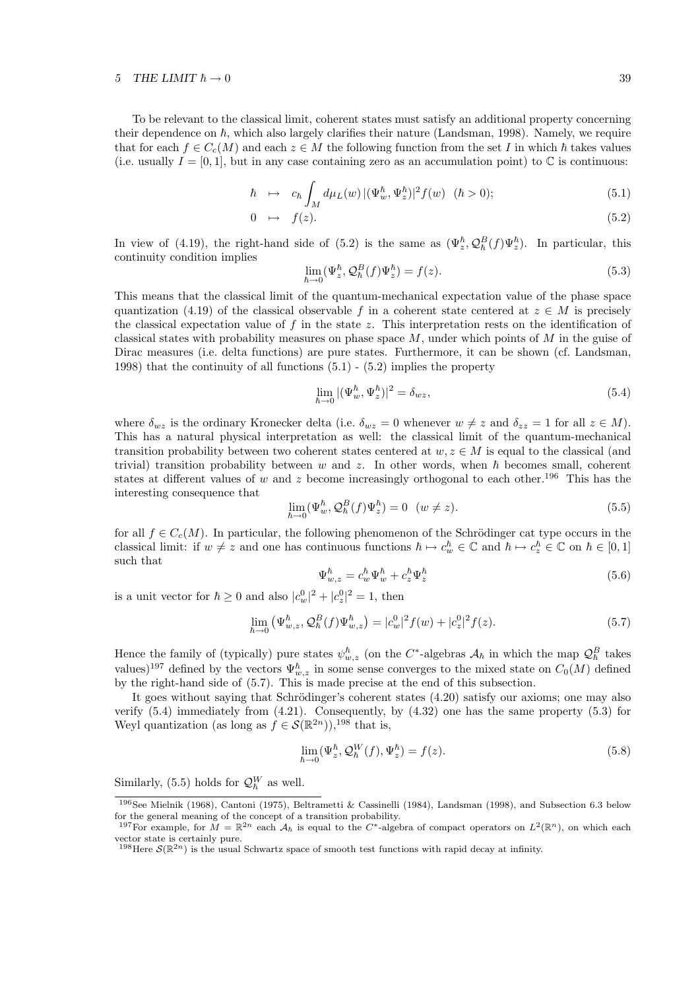To be relevant to the classical limit, coherent states must satisfy an additional property concerning their dependence on  $\hbar$ , which also largely clarifies their nature (Landsman, 1998). Namely, we require that for each  $f \in C_c(M)$  and each  $z \in M$  the following function from the set I in which  $\hbar$  takes values (i.e. usually  $I = [0, 1]$ , but in any case containing zero as an accumulation point) to  $\mathbb C$  is continuous:

$$
\hbar \quad \mapsto \quad c_{\hbar} \int_M d\mu_L(w) \, |(\Psi_w^{\hbar}, \Psi_z^{\hbar})|^2 f(w) \quad (\hbar > 0); \tag{5.1}
$$

$$
0 \quad \mapsto \quad f(z). \tag{5.2}
$$

In view of (4.19), the right-hand side of (5.2) is the same as  $(\Psi_{z}^{\hbar}, \mathcal{Q}_{\hbar}^{B}(f)\Psi_{z}^{\hbar})$ . In particular, this continuity condition implies

$$
\lim_{\hbar \to 0} (\Psi_z^{\hbar}, \mathcal{Q}_{\hbar}^B(f)\Psi_z^{\hbar}) = f(z). \tag{5.3}
$$

This means that the classical limit of the quantum-mechanical expectation value of the phase space quantization (4.19) of the classical observable f in a coherent state centered at  $z \in M$  is precisely the classical expectation value of  $f$  in the state  $z$ . This interpretation rests on the identification of classical states with probability measures on phase space  $M$ , under which points of  $M$  in the guise of Dirac measures (i.e. delta functions) are pure states. Furthermore, it can be shown (cf. Landsman, 1998) that the continuity of all functions (5.1) - (5.2) implies the property

$$
\lim_{\hbar \to 0} |(\Psi_w^{\hbar}, \Psi_z^{\hbar})|^2 = \delta_{wz},\tag{5.4}
$$

where  $\delta_{wz}$  is the ordinary Kronecker delta (i.e.  $\delta_{wz} = 0$  whenever  $w \neq z$  and  $\delta_{zz} = 1$  for all  $z \in M$ ). This has a natural physical interpretation as well: the classical limit of the quantum-mechanical transition probability between two coherent states centered at  $w, z \in M$  is equal to the classical (and trivial) transition probability between w and z. In other words, when  $\hbar$  becomes small, coherent states at different values of w and z become increasingly orthogonal to each other.<sup>196</sup> This has the interesting consequence that

$$
\lim_{\hbar \to 0} (\Psi_w^{\hbar}, \mathcal{Q}_{\hbar}^B(f)\Psi_z^{\hbar}) = 0 \quad (w \neq z). \tag{5.5}
$$

for all  $f \in C_c(M)$ . In particular, the following phenomenon of the Schrödinger cat type occurs in the classical limit: if  $w \neq z$  and one has continuous functions  $\hbar \mapsto c_w^{\hbar} \in \mathbb{C}$  and  $\hbar \mapsto c_z^{\hbar} \in \mathbb{C}$  on  $\hbar \in [0,1]$ such that

$$
\Psi_{w,z}^{\hbar} = c_w^{\hbar} \Psi_w^{\hbar} + c_z^{\hbar} \Psi_z^{\hbar} \tag{5.6}
$$

is a unit vector for  $\hbar \ge 0$  and also  $|c_w^0|^2 + |c_z^0|^2 = 1$ , then

$$
\lim_{\hbar \to 0} \left( \Psi_{w,z}^{\hbar}, \mathcal{Q}_{\hbar}^{B}(f) \Psi_{w,z}^{\hbar} \right) = |c_{w}^{0}|^{2} f(w) + |c_{z}^{0}|^{2} f(z). \tag{5.7}
$$

Hence the family of (typically) pure states  $\psi_{w,z}^{\hbar}$  (on the C<sup>\*</sup>-algebras  $\mathcal{A}_{\hbar}$  in which the map  $\mathcal{Q}_{\hbar}^B$  takes values)<sup>197</sup> defined by the vectors  $\Psi_{w,z}^{\hbar}$  in some sense converges to the mixed state on  $C_0(M)$  defined by the right-hand side of (5.7). This is made precise at the end of this subsection.

It goes without saying that Schrödinger's coherent states  $(4.20)$  satisfy our axioms; one may also verify (5.4) immediately from (4.21). Consequently, by (4.32) one has the same property (5.3) for Weyl quantization (as long as  $f \in \mathcal{S}(\mathbb{R}^{2n})$ ),<sup>198</sup> that is,

$$
\lim_{\hbar \to 0} (\Psi_z^{\hbar}, \mathcal{Q}_{\hbar}^W(f), \Psi_z^{\hbar}) = f(z). \tag{5.8}
$$

Similarly, (5.5) holds for  $\mathcal{Q}_{\hbar}^{W}$  as well.

<sup>196</sup>See Mielnik (1968), Cantoni (1975), Beltrametti & Cassinelli (1984), Landsman (1998), and Subsection 6.3 below for the general meaning of the concept of a transition probability.

<sup>&</sup>lt;sup>197</sup>For example, for  $\overline{M} = \mathbb{R}^{2n}$  each  $A_{\hbar}$  is equal to the C<sup>∗</sup>-algebra of compact operators on  $L^2(\mathbb{R}^n)$ , on which each vector state is certainly pure.

<sup>&</sup>lt;sup>198</sup>Here  $\mathcal{S}(\mathbb{R}^{2n})$  is the usual Schwartz space of smooth test functions with rapid decay at infinity.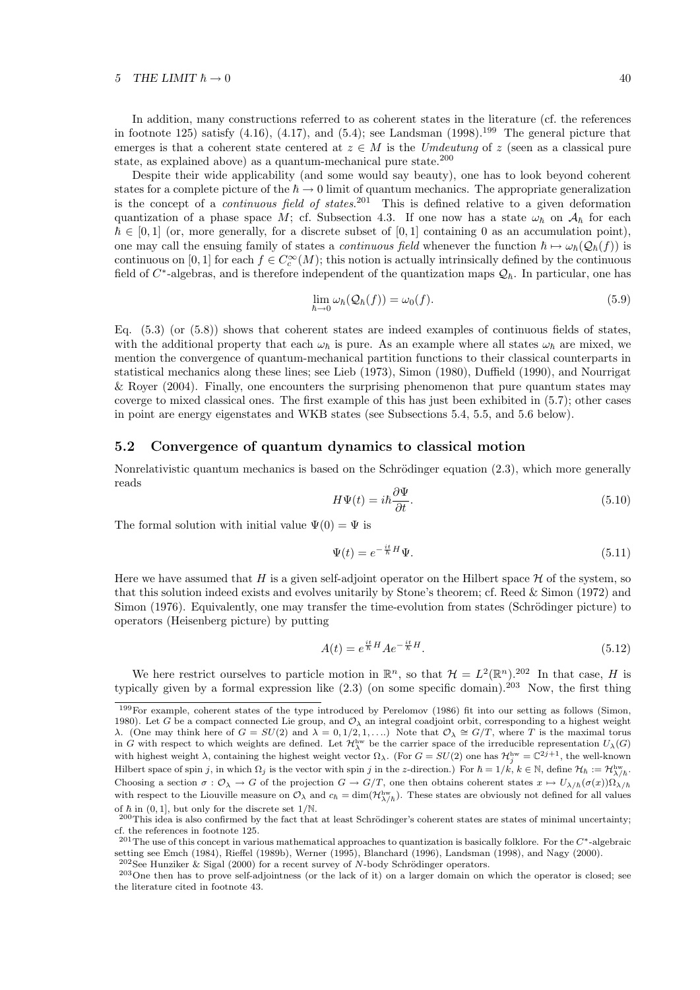In addition, many constructions referred to as coherent states in the literature (cf. the references in footnote 125) satisfy  $(4.16)$ ,  $(4.17)$ , and  $(5.4)$ ; see Landsman  $(1998)$ .<sup>199</sup> The general picture that emerges is that a coherent state centered at  $z \in M$  is the Umdeutung of z (seen as a classical pure state, as explained above) as a quantum-mechanical pure state.<sup>200</sup>

Despite their wide applicability (and some would say beauty), one has to look beyond coherent states for a complete picture of the  $\hbar \to 0$  limit of quantum mechanics. The appropriate generalization is the concept of a *continuous field of states.*<sup>201</sup> This is defined relative to a given deformation quantization of a phase space M; cf. Subsection 4.3. If one now has a state  $\omega_{\hbar}$  on  $A_{\hbar}$  for each  $\hbar \in [0,1]$  (or, more generally, for a discrete subset of [0, 1] containing 0 as an accumulation point), one may call the ensuing family of states a *continuous field* whenever the function  $\hbar \mapsto \omega_{\hbar}(\mathcal{Q}_{\hbar}(f))$  is continuous on [0, 1] for each  $f \in C_c^{\infty}(M)$ ; this notion is actually intrinsically defined by the continuous field of  $C^*$ -algebras, and is therefore independent of the quantization maps  $\mathcal{Q}_\hbar$ . In particular, one has

$$
\lim_{\hbar \to 0} \omega_{\hbar}(\mathcal{Q}_{\hbar}(f)) = \omega_0(f). \tag{5.9}
$$

Eq.  $(5.3)$  (or  $(5.8)$ ) shows that coherent states are indeed examples of continuous fields of states, with the additional property that each  $\omega_{\bar{h}}$  is pure. As an example where all states  $\omega_{\bar{h}}$  are mixed, we mention the convergence of quantum-mechanical partition functions to their classical counterparts in statistical mechanics along these lines; see Lieb (1973), Simon (1980), Duffield (1990), and Nourrigat & Royer (2004). Finally, one encounters the surprising phenomenon that pure quantum states may coverge to mixed classical ones. The first example of this has just been exhibited in (5.7); other cases in point are energy eigenstates and WKB states (see Subsections 5.4, 5.5, and 5.6 below).

### 5.2 Convergence of quantum dynamics to classical motion

Nonrelativistic quantum mechanics is based on the Schrödinger equation  $(2.3)$ , which more generally reads

$$
H\Psi(t) = i\hbar \frac{\partial \Psi}{\partial t}.
$$
\n(5.10)

The formal solution with initial value  $\Psi(0) = \Psi$  is

$$
\Psi(t) = e^{-\frac{it}{\hbar}H}\Psi.
$$
\n(5.11)

Here we have assumed that H is a given self-adjoint operator on the Hilbert space  $\mathcal H$  of the system, so that this solution indeed exists and evolves unitarily by Stone's theorem; cf. Reed & Simon (1972) and Simon (1976). Equivalently, one may transfer the time-evolution from states (Schrödinger picture) to operators (Heisenberg picture) by putting

$$
A(t) = e^{\frac{it}{\hbar}H} A e^{-\frac{it}{\hbar}H}.
$$
\n(5.12)

We here restrict ourselves to particle motion in  $\mathbb{R}^n$ , so that  $\mathcal{H} = L^2(\mathbb{R}^n)$ .<sup>202</sup> In that case, H is typically given by a formal expression like  $(2.3)$  (on some specific domain).<sup>203</sup> Now, the first thing

<sup>199</sup>For example, coherent states of the type introduced by Perelomov (1986) fit into our setting as follows (Simon, 1980). Let G be a compact connected Lie group, and  $\mathcal{O}_{\lambda}$  an integral coadjoint orbit, corresponding to a highest weight λ. (One may think here of  $G = SU(2)$  and  $\lambda = 0, 1/2, 1, ...$ ) Note that  $\mathcal{O}_{\lambda} \cong G/T$ , where T is the maximal torus in G with respect to which weights are defined. Let  $\mathcal{H}_{\lambda}^{\text{hw}}$  be the carrier space of the irreducible representation  $U_{\lambda}(G)$ with highest weight  $\lambda$ , containing the highest weight vector  $\Omega_{\lambda}$ . (For  $G = SU(2)$  one has  $\mathcal{H}_{j}^{\text{hw}} = \mathbb{C}^{2j+1}$ , the well-known Hilbert space of spin j, in which  $\Omega_j$  is the vector with spin j in the z-direction.) For  $\hbar = 1/k$ ,  $k \in \mathbb{N}$ , define  $\mathcal{H}_{\hbar} := \mathcal{H}_{\lambda/k}^{\text{hw}}$ . Choosing a section  $\sigma : \mathcal{O}_{\lambda} \to G$  of the projection  $G \to G/T$ , one then obtains coherent states  $x \mapsto U_{\lambda/\hbar}(\sigma(x))\Omega_{\lambda/\hbar}$ with respect to the Liouville measure on  $\mathcal{O}_\lambda$  and  $c_\hbar = \dim(\mathcal{H}_{\lambda/\hbar}^{\text{hw}})$ . These states are obviously not defined for all values of  $\hbar$  in  $(0, 1]$ , but only for the discrete set  $1/N$ .

 $200$ This idea is also confirmed by the fact that at least Schrödinger's coherent states are states of minimal uncertainty; cf. the references in footnote 125.

 $^{201}$ The use of this concept in various mathematical approaches to quantization is basically folklore. For the  $C^*$ -algebraic setting see Emch (1984), Rieffel (1989b), Werner (1995), Blanchard (1996), Landsman (1998), and Nagy (2000).

 $202$ See Hunziker & Sigal (2000) for a recent survey of N-body Schrödinger operators.

<sup>203</sup>One then has to prove self-adjointness (or the lack of it) on a larger domain on which the operator is closed; see the literature cited in footnote 43.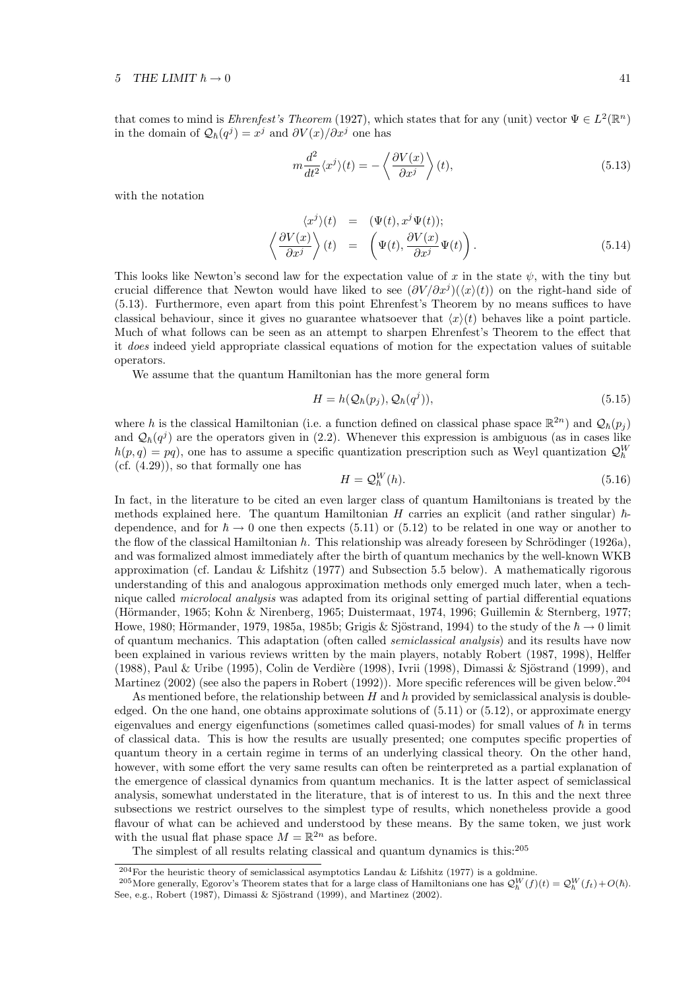that comes to mind is *Ehrenfest's Theorem* (1927), which states that for any (unit) vector  $\Psi \in L^2(\mathbb{R}^n)$ in the domain of  $\mathcal{Q}_{\hbar}(q^j) = x^j$  and  $\partial V(x)/\partial x^j$  one has

$$
m\frac{d^2}{dt^2}\langle x^j\rangle(t) = -\left\langle \frac{\partial V(x)}{\partial x^j} \right\rangle(t),\tag{5.13}
$$

with the notation

$$
\langle x^{j} \rangle(t) = (\Psi(t), x^{j} \Psi(t));
$$
  

$$
\langle \frac{\partial V(x)}{\partial x^{j}} \rangle(t) = (\Psi(t), \frac{\partial V(x)}{\partial x^{j}} \Psi(t)).
$$
 (5.14)

This looks like Newton's second law for the expectation value of x in the state  $\psi$ , with the tiny but crucial difference that Newton would have liked to see  $(\partial V/\partial x^j)(\langle x \rangle(t))$  on the right-hand side of (5.13). Furthermore, even apart from this point Ehrenfest's Theorem by no means suffices to have classical behaviour, since it gives no guarantee whatsoever that  $\langle x \rangle(t)$  behaves like a point particle. Much of what follows can be seen as an attempt to sharpen Ehrenfest's Theorem to the effect that it does indeed yield appropriate classical equations of motion for the expectation values of suitable operators.

We assume that the quantum Hamiltonian has the more general form

$$
H = h(\mathcal{Q}_{\hbar}(p_j), \mathcal{Q}_{\hbar}(q^j)),\tag{5.15}
$$

where h is the classical Hamiltonian (i.e. a function defined on classical phase space  $\mathbb{R}^{2n}$ ) and  $\mathcal{Q}_{\hbar}(p_j)$ and  $\mathcal{Q}_{\hbar}(q^j)$  are the operators given in (2.2). Whenever this expression is ambiguous (as in cases like  $h(p,q) = pq$ , one has to assume a specific quantization prescription such as Weyl quantization  $\mathcal{Q}_{\hbar}^{W}$ (cf. (4.29)), so that formally one has

$$
H = \mathcal{Q}_{\hbar}^{W}(h). \tag{5.16}
$$

In fact, in the literature to be cited an even larger class of quantum Hamiltonians is treated by the methods explained here. The quantum Hamiltonian H carries an explicit (and rather singular)  $\hbar$ dependence, and for  $\hbar \to 0$  one then expects (5.11) or (5.12) to be related in one way or another to the flow of the classical Hamiltonian  $h$ . This relationship was already foreseen by Schrödinger (1926a), and was formalized almost immediately after the birth of quantum mechanics by the well-known WKB approximation (cf. Landau & Lifshitz (1977) and Subsection 5.5 below). A mathematically rigorous understanding of this and analogous approximation methods only emerged much later, when a technique called microlocal analysis was adapted from its original setting of partial differential equations (Hörmander, 1965; Kohn & Nirenberg, 1965; Duistermaat, 1974, 1996; Guillemin & Sternberg, 1977; Howe, 1980; Hörmander, 1979, 1985a, 1985b; Grigis & Sjöstrand, 1994) to the study of the  $\hbar \to 0$  limit of quantum mechanics. This adaptation (often called semiclassical analysis) and its results have now been explained in various reviews written by the main players, notably Robert (1987, 1998), Helffer (1988), Paul & Uribe (1995), Colin de Verdière (1998), Ivrii (1998), Dimassi & Sjöstrand (1999), and Martinez (2002) (see also the papers in Robert (1992)). More specific references will be given below.<sup>204</sup>

As mentioned before, the relationship between  $H$  and  $h$  provided by semiclassical analysis is doubleedged. On the one hand, one obtains approximate solutions of (5.11) or (5.12), or approximate energy eigenvalues and energy eigenfunctions (sometimes called quasi-modes) for small values of  $\hbar$  in terms of classical data. This is how the results are usually presented; one computes specific properties of quantum theory in a certain regime in terms of an underlying classical theory. On the other hand, however, with some effort the very same results can often be reinterpreted as a partial explanation of the emergence of classical dynamics from quantum mechanics. It is the latter aspect of semiclassical analysis, somewhat understated in the literature, that is of interest to us. In this and the next three subsections we restrict ourselves to the simplest type of results, which nonetheless provide a good flavour of what can be achieved and understood by these means. By the same token, we just work with the usual flat phase space  $M = \mathbb{R}^{2n}$  as before.

The simplest of all results relating classical and quantum dynamics is this:<sup>205</sup>

 $^{204}$ For the heuristic theory of semiclassical asymptotics Landau & Lifshitz (1977) is a goldmine.

<sup>&</sup>lt;sup>205</sup>More generally, Egorov's Theorem states that for a large class of Hamiltonians one has  $\mathcal{Q}_\hbar^W(f)(t) = \mathcal{Q}_\hbar^W(f_t) + O(\hbar)$ . See, e.g., Robert (1987), Dimassi & Sjöstrand (1999), and Martinez (2002).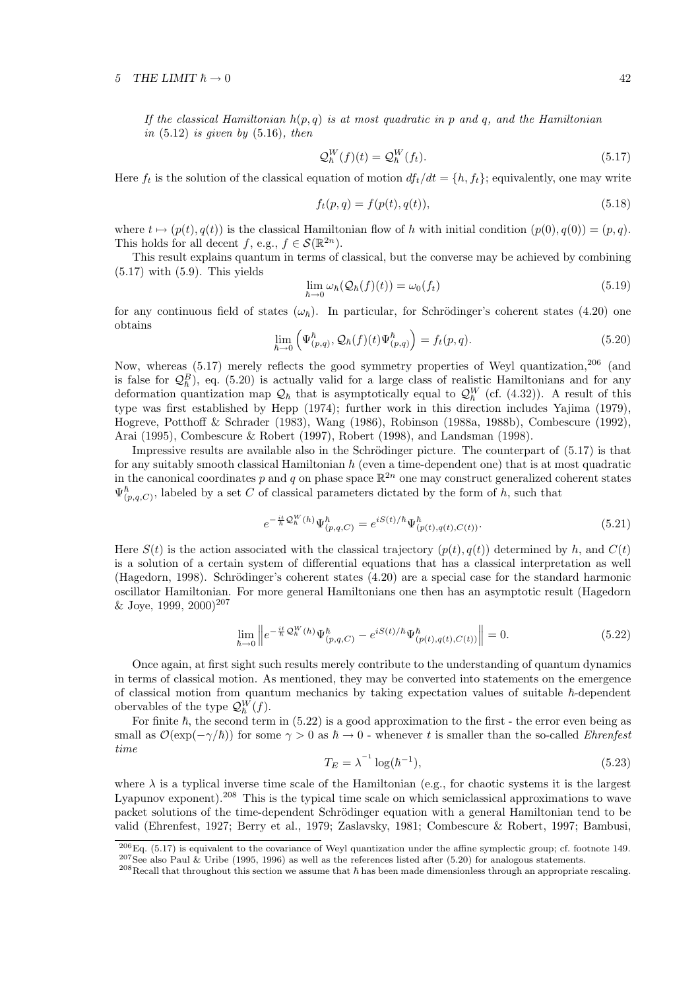If the classical Hamiltonian  $h(p,q)$  is at most quadratic in p and q, and the Hamiltonian in  $(5.12)$  is given by  $(5.16)$ , then

$$
\mathcal{Q}_{\hbar}^{W}(f)(t) = \mathcal{Q}_{\hbar}^{W}(f_{t}).\tag{5.17}
$$

Here  $f_t$  is the solution of the classical equation of motion  $df_t/dt = \{h, f_t\}$ ; equivalently, one may write

$$
f_t(p,q) = f(p(t), q(t)),
$$
\n(5.18)

where  $t \mapsto (p(t), q(t))$  is the classical Hamiltonian flow of h with initial condition  $(p(0), q(0)) = (p, q)$ . This holds for all decent f, e.g.,  $f \in \mathcal{S}(\mathbb{R}^{2n})$ .

This result explains quantum in terms of classical, but the converse may be achieved by combining  $(5.17)$  with  $(5.9)$ . This yields

$$
\lim_{\hbar \to 0} \omega_{\hbar}(\mathcal{Q}_{\hbar}(f)(t)) = \omega_0(f_t)
$$
\n(5.19)

for any continuous field of states  $(\omega_{\hbar})$ . In particular, for Schrödinger's coherent states (4.20) one obtains

$$
\lim_{\hbar \to 0} \left( \Psi^{\hbar}_{(p,q)}, \mathcal{Q}_{\hbar}(f)(t) \Psi^{\hbar}_{(p,q)} \right) = f_t(p,q). \tag{5.20}
$$

Now, whereas (5.17) merely reflects the good symmetry properties of Weyl quantization,<sup>206</sup> (and is false for  $\mathcal{Q}_{\hbar}^B$ , eq. (5.20) is actually valid for a large class of realistic Hamiltonians and for any deformation quantization map  $\mathcal{Q}_{\hbar}$  that is asymptotically equal to  $\mathcal{Q}_{\hbar}^W$  (cf. (4.32)). A result of this type was first established by Hepp (1974); further work in this direction includes Yajima (1979), Hogreve, Potthoff & Schrader (1983), Wang (1986), Robinson (1988a, 1988b), Combescure (1992), Arai (1995), Combescure & Robert (1997), Robert (1998), and Landsman (1998).

Impressive results are available also in the Schrödinger picture. The counterpart of  $(5.17)$  is that for any suitably smooth classical Hamiltonian  $h$  (even a time-dependent one) that is at most quadratic in the canonical coordinates p and q on phase space  $\mathbb{R}^{2n}$  one may construct generalized coherent states  $\Psi^{\hbar}_{(p,q,C)}$ , labeled by a set C of classical parameters dictated by the form of h, such that

$$
e^{-\frac{it}{\hbar}\mathcal{Q}_{\hbar}^{W}(h)}\Psi_{(p,q,C)}^{\hbar} = e^{iS(t)/\hbar}\Psi_{(p(t),q(t),C(t))}^{\hbar}.
$$
\n(5.21)

Here  $S(t)$  is the action associated with the classical trajectory  $(p(t), q(t))$  determined by h, and  $C(t)$ is a solution of a certain system of differential equations that has a classical interpretation as well (Hagedorn, 1998). Schrödinger's coherent states  $(4.20)$  are a special case for the standard harmonic oscillator Hamiltonian. For more general Hamiltonians one then has an asymptotic result (Hagedorn & Joye, 1999, 2000)<sup>207</sup>

$$
\lim_{\hbar \to 0} \left\| e^{-\frac{it}{\hbar} \mathcal{Q}_{\hbar}^{W}(h)} \Psi^{\hbar}_{(p,q,C)} - e^{iS(t)/\hbar} \Psi^{\hbar}_{(p(t),q(t),C(t))} \right\| = 0.
$$
\n(5.22)

Once again, at first sight such results merely contribute to the understanding of quantum dynamics in terms of classical motion. As mentioned, they may be converted into statements on the emergence of classical motion from quantum mechanics by taking expectation values of suitable  $\hbar$ -dependent obervables of the type  $\mathcal{Q}_{\hbar}^{W}(f)$ .

For finite  $\hbar$ , the second term in (5.22) is a good approximation to the first - the error even being as small as  $\mathcal{O}(\exp(-\gamma/\hbar))$  for some  $\gamma > 0$  as  $\hbar \to 0$  - whenever t is smaller than the so-called *Ehrenfest* time

$$
T_E = \lambda^{-1} \log(\hbar^{-1}),\tag{5.23}
$$

where  $\lambda$  is a typlical inverse time scale of the Hamiltonian (e.g., for chaotic systems it is the largest Lyapunov exponent).<sup>208</sup> This is the typical time scale on which semiclassical approximations to wave packet solutions of the time-dependent Schrödinger equation with a general Hamiltonian tend to be valid (Ehrenfest, 1927; Berry et al., 1979; Zaslavsky, 1981; Combescure & Robert, 1997; Bambusi,

 $^{206}$ Eq. (5.17) is equivalent to the covariance of Weyl quantization under the affine symplectic group; cf. footnote 149.  $^{207}$ See also Paul & Uribe (1995, 1996) as well as the references listed after (5.20) for analogous statements.

<sup>208</sup> Recall that throughout this section we assume that  $\hbar$  has been made dimensionless through an appropriate rescaling.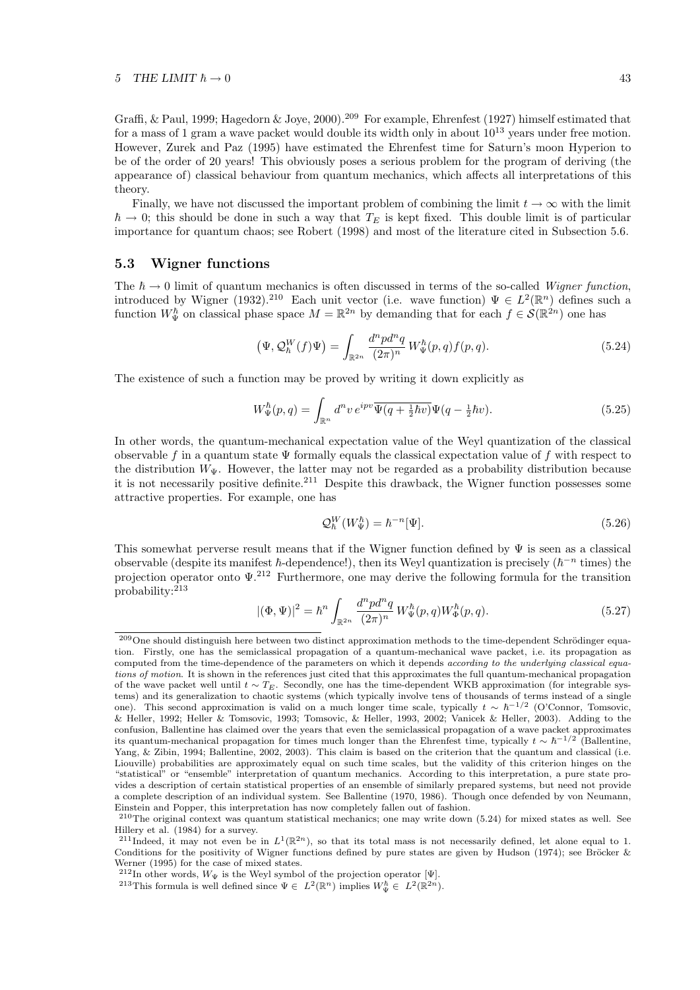Graffi, & Paul, 1999; Hagedorn & Joye, 2000).<sup>209</sup> For example, Ehrenfest (1927) himself estimated that for a mass of 1 gram a wave packet would double its width only in about  $10^{13}$  years under free motion. However, Zurek and Paz (1995) have estimated the Ehrenfest time for Saturn's moon Hyperion to be of the order of 20 years! This obviously poses a serious problem for the program of deriving (the appearance of) classical behaviour from quantum mechanics, which affects all interpretations of this theory.

Finally, we have not discussed the important problem of combining the limit  $t \to \infty$  with the limit  $\hbar \to 0$ ; this should be done in such a way that  $T_E$  is kept fixed. This double limit is of particular importance for quantum chaos; see Robert (1998) and most of the literature cited in Subsection 5.6.

### 5.3 Wigner functions

The  $\hbar \to 0$  limit of quantum mechanics is often discussed in terms of the so-called Wigner function, introduced by Wigner (1932).<sup>210</sup> Each unit vector (i.e. wave function)  $\Psi \in L^2(\mathbb{R}^n)$  defines such a function  $W^{\hbar}_{\Psi}$  on classical phase space  $M = \mathbb{R}^{2n}$  by demanding that for each  $f \in \mathcal{S}(\mathbb{R}^{2n})$  one has

$$
\left(\Psi, \mathcal{Q}_{\hbar}^W(f)\Psi\right) = \int_{\mathbb{R}^{2n}} \frac{d^n p d^n q}{(2\pi)^n} W_{\Psi}^{\hbar}(p,q) f(p,q). \tag{5.24}
$$

The existence of such a function may be proved by writing it down explicitly as

$$
W_{\Psi}^{\hbar}(p,q) = \int_{\mathbb{R}^n} d^n v \, e^{ipv} \overline{\Psi(q + \frac{1}{2}\hbar v)} \Psi(q - \frac{1}{2}\hbar v). \tag{5.25}
$$

In other words, the quantum-mechanical expectation value of the Weyl quantization of the classical observable f in a quantum state  $\Psi$  formally equals the classical expectation value of f with respect to the distribution  $W_{\Psi}$ . However, the latter may not be regarded as a probability distribution because it is not necessarily positive definite.<sup>211</sup> Despite this drawback, the Wigner function possesses some attractive properties. For example, one has

$$
\mathcal{Q}_{\hbar}^{W}(W_{\Psi}^{\hbar}) = \hbar^{-n}[\Psi]. \tag{5.26}
$$

This somewhat perverse result means that if the Wigner function defined by  $\Psi$  is seen as a classical observable (despite its manifest  $\hbar$ -dependence!), then its Weyl quantization is precisely ( $\hbar^{-n}$  times) the projection operator onto  $\Psi^{212}$  Furthermore, one may derive the following formula for the transition probability:<sup>213</sup>

$$
|(\Phi, \Psi)|^2 = \hbar^n \int_{\mathbb{R}^{2n}} \frac{d^n p d^n q}{(2\pi)^n} W^{\hbar}_{\Psi}(p, q) W^{\hbar}_{\Phi}(p, q). \tag{5.27}
$$

 $209$ One should distinguish here between two distinct approximation methods to the time-dependent Schrödinger equation. Firstly, one has the semiclassical propagation of a quantum-mechanical wave packet, i.e. its propagation as computed from the time-dependence of the parameters on which it depends according to the underlying classical equations of motion. It is shown in the references just cited that this approximates the full quantum-mechanical propagation of the wave packet well until  $t \sim T_E$ . Secondly, one has the time-dependent WKB approximation (for integrable systems) and its generalization to chaotic systems (which typically involve tens of thousands of terms instead of a single one). This second approximation is valid on a much longer time scale, typically  $t \sim \hbar^{-1/2}$  (O'Connor, Tomsovic, & Heller, 1992; Heller & Tomsovic, 1993; Tomsovic, & Heller, 1993, 2002; Vanicek & Heller, 2003). Adding to the confusion, Ballentine has claimed over the years that even the semiclassical propagation of a wave packet approximates its quantum-mechanical propagation for times much longer than the Ehrenfest time, typically  $t \sim \hbar^{-1/2}$  (Ballentine, Yang, & Zibin, 1994; Ballentine, 2002, 2003). This claim is based on the criterion that the quantum and classical (i.e. Liouville) probabilities are approximately equal on such time scales, but the validity of this criterion hinges on the "statistical" or "ensemble" interpretation of quantum mechanics. According to this interpretation, a pure state provides a description of certain statistical properties of an ensemble of similarly prepared systems, but need not provide a complete description of an individual system. See Ballentine (1970, 1986). Though once defended by von Neumann, Einstein and Popper, this interpretation has now completely fallen out of fashion.

 $^{210}$ The original context was quantum statistical mechanics; one may write down (5.24) for mixed states as well. See Hillery et al. (1984) for a survey.

<sup>&</sup>lt;sup>211</sup>Indeed, it may not even be in  $L^1(\mathbb{R}^{2n})$ , so that its total mass is not necessarily defined, let alone equal to 1. Conditions for the positivity of Wigner functions defined by pure states are given by Hudson (1974); see Bröcker  $&$ Werner (1995) for the case of mixed states.

<sup>&</sup>lt;sup>212</sup>In other words,  $W_{\Psi}$  is the Weyl symbol of the projection operator [Ψ].

<sup>&</sup>lt;sup>213</sup>This formula is well defined since  $\Psi \in L^2(\mathbb{R}^n)$  implies  $W^{\hbar}_{\Psi} \in L^2(\mathbb{R}^{2n})$ .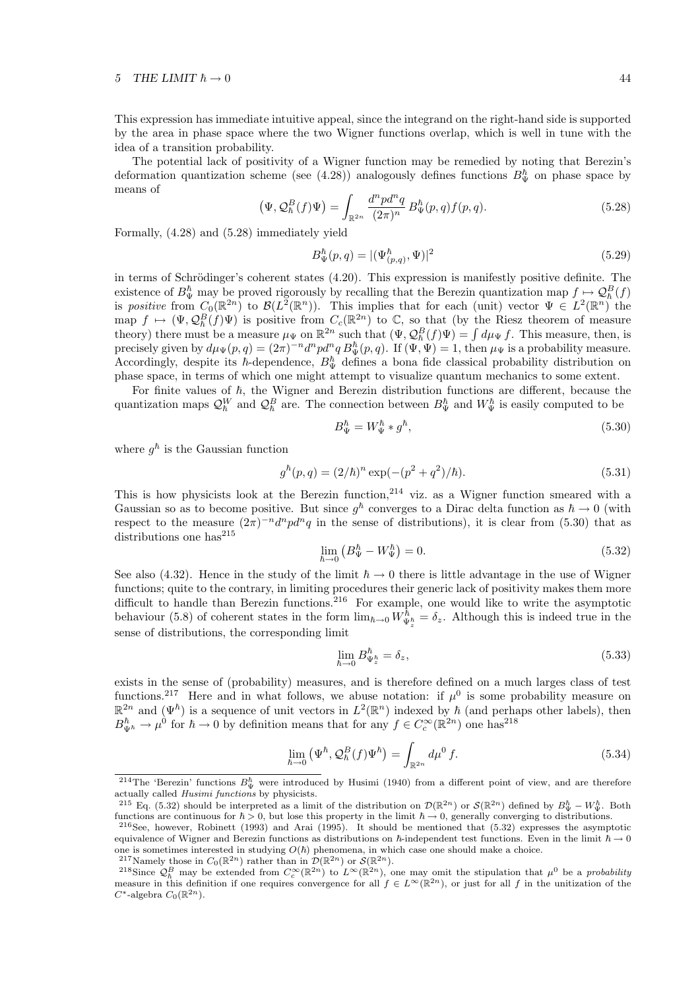This expression has immediate intuitive appeal, since the integrand on the right-hand side is supported by the area in phase space where the two Wigner functions overlap, which is well in tune with the idea of a transition probability.

The potential lack of positivity of a Wigner function may be remedied by noting that Berezin's deformation quantization scheme (see (4.28)) analogously defines functions  $B_{\Psi}^{\hbar}$  on phase space by means of

$$
\left(\Psi, \mathcal{Q}_{\hbar}^{B}(f)\Psi\right) = \int_{\mathbb{R}^{2n}} \frac{d^{n} p d^{n} q}{(2\pi)^{n}} B_{\Psi}^{\hbar}(p, q) f(p, q). \tag{5.28}
$$

Formally, (4.28) and (5.28) immediately yield

$$
B^{\hbar}_{\Psi}(p,q) = |(\Psi^{\hbar}_{(p,q)}, \Psi)|^2
$$
\n(5.29)

in terms of Schrödinger's coherent states  $(4.20)$ . This expression is manifestly positive definite. The existence of  $B_{\Psi}^{\hbar}$  may be proved rigorously by recalling that the Berezin quantization map  $f \mapsto \mathcal{Q}_{\hbar}^B(f)$ is positive from  $C_0(\mathbb{R}^{2n})$  to  $\mathcal{B}(L^2(\mathbb{R}^n))$ . This implies that for each (unit) vector  $\Psi \in L^2(\mathbb{R}^n)$  the map  $f \mapsto (\Psi, \mathcal{Q}_{\hbar}^B(f)\Psi)$  is positive from  $C_c(\mathbb{R}^{2n})$  to  $\mathbb{C}$ , so that (by the Riesz theorem of measure theory) there must be a measure  $\mu_{\Psi}$  on  $\mathbb{R}^{2n}$  such that  $(\Psi, \mathcal{Q}_{\hbar}^{B}(f)\Psi) = \int d\mu_{\Psi} f$ . This measure, then, is precisely given by  $d\mu_{\Psi}(p,q) = (2\pi)^{-n} d^{n} p d^{n} q B_{\Psi}^{\hbar}(p,q)$ . If  $(\Psi, \Psi) = 1$ , then  $\mu_{\Psi}$  is a probability measure. Accordingly, despite its  $\hbar$ -dependence,  $B_{\Psi}^{\hbar}$  defines a bona fide classical probability distribution on phase space, in terms of which one might attempt to visualize quantum mechanics to some extent.

For finite values of  $\hbar$ , the Wigner and Berezin distribution functions are different, because the quantization maps  $\mathcal{Q}_{\hbar}^W$  and  $\mathcal{Q}_{\hbar}^B$  are. The connection between  $B_{\Psi}^{\hbar}$  and  $W_{\Psi}^{\hbar}$  is easily computed to be

$$
B_{\Psi}^{\hbar} = W_{\Psi}^{\hbar} * g^{\hbar},\tag{5.30}
$$

where  $g^{\hbar}$  is the Gaussian function

$$
g^{\hbar}(p,q) = (2/\hbar)^n \exp(-(p^2+q^2)/\hbar).
$$
\n(5.31)

This is how physicists look at the Berezin function,  $2^{14}$  viz. as a Wigner function smeared with a Gaussian so as to become positive. But since  $g^{\hbar}$  converges to a Dirac delta function as  $\hbar \to 0$  (with respect to the measure  $(2\pi)^{-n}d^{n}p d^{n}q$  in the sense of distributions), it is clear from (5.30) that as distributions one has $^{215}$ 

$$
\lim_{\hbar \to 0} \left( B_{\Psi}^{\hbar} - W_{\Psi}^{\hbar} \right) = 0. \tag{5.32}
$$

See also (4.32). Hence in the study of the limit  $\hbar \to 0$  there is little advantage in the use of Wigner functions; quite to the contrary, in limiting procedures their generic lack of positivity makes them more difficult to handle than Berezin functions.<sup>216</sup> For example, one would like to write the asymptotic behaviour (5.8) of coherent states in the form  $\lim_{\hbar\to 0} W^{\hat{h}}_{\Psi_{\hat{z}}^{\hat{h}}} = \delta_z$ . Although this is indeed true in the sense of distributions, the corresponding limit

$$
\lim_{\hbar \to 0} B_{\Psi_z^{\hbar}}^{\hbar} = \delta_z,\tag{5.33}
$$

exists in the sense of (probability) measures, and is therefore defined on a much larges class of test functions.<sup>217</sup> Here and in what follows, we abuse notation: if  $\mu^0$  is some probability measure on  $\mathbb{R}^{2n}$  and  $(\Psi^{\hbar})$  is a sequence of unit vectors in  $L^2(\mathbb{R}^n)$  indexed by  $\hbar$  (and perhaps other labels), then  $B_{\Psi^h}^{\hbar} \to \mu^0$  for  $\hbar \to 0$  by definition means that for any  $f \in C_c^{\infty}(\mathbb{R}^{2n})$  one has  $2^{18}$ 

$$
\lim_{\hbar \to 0} \left( \Psi^{\hbar}, \mathcal{Q}_{\hbar}^{B}(f) \Psi^{\hbar} \right) = \int_{\mathbb{R}^{2n}} d\mu^{0} f. \tag{5.34}
$$

<sup>&</sup>lt;sup>214</sup>The 'Berezin' functions  $B^{\hbar}_{\Psi}$  were introduced by Husimi (1940) from a different point of view, and are therefore actually called Husimi functions by physicists.

<sup>&</sup>lt;sup>215</sup> Eq. (5.32) should be interpreted as a limit of the distribution on  $\mathcal{D}(\mathbb{R}^{2n})$  or  $\mathcal{S}(\mathbb{R}^{2n})$  defined by  $B^{\hbar}_{\Psi} - W^{\hbar}_{\Psi}$ . Both functions are continuous for  $\hbar > 0$ , but lose this property in the limit  $\hbar \to 0$ , generally converging to distributions.

<sup>216</sup>See, however, Robinett (1993) and Arai (1995). It should be mentioned that (5.32) expresses the asymptotic equivalence of Wigner and Berezin functions as distributions on  $\hbar$ -independent test functions. Even in the limit  $\hbar \to 0$ one is sometimes interested in studying  $O(\hbar)$  phenomena, in which case one should make a choice.

<sup>&</sup>lt;sup>217</sup>Namely those in  $C_0(\mathbb{R}^{2n})$  rather than in  $\mathcal{D}(\mathbb{R}^{2n})$  or  $\mathcal{S}(\mathbb{R}^{2n})$ .

<sup>&</sup>lt;sup>218</sup>Since  $\mathcal{Q}_{\hbar}^B$  may be extended from  $C_c^{\infty}(\mathbb{R}^{2n})$  to  $L^{\infty}(\mathbb{R}^{2n})$ , one may omit the stipulation that  $\mu^0$  be a probability measure in this definition if one requires convergence for all  $f \in L^{\infty}(\mathbb{R}^{2n})$ , or just for all f in the unitization of the  $C^*$ -algebra  $C_0(\mathbb{R}^{2n})$ .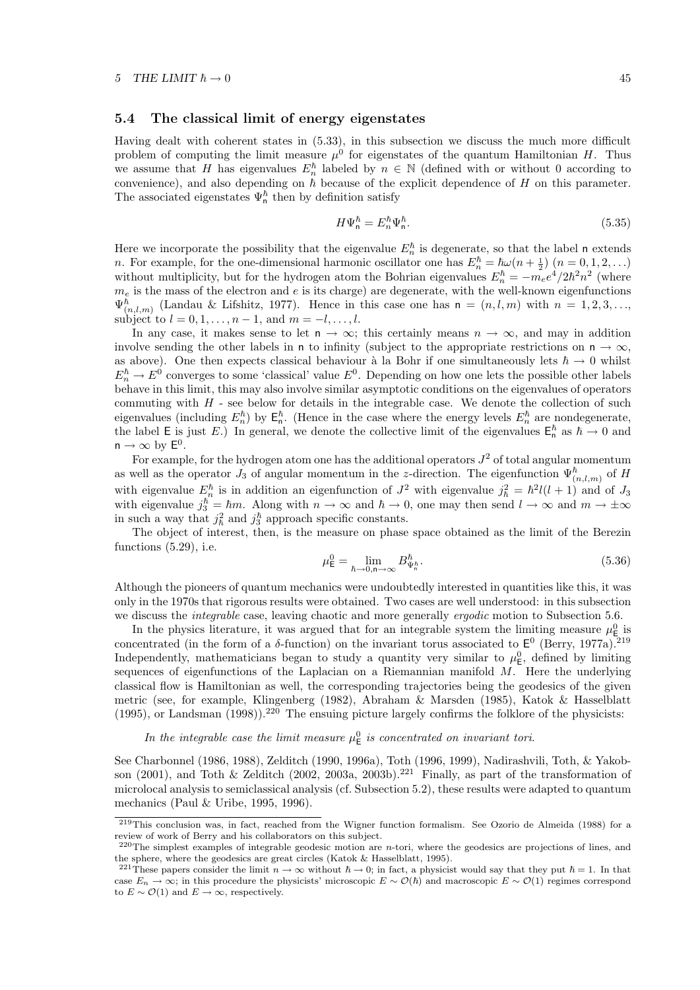### 5.4 The classical limit of energy eigenstates

Having dealt with coherent states in (5.33), in this subsection we discuss the much more difficult problem of computing the limit measure  $\mu^0$  for eigenstates of the quantum Hamiltonian H. Thus we assume that H has eigenvalues  $E_n^{\hbar}$  labeled by  $n \in \mathbb{N}$  (defined with or without 0 according to convenience), and also depending on  $h$  because of the explicit dependence of H on this parameter. The associated eigenstates  $\Psi_{n}^{\hbar}$  then by definition satisfy

$$
H\Psi_{\mathsf{n}}^{\hbar} = E_{n}^{\hbar}\Psi_{\mathsf{n}}^{\hbar}.\tag{5.35}
$$

Here we incorporate the possibility that the eigenvalue  $E_n^{\hbar}$  is degenerate, so that the label n extends *n*. For example, for the one-dimensional harmonic oscillator one has  $E_n^{\hbar} = \hbar \omega (n + \frac{1}{2})$   $(n = 0, 1, 2, ...)$ without multiplicity, but for the hydrogen atom the Bohrian eigenvalues  $E_n^{\hbar} = -m_e^2 e^4/2\hbar^2 n^2$  (where  $m_e$  is the mass of the electron and e is its charge) are degenerate, with the well-known eigenfunctions  $\Psi^{\hbar}_{(n,l,m)}$  (Landau & Lifshitz, 1977). Hence in this case one has  $n = (n, l, m)$  with  $n = 1, 2, 3, \ldots$ subject to  $l = 0, 1, \ldots, n-1$ , and  $m = -l, \ldots, l$ .

In any case, it makes sense to let  $n \to \infty$ ; this certainly means  $n \to \infty$ , and may in addition involve sending the other labels in n to infinity (subject to the appropriate restrictions on  $n \to \infty$ , as above). One then expects classical behaviour à la Bohr if one simultaneously lets  $\hbar \to 0$  whilst  $E_n^{\hbar} \to E^0$  converges to some 'classical' value  $E^0$ . Depending on how one lets the possible other labels behave in this limit, this may also involve similar asymptotic conditions on the eigenvalues of operators commuting with  $H$  - see below for details in the integrable case. We denote the collection of such eigenvalues (including  $E_n^{\hbar}$ ) by  $\mathsf{E}_n^{\hbar}$ . (Hence in the case where the energy levels  $E_n^{\hbar}$  are nondegenerate, the label E is just E.) In general, we denote the collective limit of the eigenvalues  $E_n^{\hbar}$  as  $\hbar \to 0$  and  $n \to \infty$  by  $E^0$ .

For example, for the hydrogen atom one has the additional operators  $J^2$  of total angular momentum as well as the operator  $J_3$  of angular momentum in the z-direction. The eigenfunction  $\Psi^{\hbar}_{(n,l,m)}$  of H with eigenvalue  $E_n^{\hbar}$  is in addition an eigenfunction of  $J^2$  with eigenvalue  $j_{\hbar}^2 = \hbar^2 l(l+1)$  and of  $J_3$ with eigenvalue  $j_3^{\tilde{h}} = \hbar m$ . Along with  $n \to \infty$  and  $\hbar \to 0$ , one may then send  $l \to \infty$  and  $m \to \pm \infty$ in such a way that  $j_h^2$  and  $j_3^h$  approach specific constants.

The object of interest, then, is the measure on phase space obtained as the limit of the Berezin functions (5.29), i.e.

$$
\mu_{\mathsf{E}}^0 = \lim_{\hbar \to 0, \mathsf{n} \to \infty} B_{\Psi_{\mathsf{n}}^{\hbar}}^{\hbar}.
$$
\n(5.36)

Although the pioneers of quantum mechanics were undoubtedly interested in quantities like this, it was only in the 1970s that rigorous results were obtained. Two cases are well understood: in this subsection we discuss the *integrable* case, leaving chaotic and more generally *ergodic* motion to Subsection 5.6.

In the physics literature, it was argued that for an integrable system the limiting measure  $\mu_{\text{E}}^0$  is concentrated (in the form of a  $\delta$ -function) on the invariant torus associated to  $E^0$  (Berry, 1977a).<sup>219</sup> Independently, mathematicians began to study a quantity very similar to  $\mu_{\mathsf{E}}^0$ , defined by limiting sequences of eigenfunctions of the Laplacian on a Riemannian manifold  $M$ . Here the underlying classical flow is Hamiltonian as well, the corresponding trajectories being the geodesics of the given metric (see, for example, Klingenberg (1982), Abraham & Marsden (1985), Katok & Hasselblatt (1995), or Landsman (1998)).<sup>220</sup> The ensuing picture largely confirms the folklore of the physicists:

# In the integrable case the limit measure  $\mu_{\mathsf{E}}^0$  is concentrated on invariant tori.

See Charbonnel (1986, 1988), Zelditch (1990, 1996a), Toth (1996, 1999), Nadirashvili, Toth, & Yakobson (2001), and Toth & Zelditch (2002, 2003a, 2003b).<sup>221</sup> Finally, as part of the transformation of microlocal analysis to semiclassical analysis (cf. Subsection 5.2), these results were adapted to quantum mechanics (Paul & Uribe, 1995, 1996).

<sup>&</sup>lt;sup>219</sup>This conclusion was, in fact, reached from the Wigner function formalism. See Ozorio de Almeida (1988) for a review of work of Berry and his collaborators on this subject.

 $220$ The simplest examples of integrable geodesic motion are *n*-tori, where the geodesics are projections of lines, and the sphere, where the geodesics are great circles (Katok & Hasselblatt, 1995).

<sup>&</sup>lt;sup>221</sup>These papers consider the limit  $n \to \infty$  without  $\hbar \to 0$ ; in fact, a physicist would say that they put  $\hbar = 1$ . In that case  $E_n \to \infty$ ; in this procedure the physicists' microscopic  $E \sim \mathcal{O}(\hbar)$  and macroscopic  $E \sim \mathcal{O}(1)$  regimes correspond to  $E \sim \mathcal{O}(1)$  and  $E \to \infty$ , respectively.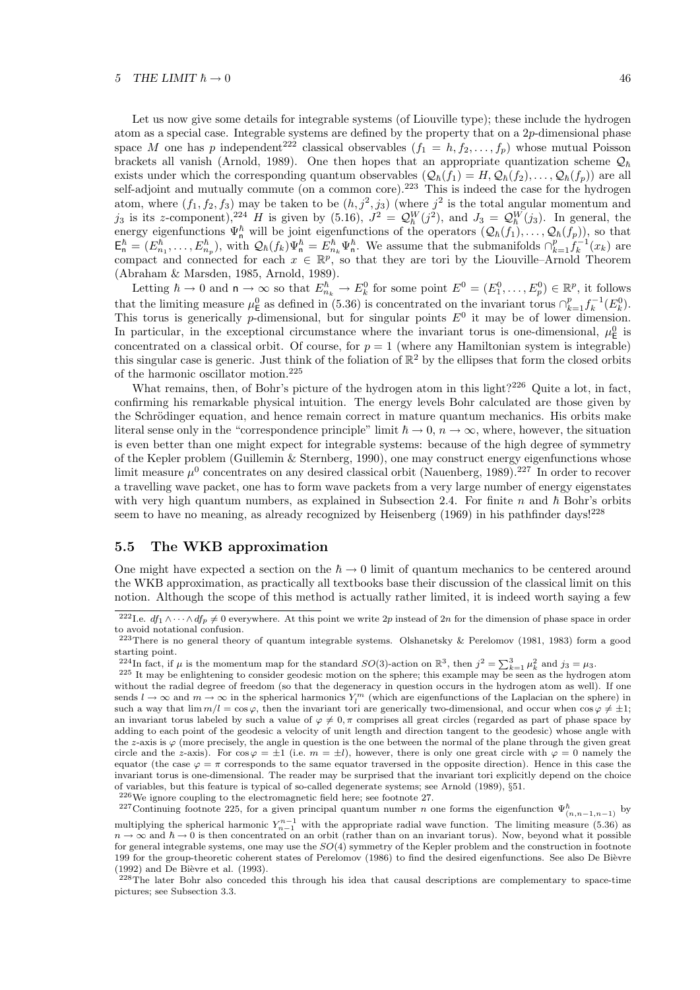Let us now give some details for integrable systems (of Liouville type); these include the hydrogen atom as a special case. Integrable systems are defined by the property that on a 2p-dimensional phase space M one has p independent<sup>222</sup> classical observables  $(f_1 = h, f_2, \ldots, f_p)$  whose mutual Poisson brackets all vanish (Arnold, 1989). One then hopes that an appropriate quantization scheme  $\mathcal{Q}_\hbar$ exists under which the corresponding quantum observables  $(Q_{\hbar}(f_1) = H, Q_{\hbar}(f_2), \ldots, Q_{\hbar}(f_p))$  are all self-adjoint and mutually commute (on a common core).<sup>223</sup> This is indeed the case for the hydrogen atom, where  $(f_1, f_2, f_3)$  may be taken to be  $(h, j^2, j_3)$  (where  $j^2$  is the total angular momentum and j<sub>3</sub> is its z-component),<sup>224</sup> H is given by (5.16),  $J^2 = \mathcal{Q}_{\hbar}^W(j^2)$ , and  $J_3 = \mathcal{Q}_{\hbar}^W(j_3)$ . In general, the energy eigenfunctions  $\Psi_{n}^{\hbar}$  will be joint eigenfunctions of the operators  $(Q_{\hbar}(f_{1}), \ldots, Q_{\hbar}(f_{p}))$ , so that  $\mathsf{E}_{\mathsf{n}}^{\hbar} = (E_{n_1}^{\hbar}, \ldots, E_{n_p}^{\hbar}),$  with  $\mathcal{Q}_{\hbar}(f_k)\Psi_{\mathsf{n}}^{\hbar} = E_{n_k}^{\hbar}\Psi_{\mathsf{n}}^{\hbar}.$  We assume that the submanifolds  $\cap_{k=1}^p f_k^{-1}(x_k)$  are compact and connected for each  $x \in \mathbb{R}^p$ , so that they are tori by the Liouville–Arnold Theorem (Abraham & Marsden, 1985, Arnold, 1989).

Letting  $\hbar \to 0$  and  $\mathsf{n} \to \infty$  so that  $E_{n_k}^{\hbar} \to E_k^0$  for some point  $E^0 = (E_1^0, \ldots, E_p^0) \in \mathbb{R}^p$ , it follows that the limiting measure  $\mu_{\mathsf{E}}^0$  as defined in (5.36) is concentrated on the invariant torus  $\bigcap_{k=1}^p f_k^{-1}(E_k^0)$ . This torus is generically p-dimensional, but for singular points  $E^0$  it may be of lower dimension. In particular, in the exceptional circumstance where the invariant torus is one-dimensional,  $\mu_{\text{E}}^0$  is concentrated on a classical orbit. Of course, for  $p = 1$  (where any Hamiltonian system is integrable) this singular case is generic. Just think of the foliation of  $\mathbb{R}^2$  by the ellipses that form the closed orbits of the harmonic oscillator motion.<sup>225</sup>

What remains, then, of Bohr's picture of the hydrogen atom in this light?<sup>226</sup> Quite a lot, in fact, confirming his remarkable physical intuition. The energy levels Bohr calculated are those given by the Schrödinger equation, and hence remain correct in mature quantum mechanics. His orbits make literal sense only in the "correspondence principle" limit  $\hbar \to 0$ ,  $n \to \infty$ , where, however, the situation is even better than one might expect for integrable systems: because of the high degree of symmetry of the Kepler problem (Guillemin & Sternberg, 1990), one may construct energy eigenfunctions whose limit measure  $\mu^0$  concentrates on any desired classical orbit (Nauenberg, 1989).<sup>227</sup> In order to recover a travelling wave packet, one has to form wave packets from a very large number of energy eigenstates with very high quantum numbers, as explained in Subsection 2.4. For finite n and  $\hbar$  Bohr's orbits seem to have no meaning, as already recognized by Heisenberg  $(1969)$  in his pathfinder days!<sup>228</sup>

### 5.5 The WKB approximation

One might have expected a section on the  $\hbar \to 0$  limit of quantum mechanics to be centered around the WKB approximation, as practically all textbooks base their discussion of the classical limit on this notion. Although the scope of this method is actually rather limited, it is indeed worth saying a few

 $226$ We ignore coupling to the electromagnetic field here; see footnote 27.

<sup>&</sup>lt;sup>222</sup>I.e.  $df_1 \wedge \cdots \wedge df_p \neq 0$  everywhere. At this point we write 2p instead of 2n for the dimension of phase space in order to avoid notational confusion.

<sup>223</sup>There is no general theory of quantum integrable systems. Olshanetsky & Perelomov (1981, 1983) form a good starting point.

<sup>&</sup>lt;sup>224</sup>In fact, if  $\mu$  is the momentum map for the standard SO(3)-action on  $\mathbb{R}^3$ , then  $j^2 = \sum_{k=1}^3 \mu_k^2$  and  $j_3 = \mu_3$ .

<sup>&</sup>lt;sup>225</sup> It may be enlightening to consider geodesic motion on the sphere; this example may be seen as the hydrogen atom without the radial degree of freedom (so that the degeneracy in question occurs in the hydrogen atom as well). If one sends  $l \to \infty$  and  $m \to \infty$  in the spherical harmonics  $Y_l^m$  (which are eigenfunctions of the Laplacian on the sphere) in such a way that  $\lim_{m\rightarrow\infty} m/l = \cos \varphi$ , then the invariant tori are generically two-dimensional, and occur when  $\cos \varphi \neq \pm 1$ ; an invariant torus labeled by such a value of  $\varphi \neq 0, \pi$  comprises all great circles (regarded as part of phase space by adding to each point of the geodesic a velocity of unit length and direction tangent to the geodesic) whose angle with the z-axis is  $\varphi$  (more precisely, the angle in question is the one between the normal of the plane through the given great circle and the z-axis). For  $\cos \varphi = \pm 1$  (i.e.  $m = \pm l$ ), however, there is only one great circle with  $\varphi = 0$  namely the equator (the case  $\varphi = \pi$  corresponds to the same equator traversed in the opposite direction). Hence in this case the invariant torus is one-dimensional. The reader may be surprised that the invariant tori explicitly depend on the choice of variables, but this feature is typical of so-called degenerate systems; see Arnold (1989), §51.

<sup>&</sup>lt;sup>227</sup>Continuing footnote 225, for a given principal quantum number n one forms the eigenfunction  $\Psi_{(n,n-1,n-1)}^{\hbar}$  by multiplying the spherical harmonic  $Y_{n-1}^{n-1}$  with the appropriate radial wave function. The limiting measure (5.36) as  $n \to \infty$  and  $\hbar \to 0$  is then concentrated on an orbit (rather than on an invariant torus). Now, beyond what it possible for general integrable systems, one may use the  $SO(4)$  symmetry of the Kepler problem and the construction in footnote 199 for the group-theoretic coherent states of Perelomov (1986) to find the desired eigenfunctions. See also De Bièvre  $(1992)$  and De Bièvre et al.  $(1993)$ .

<sup>228</sup>The later Bohr also conceded this through his idea that causal descriptions are complementary to space-time pictures; see Subsection 3.3.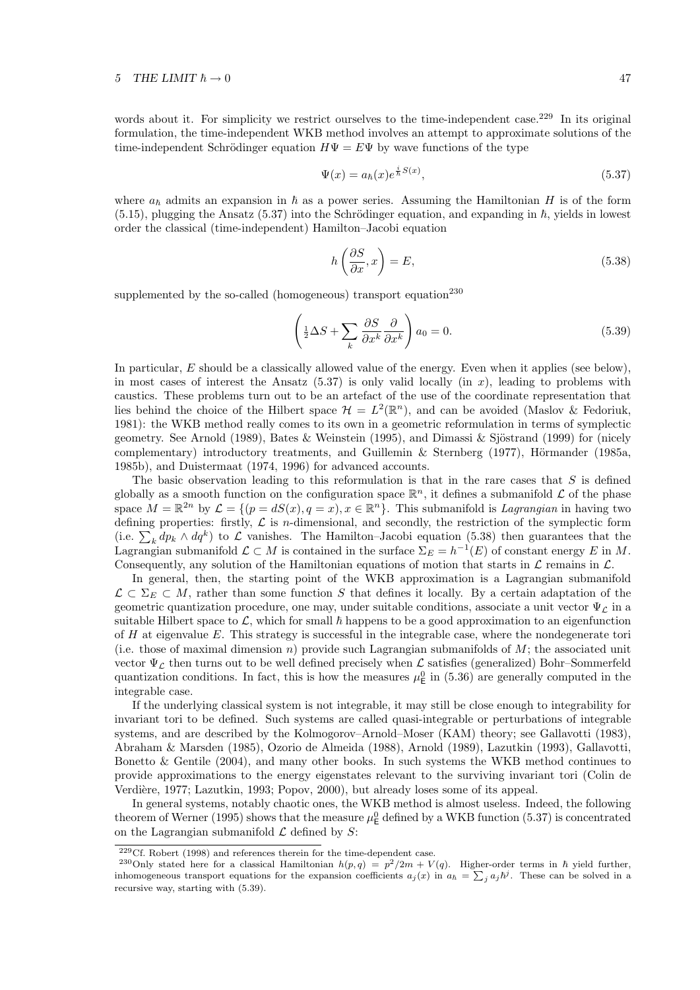words about it. For simplicity we restrict ourselves to the time-independent case.<sup>229</sup> In its original formulation, the time-independent WKB method involves an attempt to approximate solutions of the time-independent Schrödinger equation  $H\Psi = E\Psi$  by wave functions of the type

$$
\Psi(x) = a_{\hbar}(x)e^{\frac{i}{\hbar}S(x)},\tag{5.37}
$$

where  $a_h$  admits an expansion in  $\hbar$  as a power series. Assuming the Hamiltonian H is of the form  $(5.15)$ , plugging the Ansatz  $(5.37)$  into the Schrödinger equation, and expanding in  $\hbar$ , yields in lowest order the classical (time-independent) Hamilton–Jacobi equation

$$
h\left(\frac{\partial S}{\partial x}, x\right) = E,\tag{5.38}
$$

supplemented by the so-called (homogeneous) transport equation<sup>230</sup>

$$
\left(\frac{1}{2}\Delta S + \sum_{k} \frac{\partial S}{\partial x^{k}} \frac{\partial}{\partial x^{k}}\right) a_{0} = 0.
$$
\n(5.39)

In particular, E should be a classically allowed value of the energy. Even when it applies (see below), in most cases of interest the Ansatz  $(5.37)$  is only valid locally  $(in x)$ , leading to problems with caustics. These problems turn out to be an artefact of the use of the coordinate representation that lies behind the choice of the Hilbert space  $\mathcal{H} = L^2(\mathbb{R}^n)$ , and can be avoided (Maslov & Fedoriuk, 1981): the WKB method really comes to its own in a geometric reformulation in terms of symplectic geometry. See Arnold (1989), Bates & Weinstein (1995), and Dimassi & Sjöstrand (1999) for (nicely complementary) introductory treatments, and Guillemin & Sternberg (1977), Hörmander (1985a, 1985b), and Duistermaat (1974, 1996) for advanced accounts.

The basic observation leading to this reformulation is that in the rare cases that  $S$  is defined globally as a smooth function on the configuration space  $\mathbb{R}^n$ , it defines a submanifold  $\mathcal L$  of the phase space  $M = \mathbb{R}^{2n}$  by  $\mathcal{L} = \{(p = dS(x), q = x), x \in \mathbb{R}^n\}$ . This submanifold is *Lagrangian* in having two defining properties: firstly,  $\mathcal L$  is *n*-dimensional, and secondly, the restriction of the symplectic form (i.e.  $\sum_k dp_k \wedge dq^k$ ) to  $\mathcal L$  vanishes. The Hamilton–Jacobi equation (5.38) then guarantees that the Lagrangian submanifold  $\mathcal{L} \subset M$  is contained in the surface  $\Sigma_E = h^{-1}(E)$  of constant energy E in M. Consequently, any solution of the Hamiltonian equations of motion that starts in  $\mathcal L$  remains in  $\mathcal L$ .

In general, then, the starting point of the WKB approximation is a Lagrangian submanifold  $\mathcal{L} \subset \Sigma_F \subset M$ , rather than some function S that defines it locally. By a certain adaptation of the geometric quantization procedure, one may, under suitable conditions, associate a unit vector  $\Psi_{\mathcal{L}}$  in a suitable Hilbert space to  $\mathcal{L}$ , which for small  $\hbar$  happens to be a good approximation to an eigenfunction of  $H$  at eigenvalue  $E$ . This strategy is successful in the integrable case, where the nondegenerate tori (i.e. those of maximal dimension n) provide such Lagrangian submanifolds of  $M$ ; the associated unit vector  $\Psi_{\mathcal{L}}$  then turns out to be well defined precisely when  $\mathcal{L}$  satisfies (generalized) Bohr–Sommerfeld quantization conditions. In fact, this is how the measures  $\mu_{\text{E}}^0$  in (5.36) are generally computed in the integrable case.

If the underlying classical system is not integrable, it may still be close enough to integrability for invariant tori to be defined. Such systems are called quasi-integrable or perturbations of integrable systems, and are described by the Kolmogorov–Arnold–Moser (KAM) theory; see Gallavotti (1983), Abraham & Marsden (1985), Ozorio de Almeida (1988), Arnold (1989), Lazutkin (1993), Gallavotti, Bonetto & Gentile (2004), and many other books. In such systems the WKB method continues to provide approximations to the energy eigenstates relevant to the surviving invariant tori (Colin de Verdière, 1977; Lazutkin, 1993; Popov, 2000), but already loses some of its appeal.

In general systems, notably chaotic ones, the WKB method is almost useless. Indeed, the following theorem of Werner (1995) shows that the measure  $\mu_{\mathsf{E}}^0$  defined by a WKB function (5.37) is concentrated on the Lagrangian submanifold  $\mathcal L$  defined by  $S$ :

 $229$ Cf. Robert (1998) and references therein for the time-dependent case.

<sup>&</sup>lt;sup>230</sup>Only stated here for a classical Hamiltonian  $h(p,q) = p^2/2m + V(q)$ . Higher-order terms in  $\hbar$  yield further, inhomogeneous transport equations for the expansion coefficients  $a_j(x)$  in  $a_h = \sum_j a_j h^j$ . These can be solved in a recursive way, starting with (5.39).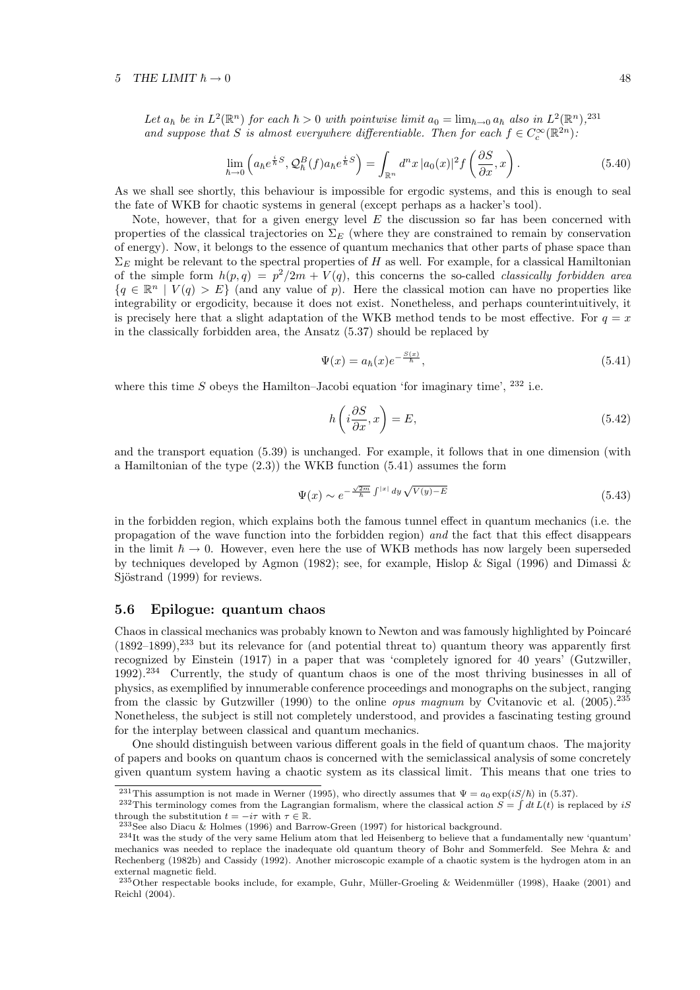Let  $a_{\hbar}$  be in  $L^2(\mathbb{R}^n)$  for each  $\hbar > 0$  with pointwise limit  $a_0 = \lim_{\hbar \to 0} a_{\hbar}$  also in  $L^2(\mathbb{R}^n)$ , 231 and suppose that S is almost everywhere differentiable. Then for each  $f \in C_c^{\infty}(\mathbb{R}^{2n})$ .

$$
\lim_{\hbar \to 0} \left( a_{\hbar} e^{\frac{i}{\hbar} S}, \mathcal{Q}_{\hbar}^{B}(f) a_{\hbar} e^{\frac{i}{\hbar} S} \right) = \int_{\mathbb{R}^n} d^n x \, |a_0(x)|^2 f\left( \frac{\partial S}{\partial x}, x \right). \tag{5.40}
$$

As we shall see shortly, this behaviour is impossible for ergodic systems, and this is enough to seal the fate of WKB for chaotic systems in general (except perhaps as a hacker's tool).

Note, however, that for a given energy level  $E$  the discussion so far has been concerned with properties of the classical trajectories on  $\Sigma_E$  (where they are constrained to remain by conservation of energy). Now, it belongs to the essence of quantum mechanics that other parts of phase space than  $\Sigma_E$  might be relevant to the spectral properties of H as well. For example, for a classical Hamiltonian of the simple form  $h(p,q) = p^2/2m + V(q)$ , this concerns the so-called *classically forbidden area*  ${q \in \mathbb{R}^n \mid V(q) > E}$  (and any value of p). Here the classical motion can have no properties like integrability or ergodicity, because it does not exist. Nonetheless, and perhaps counterintuitively, it is precisely here that a slight adaptation of the WKB method tends to be most effective. For  $q = x$ in the classically forbidden area, the Ansatz (5.37) should be replaced by

$$
\Psi(x) = a_{\hbar}(x)e^{-\frac{S(x)}{\hbar}},\tag{5.41}
$$

where this time S obeys the Hamilton–Jacobi equation 'for imaginary time',  $^{232}$  i.e.

$$
h\left(i\frac{\partial S}{\partial x},x\right) = E,\tag{5.42}
$$

and the transport equation (5.39) is unchanged. For example, it follows that in one dimension (with a Hamiltonian of the type (2.3)) the WKB function (5.41) assumes the form

$$
\Psi(x) \sim e^{-\frac{\sqrt{2m}}{\hbar} \int^{|x|} dy \sqrt{V(y) - E}}
$$
\n(5.43)

in the forbidden region, which explains both the famous tunnel effect in quantum mechanics (i.e. the propagation of the wave function into the forbidden region) and the fact that this effect disappears in the limit  $\hbar \to 0$ . However, even here the use of WKB methods has now largely been superseded by techniques developed by Agmon (1982); see, for example, Hislop & Sigal (1996) and Dimassi & Sjöstrand (1999) for reviews.

### 5.6 Epilogue: quantum chaos

Chaos in classical mechanics was probably known to Newton and was famously highlighted by Poincaré  $(1892-1899),^{233}$  but its relevance for (and potential threat to) quantum theory was apparently first recognized by Einstein (1917) in a paper that was 'completely ignored for 40 years' (Gutzwiller, 1992).<sup>234</sup> Currently, the study of quantum chaos is one of the most thriving businesses in all of physics, as exemplified by innumerable conference proceedings and monographs on the subject, ranging from the classic by Gutzwiller (1990) to the online *opus magnum* by Cvitanovic et al. (2005).<sup>235</sup> Nonetheless, the subject is still not completely understood, and provides a fascinating testing ground for the interplay between classical and quantum mechanics.

One should distinguish between various different goals in the field of quantum chaos. The majority of papers and books on quantum chaos is concerned with the semiclassical analysis of some concretely given quantum system having a chaotic system as its classical limit. This means that one tries to

<sup>&</sup>lt;sup>231</sup>This assumption is not made in Werner (1995), who directly assumes that  $\Psi = a_0 \exp(iS/\hbar)$  in (5.37).

<sup>&</sup>lt;sup>232</sup>This terminology comes from the Lagrangian formalism, where the classical action  $S = \int dt L(t)$  is replaced by iS through the substitution  $t = -i\tau$  with  $\tau \in \mathbb{R}$ .

 $^{233}\rm{See}$  also Diacu & Holmes (1996) and Barrow-Green (1997) for historical background.

 $^{234}$ It was the study of the very same Helium atom that led Heisenberg to believe that a fundamentally new 'quantum' mechanics was needed to replace the inadequate old quantum theory of Bohr and Sommerfeld. See Mehra & and Rechenberg (1982b) and Cassidy (1992). Another microscopic example of a chaotic system is the hydrogen atom in an external magnetic field.

 $^{235}$ Other respectable books include, for example, Guhr, Müller-Groeling & Weidenmüller (1998), Haake (2001) and Reichl (2004).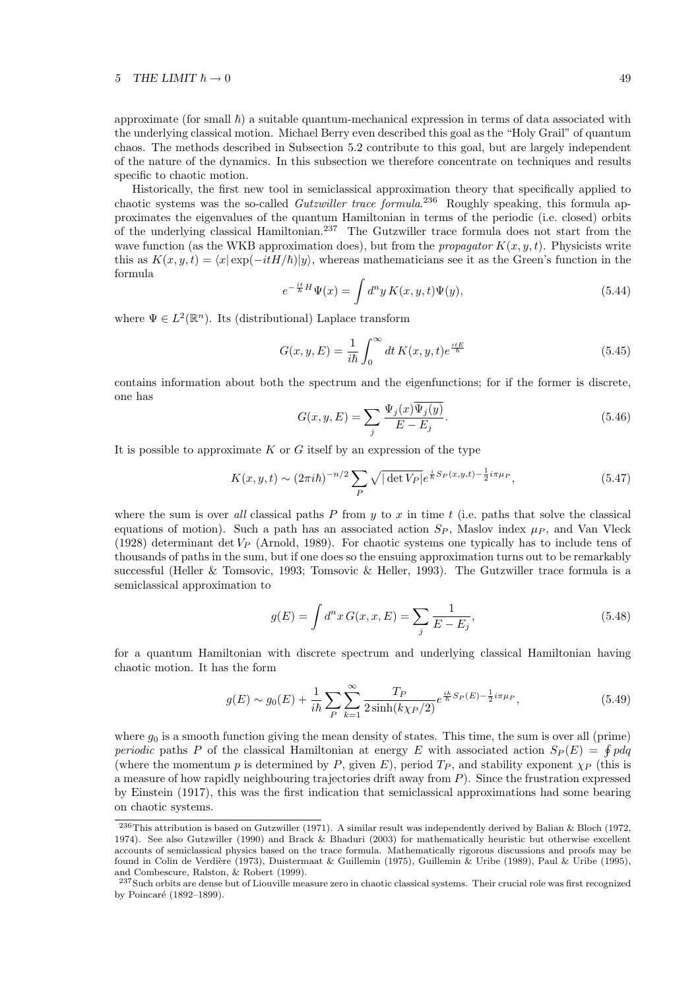approximate (for small  $\hbar$ ) a suitable quantum-mechanical expression in terms of data associated with the underlying classical motion. Michael Berry even described this goal as the "Holy Grail" of quantum chaos. The methods described in Subsection 5.2 contribute to this goal, but are largely independent of the nature of the dynamics. In this subsection we therefore concentrate on techniques and results specific to chaotic motion.

Historically, the first new tool in semiclassical approximation theory that specifically applied to chaotic systems was the so-called *Gutzwiller trace formula*.<sup>236</sup> Roughly speaking, this formula approximates the eigenvalues of the quantum Hamiltonian in terms of the periodic (i.e. closed) orbits of the underlying classical Hamiltonian.<sup>237</sup> The Gutzwiller trace formula does not start from the wave function (as the WKB approximation does), but from the *propagator*  $K(x, y, t)$ . Physicists write this as  $K(x, y, t) = \langle x | \exp(-itH/\hbar)|y \rangle$ , whereas mathematicians see it as the Green's function in the formula

$$
e^{-\frac{it}{\hbar}H}\Psi(x) = \int d^n y K(x, y, t)\Psi(y),\tag{5.44}
$$

where  $\Psi \in L^2(\mathbb{R}^n)$ . Its (distributional) Laplace transform

$$
G(x, y, E) = \frac{1}{i\hbar} \int_0^\infty dt \, K(x, y, t) e^{\frac{itE}{\hbar}}
$$
(5.45)

contains information about both the spectrum and the eigenfunctions; for if the former is discrete, one has

$$
G(x, y, E) = \sum_{j} \frac{\Psi_j(x)\Psi_j(y)}{E - E_j}.
$$
\n
$$
(5.46)
$$

It is possible to approximate  $K$  or  $G$  itself by an expression of the type

$$
K(x, y, t) \sim (2\pi i\hbar)^{-n/2} \sum_{P} \sqrt{|\det V_P|} e^{\frac{i}{\hbar}S_P(x, y, t) - \frac{1}{2}i\pi\mu_P},
$$
\n(5.47)

where the sum is over all classical paths P from y to x in time t (i.e. paths that solve the classical equations of motion). Such a path has an associated action  $S_P$ , Maslov index  $\mu_P$ , and Van Vleck (1928) determinant det  $V_P$  (Arnold, 1989). For chaotic systems one typically has to include tens of thousands of paths in the sum, but if one does so the ensuing approximation turns out to be remarkably successful (Heller & Tomsovic, 1993; Tomsovic & Heller, 1993). The Gutzwiller trace formula is a semiclassical approximation to

$$
g(E) = \int d^n x \, G(x, x, E) = \sum_j \frac{1}{E - E_j},\tag{5.48}
$$

for a quantum Hamiltonian with discrete spectrum and underlying classical Hamiltonian having chaotic motion. It has the form

$$
g(E) \sim g_0(E) + \frac{1}{i\hbar} \sum_{P} \sum_{k=1}^{\infty} \frac{T_P}{2 \sinh(k\chi_P/2)} e^{\frac{ik}{\hbar}S_P(E) - \frac{1}{2}i\pi\mu_P},
$$
(5.49)

where  $g_0$  is a smooth function giving the mean density of states. This time, the sum is over all (prime) periodic paths P of the classical Hamiltonian at energy E with associated action  $S_P(E) = \oint p dq$ (where the momentum p is determined by P, given E), period  $T_P$ , and stability exponent  $\chi_P$  (this is a measure of how rapidly neighbouring trajectories drift away from P). Since the frustration expressed by Einstein (1917), this was the first indication that semiclassical approximations had some bearing on chaotic systems.

<sup>236</sup>This attribution is based on Gutzwiller (1971). A similar result was independently derived by Balian & Bloch (1972, 1974). See also Gutzwiller (1990) and Brack & Bhaduri (2003) for mathematically heuristic but otherwise excellent accounts of semiclassical physics based on the trace formula. Mathematically rigorous discussions and proofs may be found in Colin de Verdi`ere (1973), Duistermaat & Guillemin (1975), Guillemin & Uribe (1989), Paul & Uribe (1995), and Combescure, Ralston, & Robert (1999).

<sup>237</sup>Such orbits are dense but of Liouville measure zero in chaotic classical systems. Their crucial role was first recognized by Poincaré (1892–1899).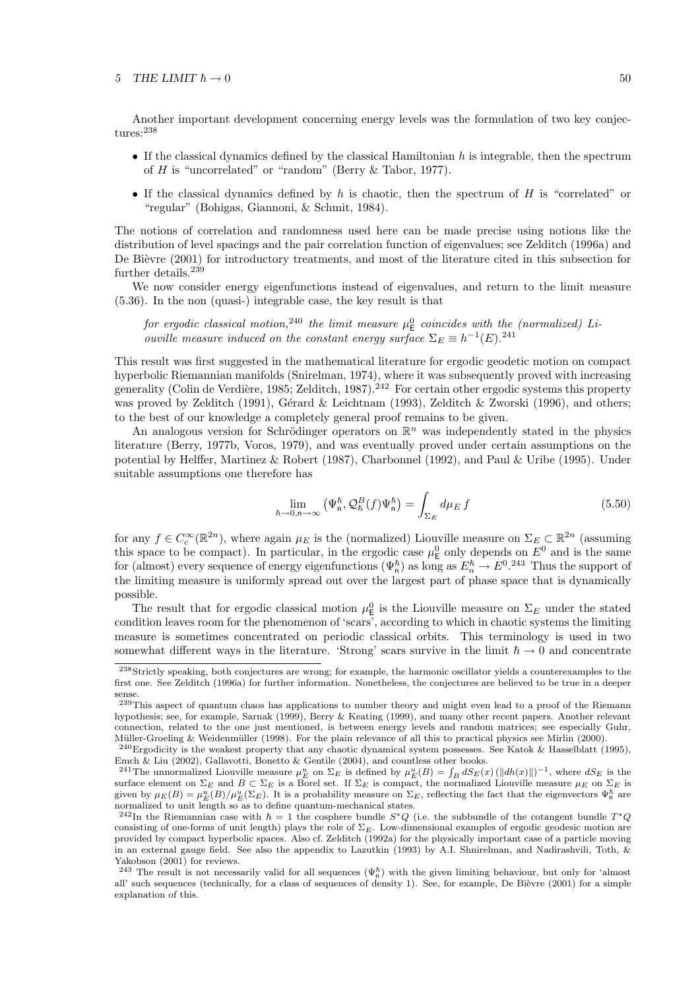Another important development concerning energy levels was the formulation of two key conjectures:<sup>238</sup>

- If the classical dynamics defined by the classical Hamiltonian  $h$  is integrable, then the spectrum of H is "uncorrelated" or "random" (Berry & Tabor, 1977).
- If the classical dynamics defined by  $h$  is chaotic, then the spectrum of  $H$  is "correlated" or "regular" (Bohigas, Giannoni, & Schmit, 1984).

The notions of correlation and randomness used here can be made precise using notions like the distribution of level spacings and the pair correlation function of eigenvalues; see Zelditch (1996a) and De Bièvre (2001) for introductory treatments, and most of the literature cited in this subsection for further details.<sup>239</sup>

We now consider energy eigenfunctions instead of eigenvalues, and return to the limit measure (5.36). In the non (quasi-) integrable case, the key result is that

for ergodic classical motion, $^{240}$  the limit measure  $\mu_\mathsf{E}^0$  coincides with the (normalized) Liouville measure induced on the constant energy surface  $\Sigma_E \equiv h^{-1}(E)$ .<sup>241</sup>

This result was first suggested in the mathematical literature for ergodic geodetic motion on compact hyperbolic Riemannian manifolds (Snirelman, 1974), where it was subsequently proved with increasing generality (Colin de Verdière, 1985; Zelditch, 1987).<sup>242</sup> For certain other ergodic systems this property was proved by Zelditch (1991), Gérard & Leichtnam (1993), Zelditch & Zworski (1996), and others; to the best of our knowledge a completely general proof remains to be given.

An analogous version for Schrödinger operators on  $\mathbb{R}^n$  was independently stated in the physics literature (Berry, 1977b, Voros, 1979), and was eventually proved under certain assumptions on the potential by Helffer, Martinez & Robert (1987), Charbonnel (1992), and Paul & Uribe (1995). Under suitable assumptions one therefore has

$$
\lim_{\hbar \to 0, \mathbf{n} \to \infty} \left( \Psi_{\mathbf{n}}^{\hbar}, \mathcal{Q}_{\hbar}^{B}(f) \Psi_{\mathbf{n}}^{\hbar} \right) = \int_{\Sigma_{E}} d\mu_{E} f \tag{5.50}
$$

for any  $f \in C_c^{\infty}(\mathbb{R}^{2n})$ , where again  $\mu_E$  is the (normalized) Liouville measure on  $\Sigma_E \subset \mathbb{R}^{2n}$  (assuming this space to be compact). In particular, in the ergodic case  $\mu_{\text{E}}^0$  only depends on  $E^0$  and is the same for (almost) every sequence of energy eigenfunctions  $(\Psi_n^{\hbar})$  as long as  $E_n^{\hbar} \to E^0$ . <sup>243</sup> Thus the support of the limiting measure is uniformly spread out over the largest part of phase space that is dynamically possible.

The result that for ergodic classical motion  $\mu_{\mathsf{E}}^0$  is the Liouville measure on  $\Sigma_E$  under the stated condition leaves room for the phenomenon of 'scars', according to which in chaotic systems the limiting measure is sometimes concentrated on periodic classical orbits. This terminology is used in two somewhat different ways in the literature. 'Strong' scars survive in the limit  $\hbar \to 0$  and concentrate

<sup>238</sup>Strictly speaking, both conjectures are wrong; for example, the harmonic oscillator yields a counterexamples to the first one. See Zelditch (1996a) for further information. Nonetheless, the conjectures are believed to be true in a deeper sense.

<sup>&</sup>lt;sup>239</sup>This aspect of quantum chaos has applications to number theory and might even lead to a proof of the Riemann hypothesis; see, for example, Sarnak (1999), Berry & Keating (1999), and many other recent papers. Another relevant connection, related to the one just mentioned, is between energy levels and random matrices; see especially Guhr, Müller-Groeling & Weidenmüller (1998). For the plain relevance of all this to practical physics see Mirlin (2000).

 $^{240}$ Ergodicity is the weakest property that any chaotic dynamical system possesses. See Katok & Hasselblatt (1995), Emch & Liu (2002), Gallavotti, Bonetto & Gentile (2004), and countless other books.

<sup>&</sup>lt;sup>241</sup>The unnormalized Liouville measure  $\mu_E^u$  on  $\Sigma_E$  is defined by  $\mu_E^u(B) = \int_B dS_E(x) (\Vert dh(x) \Vert)^{-1}$ , where  $dS_E$  is the surface element on  $\Sigma_E$  and  $B \subset \Sigma_E$  is a Borel set. If  $\Sigma_E$  is compact, the normalized Liouville measure  $\mu_E$  on  $\Sigma_E$  is given by  $\mu_E(B) = \mu_E^u(B)/\mu_E^u(\Sigma_E)$ . It is a probability measure on  $\Sigma_E$ , reflecting the fact that the eigenvectors  $\Psi_n^h$  are normalized to unit length so as to define quantum-mechanical states.

<sup>&</sup>lt;sup>242</sup>In the Riemannian case with  $\hbar = 1$  the cosphere bundle  $S^*Q$  (i.e. the subbundle of the cotangent bundle  $T^*Q$ consisting of one-forms of unit length) plays the role of  $\Sigma_E$ . Low-dimensional examples of ergodic geodesic motion are provided by compact hyperbolic spaces. Also cf. Zelditch (1992a) for the physically important case of a particle moving in an external gauge field. See also the appendix to Lazutkin (1993) by A.I. Shnirelman, and Nadirashvili, Toth, & Yakobson (2001) for reviews.

<sup>&</sup>lt;sup>243</sup> The result is not necessarily valid for all sequences  $(\Psi_n^{\hbar})$  with the given limiting behaviour, but only for 'almost all' such sequences (technically, for a class of sequences of density 1). See, for example, De Bièvre (2001) for a simple explanation of this.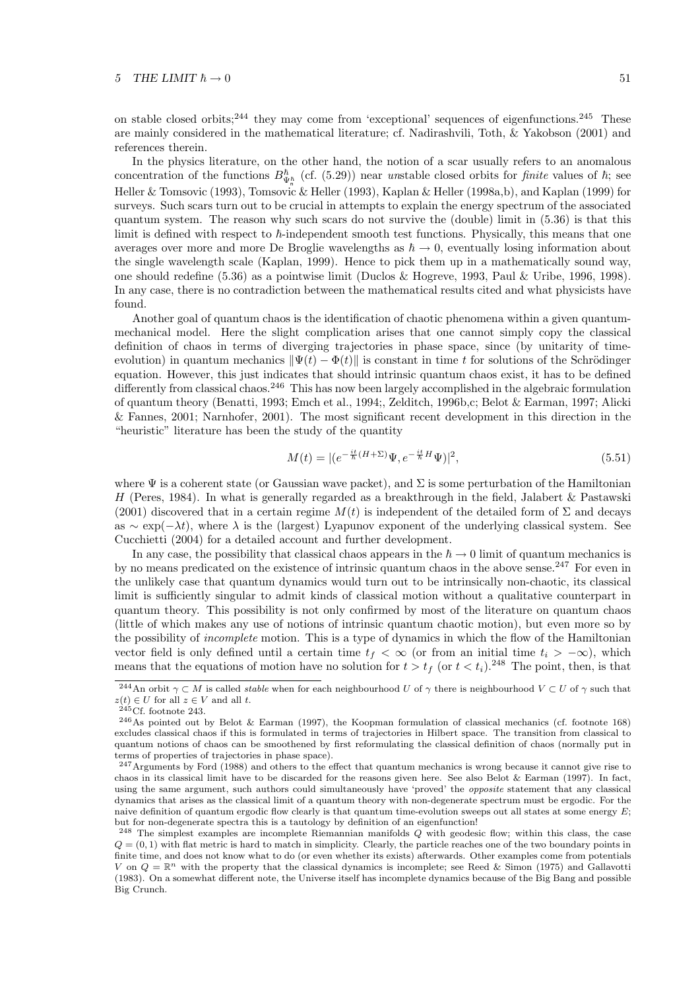on stable closed orbits;<sup>244</sup> they may come from 'exceptional' sequences of eigenfunctions.<sup>245</sup> These are mainly considered in the mathematical literature; cf. Nadirashvili, Toth, & Yakobson (2001) and references therein.

In the physics literature, on the other hand, the notion of a scar usually refers to an anomalous concentration of the functions  $B_{\Psi_h^h}^{\hbar}$  (cf. (5.29)) near unstable closed orbits for finite values of  $\hbar$ ; see n Heller & Tomsovic (1993), Tomsovic & Heller (1993), Kaplan & Heller (1998a,b), and Kaplan (1999) for surveys. Such scars turn out to be crucial in attempts to explain the energy spectrum of the associated quantum system. The reason why such scars do not survive the (double) limit in (5.36) is that this limit is defined with respect to  $\hbar$ -independent smooth test functions. Physically, this means that one averages over more and more De Broglie wavelengths as  $\hbar \to 0$ , eventually losing information about the single wavelength scale (Kaplan, 1999). Hence to pick them up in a mathematically sound way, one should redefine (5.36) as a pointwise limit (Duclos & Hogreve, 1993, Paul & Uribe, 1996, 1998). In any case, there is no contradiction between the mathematical results cited and what physicists have found.

Another goal of quantum chaos is the identification of chaotic phenomena within a given quantummechanical model. Here the slight complication arises that one cannot simply copy the classical definition of chaos in terms of diverging trajectories in phase space, since (by unitarity of timeevolution) in quantum mechanics  $\|\Psi(t) - \Phi(t)\|$  is constant in time t for solutions of the Schrödinger equation. However, this just indicates that should intrinsic quantum chaos exist, it has to be defined differently from classical chaos.<sup>246</sup> This has now been largely accomplished in the algebraic formulation of quantum theory (Benatti, 1993; Emch et al., 1994;, Zelditch, 1996b,c; Belot & Earman, 1997; Alicki & Fannes, 2001; Narnhofer, 2001). The most significant recent development in this direction in the "heuristic" literature has been the study of the quantity

$$
M(t) = |(e^{-\frac{it}{\hbar}(H+\Sigma)}\Psi, e^{-\frac{it}{\hbar}H}\Psi)|^2,
$$
\n(5.51)

where  $\Psi$  is a coherent state (or Gaussian wave packet), and  $\Sigma$  is some perturbation of the Hamiltonian  $H$  (Peres, 1984). In what is generally regarded as a breakthrough in the field, Jalabert & Pastawski (2001) discovered that in a certain regime  $M(t)$  is independent of the detailed form of  $\Sigma$  and decays as  $\sim \exp(-\lambda t)$ , where  $\lambda$  is the (largest) Lyapunov exponent of the underlying classical system. See Cucchietti (2004) for a detailed account and further development.

In any case, the possibility that classical chaos appears in the  $\hbar \to 0$  limit of quantum mechanics is by no means predicated on the existence of intrinsic quantum chaos in the above sense.<sup>247</sup> For even in the unlikely case that quantum dynamics would turn out to be intrinsically non-chaotic, its classical limit is sufficiently singular to admit kinds of classical motion without a qualitative counterpart in quantum theory. This possibility is not only confirmed by most of the literature on quantum chaos (little of which makes any use of notions of intrinsic quantum chaotic motion), but even more so by the possibility of incomplete motion. This is a type of dynamics in which the flow of the Hamiltonian vector field is only defined until a certain time  $t_f < \infty$  (or from an initial time  $t_i > -\infty$ ), which means that the equations of motion have no solution for  $t > t_f$  (or  $t < t_i$ ).<sup>248</sup> The point, then, is that

<sup>&</sup>lt;sup>244</sup>An orbit  $\gamma \subset M$  is called *stable* when for each neighbourhood U of  $\gamma$  there is neighbourhood  $V \subset U$  of  $\gamma$  such that  $z(t) \in U$  for all  $z \in V$  and all t.

 $245\,\mathrm{Cf}$  footnote 243.

<sup>246</sup>As pointed out by Belot & Earman (1997), the Koopman formulation of classical mechanics (cf. footnote 168) excludes classical chaos if this is formulated in terms of trajectories in Hilbert space. The transition from classical to quantum notions of chaos can be smoothened by first reformulating the classical definition of chaos (normally put in terms of properties of trajectories in phase space).

<sup>247</sup>Arguments by Ford (1988) and others to the effect that quantum mechanics is wrong because it cannot give rise to chaos in its classical limit have to be discarded for the reasons given here. See also Belot & Earman (1997). In fact, using the same argument, such authors could simultaneously have 'proved' the opposite statement that any classical dynamics that arises as the classical limit of a quantum theory with non-degenerate spectrum must be ergodic. For the naive definition of quantum ergodic flow clearly is that quantum time-evolution sweeps out all states at some energy  $E$ ; but for non-degenerate spectra this is a tautology by definition of an eigenfunction!

 $^{8}$  The simplest examples are incomplete Riemannian manifolds  $Q$  with geodesic flow; within this class, the case  $Q = (0, 1)$  with flat metric is hard to match in simplicity. Clearly, the particle reaches one of the two boundary points in finite time, and does not know what to do (or even whether its exists) afterwards. Other examples come from potentials V on  $Q = \mathbb{R}^n$  with the property that the classical dynamics is incomplete; see Reed & Simon (1975) and Gallavotti (1983). On a somewhat different note, the Universe itself has incomplete dynamics because of the Big Bang and possible Big Crunch.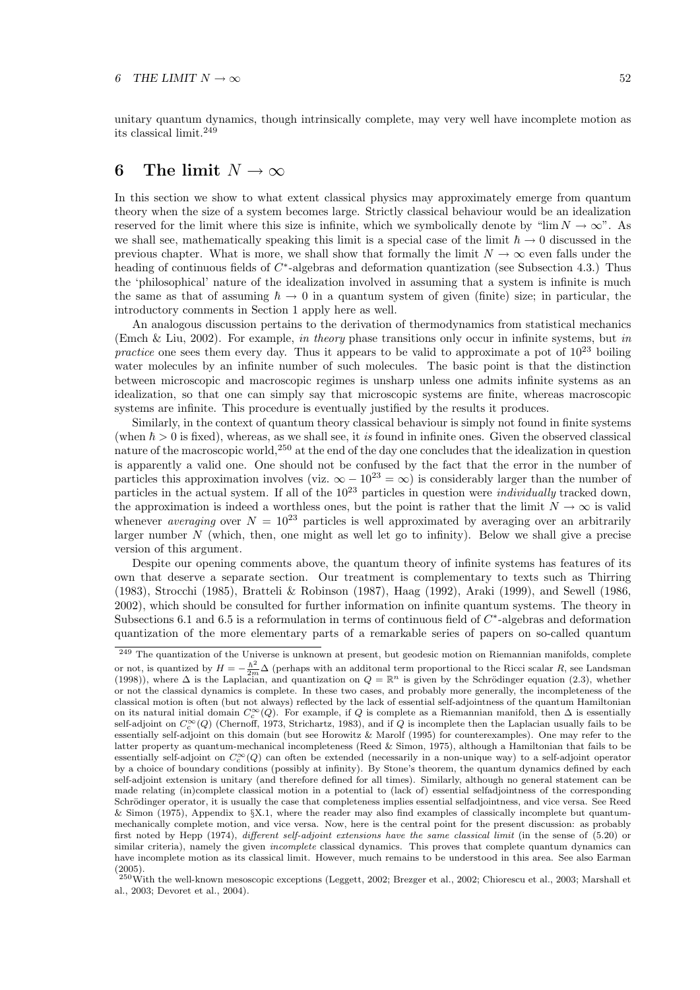unitary quantum dynamics, though intrinsically complete, may very well have incomplete motion as its classical limit.<sup>249</sup>

# 6 The limit  $N \to \infty$

In this section we show to what extent classical physics may approximately emerge from quantum theory when the size of a system becomes large. Strictly classical behaviour would be an idealization reserved for the limit where this size is infinite, which we symbolically denote by "lim  $N \to \infty$ ". As we shall see, mathematically speaking this limit is a special case of the limit  $\hbar \to 0$  discussed in the previous chapter. What is more, we shall show that formally the limit  $N \to \infty$  even falls under the heading of continuous fields of  $C^*$ -algebras and deformation quantization (see Subsection 4.3.) Thus the 'philosophical' nature of the idealization involved in assuming that a system is infinite is much the same as that of assuming  $\hbar \to 0$  in a quantum system of given (finite) size; in particular, the introductory comments in Section 1 apply here as well.

An analogous discussion pertains to the derivation of thermodynamics from statistical mechanics (Emch & Liu, 2002). For example, in theory phase transitions only occur in infinite systems, but in *practice* one sees them every day. Thus it appears to be valid to approximate a pot of  $10^{23}$  boiling water molecules by an infinite number of such molecules. The basic point is that the distinction between microscopic and macroscopic regimes is unsharp unless one admits infinite systems as an idealization, so that one can simply say that microscopic systems are finite, whereas macroscopic systems are infinite. This procedure is eventually justified by the results it produces.

Similarly, in the context of quantum theory classical behaviour is simply not found in finite systems (when  $\hbar > 0$  is fixed), whereas, as we shall see, it is found in infinite ones. Given the observed classical nature of the macroscopic world,<sup>250</sup> at the end of the day one concludes that the idealization in question is apparently a valid one. One should not be confused by the fact that the error in the number of particles this approximation involves (viz.  $\infty - 10^{23} = \infty$ ) is considerably larger than the number of particles in the actual system. If all of the  $10^{23}$  particles in question were *individually* tracked down, the approximation is indeed a worthless ones, but the point is rather that the limit  $N \to \infty$  is valid whenever averaging over  $N = 10^{23}$  particles is well approximated by averaging over an arbitrarily larger number  $N$  (which, then, one might as well let go to infinity). Below we shall give a precise version of this argument.

Despite our opening comments above, the quantum theory of infinite systems has features of its own that deserve a separate section. Our treatment is complementary to texts such as Thirring (1983), Strocchi (1985), Bratteli & Robinson (1987), Haag (1992), Araki (1999), and Sewell (1986, 2002), which should be consulted for further information on infinite quantum systems. The theory in Subsections 6.1 and 6.5 is a reformulation in terms of continuous field of  $C^*$ -algebras and deformation quantization of the more elementary parts of a remarkable series of papers on so-called quantum

<sup>&</sup>lt;sup>249</sup> The quantization of the Universe is unknown at present, but geodesic motion on Riemannian manifolds, complete or not, is quantized by  $H = -\frac{\hbar^2}{2m}\Delta$  (perhaps with an additional term proportional to the Ricci scalar R, see Landsman (1998)), where  $\Delta$  is the Laplacian, and quantization on  $Q = \mathbb{R}^n$  is given by the Schrödinge or not the classical dynamics is complete. In these two cases, and probably more generally, the incompleteness of the classical motion is often (but not always) reflected by the lack of essential self-adjointness of the quantum Hamiltonian on its natural initial domain  $C_c^{\infty}(Q)$ . For example, if Q is complete as a Riemannian manifold, then  $\Delta$  is essentially self-adjoint on  $C_c^{\infty}(Q)$  (Chernoff, 1973, Strichartz, 1983), and if Q is incomplete then the Laplacian usually fails to be essentially self-adjoint on this domain (but see Horowitz & Marolf (1995) for counterexamples). One may refer to the latter property as quantum-mechanical incompleteness (Reed & Simon, 1975), although a Hamiltonian that fails to be essentially self-adjoint on  $C_c^{\infty}(Q)$  can often be extended (necessarily in a non-unique way) to a self-adjoint operator by a choice of boundary conditions (possibly at infinity). By Stone's theorem, the quantum dynamics defined by each self-adjoint extension is unitary (and therefore defined for all times). Similarly, although no general statement can be made relating (in)complete classical motion in a potential to (lack of) essential selfadjointness of the corresponding Schrödinger operator, it is usually the case that completeness implies essential selfadjointness, and vice versa. See Reed & Simon (1975), Appendix to §X.1, where the reader may also find examples of classically incomplete but quantummechanically complete motion, and vice versa. Now, here is the central point for the present discussion: as probably first noted by Hepp (1974), different self-adjoint extensions have the same classical limit (in the sense of (5.20) or similar criteria), namely the given *incomplete* classical dynamics. This proves that complete quantum dynamics can have incomplete motion as its classical limit. However, much remains to be understood in this area. See also Earman (2005).

<sup>250</sup>With the well-known mesoscopic exceptions (Leggett, 2002; Brezger et al., 2002; Chiorescu et al., 2003; Marshall et al., 2003; Devoret et al., 2004).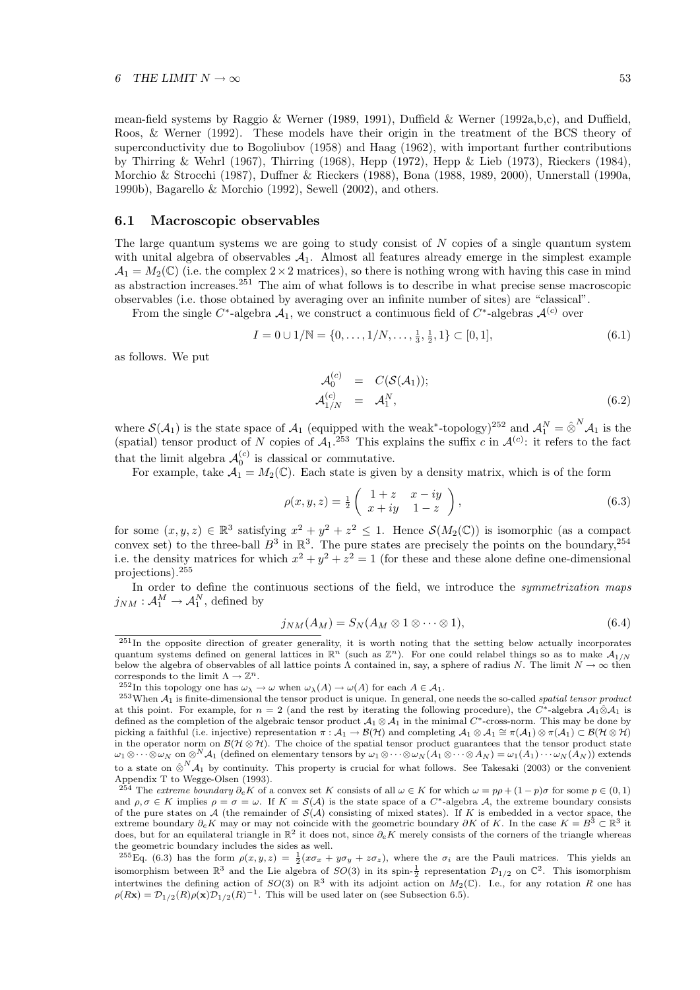mean-field systems by Raggio & Werner (1989, 1991), Duffield & Werner (1992a,b,c), and Duffield, Roos, & Werner (1992). These models have their origin in the treatment of the BCS theory of superconductivity due to Bogoliubov (1958) and Haag (1962), with important further contributions by Thirring & Wehrl (1967), Thirring (1968), Hepp (1972), Hepp & Lieb (1973), Rieckers (1984), Morchio & Strocchi (1987), Duffner & Rieckers (1988), Bona (1988, 1989, 2000), Unnerstall (1990a, 1990b), Bagarello & Morchio (1992), Sewell (2002), and others.

### 6.1 Macroscopic observables

The large quantum systems we are going to study consist of  $N$  copies of a single quantum system with unital algebra of observables  $A_1$ . Almost all features already emerge in the simplest example  $\mathcal{A}_1 = M_2(\mathbb{C})$  (i.e. the complex  $2 \times 2$  matrices), so there is nothing wrong with having this case in mind as abstraction increases. $251$  The aim of what follows is to describe in what precise sense macroscopic observables (i.e. those obtained by averaging over an infinite number of sites) are "classical".

From the single C<sup>\*</sup>-algebra  $A_1$ , we construct a continuous field of C<sup>\*</sup>-algebras  $A^{(c)}$  over

$$
I = 0 \cup 1/N = \{0, \dots, 1/N, \dots, \frac{1}{3}, \frac{1}{2}, 1\} \subset [0, 1],
$$
\n(6.1)

as follows. We put

$$
\mathcal{A}_0^{(c)} = C(\mathcal{S}(\mathcal{A}_1));
$$
\n
$$
\mathcal{A}_{1/N}^{(c)} = \mathcal{A}_1^N,
$$
\n(6.2)

where  $\mathcal{S}(\mathcal{A}_1)$  is the state space of  $\mathcal{A}_1$  (equipped with the weak<sup>\*</sup>-topology)<sup>252</sup> and  $\mathcal{A}_1^N = \hat{\otimes}^N \mathcal{A}_1$  is the (spatial) tensor product of N copies of  $A_1$ .<sup>253</sup> This explains the suffix c in  $A^{(c)}$ : it refers to the fact that the limit algebra  $\mathcal{A}_0^{(c)}$  is classical or commutative.

For example, take  $\mathcal{A}_1 = M_2(\mathbb{C})$ . Each state is given by a density matrix, which is of the form

$$
\rho(x,y,z) = \frac{1}{2} \begin{pmatrix} 1+z & x-iy \\ x+iy & 1-z \end{pmatrix},\tag{6.3}
$$

for some  $(x, y, z) \in \mathbb{R}^3$  satisfying  $x^2 + y^2 + z^2 \leq 1$ . Hence  $\mathcal{S}(M_2(\mathbb{C}))$  is isomorphic (as a compact convex set) to the three-ball  $B^3$  in  $\mathbb{R}^3$ . The pure states are precisely the points on the boundary,  $2^{54}$ i.e. the density matrices for which  $x^2 + y^2 + z^2 = 1$  (for these and these alone define one-dimensional projections).<sup>255</sup>

In order to define the continuous sections of the field, we introduce the symmetrization maps  $j_{NM}: \mathcal{A}_1^M \to \mathcal{A}_1^N$ , defined by

$$
j_{NM}(A_M) = S_N(A_M \otimes 1 \otimes \cdots \otimes 1),\tag{6.4}
$$

<sup>251</sup>In the opposite direction of greater generality, it is worth noting that the setting below actually incorporates quantum systems defined on general lattices in  $\mathbb{R}^n$  (such as  $\mathbb{Z}^n$ ). For one could relabel things so as to make  $\mathcal{A}_{1/N}$ below the algebra of observables of all lattice points  $\Lambda$  contained in, say, a sphere of radius N. The limit  $N \to \infty$  then corresponds to the limit  $\Lambda \to \mathbb{Z}^n$ .

 $^{252}\text{In}$  this topology one has  $\omega_{\lambda} \to \omega$  when  $\omega_{\lambda}(A) \to \omega(A)$  for each  $A \in \mathcal{A}_1$ .

 $^{253}$ When  $A_1$  is finite-dimensional the tensor product is unique. In general, one needs the so-called spatial tensor product at this point. For example, for  $n = 2$  (and the rest by iterating the following procedure), the C<sup>∗</sup>-algebra  $\mathcal{A}_1 \hat{\otimes} \mathcal{A}_1$  is defined as the completion of the algebraic tensor product  $\mathcal{A}_1 \otimes \mathcal{A}_1$  in the minimal C<sup>∗</sup>-cross-norm. This may be done by picking a faithful (i.e. injective) representation  $\pi : A_1 \to \mathcal{B}(\mathcal{H})$  and completing  $A_1 \otimes A_1 \cong \pi(A_1) \otimes \pi(A_1) \subset \mathcal{B}(\mathcal{H} \otimes \mathcal{H})$ in the operator norm on  $\mathcal{B}(\mathcal{H}\otimes\mathcal{H})$ . The choice of the spatial tensor product guarantees that the tensor product state  $\omega_1 \otimes \cdots \otimes \omega_N$  on  $\otimes^N A_1$  (defined on elementary tensors by  $\omega_1 \otimes \cdots \otimes \omega_N (A_1 \otimes \cdots \otimes A_N) = \omega_1(A_1) \cdots \omega_N(A_N)$ ) extends to a state on  $\hat{\otimes}^N A_1$  by continuity. This property is crucial for what follows. See Takesaki (2003) or the convenient Appendix T to Wegge-Olsen (1993).

<sup>&</sup>lt;sup>254</sup> The extreme boundary  $\partial_e K$  of a convex set K consists of all  $\omega \in K$  for which  $\omega = p\rho + (1-p)\sigma$  for some  $p \in (0,1)$ and  $\rho, \sigma \in K$  implies  $\rho = \sigma = \omega$ . If  $K = S(\mathcal{A})$  is the state space of a C<sup>\*</sup>-algebra  $\mathcal{A}$ , the extreme boundary consists of the pure states on A (the remainder of  $S(A)$  consisting of mixed states). If K is embedded in a vector space, the extreme boundary  $\partial_e K$  may or may not coincide with the geometric boundary  $\partial K$  of K. In the case  $K = B^3 \subset \mathbb{R}^3$  it does, but for an equilateral triangle in  $\mathbb{R}^2$  it does not, since  $\partial_e K$  merely consists of the corners of the triangle whereas the geometric boundary includes the sides as well.

<sup>&</sup>lt;sup>255</sup>Eq. (6.3) has the form  $\rho(x, y, z) = \frac{1}{2}(x\sigma_x + y\sigma_y + z\sigma_z)$ , where the  $\sigma_i$  are the Pauli matrices. This yields an isomorphism between  $\mathbb{R}^3$  and the Lie algebra of  $SO(3)$  in its spin- $\frac{1}{2}$  representation  $\mathcal{D}_{1/2}$  on  $\mathbb{C}^2$ . This isomorphism intertwines the defining action of  $SO(3)$  on  $\mathbb{R}^3$  with its adjoint action on  $M_2(\mathbb{C})$ . I.e., for any rotation R one has  $\rho(R\mathbf{x}) = \mathcal{D}_{1/2}(R)\rho(\mathbf{x})\mathcal{D}_{1/2}(R)^{-1}$ . This will be used later on (see Subsection 6.5).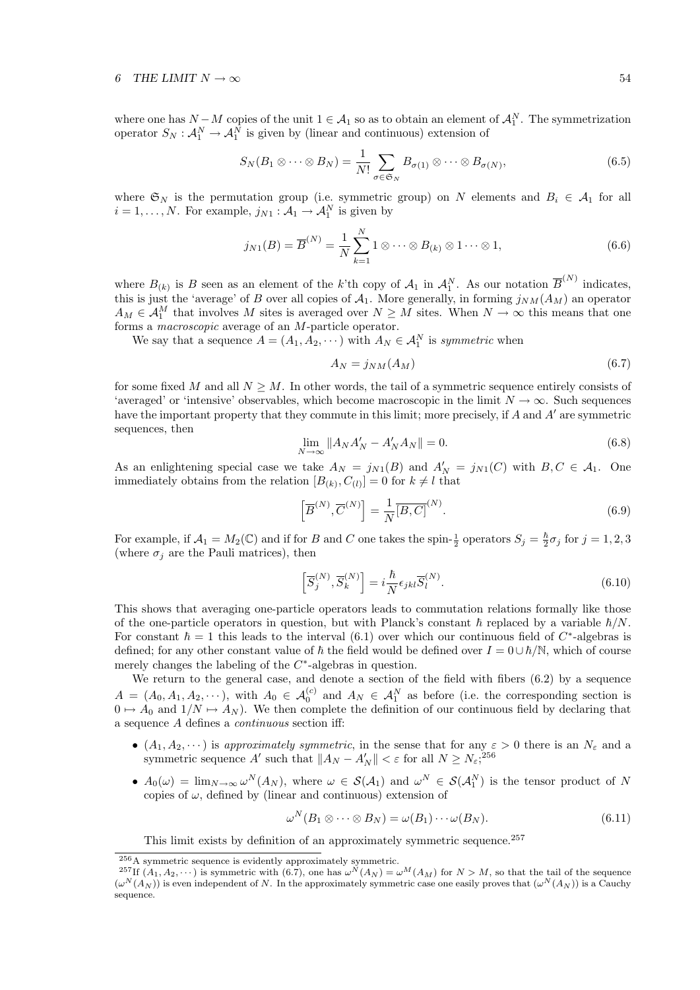where one has  $N-M$  copies of the unit  $1 \in \mathcal{A}_1$  so as to obtain an element of  $\mathcal{A}_1^N$ . The symmetrization operator  $S_N$ :  $\mathcal{A}_1^N \to \mathcal{A}_1^N$  is given by (linear and continuous) extension of

$$
S_N(B_1 \otimes \cdots \otimes B_N) = \frac{1}{N!} \sum_{\sigma \in \mathfrak{S}_N} B_{\sigma(1)} \otimes \cdots \otimes B_{\sigma(N)},
$$
(6.5)

where  $\mathfrak{S}_N$  is the permutation group (i.e. symmetric group) on N elements and  $B_i \in \mathcal{A}_1$  for all  $i = 1, ..., N$ . For example,  $j_{N1} : A_1 \to A_1^N$  is given by

$$
j_{N1}(B) = \overline{B}^{(N)} = \frac{1}{N} \sum_{k=1}^{N} 1 \otimes \cdots \otimes B_{(k)} \otimes 1 \cdots \otimes 1,
$$
\n(6.6)

where  $B_{(k)}$  is B seen as an element of the k'th copy of  $A_1$  in  $A_1^N$ . As our notation  $\overline{B}^{(N)}$  indicates, this is just the 'average' of B over all copies of  $A_1$ . More generally, in forming  $j_{NM}(A_M)$  an operator  $A_M \in \mathcal{A}_1^M$  that involves M sites is averaged over  $N \geq M$  sites. When  $N \to \infty$  this means that one forms a macroscopic average of an M-particle operator.

We say that a sequence  $A = (A_1, A_2, \dots)$  with  $A_N \in \mathcal{A}_1^N$  is symmetric when

$$
A_N = j_{NM}(A_M) \tag{6.7}
$$

for some fixed M and all  $N \geq M$ . In other words, the tail of a symmetric sequence entirely consists of 'averaged' or 'intensive' observables, which become macroscopic in the limit  $N \to \infty$ . Such sequences have the important property that they commute in this limit; more precisely, if A and  $A'$  are symmetric sequences, then

$$
\lim_{N \to \infty} \|A_N A'_N - A'_N A_N\| = 0.
$$
\n(6.8)

As an enlightening special case we take  $A_N = j_{N1}(B)$  and  $A'_N = j_{N1}(C)$  with  $B, C \in A_1$ . One immediately obtains from the relation  $[B_{(k)}, C_{(l)}] = 0$  for  $k \neq l$  that

$$
\left[\overline{B}^{(N)}, \overline{C}^{(N)}\right] = \frac{1}{N} \overline{\left[B, C\right]}^{(N)}.
$$
\n(6.9)

For example, if  $\mathcal{A}_1 = M_2(\mathbb{C})$  and if for B and C one takes the spin- $\frac{1}{2}$  operators  $S_j = \frac{\hbar}{2}$  $\frac{\hbar}{2}\sigma_j$  for  $j=1,2,3$ (where  $\sigma_j$  are the Pauli matrices), then

$$
\left[\overline{S}_{j}^{(N)}, \overline{S}_{k}^{(N)}\right] = i\frac{\hbar}{N} \epsilon_{jkl} \overline{S}_{l}^{(N)}.
$$
\n(6.10)

This shows that averaging one-particle operators leads to commutation relations formally like those of the one-particle operators in question, but with Planck's constant  $\hbar$  replaced by a variable  $\hbar/N$ . For constant  $\hbar = 1$  this leads to the interval (6.1) over which our continuous field of C<sup>\*</sup>-algebras is defined; for any other constant value of  $\hbar$  the field would be defined over  $I = 0\cup\hbar/N$ , which of course merely changes the labeling of the  $C^*$ -algebras in question.

We return to the general case, and denote a section of the field with fibers (6.2) by a sequence  $A = (A_0, A_1, A_2, \dots),$  with  $A_0 \in \mathcal{A}_0^{(c)}$  and  $A_N \in \mathcal{A}_1^N$  as before (i.e. the corresponding section is  $0 \mapsto A_0$  and  $1/N \mapsto A_N$ ). We then complete the definition of our continuous field by declaring that a sequence A defines a continuous section iff:

- $(A_1, A_2, \dots)$  is approximately symmetric, in the sense that for any  $\varepsilon > 0$  there is an  $N_{\varepsilon}$  and a symmetric sequence  $A'$  such that  $||A_N - A'_N|| < \varepsilon$  for all  $N \ge N_{\varepsilon};^{256}$
- $A_0(\omega) = \lim_{N \to \infty} \omega^N(A_N)$ , where  $\omega \in S(\mathcal{A}_1)$  and  $\omega^N \in S(\mathcal{A}_1^N)$  is the tensor product of N copies of  $\omega$ , defined by (linear and continuous) extension of

$$
\omega^N(B_1 \otimes \cdots \otimes B_N) = \omega(B_1) \cdots \omega(B_N). \tag{6.11}
$$

This limit exists by definition of an approximately symmetric sequence.<sup>257</sup>

<sup>256</sup>A symmetric sequence is evidently approximately symmetric.

<sup>&</sup>lt;sup>257</sup>If  $(A_1, A_2, \dots)$  is symmetric with (6.7), one has  $\omega^N(A_N) = \omega^M(A_M)$  for  $N > M$ , so that the tail of the sequence  $(\omega^N(A_N))$  is even independent of N. In the approximately symmetric case one easily proves that  $(\omega^N(A_N))$  is a Cauchy sequence.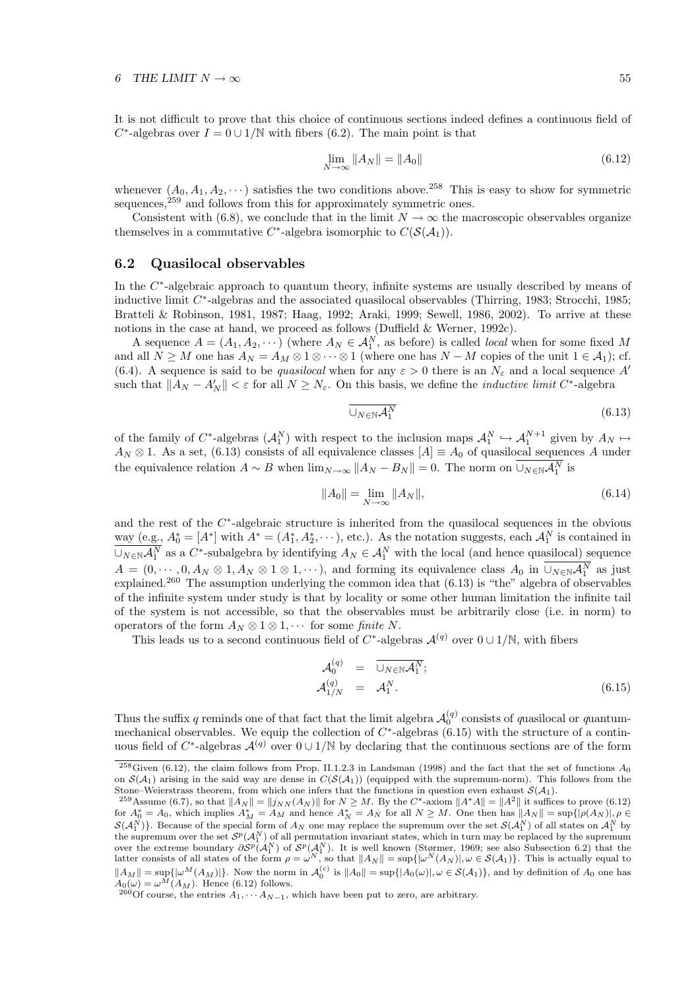It is not difficult to prove that this choice of continuous sections indeed defines a continuous field of  $C^*$ -algebras over  $I = 0 \cup 1/N$  with fibers (6.2). The main point is that

$$
\lim_{N \to \infty} \|A_N\| = \|A_0\| \tag{6.12}
$$

whenever  $(A_0, A_1, A_2, \dots)$  satisfies the two conditions above.<sup>258</sup> This is easy to show for symmetric sequences,  $259$  and follows from this for approximately symmetric ones.

Consistent with (6.8), we conclude that in the limit  $N \to \infty$  the macroscopic observables organize themselves in a commutative C<sup>\*</sup>-algebra isomorphic to  $C(\mathcal{S}(\mathcal{A}_1)).$ 

### 6.2 Quasilocal observables

In the  $C^*$ -algebraic approach to quantum theory, infinite systems are usually described by means of inductive limit  $C^*$ -algebras and the associated quasilocal observables (Thirring, 1983; Strocchi, 1985; Bratteli & Robinson, 1981, 1987; Haag, 1992; Araki, 1999; Sewell, 1986, 2002). To arrive at these notions in the case at hand, we proceed as follows (Duffield & Werner, 1992c).

A sequence  $A = (A_1, A_2, \dots)$  (where  $A_N \in \mathcal{A}_1^N$ , as before) is called *local* when for some fixed M and all  $N \geq M$  one has  $A_N = A_M \otimes 1 \otimes \cdots \otimes 1$  (where one has  $N - M$  copies of the unit  $1 \in \mathcal{A}_1$ ); cf. (6.4). A sequence is said to be *quasilocal* when for any  $\varepsilon > 0$  there is an  $N_{\varepsilon}$  and a local sequence A' such that  $||A_N - A'_N|| < \varepsilon$  for all  $N \ge N_{\varepsilon}$ . On this basis, we define the *inductive limit* C<sup>\*</sup>-algebra

$$
\overline{\cup_{N \in \mathbb{N}} \mathcal{A}_1^N} \tag{6.13}
$$

of the family of  $C^*$ -algebras  $(\mathcal{A}_1^N)$  with respect to the inclusion maps  $\mathcal{A}_1^N \hookrightarrow \mathcal{A}_1^{N+1}$  given by  $A_N \mapsto$  $A_N \otimes 1$ . As a set, (6.13) consists of all equivalence classes  $[A] \equiv A_0$  of quasilocal sequences A under the equivalence relation  $A \sim B$  when  $\lim_{N \to \infty} ||A_N - B_N|| = 0$ . The norm on  $\cup_{N \in \mathbb{N}} A_1^N$  is

$$
||A_0|| = \lim_{N \to \infty} ||A_N||,
$$
\n(6.14)

and the rest of the  $C^*$ -algebraic structure is inherited from the quasilocal sequences in the obvious way (e.g.,  $A_0^* = [A^*]$  with  $A^* = (A_1^*, A_2^*, \cdots)$ , etc.). As the notation suggests, each  $A_1^N$  is contained in  $\cup_{N\in\mathbb{N}}\mathcal{A}_1^N$  as a  $C^*$ -subalgebra by identifying  $A_N\in\mathcal{A}_1^N$  with the local (and hence quasilocal) sequence  $A = (0, \dots, 0, A_N \otimes 1, A_N \otimes 1 \otimes 1, \dots),$  and forming its equivalence class  $A_0$  in  $\cup_{N \in \mathbb{N}} A_1^N$  as just explained.<sup>260</sup> The assumption underlying the common idea that  $(6.13)$  is "the" algebra of observables of the infinite system under study is that by locality or some other human limitation the infinite tail of the system is not accessible, so that the observables must be arbitrarily close (i.e. in norm) to operators of the form  $A_N \otimes 1 \otimes 1, \cdots$  for some finite N.

This leads us to a second continuous field of  $C^*$ -algebras  $\mathcal{A}^{(q)}$  over  $0 \cup 1/\mathbb{N}$ , with fibers

$$
\mathcal{A}_0^{(q)} = \overline{\cup_{N \in \mathbb{N}} \mathcal{A}_1^N};
$$
\n
$$
\mathcal{A}_{1/N}^{(q)} = \mathcal{A}_1^N.
$$
\n(6.15)

Thus the suffix q reminds one of that fact that the limit algebra  $\mathcal{A}_0^{(q)}$  consists of quasilocal or quantummechanical observables. We equip the collection of  $C^*$ -algebras (6.15) with the structure of a continuous field of  $C^*$ -algebras  $\mathcal{A}^{(q)}$  over  $0 \cup 1/\mathbb{N}$  by declaring that the continuous sections are of the form

<sup>&</sup>lt;sup>258</sup>Given (6.12), the claim follows from Prop. II.1.2.3 in Landsman (1998) and the fact that the set of functions  $A_0$ on  $S(\mathcal{A}_1)$  arising in the said way are dense in  $C(S(\mathcal{A}_1))$  (equipped with the supremum-norm). This follows from the Stone–Weierstrass theorem, from which one infers that the functions in question even exhaust  $\mathcal{S}(\mathcal{A}_1)$ .

<sup>&</sup>lt;sup>259</sup>Assume (6.7), so that  $||A_N|| = ||j_{NN}(A_N)||$  for  $N \geq M$ . By the C<sup>∗</sup>-axiom  $||A^*A|| = ||A^2||$  it suffices to prove (6.12) for  $A_0^* = A_0$ , which implies  $A_M^* = A_M$  and hence  $A_N^* = A_N$  for all  $N \geq M$ . One then has  $||A_N|| = \sup\{|\rho(A_N)|, \rho \in \mathbb{R}\}$  $\mathcal{S}(\mathcal{A}_1^N)$ . Because of the special form of  $A_N$  one may replace the supremum over the set  $\mathcal{S}(\mathcal{A}_1^N)$  of all states on  $\mathcal{A}_1^N$ ) of all states on  $\mathcal{A}_1^N$  by the supremum over the set  $S^p(A_1^N)$  of all permutation invariant states, which in turn may be replaced by the supremum over the extreme boundary  $\partial \overline{\mathcal{S}^p}(\mathcal{A}_1^N)$  of  $\mathcal{S}^p(\mathcal{A}_1^N)$ . It is well known (Størmer, 1969; see also Subsection 6.2) that the latter consists of all states of the form  $\rho = \omega^N$ , so that  $||A_N|| = \sup\{|\omega^N(A_N)|, \omega \in S(\mathcal{A}_1)\}\.$  This is actually equal to  $||A_M|| = \sup\{|\omega^M(A_M)|\}\.$  Now the norm in  $\mathcal{A}_0^{(c)}$  is  $||A_0|| = \sup\{|A_0(\omega)|, \omega \in \mathcal{S}(\mathcal{A}_1)\}\.$  and by definition of  $A_0$  one has  $A_0(\omega) = \omega^M(A_M)$ . Hence (6.12) follows.

 $^{260}$ Of course, the entries  $A_1, \cdots A_{N-1}$ , which have been put to zero, are arbitrary.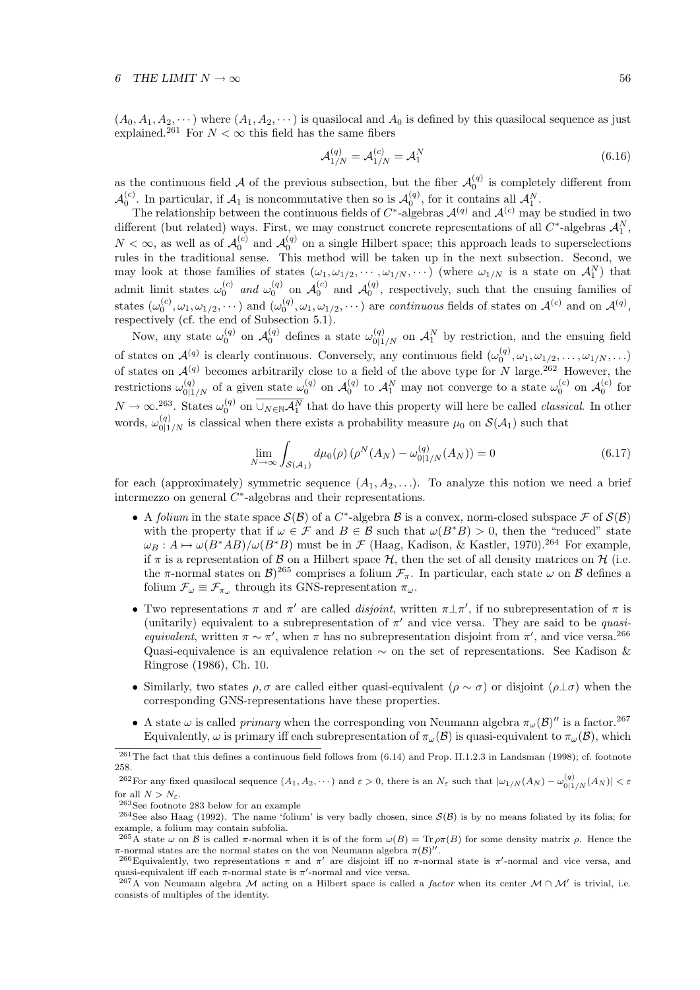$(A_0, A_1, A_2, \dots)$  where  $(A_1, A_2, \dots)$  is quasilocal and  $A_0$  is defined by this quasilocal sequence as just explained.<sup>261</sup> For  $N < \infty$  this field has the same fibers

$$
\mathcal{A}_{1/N}^{(q)} = \mathcal{A}_{1/N}^{(c)} = \mathcal{A}_1^N \tag{6.16}
$$

as the continuous field A of the previous subsection, but the fiber  $\mathcal{A}_0^{(q)}$  is completely different from  $\mathcal{A}_0^{(c)}$ . In particular, if  $\mathcal{A}_1$  is noncommutative then so is  $\mathcal{A}_0^{(q)}$ , for it contains all  $\mathcal{A}_1^N$ .

The relationship between the continuous fields of  $C^*$ -algebras  $\mathcal{A}^{(q)}$  and  $\mathcal{A}^{(c)}$  may be studied in two different (but related) ways. First, we may construct concrete representations of all  $C^*$ -algebras  $\mathcal{A}_1^N$ ,  $N < \infty$ , as well as of  $\mathcal{A}_0^{(c)}$  and  $\mathcal{A}_0^{(q)}$  on a single Hilbert space; this approach leads to superselections rules in the traditional sense. This method will be taken up in the next subsection. Second, we may look at those families of states  $(\omega_1, \omega_{1/2}, \cdots, \omega_{1/N}, \cdots)$  (where  $\omega_{1/N}$  is a state on  $\mathcal{A}_1^N$ ) that admit limit states  $\omega_0^{(c)}$  and  $\omega_0^{(q)}$  on  $\mathcal{A}_0^{(c)}$  and  $\mathcal{A}_0^{(q)}$ , respectively, such that the ensuing families of states  $(\omega_0^{(c)}, \omega_1, \omega_{1/2}, \cdots)$  and  $(\omega_0^{(q)}, \omega_1, \omega_{1/2}, \cdots)$  are *continuous* fields of states on  $\mathcal{A}^{(c)}$  and on  $\mathcal{A}^{(q)}$ , respectively (cf. the end of Subsection 5.1).

Now, any state  $\omega_0^{(q)}$  on  $\mathcal{A}_0^{(q)}$  defines a state  $\omega_{0|1/N}^{(q)}$  on  $\mathcal{A}_1^N$  by restriction, and the ensuing field of states on  $\mathcal{A}^{(q)}$  is clearly continuous. Conversely, any continuous field  $(\omega_0^{(q)}, \omega_1, \omega_{1/2}, \ldots, \omega_{1/N}, \ldots)$ of states on  $\mathcal{A}^{(q)}$  becomes arbitrarily close to a field of the above type for N large.<sup>262</sup> However, the restrictions  $\omega_{0|1/N}^{(q)}$  of a given state  $\omega_0^{(q)}$  on  $\mathcal{A}_0^{(q)}$  to  $\mathcal{A}_1^N$  may not converge to a state  $\omega_0^{(c)}$  on  $\mathcal{A}_0^{(c)}$  for  $N \to \infty$ . States  $\omega_0^{(q)}$  on  $\overline{\cup_{N \in \mathbb{N}} A_1^N}$  that do have this property will here be called *classical*. In other words,  $\omega_{0|1/N}^{(q)}$  is classical when there exists a probability measure  $\mu_0$  on  $\mathcal{S}(\mathcal{A}_1)$  such that

$$
\lim_{N \to \infty} \int_{\mathcal{S}(\mathcal{A}_1)} d\mu_0(\rho) \left( \rho^N(A_N) - \omega_{0|1/N}^{(q)}(A_N) \right) = 0 \tag{6.17}
$$

for each (approximately) symmetric sequence  $(A_1, A_2, \ldots)$ . To analyze this notion we need a brief intermezzo on general  $C^*$ -algebras and their representations.

- A folium in the state space  $\mathcal{S}(\mathcal{B})$  of a  $C^*$ -algebra  $\mathcal B$  is a convex, norm-closed subspace  $\mathcal F$  of  $\mathcal{S}(\mathcal{B})$ with the property that if  $\omega \in \mathcal{F}$  and  $B \in \mathcal{B}$  such that  $\omega(B^*B) > 0$ , then the "reduced" state  $\omega_B: A \mapsto \omega(B^*AB)/\omega(B^*B)$  must be in  $\mathcal F$  (Haag, Kadison, & Kastler, 1970).<sup>264</sup> For example, if  $\pi$  is a representation of  $\beta$  on a Hilbert space  $\mathcal{H}$ , then the set of all density matrices on  $\mathcal{H}$  (i.e. the  $\pi$ -normal states on  $\mathcal{B}$ <sup>265</sup> comprises a folium  $\mathcal{F}_{\pi}$ . In particular, each state  $\omega$  on  $\mathcal{B}$  defines a folium  $\mathcal{F}_{\omega} \equiv \mathcal{F}_{\pi_{\omega}}$  through its GNS-representation  $\pi_{\omega}$ .
- Two representations  $\pi$  and  $\pi'$  are called *disjoint*, written  $\pi \perp \pi'$ , if no subrepresentation of  $\pi$  is (unitarily) equivalent to a subrepresentation of  $\pi'$  and vice versa. They are said to be *quasi*equivalent, written  $\pi \sim \pi'$ , when  $\pi$  has no subrepresentation disjoint from  $\pi'$ , and vice versa.<sup>266</sup> Quasi-equivalence is an equivalence relation  $\sim$  on the set of representations. See Kadison & Ringrose (1986), Ch. 10.
- Similarly, two states  $\rho, \sigma$  are called either quasi-equivalent  $(\rho \sim \sigma)$  or disjoint  $(\rho \perp \sigma)$  when the corresponding GNS-representations have these properties.
- A state  $\omega$  is called *primary* when the corresponding von Neumann algebra  $\pi_{\omega}(\mathcal{B})''$  is a factor.<sup>267</sup> Equivalently,  $\omega$  is primary iff each subrepresentation of  $\pi_{\omega}(\mathcal{B})$  is quasi-equivalent to  $\pi_{\omega}(\mathcal{B})$ , which

 $\overline{^{261}$ The fact that this defines a continuous field follows from (6.14) and Prop. II.1.2.3 in Landsman (1998); cf. footnote 258.

<sup>&</sup>lt;sup>262</sup>For any fixed quasilocal sequence  $(A_1, A_2, \dots)$  and  $\varepsilon > 0$ , there is an  $N_{\varepsilon}$  such that  $|\omega_{1/N}(A_N) - \omega_{0|1/N}^{(q)}(A_N)| < \varepsilon$ for all  $N > N_{\varepsilon}$ .

<sup>263</sup>See footnote 283 below for an example

<sup>&</sup>lt;sup>264</sup>See also Haag (1992). The name 'folium' is very badly chosen, since  $S(\beta)$  is by no means foliated by its folia; for example, a folium may contain subfolia.

<sup>&</sup>lt;sup>265</sup>A state  $\omega$  on B is called  $\pi$ -normal when it is of the form  $\omega(B) = \text{Tr} \rho \pi(B)$  for some density matrix  $\rho$ . Hence the  $\pi$ -normal states are the normal states on the von Neumann algebra  $\pi(\mathcal{B})^{\prime\prime}$ .

<sup>&</sup>lt;sup>266</sup>Equivalently, two representations π and π' are disjoint iff no π-normal state is  $\pi'$ -normal and vice versa, and quasi-equivalent iff each  $\pi$ -normal state is  $\pi'$ -normal and vice versa.

<sup>&</sup>lt;sup>267</sup>A von Neumann algebra M acting on a Hilbert space is called a *factor* when its center  $M \cap M'$  is trivial, i.e. consists of multiples of the identity.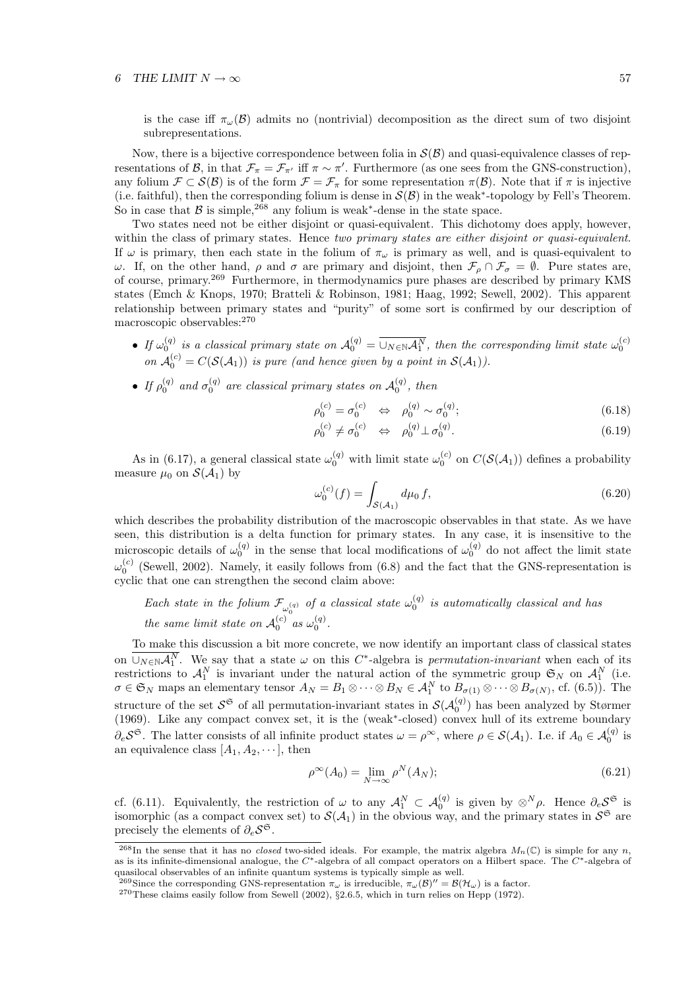is the case iff  $\pi_{\omega}(\mathcal{B})$  admits no (nontrivial) decomposition as the direct sum of two disjoint subrepresentations.

Now, there is a bijective correspondence between folia in  $\mathcal{S}(\mathcal{B})$  and quasi-equivalence classes of representations of B, in that  $\mathcal{F}_{\pi} = \mathcal{F}_{\pi'}$  iff  $\pi \sim \pi'$ . Furthermore (as one sees from the GNS-construction), any folium  $\mathcal{F} \subset \mathcal{S}(\mathcal{B})$  is of the form  $\mathcal{F} = \mathcal{F}_{\pi}$  for some representation  $\pi(\mathcal{B})$ . Note that if  $\pi$  is injective (i.e. faithful), then the corresponding folium is dense in  $\mathcal{S}(\mathcal{B})$  in the weak<sup>\*</sup>-topology by Fell's Theorem. So in case that  $\beta$  is simple,<sup>268</sup> any folium is weak<sup>\*</sup>-dense in the state space.

Two states need not be either disjoint or quasi-equivalent. This dichotomy does apply, however, within the class of primary states. Hence two primary states are either disjoint or quasi-equivalent. If  $\omega$  is primary, then each state in the folium of  $\pi_{\omega}$  is primary as well, and is quasi-equivalent to  $ω$ . If, on the other hand, *ρ* and *σ* are primary and disjoint, then  $\mathcal{F}_ρ ∩ \mathcal{F}_σ = ∅$ . Pure states are, of course, primary.<sup>269</sup> Furthermore, in thermodynamics pure phases are described by primary KMS states (Emch & Knops, 1970; Bratteli & Robinson, 1981; Haag, 1992; Sewell, 2002). This apparent relationship between primary states and "purity" of some sort is confirmed by our description of macroscopic observables:<sup>270</sup>

- If  $\omega_0^{(q)}$  is a classical primary state on  $\mathcal{A}_0^{(q)} = \overline{\cup_{N \in \mathbb{N}} \mathcal{A}_1^N}$ , then the corresponding limit state  $\omega_0^{(c)}$ on  $A_0^{(c)} = C(S(A_1))$  is pure (and hence given by a point in  $S(A_1)$ ).
- If  $\rho_0^{(q)}$  and  $\sigma_0^{(q)}$  are classical primary states on  $\mathcal{A}_0^{(q)}$ , then

$$
\rho_0^{(c)} = \sigma_0^{(c)} \quad \Leftrightarrow \quad \rho_0^{(q)} \sim \sigma_0^{(q)}; \tag{6.18}
$$

$$
\rho_0^{(c)} \neq \sigma_0^{(c)} \quad \Leftrightarrow \quad \rho_0^{(q)} \perp \sigma_0^{(q)}.\tag{6.19}
$$

As in (6.17), a general classical state  $\omega_0^{(q)}$  with limit state  $\omega_0^{(c)}$  on  $C(\mathcal{S}(\mathcal{A}_1))$  defines a probability measure  $\mu_0$  on  $\mathcal{S}(\mathcal{A}_1)$  by

$$
\omega_0^{(c)}(f) = \int_{\mathcal{S}(\mathcal{A}_1)} d\mu_0 f,\tag{6.20}
$$

which describes the probability distribution of the macroscopic observables in that state. As we have seen, this distribution is a delta function for primary states. In any case, it is insensitive to the microscopic details of  $\omega_0^{(q)}$  in the sense that local modifications of  $\omega_0^{(q)}$  do not affect the limit state  $\omega_0^{(c)}$  (Sewell, 2002). Namely, it easily follows from (6.8) and the fact that the GNS-representation is cyclic that one can strengthen the second claim above:

# Each state in the folium  $\mathcal{F}_{\omega_0^{(q)}}$  of a classical state  $\omega_0^{(q)}$  is automatically classical and has the same limit state on  $\mathcal{A}_0^{(c)}$  as  $\omega_0^{(q)}$ .

To make this discussion a bit more concrete, we now identify an important class of classical states on  $\cup_{N\in\mathbb{N}}\mathcal{A}_1^N$ . We say that a state  $\omega$  on this C<sup>\*</sup>-algebra is *permutation-invariant* when each of its restrictions to  $\mathcal{A}_1^N$  is invariant under the natural action of the symmetric group  $\mathfrak{S}_N$  on  $\mathcal{A}_1^N$  (i.e.  $\sigma \in \mathfrak{S}_N$  maps an elementary tensor  $A_N = B_1 \otimes \cdots \otimes B_N \in \mathcal{A}_1^N$  to  $B_{\sigma(1)} \otimes \cdots \otimes B_{\sigma(N)}$ , cf. (6.5)). The structure of the set  $\mathcal{S}^{\mathfrak{S}}$  of all permutation-invariant states in  $\mathcal{S}(\mathcal{A}_0^{(q)})$  has been analyzed by Størmer (1969). Like any compact convex set, it is the (weak<sup>∗</sup> -closed) convex hull of its extreme boundary  $\partial_{e}S^{\mathfrak{S}}$ . The latter consists of all infinite product states  $\omega = \rho^{\infty}$ , where  $\rho \in \mathcal{S}(\mathcal{A}_1)$ . I.e. if  $A_0 \in \mathcal{A}_0^{(q)}$  is an equivalence class  $[A_1, A_2, \cdots]$ , then

$$
\rho^{\infty}(A_0) = \lim_{N \to \infty} \rho^N(A_N); \tag{6.21}
$$

cf. (6.11). Equivalently, the restriction of  $\omega$  to any  $\mathcal{A}_1^N \subset \mathcal{A}_0^{(q)}$  is given by  $\otimes^N \rho$ . Hence  $\partial_{\varepsilon} \mathcal{S}^{\mathfrak{S}}$  is isomorphic (as a compact convex set) to  $\mathcal{S}(\mathcal{A}_1)$  in the obvious way, and the primary states in  $\mathcal{S}^{\mathfrak{S}}$  are precisely the elements of  $\partial_e \mathcal{S}^{\mathfrak{S}}$ .

<sup>&</sup>lt;sup>268</sup>In the sense that it has no *closed* two-sided ideals. For example, the matrix algebra  $M_n(\mathbb{C})$  is simple for any n, as is its infinite-dimensional analogue, the C∗-algebra of all compact operators on a Hilbert space. The C∗-algebra of quasilocal observables of an infinite quantum systems is typically simple as well.

<sup>&</sup>lt;sup>269</sup>Since the corresponding GNS-representation  $\pi_{\omega}$  is irreducible,  $\pi_{\omega}(\mathcal{B})'' = \mathcal{B}(\mathcal{H}_{\omega})$  is a factor.

<sup>270</sup>These claims easily follow from Sewell (2002), §2.6.5, which in turn relies on Hepp (1972).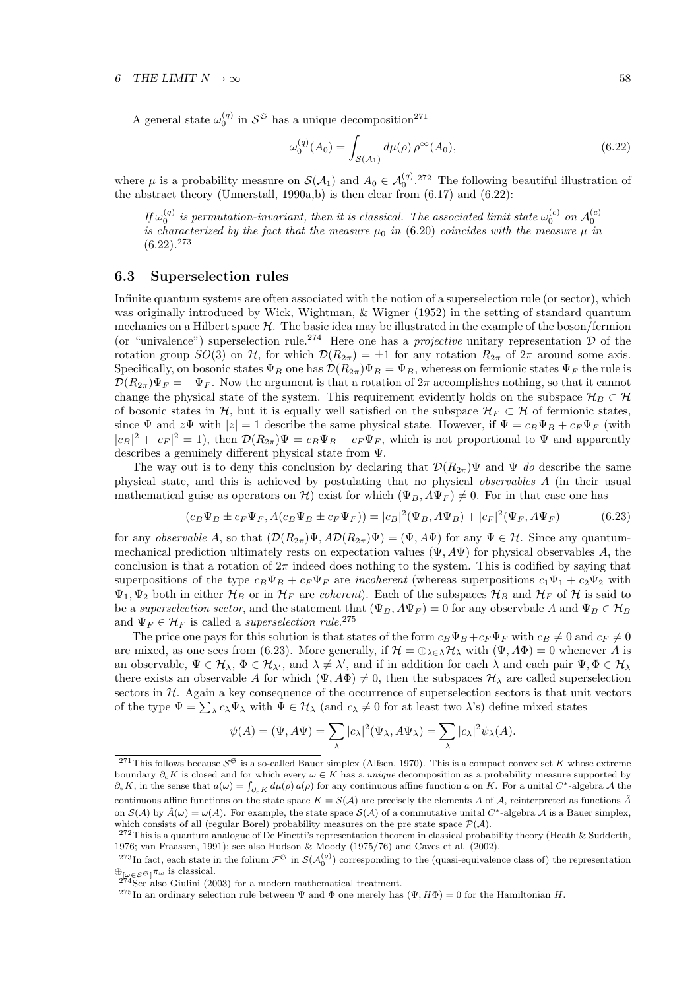A general state  $\omega_0^{(q)}$  in  $S^{\mathfrak{S}}$  has a unique decomposition<sup>271</sup>

$$
\omega_0^{(q)}(A_0) = \int_{\mathcal{S}(\mathcal{A}_1)} d\mu(\rho) \,\rho^{\infty}(A_0),\tag{6.22}
$$

where  $\mu$  is a probability measure on  $\mathcal{S}(\mathcal{A}_1)$  and  $A_0 \in \mathcal{A}_0^{(q)}$ . The following beautiful illustration of the abstract theory (Unnerstall, 1990a,b) is then clear from (6.17) and (6.22):

If  $\omega_0^{(q)}$  is permutation-invariant, then it is classical. The associated limit state  $\omega_0^{(c)}$  on  $\mathcal{A}_0^{(c)}$  is characterized by the fact that the measure  $\mu_0$  in (6.20) coincides with the measure  $\mu$  in  $(6.22).^{273}$ 

## 6.3 Superselection rules

Infinite quantum systems are often associated with the notion of a superselection rule (or sector), which was originally introduced by Wick, Wightman, & Wigner (1952) in the setting of standard quantum mechanics on a Hilbert space  $H$ . The basic idea may be illustrated in the example of the boson/fermion (or "univalence") superselection rule.<sup>274</sup> Here one has a *projective* unitary representation  $\mathcal D$  of the rotation group  $SO(3)$  on H, for which  $\mathcal{D}(R_{2\pi}) = \pm 1$  for any rotation  $R_{2\pi}$  of  $2\pi$  around some axis. Specifically, on bosonic states  $\Psi_B$  one has  $\mathcal{D}(R_{2\pi})\Psi_B = \Psi_B$ , whereas on fermionic states  $\Psi_F$  the rule is  $\mathcal{D}(R_{2\pi})\Psi_F = -\Psi_F$ . Now the argument is that a rotation of  $2\pi$  accomplishes nothing, so that it cannot change the physical state of the system. This requirement evidently holds on the subspace  $\mathcal{H}_B \subset \mathcal{H}$ of bosonic states in H, but it is equally well satisfied on the subspace  $\mathcal{H}_F \subset \mathcal{H}$  of fermionic states, since  $\Psi$  and  $z\Psi$  with  $|z|=1$  describe the same physical state. However, if  $\Psi = c_B \Psi_B + c_F \Psi_F$  (with  $|c_B|^2 + |c_F|^2 = 1$ , then  $\mathcal{D}(R_{2\pi})\Psi = c_B \Psi_B - c_F \Psi_F$ , which is not proportional to  $\Psi$  and apparently describes a genuinely different physical state from Ψ.

The way out is to deny this conclusion by declaring that  $\mathcal{D}(R_{2\pi})\Psi$  and  $\Psi$  do describe the same physical state, and this is achieved by postulating that no physical observables A (in their usual mathematical guise as operators on H) exist for which  $(\Psi_B, A\Psi_F) \neq 0$ . For in that case one has

$$
(c_B \Psi_B \pm c_F \Psi_F, A(c_B \Psi_B \pm c_F \Psi_F)) = |c_B|^2 (\Psi_B, A\Psi_B) + |c_F|^2 (\Psi_F, A\Psi_F)
$$
(6.23)

for any *observable A*, so that  $(\mathcal{D}(R_{2\pi})\Psi, A\mathcal{D}(R_{2\pi})\Psi) = (\Psi, A\Psi)$  for any  $\Psi \in \mathcal{H}$ . Since any quantummechanical prediction ultimately rests on expectation values  $(\Psi, A\Psi)$  for physical observables A, the conclusion is that a rotation of  $2\pi$  indeed does nothing to the system. This is codified by saying that superpositions of the type  $c_B \Psi_B + c_F \Psi_F$  are incoherent (whereas superpositions  $c_1 \Psi_1 + c_2 \Psi_2$  with  $\Psi_1, \Psi_2$  both in either  $\mathcal{H}_B$  or in  $\mathcal{H}_F$  are *coherent*). Each of the subspaces  $\mathcal{H}_B$  and  $\mathcal{H}_F$  of  $\mathcal{H}$  is said to be a superselection sector, and the statement that  $(\Psi_B, A\Psi_F) = 0$  for any observbale A and  $\Psi_B \in \mathcal{H}_B$ and  $\Psi_F \in \mathcal{H}_F$  is called a *superselection rule.*<sup>275</sup>

The price one pays for this solution is that states of the form  $c_B \Psi_B + c_F \Psi_F$  with  $c_B \neq 0$  and  $c_F \neq 0$ are mixed, as one sees from (6.23). More generally, if  $\mathcal{H} = \oplus_{\lambda \in \Lambda} \mathcal{H}_{\lambda}$  with  $(\Psi, A\Phi) = 0$  whenever A is an observable,  $\Psi \in \mathcal{H}_{\lambda}$ ,  $\Phi \in \mathcal{H}_{\lambda'}$ , and  $\lambda \neq \lambda'$ , and if in addition for each  $\lambda$  and each pair  $\Psi, \Phi \in \mathcal{H}_{\lambda}$ there exists an observable A for which  $(\Psi, A\Phi) \neq 0$ , then the subspaces  $\mathcal{H}_{\lambda}$  are called superselection sectors in  $H$ . Again a key consequence of the occurrence of superselection sectors is that unit vectors of the type  $\Psi = \sum_{\lambda} c_{\lambda} \Psi_{\lambda}$  with  $\Psi \in \mathcal{H}_{\lambda}$  (and  $c_{\lambda} \neq 0$  for at least two  $\lambda$ 's) define mixed states

$$
\psi(A) = (\Psi, A\Psi) = \sum_{\lambda} |c_{\lambda}|^{2} (\Psi_{\lambda}, A\Psi_{\lambda}) = \sum_{\lambda} |c_{\lambda}|^{2} \psi_{\lambda}(A).
$$

<sup>&</sup>lt;sup>271</sup>This follows because  $S^{\mathfrak{S}}$  is a so-called Bauer simplex (Alfsen, 1970). This is a compact convex set K whose extreme boundary  $\partial_e K$  is closed and for which every  $\omega \in K$  has a unique decomposition as a probability measure supported by  $\partial_e K$ , in the sense that  $a(\omega) = \int_{\partial_e K} d\mu(\rho) a(\rho)$  for any continuous affine function a on K. For a unital C<sup>\*</sup>-algebra A the continuous affine functions on the state space  $K = \mathcal{S}(\mathcal{A})$  are precisely the elements A of A, reinterpreted as functions  $\hat{A}$ on  $\mathcal{S}(\mathcal{A})$  by  $\hat{\mathcal{A}}(\omega) = \omega(\mathcal{A})$ . For example, the state space  $\mathcal{S}(\mathcal{A})$  of a commutative unital  $C^*$ -algebra  $\mathcal{A}$  is a Bauer simplex, which consists of all (regular Borel) probability measures on the pre state space  $\mathcal{P}(\mathcal{A})$ .

<sup>272</sup>This is a quantum analogue of De Finetti's representation theorem in classical probability theory (Heath & Sudderth, 1976; van Fraassen, 1991); see also Hudson & Moody (1975/76) and Caves et al. (2002).

<sup>&</sup>lt;sup>273</sup>In fact, each state in the folium  $\mathcal{F}^{\mathfrak{S}}$  in  $\mathcal{S}(\mathcal{A}_0^{(q)})$  corresponding to the (quasi-equivalence class of) the representation  $\bigoplus_{\substack{\omega \in \mathcal{S}^{\mathfrak{S}}}} \pi_{\omega}$  is classical.

See also Giulini (2003) for a modern mathematical treatment.

<sup>&</sup>lt;sup>275</sup>In an ordinary selection rule between  $\Psi$  and  $\Phi$  one merely has  $(\Psi, H\Phi) = 0$  for the Hamiltonian H.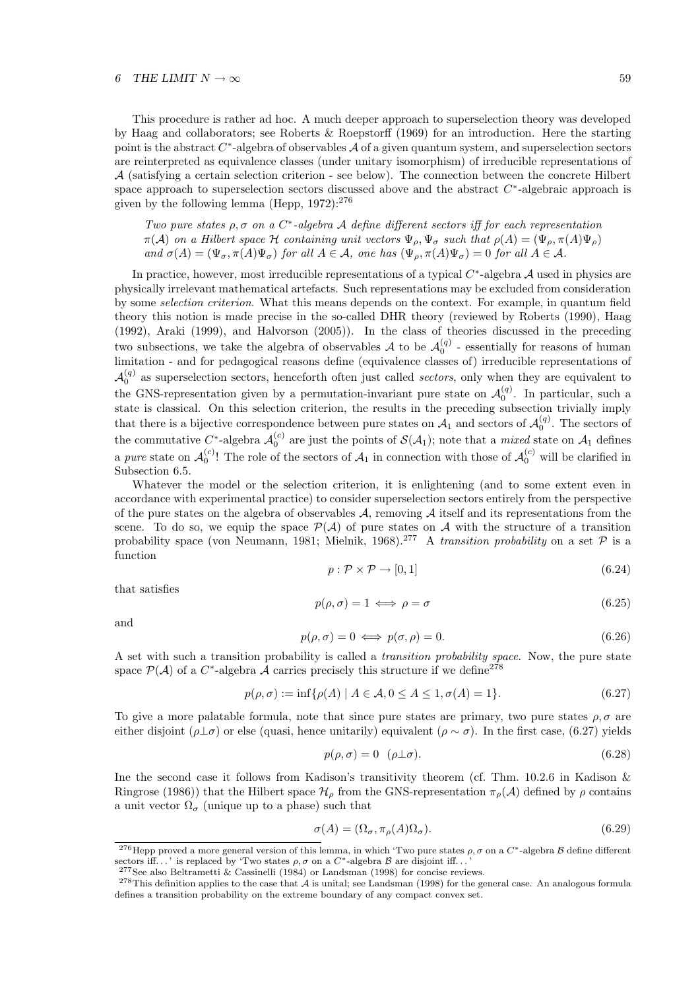This procedure is rather ad hoc. A much deeper approach to superselection theory was developed by Haag and collaborators; see Roberts & Roepstorff (1969) for an introduction. Here the starting point is the abstract  $C^*$ -algebra of observables  $A$  of a given quantum system, and superselection sectors are reinterpreted as equivalence classes (under unitary isomorphism) of irreducible representations of A (satisfying a certain selection criterion - see below). The connection between the concrete Hilbert space approach to superselection sectors discussed above and the abstract  $C^*$ -algebraic approach is given by the following lemma (Hepp,  $1972$ ):<sup>276</sup>

Two pure states  $\rho$ ,  $\sigma$  on a  $C^*$ -algebra A define different sectors iff for each representation  $\pi(\mathcal{A})$  on a Hilbert space H containing unit vectors  $\Psi_{\rho}, \Psi_{\sigma}$  such that  $\rho(A) = (\Psi_{\rho}, \pi(A)\Psi_{\rho})$ and  $\sigma(A) = (\Psi_{\sigma}, \pi(A)\Psi_{\sigma})$  for all  $A \in \mathcal{A}$ , one has  $(\Psi_{\sigma}, \pi(A)\Psi_{\sigma}) = 0$  for all  $A \in \mathcal{A}$ .

In practice, however, most irreducible representations of a typical  $C^*$ -algebra  $\mathcal A$  used in physics are physically irrelevant mathematical artefacts. Such representations may be excluded from consideration by some selection criterion. What this means depends on the context. For example, in quantum field theory this notion is made precise in the so-called DHR theory (reviewed by Roberts (1990), Haag (1992), Araki (1999), and Halvorson (2005)). In the class of theories discussed in the preceding two subsections, we take the algebra of observables  $A$  to be  $A_0^{(q)}$  - essentially for reasons of human limitation - and for pedagogical reasons define (equivalence classes of) irreducible representations of  $\mathcal{A}_0^{(q)}$  as superselection sectors, henceforth often just called sectors, only when they are equivalent to the GNS-representation given by a permutation-invariant pure state on  $\mathcal{A}_0^{(q)}$ . In particular, such a state is classical. On this selection criterion, the results in the preceding subsection trivially imply that there is a bijective correspondence between pure states on  $\mathcal{A}_1$  and sectors of  $\mathcal{A}_0^{(q)}$ . The sectors of the commutative C<sup>\*</sup>-algebra  $\mathcal{A}_0^{(c)}$  are just the points of  $\mathcal{S}(\mathcal{A}_1)$ ; note that a *mixed* state on  $\mathcal{A}_1$  defines a pure state on  $\mathcal{A}_0^{(c)}$ ! The role of the sectors of  $\mathcal{A}_1$  in connection with those of  $\mathcal{A}_0^{(c)}$  will be clarified in Subsection 6.5.

Whatever the model or the selection criterion, it is enlightening (and to some extent even in accordance with experimental practice) to consider superselection sectors entirely from the perspective of the pure states on the algebra of observables  $A$ , removing  $A$  itself and its representations from the scene. To do so, we equip the space  $\mathcal{P}(\mathcal{A})$  of pure states on  $\mathcal{A}$  with the structure of a transition probability space (von Neumann, 1981; Mielnik, 1968).<sup>277</sup> A *transition probability* on a set  $P$  is a function

$$
p: \mathcal{P} \times \mathcal{P} \to [0, 1] \tag{6.24}
$$

that satisfies

$$
p(\rho, \sigma) = 1 \iff \rho = \sigma \tag{6.25}
$$

and

$$
p(\rho, \sigma) = 0 \iff p(\sigma, \rho) = 0. \tag{6.26}
$$

A set with such a transition probability is called a transition probability space. Now, the pure state space  $\mathcal{P}(\mathcal{A})$  of a C<sup>\*</sup>-algebra  $\mathcal A$  carries precisely this structure if we define<sup>278</sup>

$$
p(\rho, \sigma) := \inf \{ \rho(A) \mid A \in \mathcal{A}, 0 \le A \le 1, \sigma(A) = 1 \}. \tag{6.27}
$$

To give a more palatable formula, note that since pure states are primary, two pure states  $\rho, \sigma$  are either disjoint ( $\rho \perp \sigma$ ) or else (quasi, hence unitarily) equivalent ( $\rho \sim \sigma$ ). In the first case, (6.27) yields

$$
p(\rho, \sigma) = 0 \quad (\rho \perp \sigma). \tag{6.28}
$$

Ine the second case it follows from Kadison's transitivity theorem (cf. Thm. 10.2.6 in Kadison & Ringrose (1986)) that the Hilbert space  $\mathcal{H}_{\rho}$  from the GNS-representation  $\pi_{\rho}(\mathcal{A})$  defined by  $\rho$  contains a unit vector  $\Omega_{\sigma}$  (unique up to a phase) such that

$$
\sigma(A) = (\Omega_{\sigma}, \pi_{\rho}(A)\Omega_{\sigma}).
$$
\n(6.29)

<sup>&</sup>lt;sup>276</sup>Hepp proved a more general version of this lemma, in which 'Two pure states  $\rho$ ,  $\sigma$  on a  $C^*$ -algebra  $\beta$  define different sectors iff...' is replaced by 'Two states  $\rho$ ,  $\sigma$  on a  $C^*$ -algebra  $\beta$  are disjoint iff...

 $277$ See also Beltrametti & Cassinelli (1984) or Landsman (1998) for concise reviews.

<sup>&</sup>lt;sup>278</sup>This definition applies to the case that  $\hat{A}$  is unital; see Landsman (1998) for the general case. An analogous formula defines a transition probability on the extreme boundary of any compact convex set.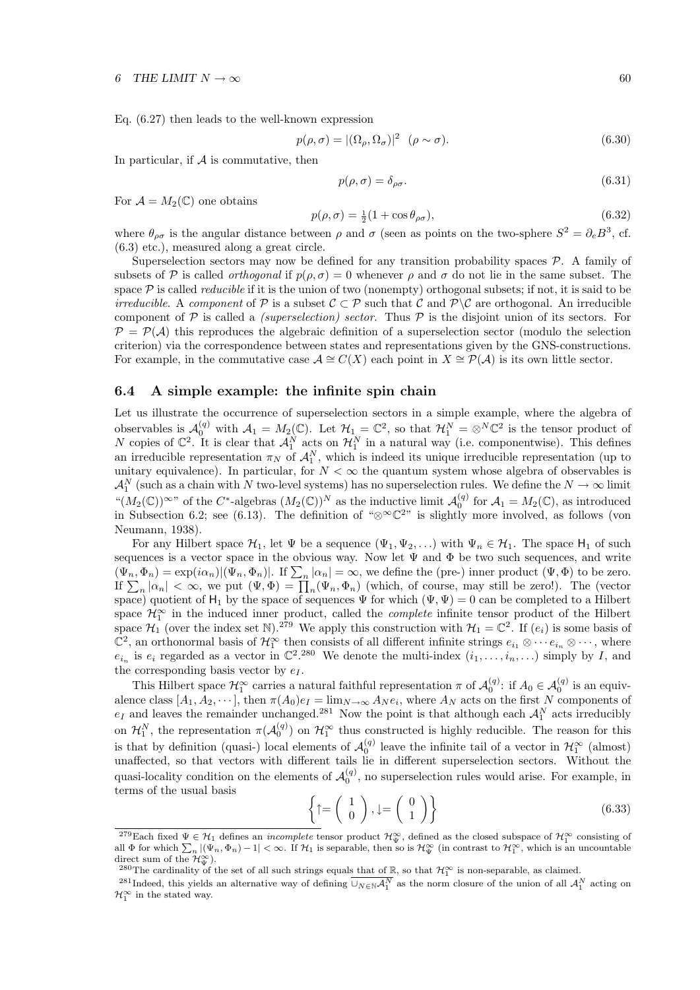For  $\mathcal{A} = M_2(\mathbb{C})$  one obtains

Eq. (6.27) then leads to the well-known expression

$$
p(\rho, \sigma) = |(\Omega_{\rho}, \Omega_{\sigma})|^2 \quad (\rho \sim \sigma). \tag{6.30}
$$

In particular, if  $A$  is commutative, then

$$
p(\rho, \sigma) = \delta_{\rho\sigma}.\tag{6.31}
$$

$$
p(\rho, \sigma) = \frac{1}{2}(1 + \cos \theta_{\rho\sigma}),
$$
\n(6.32)

where  $\theta_{\rho\sigma}$  is the angular distance between  $\rho$  and  $\sigma$  (seen as points on the two-sphere  $S^2 = \partial_e B^3$ , cf. (6.3) etc.), measured along a great circle.

Superselection sectors may now be defined for any transition probability spaces  $P$ . A family of subsets of P is called *orthogonal* if  $p(\rho, \sigma) = 0$  whenever  $\rho$  and  $\sigma$  do not lie in the same subset. The space  $P$  is called *reducible* if it is the union of two (nonempty) orthogonal subsets; if not, it is said to be *irreducible.* A *component* of P is a subset  $C \subset P$  such that C and  $P \setminus C$  are orthogonal. An irreducible component of  $P$  is called a *(superselection) sector*. Thus  $P$  is the disjoint union of its sectors. For  $\mathcal{P} = \mathcal{P}(\mathcal{A})$  this reproduces the algebraic definition of a superselection sector (modulo the selection criterion) via the correspondence between states and representations given by the GNS-constructions. For example, in the commutative case  $\mathcal{A} \cong C(X)$  each point in  $X \cong \mathcal{P}(\mathcal{A})$  is its own little sector.

### 6.4 A simple example: the infinite spin chain

Let us illustrate the occurrence of superselection sectors in a simple example, where the algebra of observables is  $\mathcal{A}_0^{(q)}$  with  $\mathcal{A}_1 = M_2(\mathbb{C})$ . Let  $\mathcal{H}_1 = \mathbb{C}^2$ , so that  $\mathcal{H}_1^N = \otimes^N \mathbb{C}^2$  is the tensor product of N copies of  $\mathbb{C}^2$ . It is clear that  $\mathcal{A}_1^N$  acts on  $\mathcal{H}_1^N$  in a natural way (i.e. componentwise). This defines an irreducible representation  $\pi_N$  of  $\mathcal{A}_1^N$ , which is indeed its unique irreducible representation (up to unitary equivalence). In particular, for  $N < \infty$  the quantum system whose algebra of observables is  $\mathcal{A}_1^N$  (such as a chain with N two-level systems) has no superselection rules. We define the  $N \to \infty$  limit " $(M_2(\mathbb{C}))^{\infty}$ " of the C\*-algebras  $(M_2(\mathbb{C}))^N$  as the inductive limit  $\mathcal{A}_0^{(q)}$  for  $\mathcal{A}_1 = M_2(\mathbb{C})$ , as introduced in Subsection 6.2; see (6.13). The definition of "⊗ $\infty$ C<sup>2</sup>" is slightly more involved, as follows (von Neumann, 1938).

For any Hilbert space  $\mathcal{H}_1$ , let  $\Psi$  be a sequence  $(\Psi_1, \Psi_2, \ldots)$  with  $\Psi_n \in \mathcal{H}_1$ . The space  $H_1$  of such sequences is a vector space in the obvious way. Now let  $\Psi$  and  $\Phi$  be two such sequences, and write  $(\Psi_n, \Phi_n) = \exp(i\alpha_n) |(\Psi_n, \Phi_n)|$ . If  $\sum_n |\alpha_n| = \infty$ , we define the (pre-) inner product  $(\Psi, \Phi)$  to be zero. If  $\sum_{n} |\alpha_n| < \infty$ , we put  $(\Psi, \Phi) = \prod_{n} (\Psi_n, \Phi_n)$  (which, of course, may still be zero!). The (vector space) quotient of  $H_1$  by the space of sequences  $\Psi$  for which  $(\Psi, \Psi) = 0$  can be completed to a Hilbert space  $\mathcal{H}_{1}^{\infty}$  in the induced inner product, called the *complete* infinite tensor product of the Hilbert space  $\mathcal{H}_1$  (over the index set N).<sup>279</sup> We apply this construction with  $\mathcal{H}_1 = \mathbb{C}^2$ . If  $(e_i)$  is some basis of  $\mathbb{C}^2$ , an orthonormal basis of  $\mathcal{H}_1^{\infty}$  then consists of all different infinite strings  $e_{i_1} \otimes \cdots e_{i_n} \otimes \cdots$ , where  $e_{i_n}$  is  $e_i$  regarded as a vector in  $\mathbb{C}^2$ . <sup>280</sup> We denote the multi-index  $(i_1, \ldots, i_n, \ldots)$  simply by I, and the corresponding basis vector by  $e_I$ .

This Hilbert space  $\mathcal{H}_1^{\infty}$  carries a natural faithful representation  $\pi$  of  $\mathcal{A}_0^{(q)}$ : if  $A_0 \in \mathcal{A}_0^{(q)}$  is an equivalence class  $[A_1, A_2, \dots]$ , then  $\pi(A_0)e_I = \lim_{N \to \infty} A_N e_i$ , where  $A_N$  acts on the first N components of  $e_I$  and leaves the remainder unchanged.<sup>281</sup> Now the point is that although each  $\mathcal{A}_1^N$  acts irreducibly on  $\mathcal{H}_1^N$ , the representation  $\pi(\mathcal{A}_0^{(q)})$  on  $\mathcal{H}_1^{\infty}$  thus constructed is highly reducible. The reason for this is that by definition (quasi-) local elements of  $\mathcal{A}_0^{(q)}$  leave the infinite tail of a vector in  $\mathcal{H}_1^{\infty}$  (almost) unaffected, so that vectors with different tails lie in different superselection sectors. Without the quasi-locality condition on the elements of  $\mathcal{A}_0^{(q)}$ , no superselection rules would arise. For example, in terms of the usual basis

$$
\left\{ \uparrow = \left( \begin{array}{c} 1 \\ 0 \end{array} \right), \downarrow = \left( \begin{array}{c} 0 \\ 1 \end{array} \right) \right\} \tag{6.33}
$$

<sup>&</sup>lt;sup>279</sup>Each fixed  $\Psi \in \mathcal{H}_1$  defines an *incomplete* tensor product  $\mathcal{H}_{\Psi}^{\infty}$ , defined as the closed subspace of  $\mathcal{H}_1^{\infty}$  consisting of all  $\Phi$  for which  $\sum_{n} |(\Psi_n, \Phi_n) - 1| < \infty$ . If  $\mathcal{H}_1$  is separable, then so is  $\mathcal{H}_{\Psi}^{\infty}$  (in contrast to  $\mathcal{H}_1^{\infty}$ , which is an uncountable direct sum of the  $\mathcal{H}_{\Psi}^{\infty}$ ).

<sup>&</sup>lt;sup>280</sup>The cardinality of the set of all such strings equals that of R, so that  $\mathcal{H}_1^{\infty}$  is non-separable, as claimed.

<sup>&</sup>lt;sup>281</sup>Indeed, this yields an alternative way of defining  $\cup_{N\in\mathbb{N}}\mathcal{A}_1^N$  as the norm closure of the union of all  $\mathcal{A}_1^N$  acting on  $\mathcal{H}_1^\infty$  in the stated way.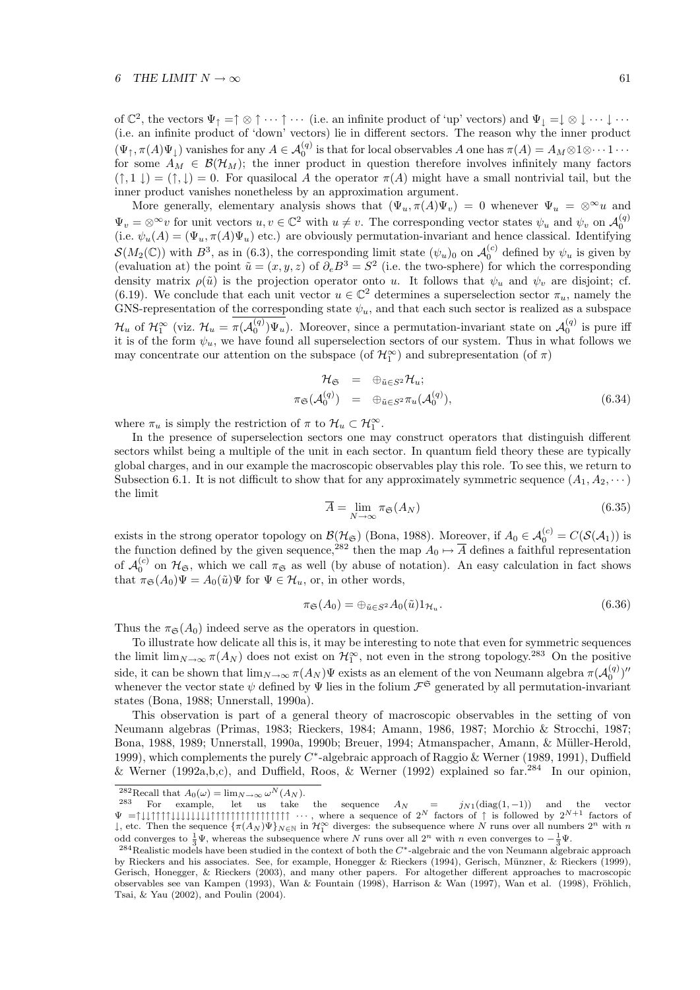of  $\mathbb{C}^2$ , the vectors  $\Psi_{\uparrow} = \uparrow \otimes \uparrow \cdots \uparrow \cdots$  (i.e. an infinite product of 'up' vectors) and  $\Psi_{\downarrow} = \downarrow \otimes \downarrow \cdots \downarrow \cdots$ (i.e. an infinite product of 'down' vectors) lie in different sectors. The reason why the inner product  $(\Psi_{\uparrow}, \pi(A)\Psi_{\downarrow})$  vanishes for any  $A \in \mathcal{A}_0^{(q)}$  is that for local observables A one has  $\pi(A) = A_M \otimes 1 \otimes \cdots 1 \cdots$ for some  $A_M$   $\in$   $\mathcal{B}(\mathcal{H}_M)$ ; the inner product in question therefore involves infinitely many factors  $(\uparrow, 1 \downarrow) = (\uparrow, \downarrow) = 0$ . For quasilocal A the operator  $\pi(A)$  might have a small nontrivial tail, but the inner product vanishes nonetheless by an approximation argument.

More generally, elementary analysis shows that  $(\Psi_u, \pi(A)\Psi_v) = 0$  whenever  $\Psi_u = \otimes^{\infty} u$  and  $\Psi_v = \otimes^{\infty} v$  for unit vectors  $u, v \in \mathbb{C}^2$  with  $u \neq v$ . The corresponding vector states  $\psi_u$  and  $\psi_v$  on  $\mathcal{A}_0^{(q)}$ (i.e.  $\psi_u(A) = (\Psi_u, \pi(A)\Psi_u)$  etc.) are obviously permutation-invariant and hence classical. Identifying  $\mathcal{S}(M_2(\mathbb{C}))$  with  $B^3$ , as in (6.3), the corresponding limit state  $(\psi_u)_0$  on  $\mathcal{A}_0^{(c)}$  defined by  $\psi_u$  is given by (evaluation at) the point  $\tilde{u} = (x, y, z)$  of  $\partial_{e}B^{3} = S^{2}$  (i.e. the two-sphere) for which the corresponding density matrix  $\rho(\tilde{u})$  is the projection operator onto u. It follows that  $\psi_u$  and  $\psi_v$  are disjoint; cf. (6.19). We conclude that each unit vector  $u \in \mathbb{C}^2$  determines a superselection sector  $\pi_u$ , namely the GNS-representation of the corresponding state  $\psi_u$ , and that each such sector is realized as a subspace  $\mathcal{H}_u$  of  $\mathcal{H}_1^{\infty}$  (viz.  $\mathcal{H}_u = \pi(\mathcal{A}_0^{(q)})\Psi_u$ ). Moreover, since a permutation-invariant state on  $\mathcal{A}_0^{(q)}$  is pure iff it is of the form  $\psi_u$ , we have found all superselection sectors of our system. Thus in what follows we may concentrate our attention on the subspace (of  $\mathcal{H}_1^{\infty}$ ) and subrepresentation (of  $\pi$ )

$$
\mathcal{H}_{\mathfrak{S}} = \oplus_{\tilde{u} \in S^2} \mathcal{H}_u; \n\pi_{\mathfrak{S}}(\mathcal{A}_0^{(q)}) = \oplus_{\tilde{u} \in S^2} \pi_u(\mathcal{A}_0^{(q)}),
$$
\n(6.34)

where  $\pi_u$  is simply the restriction of  $\pi$  to  $\mathcal{H}_u \subset \mathcal{H}_1^{\infty}$ .

In the presence of superselection sectors one may construct operators that distinguish different sectors whilst being a multiple of the unit in each sector. In quantum field theory these are typically global charges, and in our example the macroscopic observables play this role. To see this, we return to Subsection 6.1. It is not difficult to show that for any approximately symmetric sequence  $(A_1, A_2, \dots)$ the limit

$$
\overline{A} = \lim_{N \to \infty} \pi_{\mathfrak{S}}(A_N) \tag{6.35}
$$

exists in the strong operator topology on  $\mathcal{B}(\mathcal{H}_{\mathfrak{S}})$  (Bona, 1988). Moreover, if  $A_0 \in \mathcal{A}_0^{(c)} = C(\mathcal{S}(\mathcal{A}_1))$  is the function defined by the given sequence,<sup>282</sup> then the map  $A_0 \mapsto \overline{A}$  defines a faithful representation of  $\mathcal{A}_0^{(c)}$  on  $\mathcal{H}_{\mathfrak{S}}$ , which we call  $\pi_{\mathfrak{S}}$  as well (by abuse of notation). An easy calculation in fact shows that  $\pi_{\mathfrak{S}}(A_0)\Psi = A_0(\tilde{u})\Psi$  for  $\Psi \in \mathcal{H}_u$ , or, in other words,

$$
\pi_{\mathfrak{S}}(A_0) = \oplus_{\tilde{u} \in S^2} A_0(\tilde{u}) 1_{\mathcal{H}_u}.
$$
\n(6.36)

Thus the  $\pi_{\mathfrak{S}}(A_0)$  indeed serve as the operators in question.

To illustrate how delicate all this is, it may be interesting to note that even for symmetric sequences the limit  $\lim_{N\to\infty} \pi(A_N)$  does not exist on  $\mathcal{H}_1^{\infty}$ , not even in the strong topology.<sup>283</sup> On the positive side, it can be shown that  $\lim_{N\to\infty} \pi(A_N)\Psi$  exists as an element of the von Neumann algebra  $\pi(\mathcal{A}_0^{(q)})''$ whenever the vector state  $\psi$  defined by  $\Psi$  lies in the folium  $\mathcal{F}^{\mathfrak{S}}$  generated by all permutation-invariant states (Bona, 1988; Unnerstall, 1990a).

This observation is part of a general theory of macroscopic observables in the setting of von Neumann algebras (Primas, 1983; Rieckers, 1984; Amann, 1986, 1987; Morchio & Strocchi, 1987; Bona, 1988, 1989; Unnerstall, 1990a, 1990b; Breuer, 1994; Atmanspacher, Amann, & Müller-Herold, 1999), which complements the purely  $C^*$ -algebraic approach of Raggio & Werner (1989, 1991), Duffield & Werner (1992a,b,c), and Duffield, Roos, & Werner (1992) explained so far.<sup>284</sup> In our opinion,

<sup>&</sup>lt;sup>282</sup>Recall that  $A_0(\omega) = \lim_{N \to \infty} \omega^N(A_N)$ .<br><sup>283</sup> Exp. oxymple let us take

<sup>283</sup> For example, let us take the sequence  $A_N = j_{N1}(\text{diag}(1,-1))$  and the vector Ψ =↑↓↓↑↑↑↑↓↓↓↓↓↓↓↓↑↑↑↑↑↑↑↑↑↑↑↑↑↑↑↑ · · · , where a sequence of 2<sup>N</sup> factors of ↑ is followed by 2N+1 factors of  $\downarrow$ , etc. Then the sequence  $\{\pi(A_N)\Psi\}_{N\in\mathbb{N}}$  in  $\mathcal{H}_1^{\infty}$  diverges: the subsequence where N runs over all numbers 2<sup>n</sup> with n odd converges to  $\frac{1}{3}\Psi$ , whereas the subsequence where N runs over all  $2^n$  with n even converges to  $-\frac{1}{3}\Psi$ .<br><sup>284</sup>Realistic models have been studied in the context of both the C<sup>∗</sup>-algebraic and the von Neumann al

by Rieckers and his associates. See, for example, Honegger & Rieckers (1994), Gerisch, Münzner, & Rieckers (1999), Gerisch, Honegger, & Rieckers (2003), and many other papers. For altogether different approaches to macroscopic observables see van Kampen (1993), Wan & Fountain (1998), Harrison & Wan (1997), Wan et al. (1998), Fröhlich, Tsai, & Yau (2002), and Poulin (2004).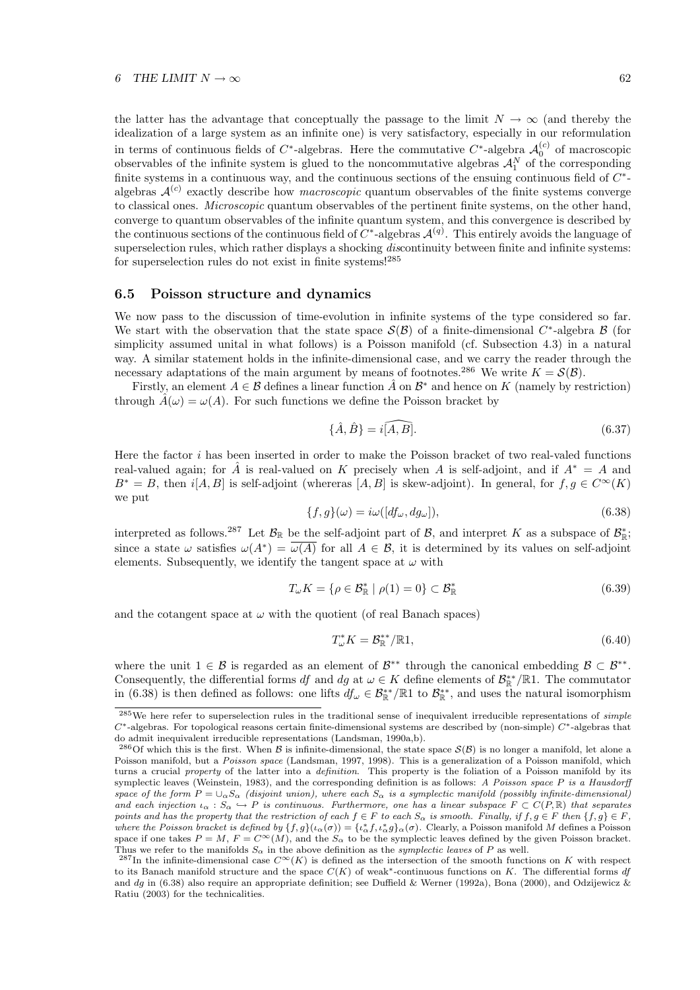the latter has the advantage that conceptually the passage to the limit  $N \to \infty$  (and thereby the idealization of a large system as an infinite one) is very satisfactory, especially in our reformulation in terms of continuous fields of  $C^*$ -algebras. Here the commutative  $C^*$ -algebra  $\mathcal{A}_0^{(c)}$  of macroscopic observables of the infinite system is glued to the noncommutative algebras  $\mathcal{A}_1^N$  of the corresponding finite systems in a continuous way, and the continuous sections of the ensuing continuous field of  $C^*$ algebras  $\mathcal{A}^{(c)}$  exactly describe how *macroscopic* quantum observables of the finite systems converge to classical ones. Microscopic quantum observables of the pertinent finite systems, on the other hand, converge to quantum observables of the infinite quantum system, and this convergence is described by the continuous sections of the continuous field of  $C^*$ -algebras  $\mathcal{A}^{(q)}$ . This entirely avoids the language of superselection rules, which rather displays a shocking discontinuity between finite and infinite systems: for superselection rules do not exist in finite systems!<sup>285</sup>

### 6.5 Poisson structure and dynamics

We now pass to the discussion of time-evolution in infinite systems of the type considered so far. We start with the observation that the state space  $\mathcal{S}(\mathcal{B})$  of a finite-dimensional C<sup>\*</sup>-algebra  $\mathcal{B}$  (for simplicity assumed unital in what follows) is a Poisson manifold (cf. Subsection 4.3) in a natural way. A similar statement holds in the infinite-dimensional case, and we carry the reader through the necessary adaptations of the main argument by means of footnotes.<sup>286</sup> We write  $K = \mathcal{S}(\mathcal{B})$ .

Firstly, an element  $A \in \mathcal{B}$  defines a linear function  $\hat{A}$  on  $\mathcal{B}^*$  and hence on K (namely by restriction) through  $\hat{A}(\omega) = \omega(A)$ . For such functions we define the Poisson bracket by

$$
\{\hat{A}, \hat{B}\} = i\widehat{[A, B]}.\tag{6.37}
$$

Here the factor i has been inserted in order to make the Poisson bracket of two real-valed functions real-valued again; for  $\hat{A}$  is real-valued on K precisely when A is self-adjoint, and if  $A^* = A$  and  $B^* = B$ , then  $i[A, B]$  is self-adjoint (whereras  $[A, B]$  is skew-adjoint). In general, for  $f, g \in C^{\infty}(K)$ we put

$$
\{f, g\}(\omega) = i\omega([df_{\omega}, dg_{\omega}]),\tag{6.38}
$$

interpreted as follows.<sup>287</sup> Let  $\mathcal{B}_{\mathbb{R}}$  be the self-adjoint part of  $\mathcal{B}$ , and interpret K as a subspace of  $\mathcal{B}_{\mathbb{R}}^*$ ; since a state  $\omega$  satisfies  $\omega(A^*) = \overline{\omega(A)}$  for all  $A \in \mathcal{B}$ , it is determined by its values on self-adjoint elements. Subsequently, we identify the tangent space at  $\omega$  with

$$
T_{\omega}K = \{ \rho \in \mathcal{B}_{\mathbb{R}}^* \mid \rho(1) = 0 \} \subset \mathcal{B}_{\mathbb{R}}^* \tag{6.39}
$$

and the cotangent space at  $\omega$  with the quotient (of real Banach spaces)

$$
T_{\omega}^* K = \mathcal{B}_{\mathbb{R}}^{**} / \mathbb{R} \mathbf{1},\tag{6.40}
$$

where the unit  $1 \in \mathcal{B}$  is regarded as an element of  $\mathcal{B}^{**}$  through the canonical embedding  $\mathcal{B} \subset \mathcal{B}^{**}$ . Consequently, the differential forms df and dg at  $\omega \in K$  define elements of  $\mathcal{B}_{\mathbb{R}}^{**}/\mathbb{R}$ 1. The commutator in (6.38) is then defined as follows: one lifts  $df_\omega \in \mathcal{B}_{\mathbb{R}}^{**}/\mathbb{R}1$  to  $\mathcal{B}_{\mathbb{R}}^{**}$ , and uses the natural isomorphism

<sup>&</sup>lt;sup>285</sup>We here refer to superselection rules in the traditional sense of inequivalent irreducible representations of *simple*  $C^*$ -algebras. For topological reasons certain finite-dimensional systems are described by (non-simple)  $C^*$ -algebras that do admit inequivalent irreducible representations (Landsman, 1990a,b).

<sup>&</sup>lt;sup>286</sup>Of which this is the first. When B is infinite-dimensional, the state space  $S(\mathcal{B})$  is no longer a manifold, let alone a Poisson manifold, but a Poisson space (Landsman, 1997, 1998). This is a generalization of a Poisson manifold, which turns a crucial property of the latter into a *definition*. This property is the foliation of a Poisson manifold by its symplectic leaves (Weinstein, 1983), and the corresponding definition is as follows: A Poisson space P is a Hausdorff space of the form  $P = \bigcup_{\alpha} S_{\alpha}$  (disjoint union), where each  $S_{\alpha}$  is a symplectic manifold (possibly infinite-dimensional) and each injection  $\iota_{\alpha}: S_{\alpha} \to P$  is continuous. Furthermore, one has a linear subspace  $F \subset C(P, \mathbb{R})$  that separates points and has the property that the restriction of each  $f \in F$  to each  $S_{\alpha}$  is smooth. Finally, if  $f, g \in F$  then  $\{f, g\} \in F$ , where the Poisson bracket is defined by  $\{f,g\}(\iota_{\alpha}(\sigma)) = \{\iota_{\alpha}^* f, \iota_{\alpha}^* g\}_{\alpha}(\sigma)$ . Clearly, a Poisson manifold M defines a Poisson space if one takes  $P = M$ ,  $F = C^{\infty}(M)$ , and the  $S_{\alpha}$  to be the symplectic leaves defined by the given Poisson bracket. Thus we refer to the manifolds  $S_{\alpha}$  in the above definition as the *symplectic leaves* of P as well.

<sup>&</sup>lt;sup>287</sup>In the infinite-dimensional case  $C^{\infty}(K)$  is defined as the intersection of the smooth functions on K with respect to its Banach manifold structure and the space  $C(K)$  of weak<sup>\*</sup>-continuous functions on K. The differential forms df and dg in (6.38) also require an appropriate definition; see Duffield & Werner (1992a), Bona (2000), and Odzijewicz & Ratiu (2003) for the technicalities.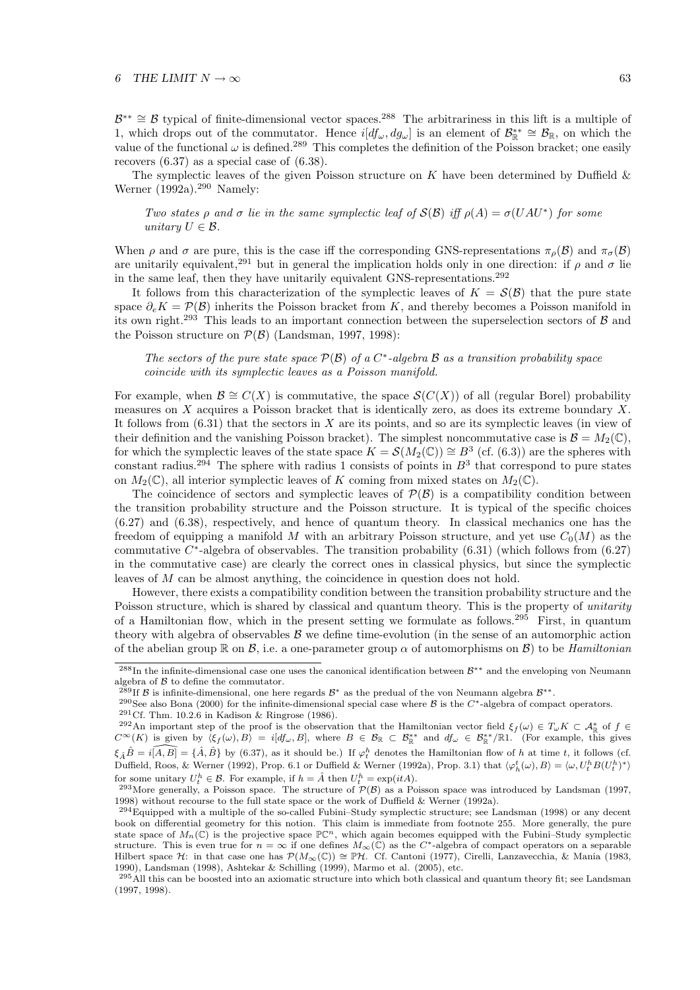$\mathcal{B}^{**} \cong \mathcal{B}$  typical of finite-dimensional vector spaces.<sup>288</sup> The arbitrariness in this lift is a multiple of 1, which drops out of the commutator. Hence  $i[df_{\omega}, dg_{\omega}]$  is an element of  $\mathcal{B}_{\mathbb{R}}^{**} \cong \mathcal{B}_{\mathbb{R}}$ , on which the value of the functional  $\omega$  is defined.<sup>289</sup> This completes the definition of the Poisson bracket; one easily recovers (6.37) as a special case of (6.38).

The symplectic leaves of the given Poisson structure on K have been determined by Duffield  $\&$ Werner  $(1992a).^{290}$  Namely:

Two states  $\rho$  and  $\sigma$  lie in the same symplectic leaf of  $S(\mathcal{B})$  iff  $\rho(A) = \sigma(UAU^*)$  for some unitary  $U \in \mathcal{B}$ .

When  $\rho$  and  $\sigma$  are pure, this is the case iff the corresponding GNS-representations  $\pi_{\rho}(\mathcal{B})$  and  $\pi_{\sigma}(\mathcal{B})$ are unitarily equivalent,<sup>291</sup> but in general the implication holds only in one direction: if  $\rho$  and  $\sigma$  lie in the same leaf, then they have unitarily equivalent GNS-representations.<sup>292</sup>

It follows from this characterization of the symplectic leaves of  $K = \mathcal{S}(\mathcal{B})$  that the pure state space  $\partial_e K = \mathcal{P}(\mathcal{B})$  inherits the Poisson bracket from K, and thereby becomes a Poisson manifold in its own right.<sup>293</sup> This leads to an important connection between the superselection sectors of  $\beta$  and the Poisson structure on  $\mathcal{P}(\mathcal{B})$  (Landsman, 1997, 1998):

### The sectors of the pure state space  $\mathcal{P}(\mathcal{B})$  of a C<sup>\*</sup>-algebra  $\mathcal B$  as a transition probability space coincide with its symplectic leaves as a Poisson manifold.

For example, when  $\mathcal{B} \cong C(X)$  is commutative, the space  $\mathcal{S}(C(X))$  of all (regular Borel) probability measures on X acquires a Poisson bracket that is identically zero, as does its extreme boundary X. It follows from  $(6.31)$  that the sectors in X are its points, and so are its symplectic leaves (in view of their definition and the vanishing Poisson bracket). The simplest noncommutative case is  $\mathcal{B} = M_2(\mathbb{C}),$ for which the symplectic leaves of the state space  $K = \mathcal{S}(M_2(\mathbb{C})) \cong B^3$  (cf. (6.3)) are the spheres with constant radius.<sup>294</sup> The sphere with radius 1 consists of points in  $B^3$  that correspond to pure states on  $M_2(\mathbb{C})$ , all interior symplectic leaves of K coming from mixed states on  $M_2(\mathbb{C})$ .

The coincidence of sectors and symplectic leaves of  $\mathcal{P}(\mathcal{B})$  is a compatibility condition between the transition probability structure and the Poisson structure. It is typical of the specific choices (6.27) and (6.38), respectively, and hence of quantum theory. In classical mechanics one has the freedom of equipping a manifold M with an arbitrary Poisson structure, and yet use  $C_0(M)$  as the commutative  $C^*$ -algebra of observables. The transition probability  $(6.31)$  (which follows from  $(6.27)$ ) in the commutative case) are clearly the correct ones in classical physics, but since the symplectic leaves of M can be almost anything, the coincidence in question does not hold.

However, there exists a compatibility condition between the transition probability structure and the Poisson structure, which is shared by classical and quantum theory. This is the property of unitarity of a Hamiltonian flow, which in the present setting we formulate as follows.<sup>295</sup> First, in quantum theory with algebra of observables  $\mathcal{B}$  we define time-evolution (in the sense of an automorphic action of the abelian group R on B, i.e. a one-parameter group  $\alpha$  of automorphisms on B) to be *Hamiltonian* 

 $^{288}$ In the infinite-dimensional case one uses the canonical identification between  $\mathcal{B}^{**}$  and the enveloping von Neumann algebra of  $\beta$  to define the commutator.

<sup>&</sup>lt;sup>289</sup>If B is infinite-dimensional, one here regards  $B^*$  as the predual of the von Neumann algebra  $B^{**}$ .

<sup>&</sup>lt;sup>290</sup>See also Bona (2000) for the infinite-dimensional special case where B is the C<sup>∗</sup>-algebra of compact operators. <sup>291</sup>Cf. Thm. 10.2.6 in Kadison & Ringrose (1986).

<sup>&</sup>lt;sup>292</sup>An important step of the proof is the observation that the Hamiltonian vector field  $\xi_f(\omega) \in T_\omega K \subset \mathcal{A}_{\mathbb{R}}^*$  of  $f \in$  $C^{\infty}(K)$  is given by  $\langle \xi_f(\omega), B \rangle = i[d\omega, B],$  where  $B \in \mathcal{B}_{\mathbb{R}} \subset \mathcal{B}_{\mathbb{R}}^{**}$  and  $df_{\omega} \in \mathcal{B}_{\mathbb{R}}^{**}/\mathbb{R}$ . (For example, this gives  $\{\hat{A}, \hat{B} = i\widehat{[A,B]} = \{\hat{A},\hat{B}\}\$  by (6.37), as it should be.) If  $\varphi_t^h$  denotes the Hamiltonian flow of h at time t, it follows (cf. Duffield, Roos, & Werner (1992), Prop. 6.1 or Duffield & Werner (1992a), Prop. 3.1) that  $\langle \varphi_h^t(\omega), B \rangle = \langle \omega, U_t^h B (U_t^h)^* \rangle$ for some unitary  $U_t^h \in \mathcal{B}$ . For example, if  $h = \hat{A}$  then  $U_t^h = \exp(itA)$ .

<sup>&</sup>lt;sup>293</sup>More generally, a Poisson space. The structure of  $\mathcal{P}(B)$  as a Poisson space was introduced by Landsman (1997, 1998) without recourse to the full state space or the work of Duffield & Werner (1992a).

 $^{294}$ Equipped with a multiple of the so-called Fubini–Study symplectic structure; see Landsman (1998) or any decent book on differential geometry for this notion. This claim is immediate from footnote 255. More generally, the pure state space of  $M_n(\mathbb{C})$  is the projective space  $\mathbb{P}\mathbb{C}^n$ , which again becomes equipped with the Fubini–Study symplectic structure. This is even true for  $n = \infty$  if one defines  $M_{\infty}(\mathbb{C})$  as the C<sup>\*</sup>-algebra of compact operators on a separable Hilbert space H: in that case one has  $\mathcal{P}(M_{\infty}(\mathbb{C})) \cong \mathbb{P}H$ . Cf. Cantoni (1977), Cirelli, Lanzavecchia, & Mania (1983, 1990), Landsman (1998), Ashtekar & Schilling (1999), Marmo et al. (2005), etc.

<sup>295</sup>All this can be boosted into an axiomatic structure into which both classical and quantum theory fit; see Landsman (1997, 1998).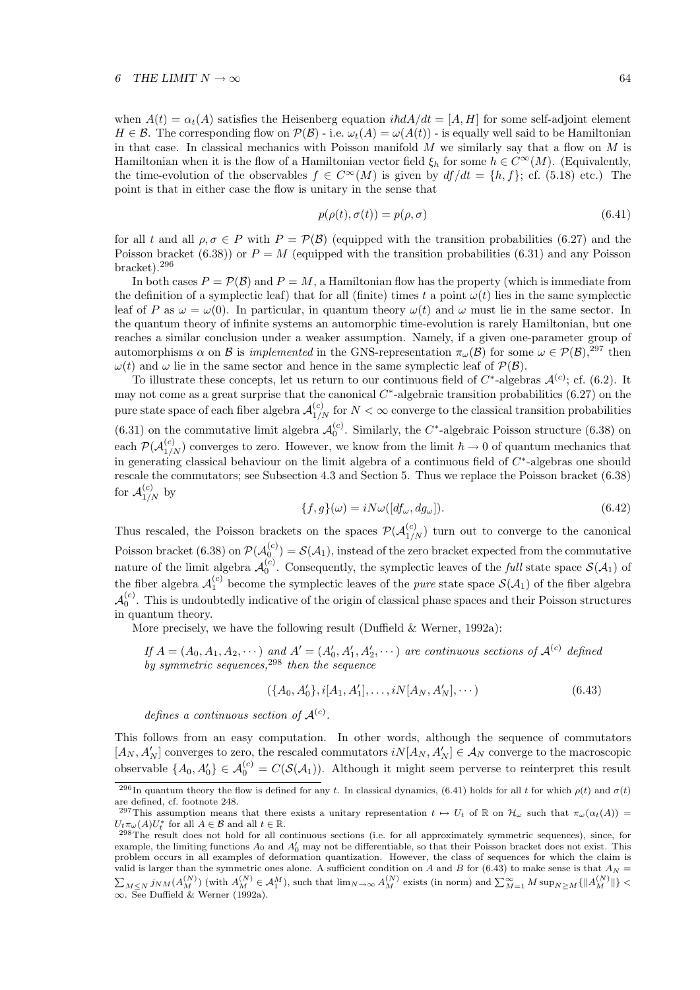when  $A(t) = \alpha_t(A)$  satisfies the Heisenberg equation  $i\hbar dA/dt = [A, H]$  for some self-adjoint element  $H \in \mathcal{B}$ . The corresponding flow on  $\mathcal{P}(\mathcal{B})$  - i.e.  $\omega_t(A) = \omega(A(t))$  - is equally well said to be Hamiltonian in that case. In classical mechanics with Poisson manifold  $M$  we similarly say that a flow on  $M$  is Hamiltonian when it is the flow of a Hamiltonian vector field  $\xi_h$  for some  $h \in C^{\infty}(M)$ . (Equivalently, the time-evolution of the observables  $f \in C^{\infty}(M)$  is given by  $df/dt = \{h, f\}$ ; cf. (5.18) etc.) The point is that in either case the flow is unitary in the sense that

$$
p(\rho(t), \sigma(t)) = p(\rho, \sigma) \tag{6.41}
$$

for all t and all  $\rho, \sigma \in P$  with  $P = \mathcal{P}(\mathcal{B})$  (equipped with the transition probabilities (6.27) and the Poisson bracket (6.38)) or  $P = M$  (equipped with the transition probabilities (6.31) and any Poisson bracket).<sup>296</sup>

In both cases  $P = \mathcal{P}(\mathcal{B})$  and  $P = M$ , a Hamiltonian flow has the property (which is immediate from the definition of a symplectic leaf) that for all (finite) times t a point  $\omega(t)$  lies in the same symplectic leaf of P as  $\omega = \omega(0)$ . In particular, in quantum theory  $\omega(t)$  and  $\omega$  must lie in the same sector. In the quantum theory of infinite systems an automorphic time-evolution is rarely Hamiltonian, but one reaches a similar conclusion under a weaker assumption. Namely, if a given one-parameter group of automorphisms  $\alpha$  on  $\beta$  is *implemented* in the GNS-representation  $\pi_{\omega}(\beta)$  for some  $\omega \in \mathcal{P}(\beta)$ ,<sup>297</sup> then  $\omega(t)$  and  $\omega$  lie in the same sector and hence in the same symplectic leaf of  $\mathcal{P}(\mathcal{B})$ .

To illustrate these concepts, let us return to our continuous field of  $C^*$ -algebras  $\mathcal{A}^{(c)}$ ; cf. (6.2). It may not come as a great surprise that the canonical  $C^*$ -algebraic transition probabilities (6.27) on the pure state space of each fiber algebra  $A_{1/N}^{(c)}$  for  $N < \infty$  converge to the classical transition probabilities (6.31) on the commutative limit algebra  $\mathcal{A}_0^{(c)}$ . Similarly, the C<sup>\*</sup>-algebraic Poisson structure (6.38) on each  $\mathcal{P}(\mathcal{A}_{1/N}^{(c)})$  converges to zero. However, we know from the limit  $\hbar \to 0$  of quantum mechanics that in generating classical behaviour on the limit algebra of a continuous field of  $C^*$ -algebras one should rescale the commutators; see Subsection 4.3 and Section 5. Thus we replace the Poisson bracket (6.38) for  $\mathcal{A}_{1/N}^{(c)}$  by

$$
\{f, g\}(\omega) = iN\omega([df_{\omega}, dg_{\omega}]).
$$
\n(6.42)

Thus rescaled, the Poisson brackets on the spaces  $\mathcal{P}(\mathcal{A}_{1/N}^{(c)})$  turn out to converge to the canonical Poisson bracket (6.38) on  $\mathcal{P}(\mathcal{A}_0^{(c)})=\mathcal{S}(\mathcal{A}_1)$ , instead of the zero bracket expected from the commutative nature of the limit algebra  $\mathcal{A}_0^{(c)}$ . Consequently, the symplectic leaves of the *full* state space  $\mathcal{S}(\mathcal{A}_1)$  of the fiber algebra  $\mathcal{A}_1^{(c)}$  become the symplectic leaves of the *pure* state space  $\mathcal{S}(\mathcal{A}_1)$  of the fiber algebra  $\mathcal{A}_0^{(c)}$ . This is undoubtedly indicative of the origin of classical phase spaces and their Poisson structures in quantum theory.

More precisely, we have the following result (Duffield & Werner, 1992a):

If  $A = (A_0, A_1, A_2, \dots)$  and  $A' = (A'_0, A'_1, A'_2, \dots)$  are continuous sections of  $\mathcal{A}^{(c)}$  defined by symmetric sequences,<sup>298</sup> then the sequence

$$
(\{A_0, A'_0\}, i[A_1, A'_1], \dots, iN[A_N, A'_N], \dots)
$$
\n(6.43)

defines a continuous section of  $\mathcal{A}^{(c)}$ .

This follows from an easy computation. In other words, although the sequence of commutators  $[A_N, A'_N]$  converges to zero, the rescaled commutators  $i[N[A_N, A'_N] \in \mathcal{A}_N$  converge to the macroscopic observable  $\{A_0, A'_0\} \in \mathcal{A}_0^{(c)} = C(\mathcal{S}(\mathcal{A}_1))$ . Although it might seem perverse to reinterpret this result

 $\frac{296}{\text{In quantum theory the flow is defined for any } t$ . In classical dynamics, (6.41) holds for all t for which  $\rho(t)$  and  $\sigma(t)$ are defined, cf. footnote 248.<br><sup>297</sup>This assumption means that there exists a unitary representation  $t \mapsto U_t$  of R on  $\mathcal{H}_{\omega}$  such that  $\pi_{\omega}(\alpha_t(A)) =$ 

 $U_t \pi_\omega(A) U_t^*$  for all  $A \in \mathcal{B}$  and all  $t \in \mathbb{R}$ .

<sup>&</sup>lt;sup>298</sup>The result does not hold for all continuous sections (i.e. for all approximately symmetric sequences), since, for example, the limiting functions  $A_0$  and  $A'_0$  may not be differentiable, so that their Poisson bracket does not exist. This problem occurs in all examples of deformation quantization. However, the class of sequences for which the claim is valid is larger than the symmetric ones alone. A sufficient condition on A and B for (6.43) to make sense is that  $A_N =$  $\sum_{M\leq N} j_{NM}(A_M^{(N)})$  (with  $A_M^{(N)} \in \mathcal{A}_1^M$ ), such that  $\lim_{N\to\infty} A_M^{(N)}$  exists (in norm) and  $\sum_{M=1}^{\infty} M \sup_{N\geq M} {\{\Vert A_M^{(N)} \Vert\}}$  $\infty$ . See Duffield & Werner (1992a).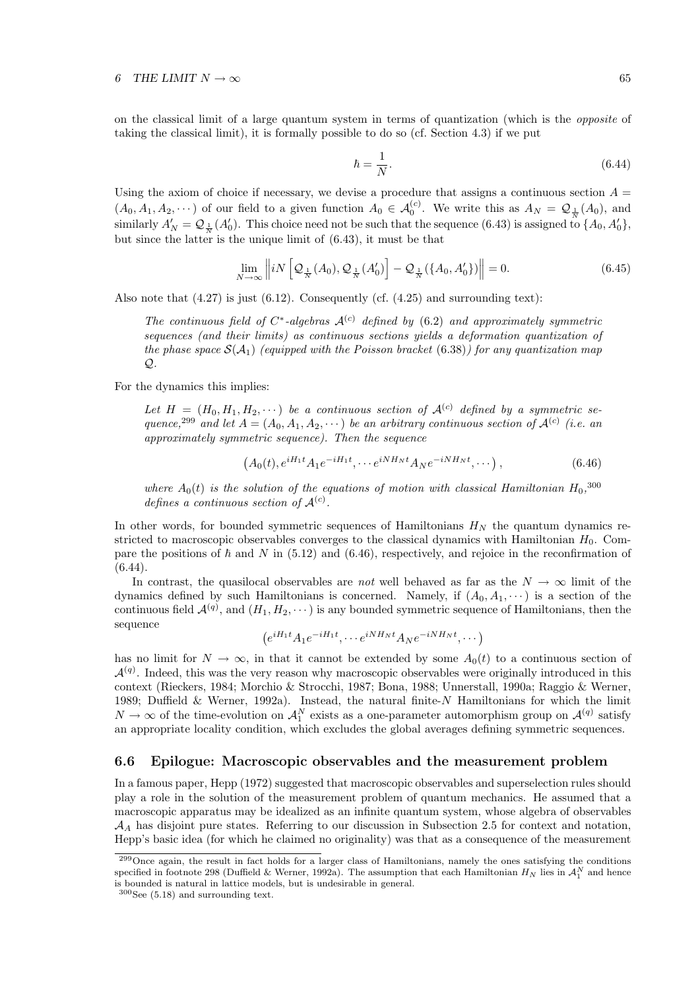on the classical limit of a large quantum system in terms of quantization (which is the opposite of taking the classical limit), it is formally possible to do so (cf. Section 4.3) if we put

$$
\hbar = \frac{1}{N}.\tag{6.44}
$$

Using the axiom of choice if necessary, we devise a procedure that assigns a continuous section  $A =$  $(A_0, A_1, A_2, \dots)$  of our field to a given function  $A_0 \in \mathcal{A}_0^{(c)}$ . We write this as  $A_N = \mathcal{Q}_{\frac{1}{N}}(A_0)$ , and similarly  $A'_N = Q_{\frac{1}{N}}(A'_0)$ . This choice need not be such that the sequence (6.43) is assigned to  $\{A_0, A'_0\}$ , but since the latter is the unique limit of (6.43), it must be that

$$
\lim_{N \to \infty} \left\| iN \left[ \mathcal{Q}_{\frac{1}{N}}(A_0), \mathcal{Q}_{\frac{1}{N}}(A'_0) \right] - \mathcal{Q}_{\frac{1}{N}}(\{A_0, A'_0\}) \right\| = 0. \tag{6.45}
$$

Also note that  $(4.27)$  is just  $(6.12)$ . Consequently (cf.  $(4.25)$  and surrounding text):

The continuous field of  $C^*$ -algebras  $\mathcal{A}^{(c)}$  defined by (6.2) and approximately symmetric sequences (and their limits) as continuous sections yields a deformation quantization of the phase space  $\mathcal{S}(\mathcal{A}_1)$  (equipped with the Poisson bracket (6.38)) for any quantization map Q.

For the dynamics this implies:

Let  $H = (H_0, H_1, H_2, \dots)$  be a continuous section of  $\mathcal{A}^{(c)}$  defined by a symmetric sequence,<sup>299</sup> and let  $A = (A_0, A_1, A_2, \cdots)$  be an arbitrary continuous section of  $\mathcal{A}^{(c)}$  (i.e. an approximately symmetric sequence). Then the sequence

$$
(A_0(t), e^{iH_1t}A_1e^{-iH_1t}, \cdots e^{iNH_Nt}A_Ne^{-iNH_Nt}, \cdots), \qquad (6.46)
$$

where  $A_0(t)$  is the solution of the equations of motion with classical Hamiltonian  $H_0$ ,  $300$ defines a continuous section of  $\mathcal{A}^{(c)}$ .

In other words, for bounded symmetric sequences of Hamiltonians  $H_N$  the quantum dynamics restricted to macroscopic observables converges to the classical dynamics with Hamiltonian  $H_0$ . Compare the positions of  $\hbar$  and N in (5.12) and (6.46), respectively, and rejoice in the reconfirmation of  $(6.44)$ .

In contrast, the quasilocal observables are *not* well behaved as far as the  $N \to \infty$  limit of the dynamics defined by such Hamiltonians is concerned. Namely, if  $(A_0, A_1, \dots)$  is a section of the continuous field  $\mathcal{A}^{(q)}$ , and  $(H_1, H_2, \cdots)$  is any bounded symmetric sequence of Hamiltonians, then the sequence

$$
(e^{iH_1t}A_1e^{-iH_1t},\cdots e^{iNH_Nt}A_Ne^{-iNH_Nt},\cdots)
$$

has no limit for  $N \to \infty$ , in that it cannot be extended by some  $A_0(t)$  to a continuous section of  $\mathcal{A}^{(q)}$ . Indeed, this was the very reason why macroscopic observables were originally introduced in this context (Rieckers, 1984; Morchio & Strocchi, 1987; Bona, 1988; Unnerstall, 1990a; Raggio & Werner, 1989; Duffield & Werner, 1992a). Instead, the natural finite-N Hamiltonians for which the limit  $N \to \infty$  of the time-evolution on  $\mathcal{A}_1^N$  exists as a one-parameter automorphism group on  $\mathcal{A}^{(q)}$  satisfy an appropriate locality condition, which excludes the global averages defining symmetric sequences.

### 6.6 Epilogue: Macroscopic observables and the measurement problem

In a famous paper, Hepp (1972) suggested that macroscopic observables and superselection rules should play a role in the solution of the measurement problem of quantum mechanics. He assumed that a macroscopic apparatus may be idealized as an infinite quantum system, whose algebra of observables  $\mathcal{A}_A$  has disjoint pure states. Referring to our discussion in Subsection 2.5 for context and notation, Hepp's basic idea (for which he claimed no originality) was that as a consequence of the measurement

<sup>299</sup>Once again, the result in fact holds for a larger class of Hamiltonians, namely the ones satisfying the conditions specified in footnote 298 (Duffield & Werner, 1992a). The assumption that each Hamiltonian  $H_N$  lies in  $\mathcal{A}_1^N$  and hence is bounded is natural in lattice models, but is undesirable in general.

 $^{300}\mathrm{See}$  (5.18) and surrounding text.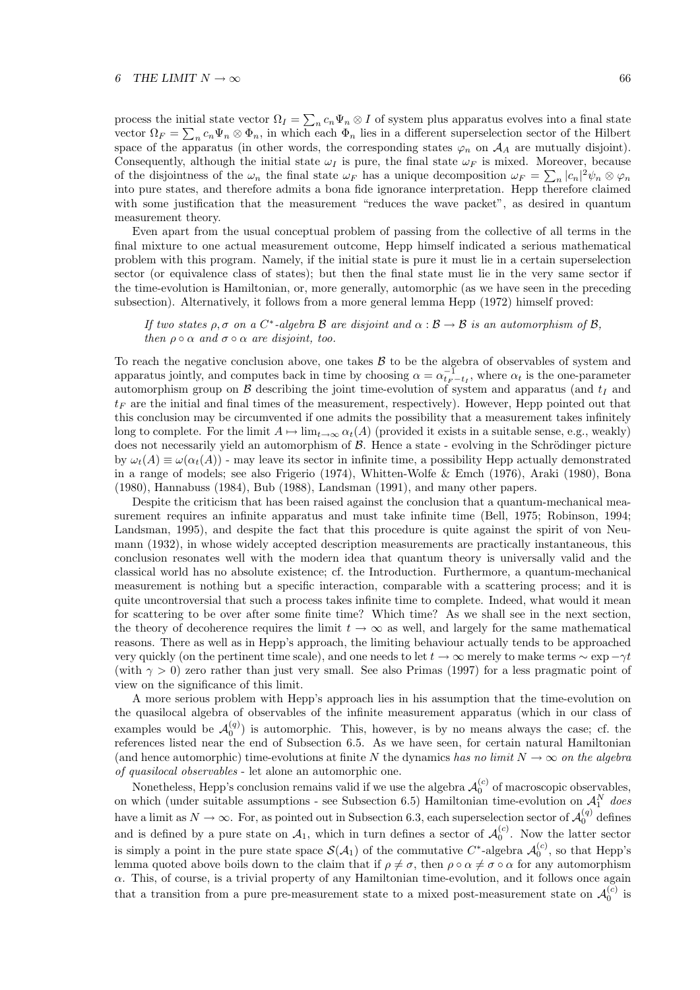process the initial state vector  $\Omega_I = \sum_n c_n \Psi_n \otimes I$  of system plus apparatus evolves into a final state vector  $\Omega_F = \sum_n c_n \Psi_n \otimes \Phi_n$ , in which each  $\Phi_n$  lies in a different superselection sector of the Hilbert space of the apparatus (in other words, the corresponding states  $\varphi_n$  on  $\mathcal{A}_A$  are mutually disjoint). Consequently, although the initial state  $\omega_I$  is pure, the final state  $\omega_F$  is mixed. Moreover, because of the disjointness of the  $\omega_n$  the final state  $\omega_F$  has a unique decomposition  $\omega_F = \sum_n |c_n|^2 \psi_n \otimes \varphi_n$ into pure states, and therefore admits a bona fide ignorance interpretation. Hepp therefore claimed with some justification that the measurement "reduces the wave packet", as desired in quantum measurement theory.

Even apart from the usual conceptual problem of passing from the collective of all terms in the final mixture to one actual measurement outcome, Hepp himself indicated a serious mathematical problem with this program. Namely, if the initial state is pure it must lie in a certain superselection sector (or equivalence class of states); but then the final state must lie in the very same sector if the time-evolution is Hamiltonian, or, more generally, automorphic (as we have seen in the preceding subsection). Alternatively, it follows from a more general lemma Hepp (1972) himself proved:

If two states  $\rho, \sigma$  on a C<sup>\*</sup>-algebra B are disjoint and  $\alpha : \mathcal{B} \to \mathcal{B}$  is an automorphism of B, then  $\rho \circ \alpha$  and  $\sigma \circ \alpha$  are disjoint, too.

To reach the negative conclusion above, one takes  $\beta$  to be the algebra of observables of system and apparatus jointly, and computes back in time by choosing  $\alpha = \alpha_{t_F-t_I}^{-1}$ , where  $\alpha_t$  is the one-parameter automorphism group on  $\beta$  describing the joint time-evolution of system and apparatus (and  $t_I$  and  $t_F$  are the initial and final times of the measurement, respectively). However, Hepp pointed out that this conclusion may be circumvented if one admits the possibility that a measurement takes infinitely long to complete. For the limit  $A \mapsto \lim_{t\to\infty} \alpha_t(A)$  (provided it exists in a suitable sense, e.g., weakly) does not necessarily yield an automorphism of  $\beta$ . Hence a state - evolving in the Schrödinger picture by  $\omega_t(A) \equiv \omega(\alpha_t(A))$  - may leave its sector in infinite time, a possibility Hepp actually demonstrated in a range of models; see also Frigerio (1974), Whitten-Wolfe & Emch (1976), Araki (1980), Bona (1980), Hannabuss (1984), Bub (1988), Landsman (1991), and many other papers.

Despite the criticism that has been raised against the conclusion that a quantum-mechanical measurement requires an infinite apparatus and must take infinite time (Bell, 1975; Robinson, 1994; Landsman, 1995), and despite the fact that this procedure is quite against the spirit of von Neumann (1932), in whose widely accepted description measurements are practically instantaneous, this conclusion resonates well with the modern idea that quantum theory is universally valid and the classical world has no absolute existence; cf. the Introduction. Furthermore, a quantum-mechanical measurement is nothing but a specific interaction, comparable with a scattering process; and it is quite uncontroversial that such a process takes infinite time to complete. Indeed, what would it mean for scattering to be over after some finite time? Which time? As we shall see in the next section, the theory of decoherence requires the limit  $t \to \infty$  as well, and largely for the same mathematical reasons. There as well as in Hepp's approach, the limiting behaviour actually tends to be approached very quickly (on the pertinent time scale), and one needs to let  $t \to \infty$  merely to make terms  $\sim \exp(-\gamma t)$ (with  $\gamma > 0$ ) zero rather than just very small. See also Primas (1997) for a less pragmatic point of view on the significance of this limit.

A more serious problem with Hepp's approach lies in his assumption that the time-evolution on the quasilocal algebra of observables of the infinite measurement apparatus (which in our class of examples would be  $\mathcal{A}_0^{(q)}$  is automorphic. This, however, is by no means always the case; cf. the references listed near the end of Subsection 6.5. As we have seen, for certain natural Hamiltonian (and hence automorphic) time-evolutions at finite N the dynamics has no limit  $N \to \infty$  on the algebra of quasilocal observables - let alone an automorphic one.

Nonetheless, Hepp's conclusion remains valid if we use the algebra  $\mathcal{A}_0^{(c)}$  of macroscopic observables, on which (under suitable assumptions - see Subsection 6.5) Hamiltonian time-evolution on  $\mathcal{A}_1^N$  does have a limit as  $N \to \infty$ . For, as pointed out in Subsection 6.3, each superselection sector of  $\mathcal{A}_0^{(q)}$  defines and is defined by a pure state on  $A_1$ , which in turn defines a sector of  $A_0^{(c)}$ . Now the latter sector is simply a point in the pure state space  $\mathcal{S}(\mathcal{A}_1)$  of the commutative  $C^*$ -algebra  $\mathcal{A}_0^{(c)}$ , so that Hepp's lemma quoted above boils down to the claim that if  $\rho \neq \sigma$ , then  $\rho \circ \alpha \neq \sigma \circ \alpha$  for any automorphism  $\alpha$ . This, of course, is a trivial property of any Hamiltonian time-evolution, and it follows once again that a transition from a pure pre-measurement state to a mixed post-measurement state on  $\mathcal{A}_0^{(c)}$  is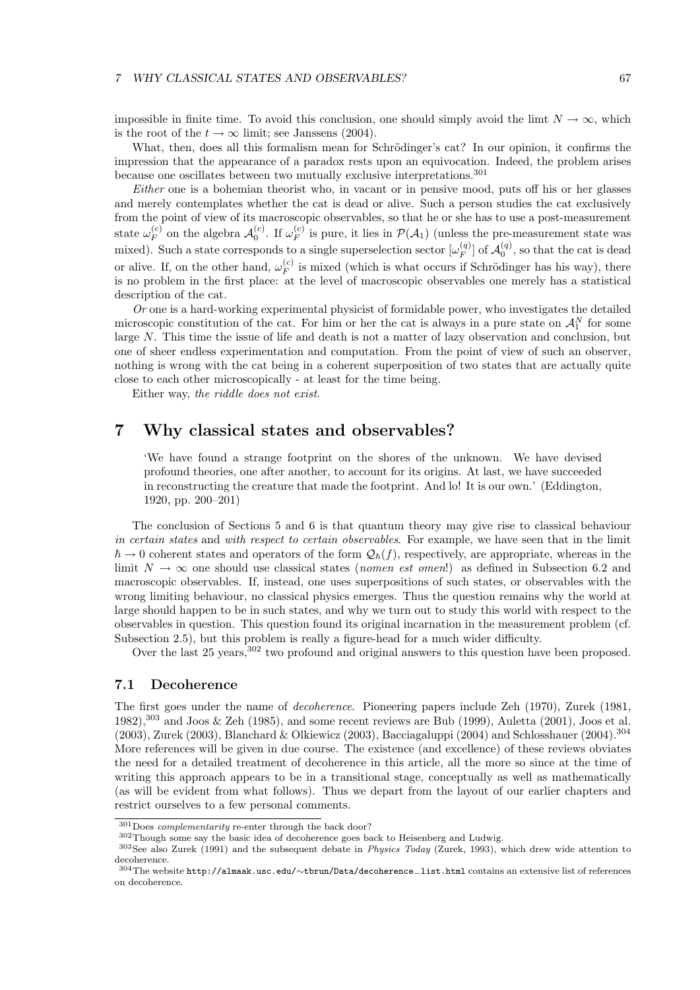impossible in finite time. To avoid this conclusion, one should simply avoid the limt  $N \to \infty$ , which is the root of the  $t \to \infty$  limit; see Janssens (2004).

What, then, does all this formalism mean for Schrödinger's cat? In our opinion, it confirms the impression that the appearance of a paradox rests upon an equivocation. Indeed, the problem arises because one oscillates between two mutually exclusive interpretations.<sup>301</sup>

Either one is a bohemian theorist who, in vacant or in pensive mood, puts off his or her glasses and merely contemplates whether the cat is dead or alive. Such a person studies the cat exclusively from the point of view of its macroscopic observables, so that he or she has to use a post-measurement state  $\omega_F^{(c)}$  $_{F}^{(c)}$  on the algebra  $\mathcal{A}_{0}^{(c)}$ . If  $\omega_{F}^{(c)}$  $E_F^{(c)}$  is pure, it lies in  $\mathcal{P}(\mathcal{A}_1)$  (unless the pre-measurement state was mixed). Such a state corresponds to a single superselection sector  $\omega_F^{(q)}$  $A_F^{(q)}$  of  $\mathcal{A}_0^{(q)}$ , so that the cat is dead or alive. If, on the other hand,  $\omega_F^{(c)}$  $\mathcal{F}_F^{(c)}$  is mixed (which is what occurs if Schrödinger has his way), there is no problem in the first place: at the level of macroscopic observables one merely has a statistical description of the cat.

 $Or$  one is a hard-working experimental physicist of formidable power, who investigates the detailed microscopic constitution of the cat. For him or her the cat is always in a pure state on  $\mathcal{A}_1^N$  for some large  $N$ . This time the issue of life and death is not a matter of lazy observation and conclusion, but one of sheer endless experimentation and computation. From the point of view of such an observer, nothing is wrong with the cat being in a coherent superposition of two states that are actually quite close to each other microscopically - at least for the time being.

Either way, the riddle does not exist.

# 7 Why classical states and observables?

'We have found a strange footprint on the shores of the unknown. We have devised profound theories, one after another, to account for its origins. At last, we have succeeded in reconstructing the creature that made the footprint. And lo! It is our own.' (Eddington, 1920, pp. 200–201)

The conclusion of Sections 5 and 6 is that quantum theory may give rise to classical behaviour in certain states and with respect to certain observables. For example, we have seen that in the limit  $\hbar \to 0$  coherent states and operators of the form  $\mathcal{Q}_{\hbar}(f)$ , respectively, are appropriate, whereas in the limit  $N \to \infty$  one should use classical states (nomen est omen!) as defined in Subsection 6.2 and macroscopic observables. If, instead, one uses superpositions of such states, or observables with the wrong limiting behaviour, no classical physics emerges. Thus the question remains why the world at large should happen to be in such states, and why we turn out to study this world with respect to the observables in question. This question found its original incarnation in the measurement problem (cf. Subsection 2.5), but this problem is really a figure-head for a much wider difficulty.

Over the last 25 years,<sup>302</sup> two profound and original answers to this question have been proposed.

### 7.1 Decoherence

The first goes under the name of decoherence. Pioneering papers include Zeh (1970), Zurek (1981,  $1982$ ,  $303$  and Joos & Zeh (1985), and some recent reviews are Bub (1999), Auletta (2001), Joos et al. (2003), Zurek (2003), Blanchard & Olkiewicz (2003), Bacciagaluppi (2004) and Schlosshauer (2004).<sup>304</sup> More references will be given in due course. The existence (and excellence) of these reviews obviates the need for a detailed treatment of decoherence in this article, all the more so since at the time of writing this approach appears to be in a transitional stage, conceptually as well as mathematically (as will be evident from what follows). Thus we depart from the layout of our earlier chapters and restrict ourselves to a few personal comments.

<sup>301</sup>Does complementarity re-enter through the back door?

<sup>302</sup>Though some say the basic idea of decoherence goes back to Heisenberg and Ludwig.

<sup>303</sup>See also Zurek (1991) and the subsequent debate in Physics Today (Zurek, 1993), which drew wide attention to decoherence.

<sup>304</sup>The website http://almaak.usc.edu/∼tbrun/Data/decoherence−list.html contains an extensive list of references on decoherence.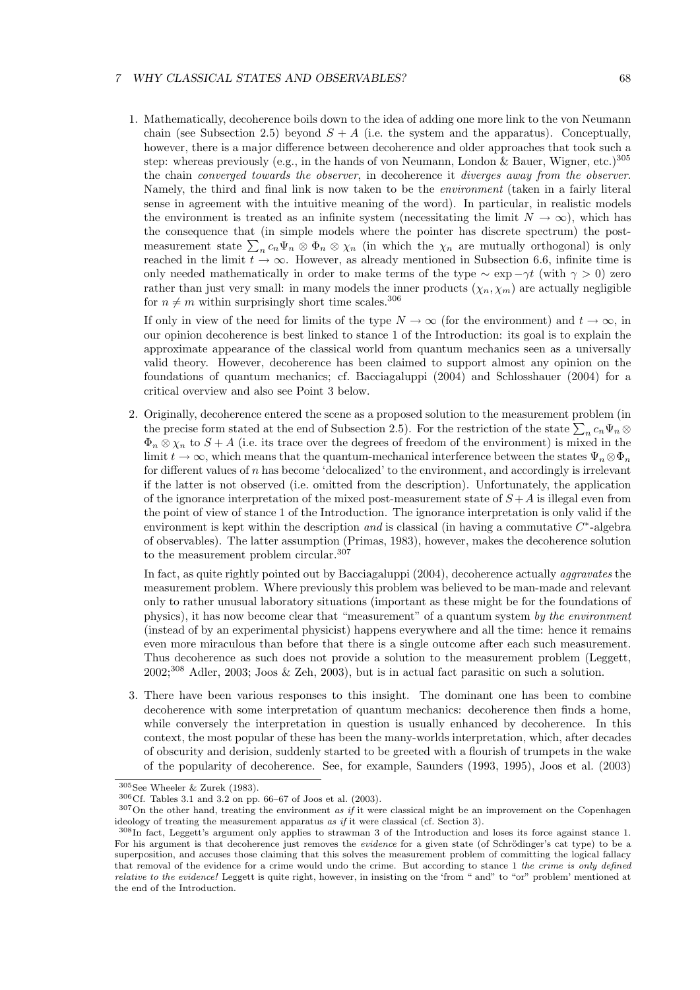### 7 WHY CLASSICAL STATES AND OBSERVABLES? 68

1. Mathematically, decoherence boils down to the idea of adding one more link to the von Neumann chain (see Subsection 2.5) beyond  $S + A$  (i.e. the system and the apparatus). Conceptually, however, there is a major difference between decoherence and older approaches that took such a step: whereas previously (e.g., in the hands of von Neumann, London & Bauer, Wigner, etc.)<sup>305</sup> the chain converged towards the observer, in decoherence it diverges away from the observer. Namely, the third and final link is now taken to be the environment (taken in a fairly literal sense in agreement with the intuitive meaning of the word). In particular, in realistic models the environment is treated as an infinite system (necessitating the limit  $N \to \infty$ ), which has the consequence that (in simple models where the pointer has discrete spectrum) the postmeasurement state  $\sum_n c_n \Psi_n \otimes \Psi_n \otimes \chi_n$  (in which the  $\chi_n$  are mutually orthogonal) is only reached in the limit  $t \to \infty$ . However, as already mentioned in Subsection 6.6, infinite time is only needed mathematically in order to make terms of the type  $\sim \exp(-\gamma t \text{ (with } \gamma > 0)$  zero rather than just very small: in many models the inner products  $(\chi_n, \chi_m)$  are actually negligible for  $n \neq m$  within surprisingly short time scales.<sup>306</sup>

If only in view of the need for limits of the type  $N \to \infty$  (for the environment) and  $t \to \infty$ , in our opinion decoherence is best linked to stance 1 of the Introduction: its goal is to explain the approximate appearance of the classical world from quantum mechanics seen as a universally valid theory. However, decoherence has been claimed to support almost any opinion on the foundations of quantum mechanics; cf. Bacciagaluppi (2004) and Schlosshauer (2004) for a critical overview and also see Point 3 below.

2. Originally, decoherence entered the scene as a proposed solution to the measurement problem (in the precise form stated at the end of Subsection 2.5). For the restriction of the state  $\sum_n c_n \Psi_n \otimes$  $\Phi_n \otimes \chi_n$  to  $S + A$  (i.e. its trace over the degrees of freedom of the environment) is mixed in the limit  $t \to \infty$ , which means that the quantum-mechanical interference between the states  $\Psi_n \otimes \Phi_n$ for different values of  $n$  has become 'delocalized' to the environment, and accordingly is irrelevant if the latter is not observed (i.e. omitted from the description). Unfortunately, the application of the ignorance interpretation of the mixed post-measurement state of  $S+A$  is illegal even from the point of view of stance 1 of the Introduction. The ignorance interpretation is only valid if the environment is kept within the description and is classical (in having a commutative  $C^*$ -algebra of observables). The latter assumption (Primas, 1983), however, makes the decoherence solution to the measurement problem circular.<sup>307</sup>

In fact, as quite rightly pointed out by Bacciagaluppi (2004), decoherence actually *aggravates* the measurement problem. Where previously this problem was believed to be man-made and relevant only to rather unusual laboratory situations (important as these might be for the foundations of physics), it has now become clear that "measurement" of a quantum system by the environment (instead of by an experimental physicist) happens everywhere and all the time: hence it remains even more miraculous than before that there is a single outcome after each such measurement. Thus decoherence as such does not provide a solution to the measurement problem (Leggett,  $2002;^{308}$  Adler, 2003; Joos & Zeh, 2003), but is in actual fact parasitic on such a solution.

3. There have been various responses to this insight. The dominant one has been to combine decoherence with some interpretation of quantum mechanics: decoherence then finds a home, while conversely the interpretation in question is usually enhanced by decoherence. In this context, the most popular of these has been the many-worlds interpretation, which, after decades of obscurity and derision, suddenly started to be greeted with a flourish of trumpets in the wake of the popularity of decoherence. See, for example, Saunders (1993, 1995), Joos et al. (2003)

 $305$ See Wheeler & Zurek (1983).

<sup>306</sup>Cf. Tables 3.1 and 3.2 on pp. 66–67 of Joos et al. (2003).

 $307$ On the other hand, treating the environment as if it were classical might be an improvement on the Copenhagen ideology of treating the measurement apparatus as if it were classical (cf. Section 3).

<sup>308</sup>In fact, Leggett's argument only applies to strawman 3 of the Introduction and loses its force against stance 1. For his argument is that decoherence just removes the evidence for a given state (of Schrödinger's cat type) to be a superposition, and accuses those claiming that this solves the measurement problem of committing the logical fallacy that removal of the evidence for a crime would undo the crime. But according to stance 1 the crime is only defined relative to the evidence! Leggett is quite right, however, in insisting on the 'from " and" to "or" problem' mentioned at the end of the Introduction.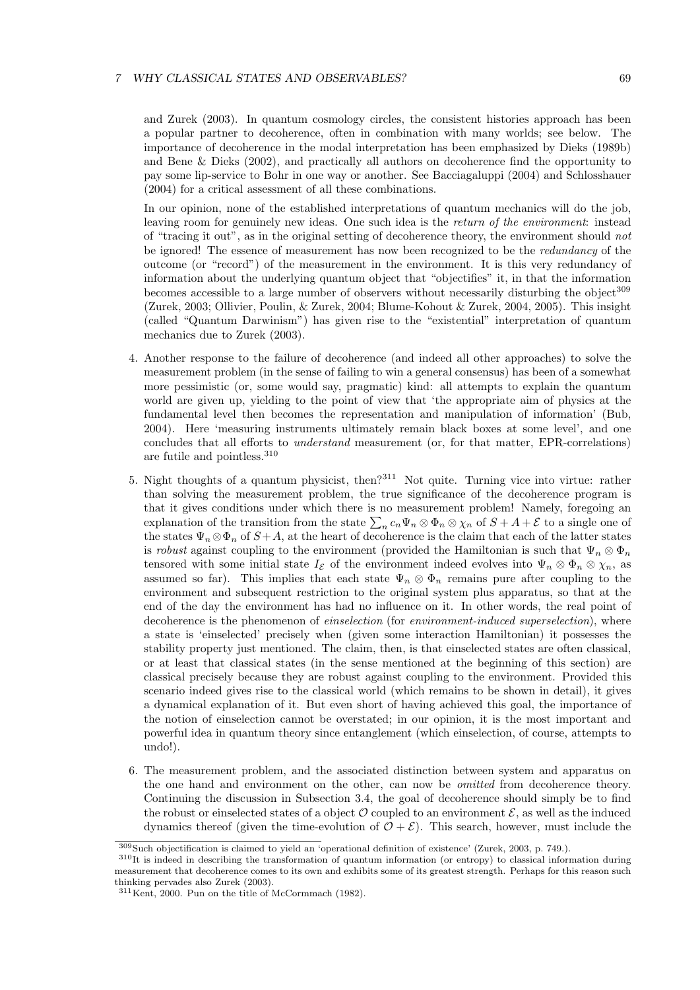and Zurek (2003). In quantum cosmology circles, the consistent histories approach has been a popular partner to decoherence, often in combination with many worlds; see below. The importance of decoherence in the modal interpretation has been emphasized by Dieks (1989b) and Bene & Dieks (2002), and practically all authors on decoherence find the opportunity to pay some lip-service to Bohr in one way or another. See Bacciagaluppi (2004) and Schlosshauer (2004) for a critical assessment of all these combinations.

In our opinion, none of the established interpretations of quantum mechanics will do the job, leaving room for genuinely new ideas. One such idea is the return of the environment: instead of "tracing it out", as in the original setting of decoherence theory, the environment should not be ignored! The essence of measurement has now been recognized to be the redundancy of the outcome (or "record") of the measurement in the environment. It is this very redundancy of information about the underlying quantum object that "objectifies" it, in that the information becomes accessible to a large number of observers without necessarily disturbing the object<sup>309</sup> (Zurek, 2003; Ollivier, Poulin, & Zurek, 2004; Blume-Kohout & Zurek, 2004, 2005). This insight (called "Quantum Darwinism") has given rise to the "existential" interpretation of quantum mechanics due to Zurek (2003).

- 4. Another response to the failure of decoherence (and indeed all other approaches) to solve the measurement problem (in the sense of failing to win a general consensus) has been of a somewhat more pessimistic (or, some would say, pragmatic) kind: all attempts to explain the quantum world are given up, yielding to the point of view that 'the appropriate aim of physics at the fundamental level then becomes the representation and manipulation of information' (Bub, 2004). Here 'measuring instruments ultimately remain black boxes at some level', and one concludes that all efforts to understand measurement (or, for that matter, EPR-correlations) are futile and pointless.<sup>310</sup>
- 5. Night thoughts of a quantum physicist, then?<sup>311</sup> Not quite. Turning vice into virtue: rather than solving the measurement problem, the true significance of the decoherence program is that it gives conditions under which there is no measurement problem! Namely, foregoing an explanation of the transition from the state  $\sum_n c_n \Psi_n \otimes \Phi_n \otimes \chi_n$  of  $S + A + \mathcal{E}$  to a single one of the states  $\Psi_n \otimes \Phi_n$  of  $S+A$ , at the heart of decoherence is the claim that each of the latter states is robust against coupling to the environment (provided the Hamiltonian is such that  $\Psi_n \otimes \Phi_n$ tensored with some initial state  $I_{\mathcal{E}}$  of the environment indeed evolves into  $\Psi_n \otimes \Phi_n \otimes \chi_n$ , as assumed so far). This implies that each state  $\Psi_n \otimes \Phi_n$  remains pure after coupling to the environment and subsequent restriction to the original system plus apparatus, so that at the end of the day the environment has had no influence on it. In other words, the real point of decoherence is the phenomenon of *einselection* (for *environment-induced superselection*), where a state is 'einselected' precisely when (given some interaction Hamiltonian) it possesses the stability property just mentioned. The claim, then, is that einselected states are often classical, or at least that classical states (in the sense mentioned at the beginning of this section) are classical precisely because they are robust against coupling to the environment. Provided this scenario indeed gives rise to the classical world (which remains to be shown in detail), it gives a dynamical explanation of it. But even short of having achieved this goal, the importance of the notion of einselection cannot be overstated; in our opinion, it is the most important and powerful idea in quantum theory since entanglement (which einselection, of course, attempts to undo!).
- 6. The measurement problem, and the associated distinction between system and apparatus on the one hand and environment on the other, can now be *omitted* from decoherence theory. Continuing the discussion in Subsection 3.4, the goal of decoherence should simply be to find the robust or einselected states of a object  $\mathcal O$  coupled to an environment  $\mathcal E$ , as well as the induced dynamics thereof (given the time-evolution of  $\mathcal{O} + \mathcal{E}$ ). This search, however, must include the

<sup>309</sup>Such objectification is claimed to yield an 'operational definition of existence' (Zurek, 2003, p. 749.).

<sup>310</sup>It is indeed in describing the transformation of quantum information (or entropy) to classical information during measurement that decoherence comes to its own and exhibits some of its greatest strength. Perhaps for this reason such thinking pervades also Zurek (2003).

 $311$ Kent, 2000. Pun on the title of McCormmach (1982).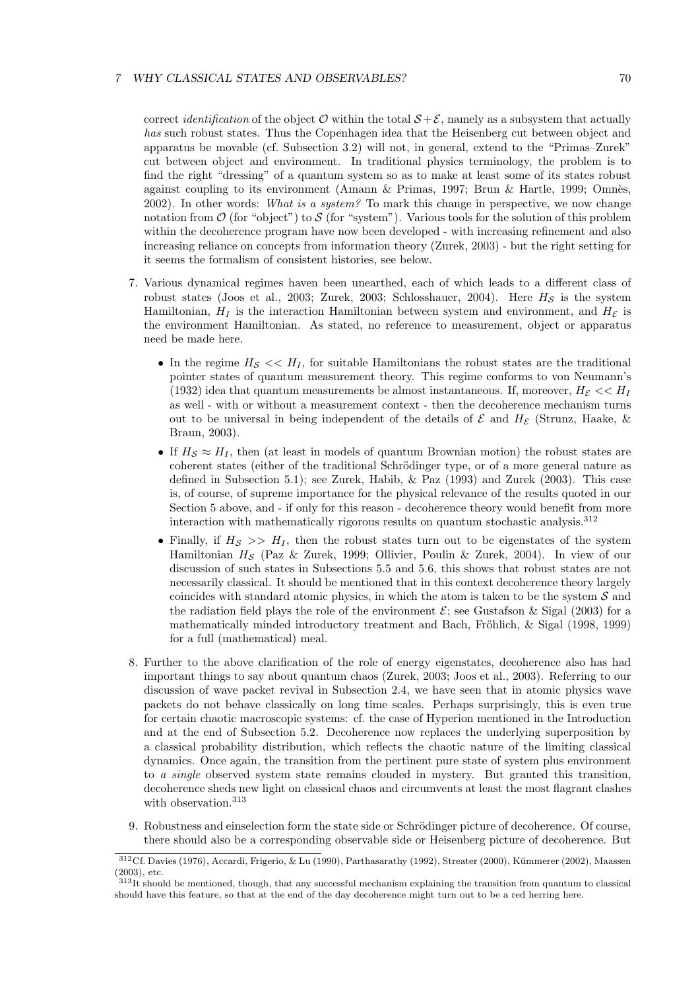correct *identification* of the object  $\mathcal{O}$  within the total  $\mathcal{S} + \mathcal{E}$ , namely as a subsystem that actually has such robust states. Thus the Copenhagen idea that the Heisenberg cut between object and apparatus be movable (cf. Subsection 3.2) will not, in general, extend to the "Primas–Zurek" cut between object and environment. In traditional physics terminology, the problem is to find the right "dressing" of a quantum system so as to make at least some of its states robust against coupling to its environment (Amann & Primas, 1997; Brun & Hartle, 1999; Omnès, 2002). In other words: What is a system? To mark this change in perspective, we now change notation from  $\mathcal{O}$  (for "object") to  $\mathcal{S}$  (for "system"). Various tools for the solution of this problem within the decoherence program have now been developed - with increasing refinement and also increasing reliance on concepts from information theory (Zurek, 2003) - but the right setting for it seems the formalism of consistent histories, see below.

- 7. Various dynamical regimes haven been unearthed, each of which leads to a different class of robust states (Joos et al., 2003; Zurek, 2003; Schlosshauer, 2004). Here  $H_S$  is the system Hamiltonian,  $H_I$  is the interaction Hamiltonian between system and environment, and  $H_{\mathcal{E}}$  is the environment Hamiltonian. As stated, no reference to measurement, object or apparatus need be made here.
	- In the regime  $H_S \ll H_I$ , for suitable Hamiltonians the robust states are the traditional pointer states of quantum measurement theory. This regime conforms to von Neumann's (1932) idea that quantum measurements be almost instantaneous. If, moreover,  $H_{\mathcal{E}} \ll H_{I}$ as well - with or without a measurement context - then the decoherence mechanism turns out to be universal in being independent of the details of  $\mathcal E$  and  $H_{\mathcal E}$  (Strunz, Haake, & Braun, 2003).
	- If  $H_S \approx H_I$ , then (at least in models of quantum Brownian motion) the robust states are coherent states (either of the traditional Schrödinger type, or of a more general nature as defined in Subsection 5.1); see Zurek, Habib, & Paz (1993) and Zurek (2003). This case is, of course, of supreme importance for the physical relevance of the results quoted in our Section 5 above, and - if only for this reason - decoherence theory would benefit from more interaction with mathematically rigorous results on quantum stochastic analysis. $312$
	- Finally, if  $H_S >> H_I$ , then the robust states turn out to be eigenstates of the system Hamiltonian  $H_S$  (Paz & Zurek, 1999; Ollivier, Poulin & Zurek, 2004). In view of our discussion of such states in Subsections 5.5 and 5.6, this shows that robust states are not necessarily classical. It should be mentioned that in this context decoherence theory largely coincides with standard atomic physics, in which the atom is taken to be the system  $S$  and the radiation field plays the role of the environment  $\mathcal{E}$ ; see Gustafson & Sigal (2003) for a mathematically minded introductory treatment and Bach, Fröhlich,  $\&$  Sigal (1998, 1999) for a full (mathematical) meal.
- 8. Further to the above clarification of the role of energy eigenstates, decoherence also has had important things to say about quantum chaos (Zurek, 2003; Joos et al., 2003). Referring to our discussion of wave packet revival in Subsection 2.4, we have seen that in atomic physics wave packets do not behave classically on long time scales. Perhaps surprisingly, this is even true for certain chaotic macroscopic systems: cf. the case of Hyperion mentioned in the Introduction and at the end of Subsection 5.2. Decoherence now replaces the underlying superposition by a classical probability distribution, which reflects the chaotic nature of the limiting classical dynamics. Once again, the transition from the pertinent pure state of system plus environment to a single observed system state remains clouded in mystery. But granted this transition, decoherence sheds new light on classical chaos and circumvents at least the most flagrant clashes with observation.<sup>313</sup>
- 9. Robustness and einselection form the state side or Schrödinger picture of decoherence. Of course, there should also be a corresponding observable side or Heisenberg picture of decoherence. But

<sup>312</sup>Cf. Davies (1976), Accardi, Frigerio, & Lu (1990), Parthasarathy (1992), Streater (2000), Kümmerer (2002), Maassen (2003), etc.

 $313$ It should be mentioned, though, that any successful mechanism explaining the transition from quantum to classical should have this feature, so that at the end of the day decoherence might turn out to be a red herring here.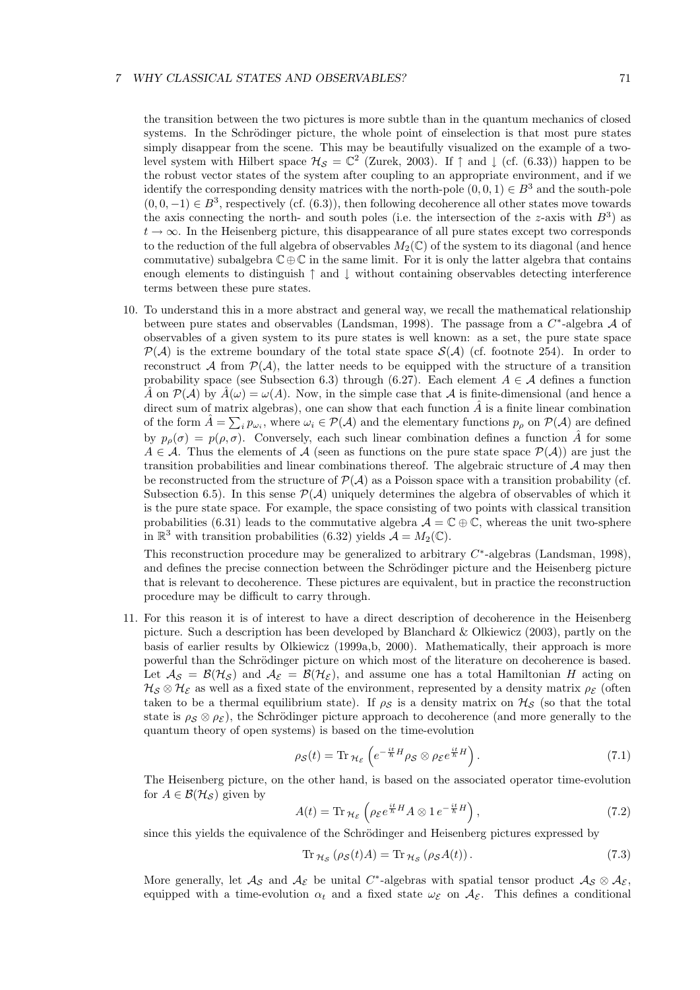#### 7 WHY CLASSICAL STATES AND OBSERVABLES? 71

the transition between the two pictures is more subtle than in the quantum mechanics of closed systems. In the Schrödinger picture, the whole point of einselection is that most pure states simply disappear from the scene. This may be beautifully visualized on the example of a twolevel system with Hilbert space  $\mathcal{H}_{\mathcal{S}} = \mathbb{C}^2$  (Zurek, 2003). If  $\uparrow$  and  $\downarrow$  (cf. (6.33)) happen to be the robust vector states of the system after coupling to an appropriate environment, and if we identify the corresponding density matrices with the north-pole  $(0, 0, 1) \in B<sup>3</sup>$  and the south-pole  $(0, 0, -1) \in B<sup>3</sup>$ , respectively (cf. (6.3)), then following decoherence all other states move towards the axis connecting the north- and south poles (i.e. the intersection of the z-axis with  $B^3$ ) as  $t \to \infty$ . In the Heisenberg picture, this disappearance of all pure states except two corresponds to the reduction of the full algebra of observables  $M_2(\mathbb{C})$  of the system to its diagonal (and hence commutative) subalgebra  $\mathbb{C}\oplus\mathbb{C}$  in the same limit. For it is only the latter algebra that contains enough elements to distinguish ↑ and ↓ without containing observables detecting interference terms between these pure states.

10. To understand this in a more abstract and general way, we recall the mathematical relationship between pure states and observables (Landsman, 1998). The passage from a  $C^*$ -algebra  $\mathcal A$  of observables of a given system to its pure states is well known: as a set, the pure state space  $\mathcal{P}(\mathcal{A})$  is the extreme boundary of the total state space  $\mathcal{S}(\mathcal{A})$  (cf. footnote 254). In order to reconstruct A from  $\mathcal{P}(\mathcal{A})$ , the latter needs to be equipped with the structure of a transition probability space (see Subsection 6.3) through (6.27). Each element  $A \in \mathcal{A}$  defines a function  $\hat{A}$  on  $\mathcal{P}(\mathcal{A})$  by  $\hat{A}(\omega) = \omega(A)$ . Now, in the simple case that A is finite-dimensional (and hence a direct sum of matrix algebras), one can show that each function  $\hat{A}$  is a finite linear combination of the form  $\hat{A} = \sum_i p_{\omega_i}$ , where  $\omega_i \in \mathcal{P}(\mathcal{A})$  and the elementary functions  $p_\rho$  on  $\mathcal{P}(\mathcal{A})$  are defined by  $p_{\rho}(\sigma) = p(\rho, \sigma)$ . Conversely, each such linear combination defines a function  $\hat{A}$  for some  $A \in \mathcal{A}$ . Thus the elements of  $\mathcal{A}$  (seen as functions on the pure state space  $\mathcal{P}(\mathcal{A})$ ) are just the transition probabilities and linear combinations thereof. The algebraic structure of  $A$  may then be reconstructed from the structure of  $\mathcal{P}(\mathcal{A})$  as a Poisson space with a transition probability (cf. Subsection 6.5). In this sense  $\mathcal{P}(\mathcal{A})$  uniquely determines the algebra of observables of which it is the pure state space. For example, the space consisting of two points with classical transition probabilities (6.31) leads to the commutative algebra  $\mathcal{A} = \mathbb{C} \oplus \mathbb{C}$ , whereas the unit two-sphere in  $\mathbb{R}^3$  with transition probabilities (6.32) yields  $\mathcal{A} = M_2(\mathbb{C})$ .

This reconstruction procedure may be generalized to arbitrary  $C^*$ -algebras (Landsman, 1998), and defines the precise connection between the Schrödinger picture and the Heisenberg picture that is relevant to decoherence. These pictures are equivalent, but in practice the reconstruction procedure may be difficult to carry through.

11. For this reason it is of interest to have a direct description of decoherence in the Heisenberg picture. Such a description has been developed by Blanchard & Olkiewicz (2003), partly on the basis of earlier results by Olkiewicz (1999a,b, 2000). Mathematically, their approach is more powerful than the Schrödinger picture on which most of the literature on decoherence is based. Let  $\mathcal{A}_{\mathcal{S}} = \mathcal{B}(\mathcal{H}_{\mathcal{S}})$  and  $\mathcal{A}_{\mathcal{E}} = \mathcal{B}(\mathcal{H}_{\mathcal{E}})$ , and assume one has a total Hamiltonian H acting on  $\mathcal{H}_S \otimes \mathcal{H}_E$  as well as a fixed state of the environment, represented by a density matrix  $\rho_{\mathcal{E}}$  (often taken to be a thermal equilibrium state). If  $\rho_S$  is a density matrix on  $\mathcal{H}_S$  (so that the total state is  $\rho_S \otimes \rho_E$ ), the Schrödinger picture approach to decoherence (and more generally to the quantum theory of open systems) is based on the time-evolution

$$
\rho_{\mathcal{S}}(t) = \text{Tr}_{\mathcal{H}_{\mathcal{E}}} \left( e^{-\frac{it}{\hbar}H} \rho_{\mathcal{S}} \otimes \rho_{\mathcal{E}} e^{\frac{it}{\hbar}H} \right). \tag{7.1}
$$

The Heisenberg picture, on the other hand, is based on the associated operator time-evolution for  $A \in \mathcal{B}(\mathcal{H}_\mathcal{S})$  given by

$$
A(t) = \text{Tr}_{\mathcal{H}_{\mathcal{E}}} \left( \rho_{\mathcal{E}} e^{\frac{it}{\hbar}H} A \otimes 1 e^{-\frac{it}{\hbar}H} \right),\tag{7.2}
$$

since this yields the equivalence of the Schrödinger and Heisenberg pictures expressed by

$$
\text{Tr}_{\mathcal{H}_{\mathcal{S}}}(\rho_{\mathcal{S}}(t)A) = \text{Tr}_{\mathcal{H}_{\mathcal{S}}}(\rho_{\mathcal{S}}A(t)).\tag{7.3}
$$

More generally, let  $\mathcal{A}_{\mathcal{S}}$  and  $\mathcal{A}_{\mathcal{E}}$  be unital C<sup>\*</sup>-algebras with spatial tensor product  $\mathcal{A}_{\mathcal{S}} \otimes \mathcal{A}_{\mathcal{E}}$ , equipped with a time-evolution  $\alpha_t$  and a fixed state  $\omega_{\mathcal{E}}$  on  $\mathcal{A}_{\mathcal{E}}$ . This defines a conditional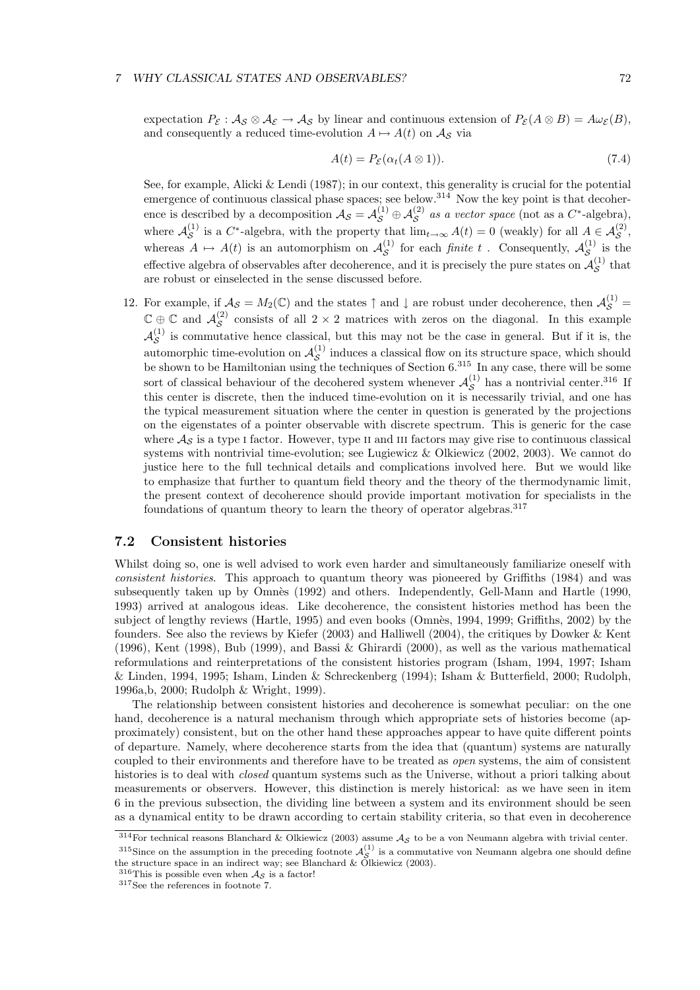#### 7 WHY CLASSICAL STATES AND OBSERVABLES? 72

expectation  $P_{\mathcal{E}} : \mathcal{A}_{\mathcal{S}} \otimes \mathcal{A}_{\mathcal{E}} \to \mathcal{A}_{\mathcal{S}}$  by linear and continuous extension of  $P_{\mathcal{E}}(A \otimes B) = A \omega_{\mathcal{E}}(B)$ , and consequently a reduced time-evolution  $A \mapsto A(t)$  on  $\mathcal{A}_{\mathcal{S}}$  via

$$
A(t) = P_{\mathcal{E}}(\alpha_t(A \otimes 1)). \tag{7.4}
$$

See, for example, Alicki & Lendi (1987); in our context, this generality is crucial for the potential emergence of continuous classical phase spaces; see below.<sup>314</sup> Now the key point is that decoherence is described by a decomposition  $\mathcal{A}_{\mathcal{S}} = \mathcal{A}_{\mathcal{S}}^{(1)} \oplus \mathcal{A}_{\mathcal{S}}^{(2)}$  as a vector space (not as a  $C^*$ -algebra), where  $\mathcal{A}_{\mathcal{S}}^{(1)}$  $S^{(1)}$  is a C<sup>\*</sup>-algebra, with the property that  $\lim_{t\to\infty} A(t) = 0$  (weakly) for all  $A \in \mathcal{A}_{\mathcal{S}}^{(2)}$ , whereas  $A \mapsto A(t)$  is an automorphism on  $\mathcal{A}_{S}^{(1)}$  $S_S^{(1)}$  for each *finite t*. Consequently,  $\mathcal{A}_S^{(1)}$  $\mathcal{S}^{(1)}$  is the effective algebra of observables after decoherence, and it is precisely the pure states on  $\mathcal{A}_{\mathcal{S}}^{(1)}$  $\mathcal{S}^{(1)}$  that are robust or einselected in the sense discussed before.

12. For example, if  $\mathcal{A}_{\mathcal{S}} = M_2(\mathbb{C})$  and the states  $\uparrow$  and  $\downarrow$  are robust under decoherence, then  $\mathcal{A}_{\mathcal{S}}^{(1)} =$  $\mathbb{C} \oplus \mathbb{C}$  and  $\mathcal{A}_{\mathcal{S}}^{(2)}$  $\mathcal{S}^{(2)}$  consists of all  $2 \times 2$  matrices with zeros on the diagonal. In this example  ${\cal A}^{(1)}_{S}$  $\mathcal{S}^{(1)}$  is commutative hence classical, but this may not be the case in general. But if it is, the automorphic time-evolution on  $\mathcal{A}_{\mathcal{S}}^{(1)}$  $\mathcal{S}^{(1)}$  induces a classical flow on its structure space, which should be shown to be Hamiltonian using the techniques of Section 6.<sup>315</sup> In any case, there will be some sort of classical behaviour of the decohered system whenever  $\mathcal{A}_{S}^{(1)}$  $\mathcal{S}^{(1)}$  has a nontrivial center.<sup>316</sup> If this center is discrete, then the induced time-evolution on it is necessarily trivial, and one has the typical measurement situation where the center in question is generated by the projections on the eigenstates of a pointer observable with discrete spectrum. This is generic for the case where  $A_{\mathcal{S}}$  is a type I factor. However, type II and III factors may give rise to continuous classical systems with nontrivial time-evolution; see Lugiewicz & Olkiewicz (2002, 2003). We cannot do justice here to the full technical details and complications involved here. But we would like to emphasize that further to quantum field theory and the theory of the thermodynamic limit, the present context of decoherence should provide important motivation for specialists in the foundations of quantum theory to learn the theory of operator algebras.<sup>317</sup>

### 7.2 Consistent histories

Whilst doing so, one is well advised to work even harder and simultaneously familiarize oneself with consistent histories. This approach to quantum theory was pioneered by Griffiths (1984) and was subsequently taken up by Omnès (1992) and others. Independently, Gell-Mann and Hartle (1990, 1993) arrived at analogous ideas. Like decoherence, the consistent histories method has been the subject of lengthy reviews (Hartle, 1995) and even books (Omnès, 1994, 1999; Griffiths, 2002) by the founders. See also the reviews by Kiefer (2003) and Halliwell (2004), the critiques by Dowker & Kent (1996), Kent (1998), Bub (1999), and Bassi & Ghirardi (2000), as well as the various mathematical reformulations and reinterpretations of the consistent histories program (Isham, 1994, 1997; Isham & Linden, 1994, 1995; Isham, Linden & Schreckenberg (1994); Isham & Butterfield, 2000; Rudolph, 1996a,b, 2000; Rudolph & Wright, 1999).

The relationship between consistent histories and decoherence is somewhat peculiar: on the one hand, decoherence is a natural mechanism through which appropriate sets of histories become (approximately) consistent, but on the other hand these approaches appear to have quite different points of departure. Namely, where decoherence starts from the idea that (quantum) systems are naturally coupled to their environments and therefore have to be treated as *open* systems, the aim of consistent histories is to deal with *closed* quantum systems such as the Universe, without a priori talking about measurements or observers. However, this distinction is merely historical: as we have seen in item 6 in the previous subsection, the dividing line between a system and its environment should be seen as a dynamical entity to be drawn according to certain stability criteria, so that even in decoherence

 $314$ For technical reasons Blanchard & Olkiewicz (2003) assume  $\mathcal{A}_{\mathcal{S}}$  to be a von Neumann algebra with trivial center.

<sup>&</sup>lt;sup>315</sup>Since on the assumption in the preceding footnote  $A_{\rm S}^{(1)}$  is a commutative von Neumann algebra one should define the structure space in an indirect way; see Blanchard & Olkiewicz (2003).

<sup>&</sup>lt;sup>316</sup>This is possible even when  $A_{\mathcal{S}}$  is a factor!

<sup>317</sup>See the references in footnote 7.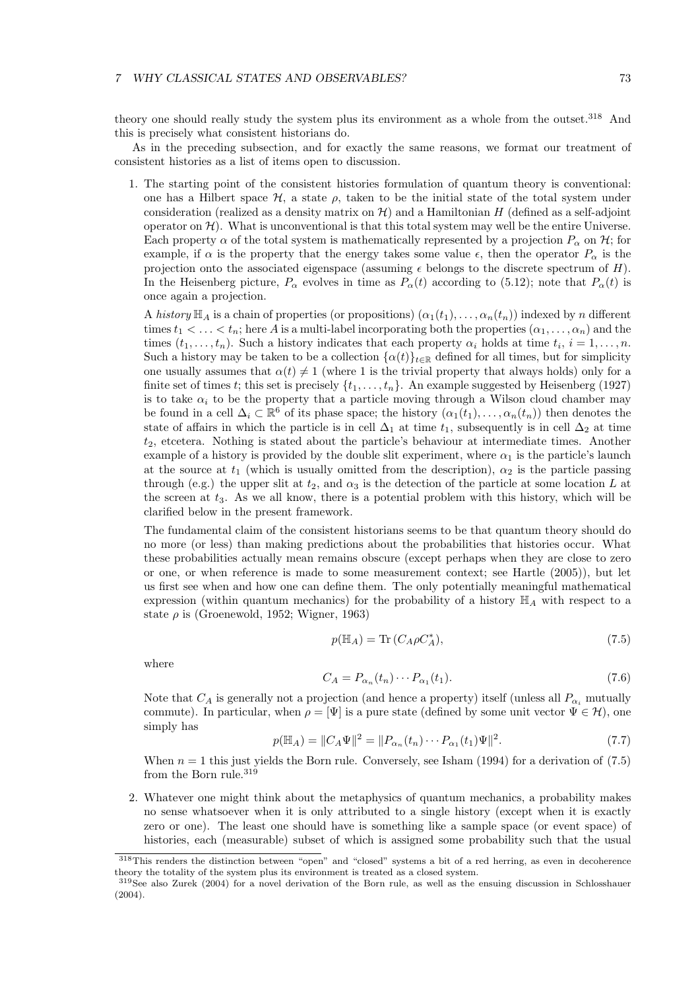theory one should really study the system plus its environment as a whole from the outset.<sup>318</sup> And this is precisely what consistent historians do.

As in the preceding subsection, and for exactly the same reasons, we format our treatment of consistent histories as a list of items open to discussion.

1. The starting point of the consistent histories formulation of quantum theory is conventional: one has a Hilbert space  $\mathcal{H}$ , a state  $\rho$ , taken to be the initial state of the total system under consideration (realized as a density matrix on  $H$ ) and a Hamiltonian  $H$  (defined as a self-adjoint operator on  $\mathcal{H}$ ). What is unconventional is that this total system may well be the entire Universe. Each property  $\alpha$  of the total system is mathematically represented by a projection  $P_{\alpha}$  on  $\mathcal{H}$ ; for example, if  $\alpha$  is the property that the energy takes some value  $\epsilon$ , then the operator  $P_{\alpha}$  is the projection onto the associated eigenspace (assuming  $\epsilon$  belongs to the discrete spectrum of  $H$ ). In the Heisenberg picture,  $P_{\alpha}$  evolves in time as  $P_{\alpha}(t)$  according to (5.12); note that  $P_{\alpha}(t)$  is once again a projection.

A history  $\mathbb{H}_A$  is a chain of properties (or propositions)  $(\alpha_1(t_1), \ldots, \alpha_n(t_n))$  indexed by n different times  $t_1 < \ldots < t_n$ ; here A is a multi-label incorporating both the properties  $(\alpha_1, \ldots, \alpha_n)$  and the times  $(t_1, \ldots, t_n)$ . Such a history indicates that each property  $\alpha_i$  holds at time  $t_i$ ,  $i = 1, \ldots, n$ . Such a history may be taken to be a collection  $\{\alpha(t)\}_{t\in\mathbb{R}}$  defined for all times, but for simplicity one usually assumes that  $\alpha(t) \neq 1$  (where 1 is the trivial property that always holds) only for a finite set of times t; this set is precisely  $\{t_1, \ldots, t_n\}$ . An example suggested by Heisenberg (1927) is to take  $\alpha_i$  to be the property that a particle moving through a Wilson cloud chamber may be found in a cell  $\Delta_i \subset \mathbb{R}^6$  of its phase space; the history  $(\alpha_1(t_1), \ldots, \alpha_n(t_n))$  then denotes the state of affairs in which the particle is in cell  $\Delta_1$  at time  $t_1$ , subsequently is in cell  $\Delta_2$  at time  $t_2$ , etcetera. Nothing is stated about the particle's behaviour at intermediate times. Another example of a history is provided by the double slit experiment, where  $\alpha_1$  is the particle's launch at the source at  $t_1$  (which is usually omitted from the description),  $\alpha_2$  is the particle passing through (e.g.) the upper slit at  $t_2$ , and  $\alpha_3$  is the detection of the particle at some location L at the screen at  $t_3$ . As we all know, there is a potential problem with this history, which will be clarified below in the present framework.

The fundamental claim of the consistent historians seems to be that quantum theory should do no more (or less) than making predictions about the probabilities that histories occur. What these probabilities actually mean remains obscure (except perhaps when they are close to zero or one, or when reference is made to some measurement context; see Hartle (2005)), but let us first see when and how one can define them. The only potentially meaningful mathematical expression (within quantum mechanics) for the probability of a history  $\mathbb{H}_A$  with respect to a state  $\rho$  is (Groenewold, 1952; Wigner, 1963)

$$
p(\mathbb{H}_A) = \text{Tr}\left(C_A \rho C_A^*\right),\tag{7.5}
$$

where

$$
C_A = P_{\alpha_n}(t_n) \cdots P_{\alpha_1}(t_1). \tag{7.6}
$$

Note that  $C_A$  is generally not a projection (and hence a property) itself (unless all  $P_{\alpha_i}$  mutually commute). In particular, when  $\rho = [\Psi]$  is a pure state (defined by some unit vector  $\Psi \in \mathcal{H}$ ), one simply has

$$
p(\mathbb{H}_A) = ||C_A \Psi||^2 = ||P_{\alpha_n}(t_n) \cdots P_{\alpha_1}(t_1) \Psi||^2.
$$
\n(7.7)

When  $n = 1$  this just yields the Born rule. Conversely, see Isham (1994) for a derivation of (7.5) from the Born rule.<sup>319</sup>

2. Whatever one might think about the metaphysics of quantum mechanics, a probability makes no sense whatsoever when it is only attributed to a single history (except when it is exactly zero or one). The least one should have is something like a sample space (or event space) of histories, each (measurable) subset of which is assigned some probability such that the usual

<sup>318</sup>This renders the distinction between "open" and "closed" systems a bit of a red herring, as even in decoherence theory the totality of the system plus its environment is treated as a closed system.

<sup>319</sup>See also Zurek (2004) for a novel derivation of the Born rule, as well as the ensuing discussion in Schlosshauer (2004).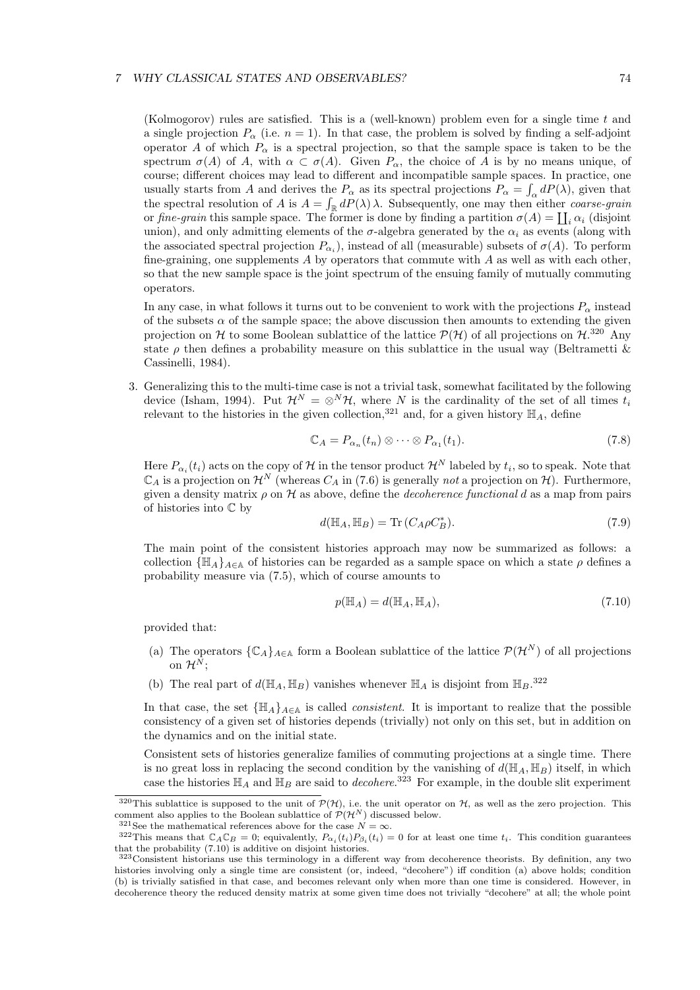### 7 WHY CLASSICAL STATES AND OBSERVABLES? 74

(Kolmogorov) rules are satisfied. This is a (well-known) problem even for a single time t and a single projection  $P_{\alpha}$  (i.e.  $n = 1$ ). In that case, the problem is solved by finding a self-adjoint operator A of which  $P_{\alpha}$  is a spectral projection, so that the sample space is taken to be the spectrum  $\sigma(A)$  of A, with  $\alpha \subset \sigma(A)$ . Given  $P_{\alpha}$ , the choice of A is by no means unique, of course; different choices may lead to different and incompatible sample spaces. In practice, one usually starts from A and derives the  $P_{\alpha}$  as its spectral projections  $P_{\alpha} = \int_{\alpha} dP(\lambda)$ , given that the spectral resolution of A is  $A = \int_{\mathbb{R}} dP(\lambda) \lambda$ . Subsequently, one may then either *coarse-grain* or fine-grain this sample space. The former is done by finding a partition  $\sigma(A) = \coprod_i \alpha_i$  (disjoint union), and only admitting elements of the  $\sigma$ -algebra generated by the  $\alpha_i$  as events (along with the associated spectral projection  $P_{\alpha_i}$ ), instead of all (measurable) subsets of  $\sigma(A)$ . To perform fine-graining, one supplements  $A$  by operators that commute with  $A$  as well as with each other, so that the new sample space is the joint spectrum of the ensuing family of mutually commuting operators.

In any case, in what follows it turns out to be convenient to work with the projections  $P_{\alpha}$  instead of the subsets  $\alpha$  of the sample space; the above discussion then amounts to extending the given projection on H to some Boolean sublattice of the lattice  $P(H)$  of all projections on  $H^{320}$  Any state  $\rho$  then defines a probability measure on this sublattice in the usual way (Beltrametti & Cassinelli, 1984).

3. Generalizing this to the multi-time case is not a trivial task, somewhat facilitated by the following device (Isham, 1994). Put  $\mathcal{H}^N = \otimes^N \mathcal{H}$ , where N is the cardinality of the set of all times  $t_i$ relevant to the histories in the given collection,<sup>321</sup> and, for a given history  $\mathbb{H}_A$ , define

$$
\mathbb{C}_A = P_{\alpha_n}(t_n) \otimes \cdots \otimes P_{\alpha_1}(t_1). \tag{7.8}
$$

Here  $P_{\alpha_i}(t_i)$  acts on the copy of  $\mathcal H$  in the tensor product  $\mathcal H^N$  labeled by  $t_i$ , so to speak. Note that  $\mathbb{C}_A$  is a projection on  $\mathcal{H}^N$  (whereas  $C_A$  in (7.6) is generally not a projection on  $\mathcal{H}$ ). Furthermore, given a density matrix  $\rho$  on H as above, define the *decoherence functional d* as a map from pairs of histories into C by

$$
d(\mathbb{H}_A, \mathbb{H}_B) = \text{Tr}\left(C_A \rho C_B^*\right). \tag{7.9}
$$

The main point of the consistent histories approach may now be summarized as follows: a collection  $\{\mathbb{H}_{A}\}_{A\in\mathbb{A}}$  of histories can be regarded as a sample space on which a state  $\rho$  defines a probability measure via (7.5), which of course amounts to

$$
p(\mathbb{H}_A) = d(\mathbb{H}_A, \mathbb{H}_A),\tag{7.10}
$$

provided that:

- (a) The operators  $\{\mathbb{C}_A\}_{A\in\mathbb{A}}$  form a Boolean sublattice of the lattice  $\mathcal{P}(\mathcal{H}^N)$  of all projections on  $\mathcal{H}^{\tilde{N}}$ .
- (b) The real part of  $d(\mathbb{H}_A, \mathbb{H}_B)$  vanishes whenever  $\mathbb{H}_A$  is disjoint from  $\mathbb{H}_B$ .<sup>322</sup>

In that case, the set  $\{\mathbb{H}_{A}\}_{A\in\mathbb{A}}$  is called *consistent*. It is important to realize that the possible consistency of a given set of histories depends (trivially) not only on this set, but in addition on the dynamics and on the initial state.

Consistent sets of histories generalize families of commuting projections at a single time. There is no great loss in replacing the second condition by the vanishing of  $d(\mathbb{H}_4, \mathbb{H}_B)$  itself, in which case the histories  $\mathbb{H}_A$  and  $\mathbb{H}_B$  are said to *decohere*.<sup>323</sup> For example, in the double slit experiment

<sup>&</sup>lt;sup>320</sup>This sublattice is supposed to the unit of  $\mathcal{P}(\mathcal{H})$ , i.e. the unit operator on  $\mathcal{H}$ , as well as the zero projection. This comment also applies to the Boolean sublattice of  $\mathcal{P}(\mathcal{H}^N)$  discussed below.

<sup>&</sup>lt;sup>321</sup>See the mathematical references above for the case  $N = \infty$ .

<sup>&</sup>lt;sup>322</sup>This means that  $\mathbb{C}_A \mathbb{C}_B = 0$ ; equivalently,  $P_{\alpha_i}(t_i) P_{\beta_i}(t_i) = 0$  for at least one time  $t_i$ . This condition guarantees that the probability (7.10) is additive on disjoint histories.

<sup>323</sup> Consistent historians use this terminology in a different way from decoherence theorists. By definition, any two histories involving only a single time are consistent (or, indeed, "decohere") iff condition (a) above holds; condition (b) is trivially satisfied in that case, and becomes relevant only when more than one time is considered. However, in decoherence theory the reduced density matrix at some given time does not trivially "decohere" at all; the whole point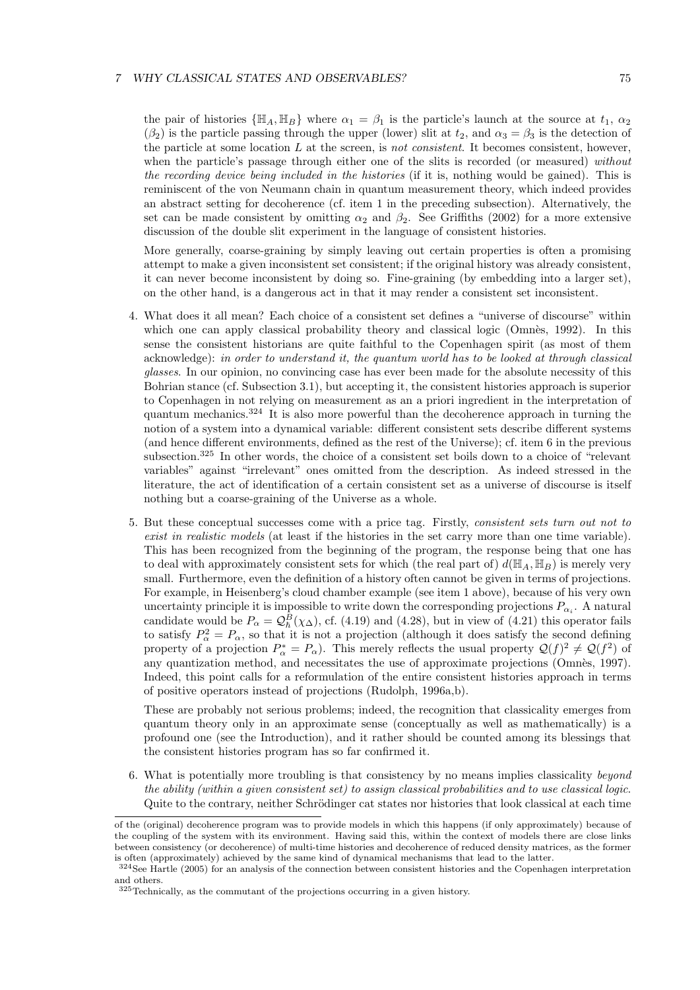the pair of histories  $\{\mathbb{H}_A, \mathbb{H}_B\}$  where  $\alpha_1 = \beta_1$  is the particle's launch at the source at  $t_1, \alpha_2$  $(\beta_2)$  is the particle passing through the upper (lower) slit at  $t_2$ , and  $\alpha_3 = \beta_3$  is the detection of the particle at some location  $L$  at the screen, is not consistent. It becomes consistent, however, when the particle's passage through either one of the slits is recorded (or measured) without the recording device being included in the histories (if it is, nothing would be gained). This is reminiscent of the von Neumann chain in quantum measurement theory, which indeed provides an abstract setting for decoherence (cf. item 1 in the preceding subsection). Alternatively, the set can be made consistent by omitting  $\alpha_2$  and  $\beta_2$ . See Griffiths (2002) for a more extensive discussion of the double slit experiment in the language of consistent histories.

More generally, coarse-graining by simply leaving out certain properties is often a promising attempt to make a given inconsistent set consistent; if the original history was already consistent, it can never become inconsistent by doing so. Fine-graining (by embedding into a larger set), on the other hand, is a dangerous act in that it may render a consistent set inconsistent.

- 4. What does it all mean? Each choice of a consistent set defines a "universe of discourse" within which one can apply classical probability theory and classical logic (Omnès,  $1992$ ). In this sense the consistent historians are quite faithful to the Copenhagen spirit (as most of them acknowledge): in order to understand it, the quantum world has to be looked at through classical glasses. In our opinion, no convincing case has ever been made for the absolute necessity of this Bohrian stance (cf. Subsection 3.1), but accepting it, the consistent histories approach is superior to Copenhagen in not relying on measurement as an a priori ingredient in the interpretation of quantum mechanics.<sup>324</sup> It is also more powerful than the decoherence approach in turning the notion of a system into a dynamical variable: different consistent sets describe different systems (and hence different environments, defined as the rest of the Universe); cf. item 6 in the previous subsection.<sup>325</sup> In other words, the choice of a consistent set boils down to a choice of "relevant variables" against "irrelevant" ones omitted from the description. As indeed stressed in the literature, the act of identification of a certain consistent set as a universe of discourse is itself nothing but a coarse-graining of the Universe as a whole.
- 5. But these conceptual successes come with a price tag. Firstly, consistent sets turn out not to exist in realistic models (at least if the histories in the set carry more than one time variable). This has been recognized from the beginning of the program, the response being that one has to deal with approximately consistent sets for which (the real part of)  $d(\mathbb{H}_{A}, \mathbb{H}_{B})$  is merely very small. Furthermore, even the definition of a history often cannot be given in terms of projections. For example, in Heisenberg's cloud chamber example (see item 1 above), because of his very own uncertainty principle it is impossible to write down the corresponding projections  $P_{\alpha_i}$ . A natural candidate would be  $P_{\alpha} = Q_{\hbar}^{B}(\chi_{\Delta})$ , cf. (4.19) and (4.28), but in view of (4.21) this operator fails to satisfy  $P_{\alpha}^2 = P_{\alpha}$ , so that it is not a projection (although it does satisfy the second defining property of a projection  $P^*_{\alpha} = P_{\alpha}$ ). This merely reflects the usual property  $\mathcal{Q}(f)^2 \neq \mathcal{Q}(f^2)$  of any quantization method, and necessitates the use of approximate projections (Omnès, 1997). Indeed, this point calls for a reformulation of the entire consistent histories approach in terms of positive operators instead of projections (Rudolph, 1996a,b).

These are probably not serious problems; indeed, the recognition that classicality emerges from quantum theory only in an approximate sense (conceptually as well as mathematically) is a profound one (see the Introduction), and it rather should be counted among its blessings that the consistent histories program has so far confirmed it.

6. What is potentially more troubling is that consistency by no means implies classicality beyond the ability (within a given consistent set) to assign classical probabilities and to use classical logic. Quite to the contrary, neither Schrödinger cat states nor histories that look classical at each time

of the (original) decoherence program was to provide models in which this happens (if only approximately) because of the coupling of the system with its environment. Having said this, within the context of models there are close links between consistency (or decoherence) of multi-time histories and decoherence of reduced density matrices, as the former is often (approximately) achieved by the same kind of dynamical mechanisms that lead to the latter.

<sup>324</sup>See Hartle (2005) for an analysis of the connection between consistent histories and the Copenhagen interpretation and others.

 $325$ Technically, as the commutant of the projections occurring in a given history.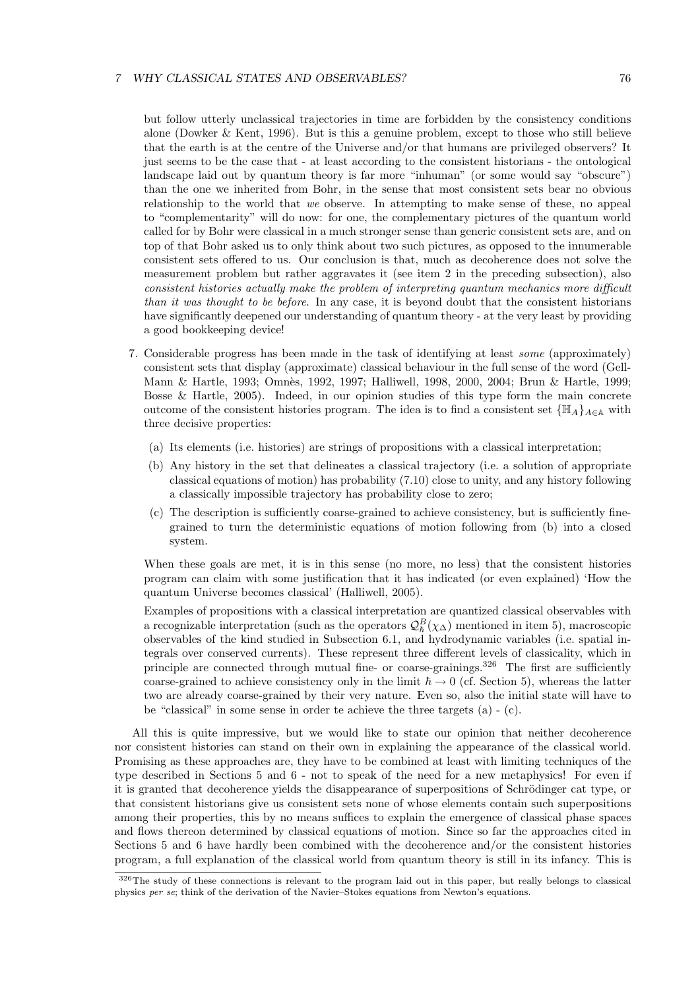but follow utterly unclassical trajectories in time are forbidden by the consistency conditions alone (Dowker & Kent, 1996). But is this a genuine problem, except to those who still believe that the earth is at the centre of the Universe and/or that humans are privileged observers? It just seems to be the case that - at least according to the consistent historians - the ontological landscape laid out by quantum theory is far more "inhuman" (or some would say "obscure") than the one we inherited from Bohr, in the sense that most consistent sets bear no obvious relationship to the world that we observe. In attempting to make sense of these, no appeal to "complementarity" will do now: for one, the complementary pictures of the quantum world called for by Bohr were classical in a much stronger sense than generic consistent sets are, and on top of that Bohr asked us to only think about two such pictures, as opposed to the innumerable consistent sets offered to us. Our conclusion is that, much as decoherence does not solve the measurement problem but rather aggravates it (see item 2 in the preceding subsection), also consistent histories actually make the problem of interpreting quantum mechanics more difficult than it was thought to be before. In any case, it is beyond doubt that the consistent historians have significantly deepened our understanding of quantum theory - at the very least by providing a good bookkeeping device!

- 7. Considerable progress has been made in the task of identifying at least some (approximately) consistent sets that display (approximate) classical behaviour in the full sense of the word (Gell-Mann & Hartle, 1993; Omnès, 1992, 1997; Halliwell, 1998, 2000, 2004; Brun & Hartle, 1999; Bosse & Hartle, 2005). Indeed, in our opinion studies of this type form the main concrete outcome of the consistent histories program. The idea is to find a consistent set  $\{H_A\}_{A\in\mathbb{A}}$  with three decisive properties:
	- (a) Its elements (i.e. histories) are strings of propositions with a classical interpretation;
	- (b) Any history in the set that delineates a classical trajectory (i.e. a solution of appropriate classical equations of motion) has probability (7.10) close to unity, and any history following a classically impossible trajectory has probability close to zero;
	- (c) The description is sufficiently coarse-grained to achieve consistency, but is sufficiently finegrained to turn the deterministic equations of motion following from (b) into a closed system.

When these goals are met, it is in this sense (no more, no less) that the consistent histories program can claim with some justification that it has indicated (or even explained) 'How the quantum Universe becomes classical' (Halliwell, 2005).

Examples of propositions with a classical interpretation are quantized classical observables with a recognizable interpretation (such as the operators  $\mathcal{Q}_{\hbar}^B(\chi_{\Delta})$  mentioned in item 5), macroscopic observables of the kind studied in Subsection 6.1, and hydrodynamic variables (i.e. spatial integrals over conserved currents). These represent three different levels of classicality, which in principle are connected through mutual fine- or coarse-grainings.<sup>326</sup> The first are sufficiently coarse-grained to achieve consistency only in the limit  $\hbar \to 0$  (cf. Section 5), whereas the latter two are already coarse-grained by their very nature. Even so, also the initial state will have to be "classical" in some sense in order te achieve the three targets (a) - (c).

All this is quite impressive, but we would like to state our opinion that neither decoherence nor consistent histories can stand on their own in explaining the appearance of the classical world. Promising as these approaches are, they have to be combined at least with limiting techniques of the type described in Sections 5 and 6 - not to speak of the need for a new metaphysics! For even if it is granted that decoherence yields the disappearance of superpositions of Schrödinger cat type, or that consistent historians give us consistent sets none of whose elements contain such superpositions among their properties, this by no means suffices to explain the emergence of classical phase spaces and flows thereon determined by classical equations of motion. Since so far the approaches cited in Sections 5 and 6 have hardly been combined with the decoherence and/or the consistent histories program, a full explanation of the classical world from quantum theory is still in its infancy. This is

<sup>326</sup>The study of these connections is relevant to the program laid out in this paper, but really belongs to classical physics per se; think of the derivation of the Navier–Stokes equations from Newton's equations.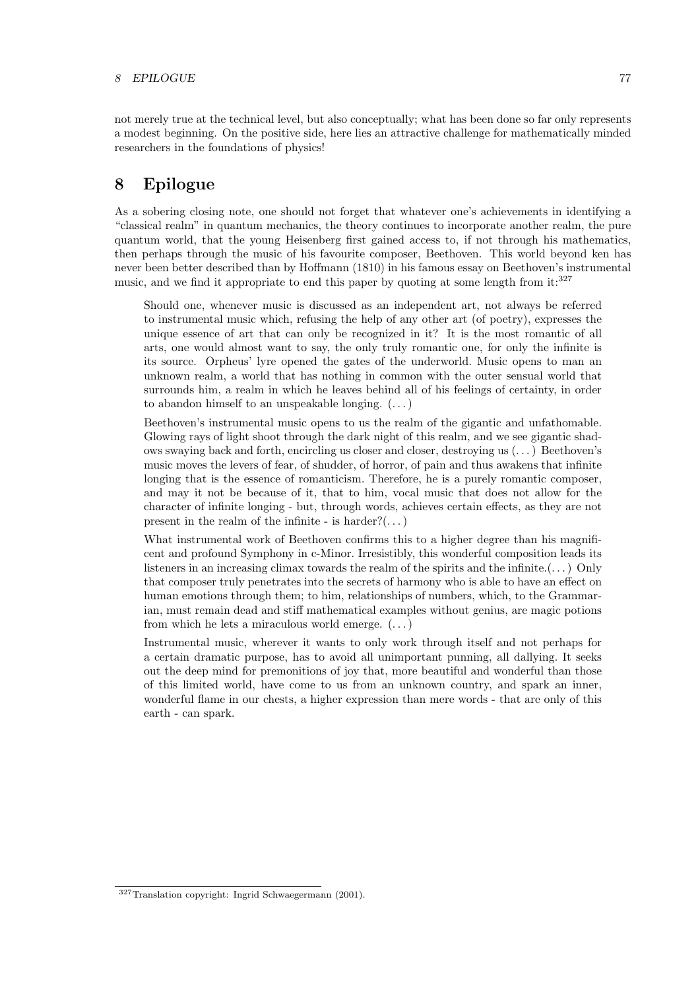not merely true at the technical level, but also conceptually; what has been done so far only represents a modest beginning. On the positive side, here lies an attractive challenge for mathematically minded researchers in the foundations of physics!

# 8 Epilogue

As a sobering closing note, one should not forget that whatever one's achievements in identifying a "classical realm" in quantum mechanics, the theory continues to incorporate another realm, the pure quantum world, that the young Heisenberg first gained access to, if not through his mathematics, then perhaps through the music of his favourite composer, Beethoven. This world beyond ken has never been better described than by Hoffmann (1810) in his famous essay on Beethoven's instrumental music, and we find it appropriate to end this paper by quoting at some length from it: $327$ 

Should one, whenever music is discussed as an independent art, not always be referred to instrumental music which, refusing the help of any other art (of poetry), expresses the unique essence of art that can only be recognized in it? It is the most romantic of all arts, one would almost want to say, the only truly romantic one, for only the infinite is its source. Orpheus' lyre opened the gates of the underworld. Music opens to man an unknown realm, a world that has nothing in common with the outer sensual world that surrounds him, a realm in which he leaves behind all of his feelings of certainty, in order to abandon himself to an unspeakable longing. (. . . )

Beethoven's instrumental music opens to us the realm of the gigantic and unfathomable. Glowing rays of light shoot through the dark night of this realm, and we see gigantic shadows swaying back and forth, encircling us closer and closer, destroying us  $(\dots)$  Beethoven's music moves the levers of fear, of shudder, of horror, of pain and thus awakens that infinite longing that is the essence of romanticism. Therefore, he is a purely romantic composer, and may it not be because of it, that to him, vocal music that does not allow for the character of infinite longing - but, through words, achieves certain effects, as they are not present in the realm of the infinite - is harder?(...)

What instrumental work of Beethoven confirms this to a higher degree than his magnificent and profound Symphony in c-Minor. Irresistibly, this wonderful composition leads its listeners in an increasing climax towards the realm of the spirits and the infinite. $(\dots)$  Only that composer truly penetrates into the secrets of harmony who is able to have an effect on human emotions through them; to him, relationships of numbers, which, to the Grammarian, must remain dead and stiff mathematical examples without genius, are magic potions from which he lets a miraculous world emerge.  $(\dots)$ 

Instrumental music, wherever it wants to only work through itself and not perhaps for a certain dramatic purpose, has to avoid all unimportant punning, all dallying. It seeks out the deep mind for premonitions of joy that, more beautiful and wonderful than those of this limited world, have come to us from an unknown country, and spark an inner, wonderful flame in our chests, a higher expression than mere words - that are only of this earth - can spark.

<sup>327</sup>Translation copyright: Ingrid Schwaegermann (2001).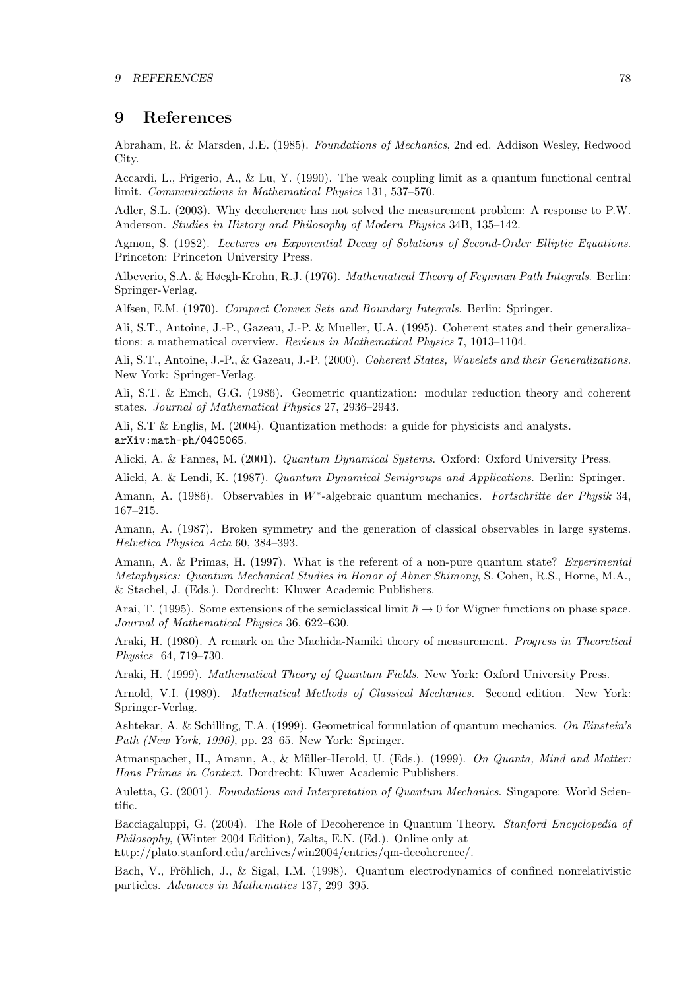## 9 References

Abraham, R. & Marsden, J.E. (1985). Foundations of Mechanics, 2nd ed. Addison Wesley, Redwood City.

Accardi, L., Frigerio, A., & Lu, Y. (1990). The weak coupling limit as a quantum functional central limit. Communications in Mathematical Physics 131, 537–570.

Adler, S.L. (2003). Why decoherence has not solved the measurement problem: A response to P.W. Anderson. Studies in History and Philosophy of Modern Physics 34B, 135–142.

Agmon, S. (1982). Lectures on Exponential Decay of Solutions of Second-Order Elliptic Equations. Princeton: Princeton University Press.

Albeverio, S.A. & Høegh-Krohn, R.J. (1976). Mathematical Theory of Feynman Path Integrals. Berlin: Springer-Verlag.

Alfsen, E.M. (1970). Compact Convex Sets and Boundary Integrals. Berlin: Springer.

Ali, S.T., Antoine, J.-P., Gazeau, J.-P. & Mueller, U.A. (1995). Coherent states and their generalizations: a mathematical overview. Reviews in Mathematical Physics 7, 1013–1104.

Ali, S.T., Antoine, J.-P., & Gazeau, J.-P. (2000). Coherent States, Wavelets and their Generalizations. New York: Springer-Verlag.

Ali, S.T. & Emch, G.G. (1986). Geometric quantization: modular reduction theory and coherent states. Journal of Mathematical Physics 27, 2936–2943.

Ali, S.T & Englis, M. (2004). Quantization methods: a guide for physicists and analysts. arXiv:math-ph/0405065.

Alicki, A. & Fannes, M. (2001). Quantum Dynamical Systems. Oxford: Oxford University Press.

Alicki, A. & Lendi, K. (1987). Quantum Dynamical Semigroups and Applications. Berlin: Springer.

Amann, A. (1986). Observables in W<sup>\*</sup>-algebraic quantum mechanics. Fortschritte der Physik 34, 167–215.

Amann, A. (1987). Broken symmetry and the generation of classical observables in large systems. Helvetica Physica Acta 60, 384–393.

Amann, A. & Primas, H. (1997). What is the referent of a non-pure quantum state? Experimental Metaphysics: Quantum Mechanical Studies in Honor of Abner Shimony, S. Cohen, R.S., Horne, M.A., & Stachel, J. (Eds.). Dordrecht: Kluwer Academic Publishers.

Arai, T. (1995). Some extensions of the semiclassical limit  $\hbar \to 0$  for Wigner functions on phase space. Journal of Mathematical Physics 36, 622–630.

Araki, H. (1980). A remark on the Machida-Namiki theory of measurement. Progress in Theoretical Physics 64, 719–730.

Araki, H. (1999). Mathematical Theory of Quantum Fields. New York: Oxford University Press.

Arnold, V.I. (1989). Mathematical Methods of Classical Mechanics. Second edition. New York: Springer-Verlag.

Ashtekar, A. & Schilling, T.A. (1999). Geometrical formulation of quantum mechanics. On Einstein's Path (New York, 1996), pp. 23–65. New York: Springer.

Atmanspacher, H., Amann, A., & Müller-Herold, U. (Eds.). (1999). On Quanta, Mind and Matter: Hans Primas in Context. Dordrecht: Kluwer Academic Publishers.

Auletta, G. (2001). Foundations and Interpretation of Quantum Mechanics. Singapore: World Scientific.

Bacciagaluppi, G. (2004). The Role of Decoherence in Quantum Theory. Stanford Encyclopedia of Philosophy, (Winter 2004 Edition), Zalta, E.N. (Ed.). Online only at http://plato.stanford.edu/archives/win2004/entries/qm-decoherence/.

Bach, V., Fröhlich, J., & Sigal, I.M. (1998). Quantum electrodynamics of confined nonrelativistic particles. Advances in Mathematics 137, 299–395.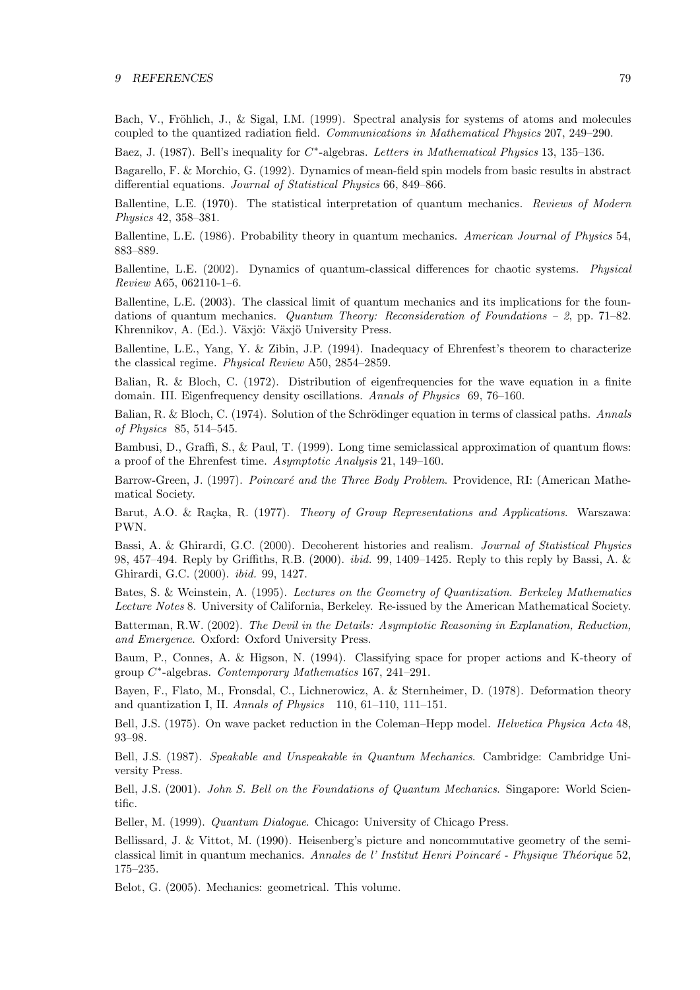Bach, V., Fröhlich, J., & Sigal, I.M. (1999). Spectral analysis for systems of atoms and molecules coupled to the quantized radiation field. Communications in Mathematical Physics 207, 249–290.

Baez, J. (1987). Bell's inequality for C<sup>\*</sup>-algebras. Letters in Mathematical Physics 13, 135–136.

Bagarello, F. & Morchio, G. (1992). Dynamics of mean-field spin models from basic results in abstract differential equations. Journal of Statistical Physics 66, 849–866.

Ballentine, L.E. (1970). The statistical interpretation of quantum mechanics. Reviews of Modern Physics 42, 358–381.

Ballentine, L.E. (1986). Probability theory in quantum mechanics. American Journal of Physics 54, 883–889.

Ballentine, L.E. (2002). Dynamics of quantum-classical differences for chaotic systems. Physical Review A65, 062110-1–6.

Ballentine, L.E. (2003). The classical limit of quantum mechanics and its implications for the foundations of quantum mechanics. Quantum Theory: Reconsideration of Foundations – 2, pp. 71–82. Khrennikov, A. (Ed.). Växjö: Växjö University Press.

Ballentine, L.E., Yang, Y. & Zibin, J.P. (1994). Inadequacy of Ehrenfest's theorem to characterize the classical regime. Physical Review A50, 2854–2859.

Balian, R. & Bloch, C. (1972). Distribution of eigenfrequencies for the wave equation in a finite domain. III. Eigenfrequency density oscillations. Annals of Physics 69, 76–160.

Balian, R. & Bloch, C. (1974). Solution of the Schrödinger equation in terms of classical paths. Annals of Physics 85, 514–545.

Bambusi, D., Graffi, S., & Paul, T. (1999). Long time semiclassical approximation of quantum flows: a proof of the Ehrenfest time. Asymptotic Analysis 21, 149–160.

Barrow-Green, J. (1997). Poincaré and the Three Body Problem. Providence, RI: (American Mathematical Society.

Barut, A.O. & Raçka, R. (1977). Theory of Group Representations and Applications. Warszawa: PWN.

Bassi, A. & Ghirardi, G.C. (2000). Decoherent histories and realism. Journal of Statistical Physics 98, 457–494. Reply by Griffiths, R.B. (2000). ibid. 99, 1409–1425. Reply to this reply by Bassi, A. & Ghirardi, G.C. (2000). ibid. 99, 1427.

Bates, S. & Weinstein, A. (1995). Lectures on the Geometry of Quantization. Berkeley Mathematics Lecture Notes 8. University of California, Berkeley. Re-issued by the American Mathematical Society.

Batterman, R.W. (2002). The Devil in the Details: Asymptotic Reasoning in Explanation, Reduction, and Emergence. Oxford: Oxford University Press.

Baum, P., Connes, A. & Higson, N. (1994). Classifying space for proper actions and K-theory of group C<sup>\*</sup>-algebras. Contemporary Mathematics 167, 241-291.

Bayen, F., Flato, M., Fronsdal, C., Lichnerowicz, A. & Sternheimer, D. (1978). Deformation theory and quantization I, II. Annals of Physics 110, 61–110, 111–151.

Bell, J.S. (1975). On wave packet reduction in the Coleman–Hepp model. Helvetica Physica Acta 48, 93–98.

Bell, J.S. (1987). Speakable and Unspeakable in Quantum Mechanics. Cambridge: Cambridge University Press.

Bell, J.S. (2001). John S. Bell on the Foundations of Quantum Mechanics. Singapore: World Scientific.

Beller, M. (1999). Quantum Dialogue. Chicago: University of Chicago Press.

Bellissard, J. & Vittot, M. (1990). Heisenberg's picture and noncommutative geometry of the semiclassical limit in quantum mechanics. Annales de l'Institut Henri Poincaré - Physique Théorique 52, 175–235.

Belot, G. (2005). Mechanics: geometrical. This volume.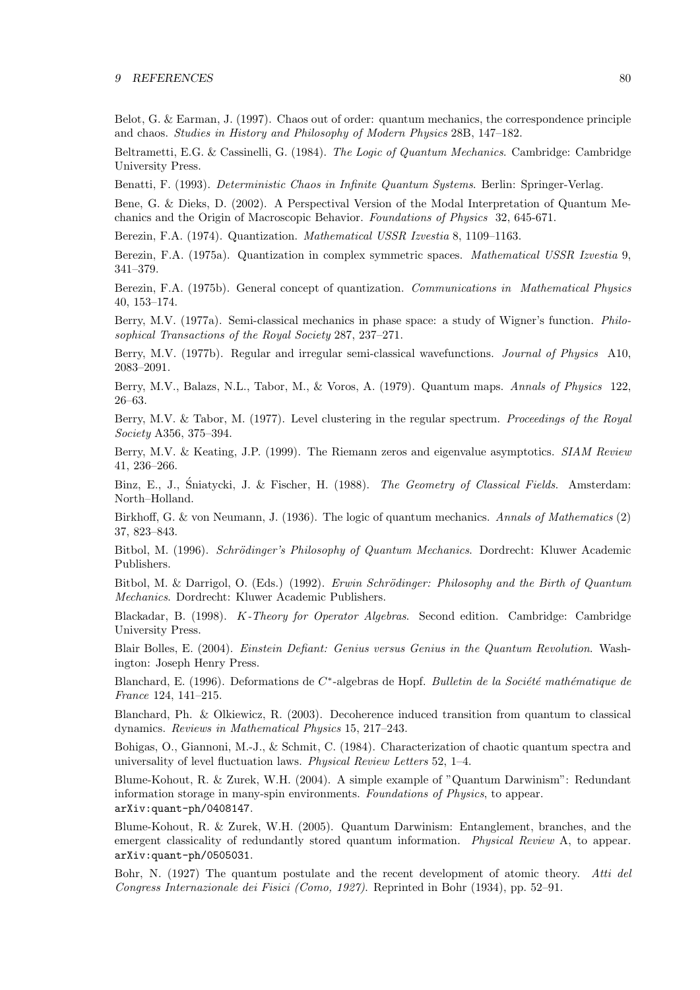Belot, G. & Earman, J. (1997). Chaos out of order: quantum mechanics, the correspondence principle and chaos. Studies in History and Philosophy of Modern Physics 28B, 147–182.

Beltrametti, E.G. & Cassinelli, G. (1984). The Logic of Quantum Mechanics. Cambridge: Cambridge University Press.

Benatti, F. (1993). Deterministic Chaos in Infinite Quantum Systems. Berlin: Springer-Verlag.

Bene, G. & Dieks, D. (2002). A Perspectival Version of the Modal Interpretation of Quantum Mechanics and the Origin of Macroscopic Behavior. Foundations of Physics 32, 645-671.

Berezin, F.A. (1974). Quantization. Mathematical USSR Izvestia 8, 1109–1163.

Berezin, F.A. (1975a). Quantization in complex symmetric spaces. Mathematical USSR Izvestia 9, 341–379.

Berezin, F.A. (1975b). General concept of quantization. Communications in Mathematical Physics 40, 153–174.

Berry, M.V. (1977a). Semi-classical mechanics in phase space: a study of Wigner's function. Philosophical Transactions of the Royal Society 287, 237–271.

Berry, M.V. (1977b). Regular and irregular semi-classical wavefunctions. *Journal of Physics* A10, 2083–2091.

Berry, M.V., Balazs, N.L., Tabor, M., & Voros, A. (1979). Quantum maps. Annals of Physics 122, 26–63.

Berry, M.V. & Tabor, M. (1977). Level clustering in the regular spectrum. Proceedings of the Royal Society A356, 375–394.

Berry, M.V. & Keating, J.P. (1999). The Riemann zeros and eigenvalue asymptotics. *SIAM Review* 41, 236–266.

Binz, E., J., Sniatycki, J. & Fischer, H. (1988). The Geometry of Classical Fields. Amsterdam: North–Holland.

Birkhoff, G. & von Neumann, J. (1936). The logic of quantum mechanics. Annals of Mathematics (2) 37, 823–843.

Bitbol, M. (1996). Schrödinger's Philosophy of Quantum Mechanics. Dordrecht: Kluwer Academic Publishers.

Bitbol, M. & Darrigol, O. (Eds.) (1992). Erwin Schrödinger: Philosophy and the Birth of Quantum Mechanics. Dordrecht: Kluwer Academic Publishers.

Blackadar, B. (1998). K-Theory for Operator Algebras. Second edition. Cambridge: Cambridge University Press.

Blair Bolles, E. (2004). Einstein Defiant: Genius versus Genius in the Quantum Revolution. Washington: Joseph Henry Press.

Blanchard, E. (1996). Deformations de C<sup>\*</sup>-algebras de Hopf. Bulletin de la Société mathématique de France 124, 141–215.

Blanchard, Ph. & Olkiewicz, R. (2003). Decoherence induced transition from quantum to classical dynamics. Reviews in Mathematical Physics 15, 217–243.

Bohigas, O., Giannoni, M.-J., & Schmit, C. (1984). Characterization of chaotic quantum spectra and universality of level fluctuation laws. Physical Review Letters 52, 1–4.

Blume-Kohout, R. & Zurek, W.H. (2004). A simple example of "Quantum Darwinism": Redundant information storage in many-spin environments. Foundations of Physics, to appear. arXiv:quant-ph/0408147.

Blume-Kohout, R. & Zurek, W.H. (2005). Quantum Darwinism: Entanglement, branches, and the emergent classicality of redundantly stored quantum information. *Physical Review* A, to appear. arXiv:quant-ph/0505031.

Bohr, N. (1927) The quantum postulate and the recent development of atomic theory. Atti del Congress Internazionale dei Fisici (Como, 1927). Reprinted in Bohr (1934), pp. 52–91.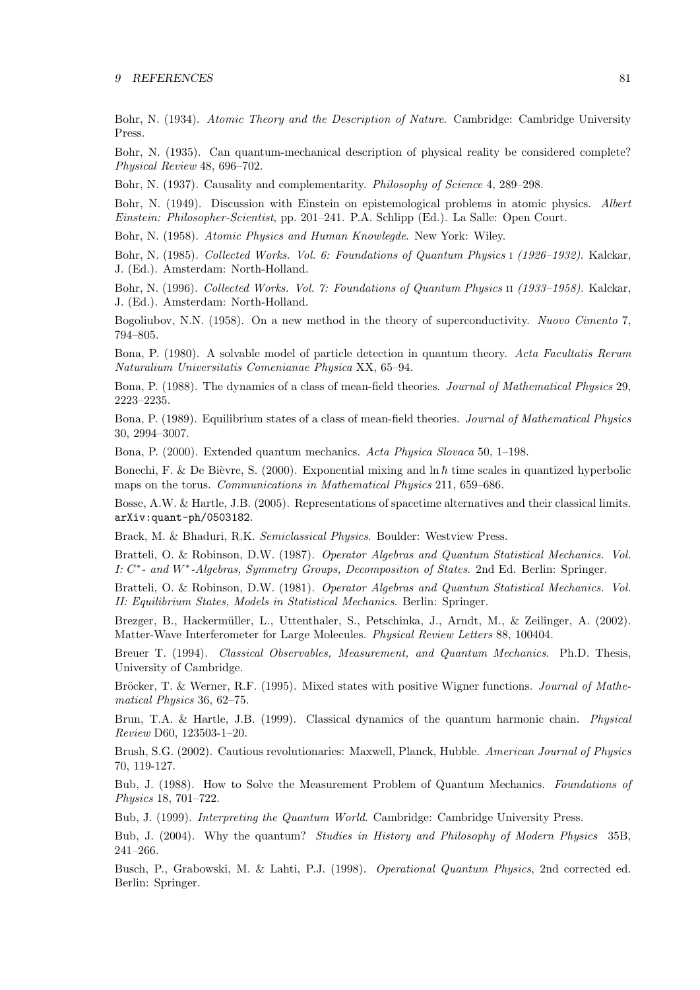Bohr, N. (1934). Atomic Theory and the Description of Nature. Cambridge: Cambridge University Press.

Bohr, N. (1935). Can quantum-mechanical description of physical reality be considered complete? Physical Review 48, 696–702.

Bohr, N. (1937). Causality and complementarity. Philosophy of Science 4, 289–298.

Bohr, N. (1949). Discussion with Einstein on epistemological problems in atomic physics. Albert Einstein: Philosopher-Scientist, pp. 201–241. P.A. Schlipp (Ed.). La Salle: Open Court.

Bohr, N. (1958). Atomic Physics and Human Knowlegde. New York: Wiley.

Bohr, N. (1985). Collected Works. Vol. 6: Foundations of Quantum Physics i (1926–1932). Kalckar, J. (Ed.). Amsterdam: North-Holland.

Bohr, N. (1996). Collected Works. Vol. 7: Foundations of Quantum Physics II (1933-1958). Kalckar, J. (Ed.). Amsterdam: North-Holland.

Bogoliubov, N.N. (1958). On a new method in the theory of superconductivity. Nuovo Cimento 7, 794–805.

Bona, P. (1980). A solvable model of particle detection in quantum theory. Acta Facultatis Rerum Naturalium Universitatis Comenianae Physica XX, 65–94.

Bona, P. (1988). The dynamics of a class of mean-field theories. Journal of Mathematical Physics 29, 2223–2235.

Bona, P. (1989). Equilibrium states of a class of mean-field theories. Journal of Mathematical Physics 30, 2994–3007.

Bona, P. (2000). Extended quantum mechanics. Acta Physica Slovaca 50, 1–198.

Bonechi, F. & De Bièvre, S. (2000). Exponential mixing and  $\ln \hbar$  time scales in quantized hyperbolic maps on the torus. Communications in Mathematical Physics 211, 659–686.

Bosse, A.W. & Hartle, J.B. (2005). Representations of spacetime alternatives and their classical limits. arXiv:quant-ph/0503182.

Brack, M. & Bhaduri, R.K. Semiclassical Physics. Boulder: Westview Press.

Bratteli, O. & Robinson, D.W. (1987). Operator Algebras and Quantum Statistical Mechanics. Vol. I: C<sup>\*</sup>- and W<sup>\*</sup>-Algebras, Symmetry Groups, Decomposition of States. 2nd Ed. Berlin: Springer.

Bratteli, O. & Robinson, D.W. (1981). Operator Algebras and Quantum Statistical Mechanics. Vol. II: Equilibrium States, Models in Statistical Mechanics. Berlin: Springer.

Brezger, B., Hackermüller, L., Uttenthaler, S., Petschinka, J., Arndt, M., & Zeilinger, A. (2002). Matter-Wave Interferometer for Large Molecules. Physical Review Letters 88, 100404.

Breuer T. (1994). Classical Observables, Measurement, and Quantum Mechanics. Ph.D. Thesis, University of Cambridge.

Bröcker, T. & Werner, R.F. (1995). Mixed states with positive Wigner functions. Journal of Mathematical Physics 36, 62–75.

Brun, T.A. & Hartle, J.B. (1999). Classical dynamics of the quantum harmonic chain. Physical Review D60, 123503-1–20.

Brush, S.G. (2002). Cautious revolutionaries: Maxwell, Planck, Hubble. American Journal of Physics 70, 119-127.

Bub, J. (1988). How to Solve the Measurement Problem of Quantum Mechanics. Foundations of Physics 18, 701–722.

Bub, J. (1999). Interpreting the Quantum World. Cambridge: Cambridge University Press.

Bub, J. (2004). Why the quantum? Studies in History and Philosophy of Modern Physics 35B, 241–266.

Busch, P., Grabowski, M. & Lahti, P.J. (1998). Operational Quantum Physics, 2nd corrected ed. Berlin: Springer.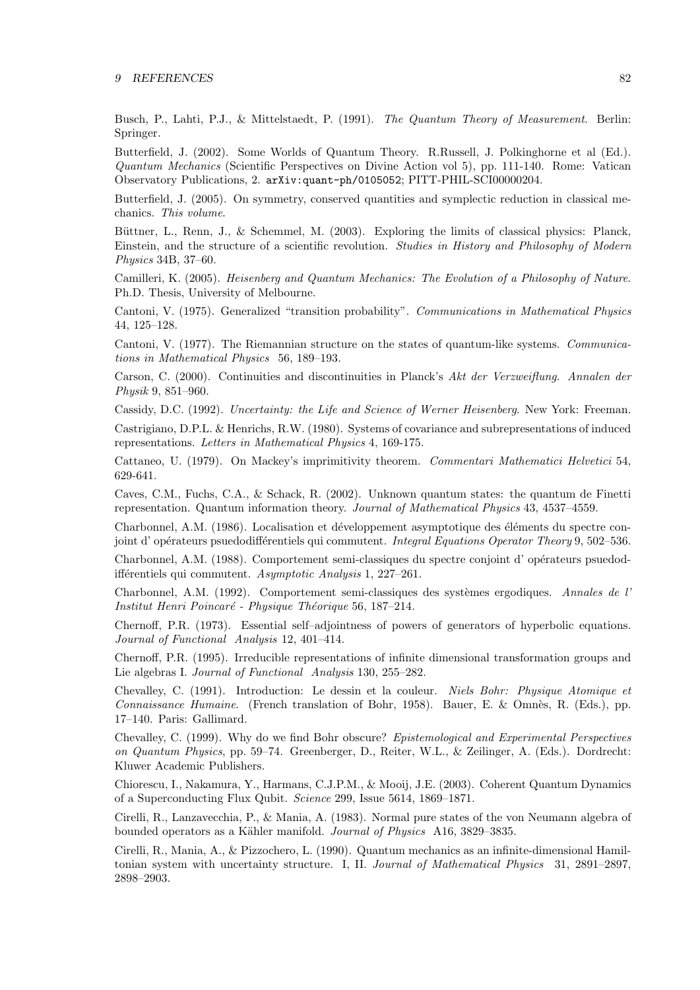Busch, P., Lahti, P.J., & Mittelstaedt, P. (1991). The Quantum Theory of Measurement. Berlin: Springer.

Butterfield, J. (2002). Some Worlds of Quantum Theory. R.Russell, J. Polkinghorne et al (Ed.). Quantum Mechanics (Scientific Perspectives on Divine Action vol 5), pp. 111-140. Rome: Vatican Observatory Publications, 2. arXiv:quant-ph/0105052; PITT-PHIL-SCI00000204.

Butterfield, J. (2005). On symmetry, conserved quantities and symplectic reduction in classical mechanics. This volume.

Büttner, L., Renn, J., & Schemmel, M. (2003). Exploring the limits of classical physics: Planck, Einstein, and the structure of a scientific revolution. Studies in History and Philosophy of Modern Physics 34B, 37–60.

Camilleri, K. (2005). Heisenberg and Quantum Mechanics: The Evolution of a Philosophy of Nature. Ph.D. Thesis, University of Melbourne.

Cantoni, V. (1975). Generalized "transition probability". Communications in Mathematical Physics 44, 125–128.

Cantoni, V. (1977). The Riemannian structure on the states of quantum-like systems. Communications in Mathematical Physics 56, 189–193.

Carson, C. (2000). Continuities and discontinuities in Planck's Akt der Verzweiflung. Annalen der Physik 9, 851–960.

Cassidy, D.C. (1992). Uncertainty: the Life and Science of Werner Heisenberg. New York: Freeman.

Castrigiano, D.P.L. & Henrichs, R.W. (1980). Systems of covariance and subrepresentations of induced representations. Letters in Mathematical Physics 4, 169-175.

Cattaneo, U. (1979). On Mackey's imprimitivity theorem. Commentari Mathematici Helvetici 54, 629-641.

Caves, C.M., Fuchs, C.A., & Schack, R. (2002). Unknown quantum states: the quantum de Finetti representation. Quantum information theory. Journal of Mathematical Physics 43, 4537–4559.

Charbonnel, A.M. (1986). Localisation et développement asymptotique des éléments du spectre conjoint d' opérateurs psuedodifférentiels qui commutent. Integral Equations Operator Theory 9, 502–536.

Charbonnel, A.M. (1988). Comportement semi-classiques du spectre conjoint d'opérateurs psuedodifférentiels qui commutent. Asymptotic Analysis 1, 227–261.

Charbonnel, A.M. (1992). Comportement semi-classiques des systèmes ergodiques. Annales de l' Institut Henri Poincaré - Physique Théorique 56, 187–214.

Chernoff, P.R. (1973). Essential self–adjointness of powers of generators of hyperbolic equations. Journal of Functional Analysis 12, 401–414.

Chernoff, P.R. (1995). Irreducible representations of infinite dimensional transformation groups and Lie algebras I. Journal of Functional Analysis 130, 255–282.

Chevalley, C. (1991). Introduction: Le dessin et la couleur. Niels Bohr: Physique Atomique et Connaissance Humaine. (French translation of Bohr, 1958). Bauer, E. & Omnès, R. (Eds.), pp. 17–140. Paris: Gallimard.

Chevalley, C. (1999). Why do we find Bohr obscure? Epistemological and Experimental Perspectives on Quantum Physics, pp. 59–74. Greenberger, D., Reiter, W.L., & Zeilinger, A. (Eds.). Dordrecht: Kluwer Academic Publishers.

Chiorescu, I., Nakamura, Y., Harmans, C.J.P.M., & Mooij, J.E. (2003). Coherent Quantum Dynamics of a Superconducting Flux Qubit. Science 299, Issue 5614, 1869–1871.

Cirelli, R., Lanzavecchia, P., & Mania, A. (1983). Normal pure states of the von Neumann algebra of bounded operators as a Kähler manifold. Journal of Physics A16, 3829-3835.

Cirelli, R., Mania, A., & Pizzochero, L. (1990). Quantum mechanics as an infinite-dimensional Hamiltonian system with uncertainty structure. I, II. Journal of Mathematical Physics 31, 2891–2897, 2898–2903.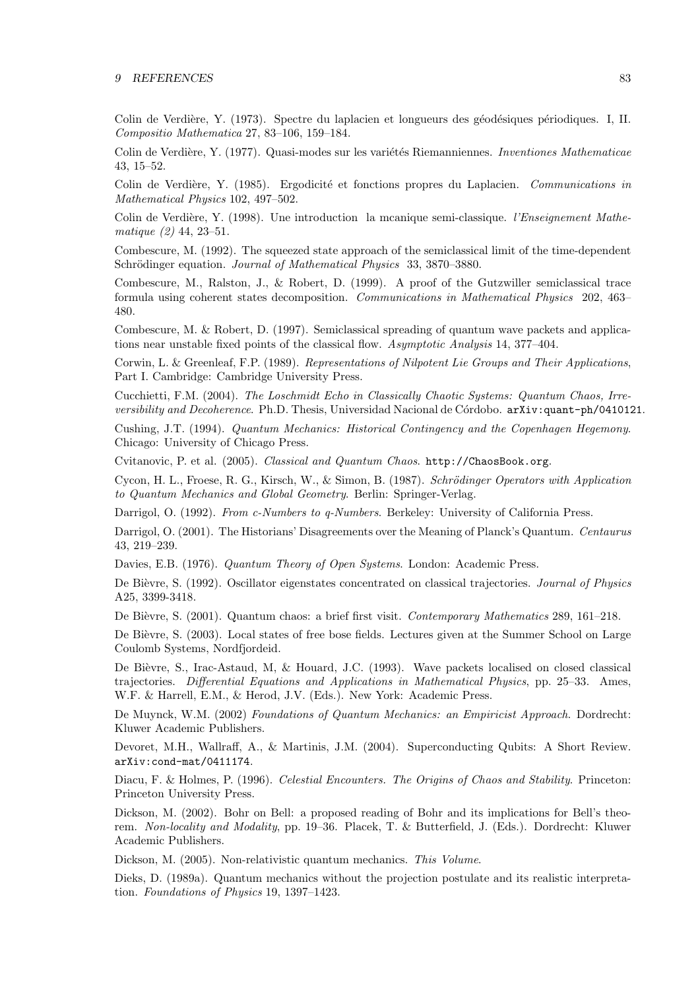Colin de Verdière, Y. (1973). Spectre du laplacien et longueurs des géodésiques périodiques. I, II. Compositio Mathematica 27, 83–106, 159–184.

Colin de Verdière, Y. (1977). Quasi-modes sur les variétés Riemanniennes. Inventiones Mathematicae 43, 15–52.

Colin de Verdière, Y. (1985). Ergodicité et fonctions propres du Laplacien. Communications in Mathematical Physics 102, 497–502.

Colin de Verdière, Y. (1998). Une introduction la mcanique semi-classique. *l'Enseignement Mathe*matique (2) 44, 23–51.

Combescure, M. (1992). The squeezed state approach of the semiclassical limit of the time-dependent Schrödinger equation. Journal of Mathematical Physics 33, 3870-3880.

Combescure, M., Ralston, J., & Robert, D. (1999). A proof of the Gutzwiller semiclassical trace formula using coherent states decomposition. Communications in Mathematical Physics 202, 463– 480.

Combescure, M. & Robert, D. (1997). Semiclassical spreading of quantum wave packets and applications near unstable fixed points of the classical flow. Asymptotic Analysis 14, 377–404.

Corwin, L. & Greenleaf, F.P. (1989). Representations of Nilpotent Lie Groups and Their Applications, Part I. Cambridge: Cambridge University Press.

Cucchietti, F.M. (2004). The Loschmidt Echo in Classically Chaotic Systems: Quantum Chaos, Irreversibility and Decoherence. Ph.D. Thesis, Universidad Nacional de Córdobo. arXiv:quant-ph/0410121.

Cushing, J.T. (1994). Quantum Mechanics: Historical Contingency and the Copenhagen Hegemony. Chicago: University of Chicago Press.

Cvitanovic, P. et al. (2005). Classical and Quantum Chaos. http://ChaosBook.org.

Cycon, H. L., Froese, R. G., Kirsch, W., & Simon, B. (1987). Schrödinger Operators with Application to Quantum Mechanics and Global Geometry. Berlin: Springer-Verlag.

Darrigol, O. (1992). From c-Numbers to q-Numbers. Berkeley: University of California Press.

Darrigol, O. (2001). The Historians' Disagreements over the Meaning of Planck's Quantum. Centaurus 43, 219–239.

Davies, E.B. (1976). Quantum Theory of Open Systems. London: Academic Press.

De Bièvre, S. (1992). Oscillator eigenstates concentrated on classical trajectories. Journal of Physics A25, 3399-3418.

De Bièvre, S. (2001). Quantum chaos: a brief first visit. Contemporary Mathematics 289, 161–218.

De Bièvre, S. (2003). Local states of free bose fields. Lectures given at the Summer School on Large Coulomb Systems, Nordfjordeid.

De Bièvre, S., Irac-Astaud, M, & Houard, J.C. (1993). Wave packets localised on closed classical trajectories. Differential Equations and Applications in Mathematical Physics, pp. 25–33. Ames, W.F. & Harrell, E.M., & Herod, J.V. (Eds.). New York: Academic Press.

De Muynck, W.M. (2002) Foundations of Quantum Mechanics: an Empiricist Approach. Dordrecht: Kluwer Academic Publishers.

Devoret, M.H., Wallraff, A., & Martinis, J.M. (2004). Superconducting Qubits: A Short Review. arXiv:cond-mat/0411174.

Diacu, F. & Holmes, P. (1996). Celestial Encounters. The Origins of Chaos and Stability. Princeton: Princeton University Press.

Dickson, M. (2002). Bohr on Bell: a proposed reading of Bohr and its implications for Bell's theorem. Non-locality and Modality, pp. 19–36. Placek, T. & Butterfield, J. (Eds.). Dordrecht: Kluwer Academic Publishers.

Dickson, M. (2005). Non-relativistic quantum mechanics. This Volume.

Dieks, D. (1989a). Quantum mechanics without the projection postulate and its realistic interpretation. Foundations of Physics 19, 1397–1423.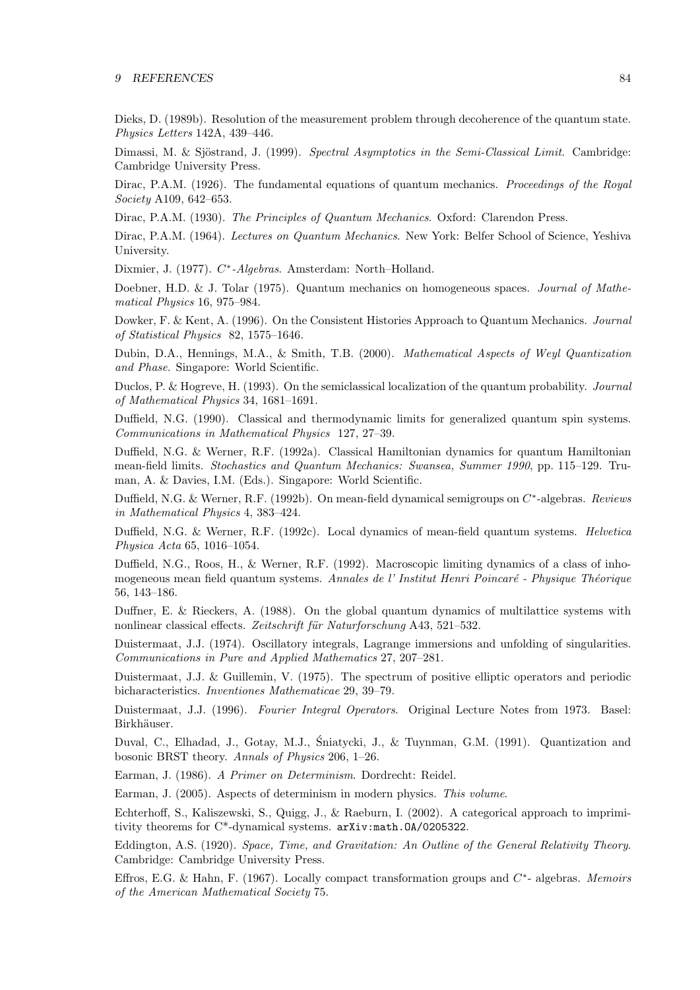### 9 REFERENCES 84

Dieks, D. (1989b). Resolution of the measurement problem through decoherence of the quantum state. Physics Letters 142A, 439–446.

Dimassi, M. & Sjöstrand, J. (1999). Spectral Asymptotics in the Semi-Classical Limit. Cambridge: Cambridge University Press.

Dirac, P.A.M. (1926). The fundamental equations of quantum mechanics. Proceedings of the Royal Society A109, 642–653.

Dirac, P.A.M. (1930). The Principles of Quantum Mechanics. Oxford: Clarendon Press.

Dirac, P.A.M. (1964). Lectures on Quantum Mechanics. New York: Belfer School of Science, Yeshiva University.

Dixmier, J. (1977). C<sup>\*</sup>-Algebras. Amsterdam: North-Holland.

Doebner, H.D. & J. Tolar (1975). Quantum mechanics on homogeneous spaces. *Journal of Mathe*matical Physics 16, 975–984.

Dowker, F. & Kent, A. (1996). On the Consistent Histories Approach to Quantum Mechanics. Journal of Statistical Physics 82, 1575–1646.

Dubin, D.A., Hennings, M.A., & Smith, T.B. (2000). Mathematical Aspects of Weyl Quantization and Phase. Singapore: World Scientific.

Duclos, P. & Hogreve, H. (1993). On the semiclassical localization of the quantum probability. Journal of Mathematical Physics 34, 1681–1691.

Duffield, N.G. (1990). Classical and thermodynamic limits for generalized quantum spin systems. Communications in Mathematical Physics 127, 27–39.

Duffield, N.G. & Werner, R.F. (1992a). Classical Hamiltonian dynamics for quantum Hamiltonian mean-field limits. Stochastics and Quantum Mechanics: Swansea, Summer 1990, pp. 115–129. Truman, A. & Davies, I.M. (Eds.). Singapore: World Scientific.

Duffield, N.G. & Werner, R.F. (1992b). On mean-field dynamical semigroups on  $C^*$ -algebras. Reviews in Mathematical Physics 4, 383–424.

Duffield, N.G. & Werner, R.F. (1992c). Local dynamics of mean-field quantum systems. Helvetica Physica Acta 65, 1016–1054.

Duffield, N.G., Roos, H., & Werner, R.F. (1992). Macroscopic limiting dynamics of a class of inhomogeneous mean field quantum systems. Annales de l'Institut Henri Poincaré - Physique Théorique 56, 143–186.

Duffner, E. & Rieckers, A. (1988). On the global quantum dynamics of multilattice systems with nonlinear classical effects. Zeitschrift für Naturforschung A43, 521–532.

Duistermaat, J.J. (1974). Oscillatory integrals, Lagrange immersions and unfolding of singularities. Communications in Pure and Applied Mathematics 27, 207–281.

Duistermaat, J.J. & Guillemin, V. (1975). The spectrum of positive elliptic operators and periodic bicharacteristics. Inventiones Mathematicae 29, 39–79.

Duistermaat, J.J. (1996). Fourier Integral Operators. Original Lecture Notes from 1973. Basel: Birkhäuser.

Duval, C., Elhadad, J., Gotay, M.J., Sniatycki, J., & Tuynman, G.M. (1991). Quantization and ´ bosonic BRST theory. Annals of Physics 206, 1–26.

Earman, J. (1986). A Primer on Determinism. Dordrecht: Reidel.

Earman, J. (2005). Aspects of determinism in modern physics. This volume.

Echterhoff, S., Kaliszewski, S., Quigg, J., & Raeburn, I. (2002). A categorical approach to imprimitivity theorems for C\*-dynamical systems.  $arXiv:math.DA/0205322$ .

Eddington, A.S. (1920). Space, Time, and Gravitation: An Outline of the General Relativity Theory. Cambridge: Cambridge University Press.

Effros, E.G. & Hahn, F. (1967). Locally compact transformation groups and  $C^*$ - algebras. Memoirs of the American Mathematical Society 75.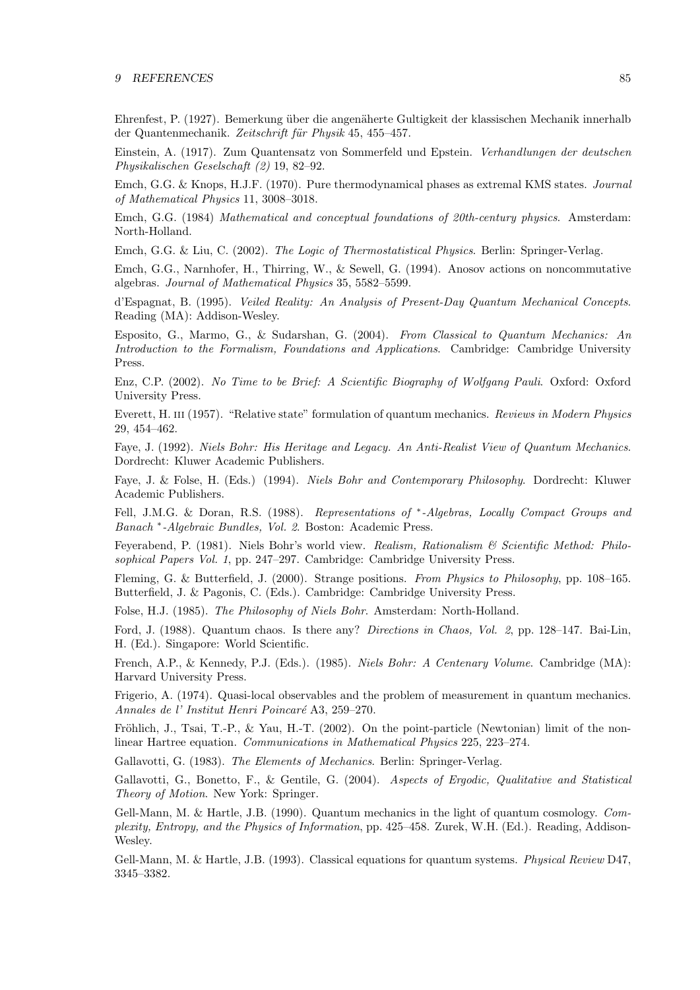### 9 REFERENCES 85

Ehrenfest, P. (1927). Bemerkung über die angenäherte Gultigkeit der klassischen Mechanik innerhalb der Quantenmechanik. Zeitschrift für Physik 45, 455–457.

Einstein, A. (1917). Zum Quantensatz von Sommerfeld und Epstein. Verhandlungen der deutschen Physikalischen Geselschaft (2) 19, 82–92.

Emch, G.G. & Knops, H.J.F. (1970). Pure thermodynamical phases as extremal KMS states. Journal of Mathematical Physics 11, 3008–3018.

Emch, G.G. (1984) Mathematical and conceptual foundations of 20th-century physics. Amsterdam: North-Holland.

Emch, G.G. & Liu, C. (2002). The Logic of Thermostatistical Physics. Berlin: Springer-Verlag.

Emch, G.G., Narnhofer, H., Thirring, W., & Sewell, G. (1994). Anosov actions on noncommutative algebras. Journal of Mathematical Physics 35, 5582–5599.

d'Espagnat, B. (1995). Veiled Reality: An Analysis of Present-Day Quantum Mechanical Concepts. Reading (MA): Addison-Wesley.

Esposito, G., Marmo, G., & Sudarshan, G. (2004). From Classical to Quantum Mechanics: An Introduction to the Formalism, Foundations and Applications. Cambridge: Cambridge University Press.

Enz, C.P. (2002). No Time to be Brief: A Scientific Biography of Wolfgang Pauli. Oxford: Oxford University Press.

Everett, H. III (1957). "Relative state" formulation of quantum mechanics. Reviews in Modern Physics 29, 454–462.

Faye, J. (1992). Niels Bohr: His Heritage and Legacy. An Anti-Realist View of Quantum Mechanics. Dordrecht: Kluwer Academic Publishers.

Faye, J. & Folse, H. (Eds.) (1994). Niels Bohr and Contemporary Philosophy. Dordrecht: Kluwer Academic Publishers.

Fell, J.M.G. & Doran, R.S. (1988). Representations of \*-Algebras, Locally Compact Groups and Banach <sup>∗</sup> -Algebraic Bundles, Vol. 2. Boston: Academic Press.

Feyerabend, P. (1981). Niels Bohr's world view. Realism, Rationalism & Scientific Method: Philosophical Papers Vol. 1, pp. 247–297. Cambridge: Cambridge University Press.

Fleming, G. & Butterfield, J. (2000). Strange positions. From Physics to Philosophy, pp. 108–165. Butterfield, J. & Pagonis, C. (Eds.). Cambridge: Cambridge University Press.

Folse, H.J. (1985). The Philosophy of Niels Bohr. Amsterdam: North-Holland.

Ford, J. (1988). Quantum chaos. Is there any? Directions in Chaos, Vol. 2, pp. 128–147. Bai-Lin, H. (Ed.). Singapore: World Scientific.

French, A.P., & Kennedy, P.J. (Eds.). (1985). Niels Bohr: A Centenary Volume. Cambridge (MA): Harvard University Press.

Frigerio, A. (1974). Quasi-local observables and the problem of measurement in quantum mechanics. Annales de l'Institut Henri Poincaré A3, 259–270.

Fröhlich, J., Tsai, T.-P., & Yau, H.-T. (2002). On the point-particle (Newtonian) limit of the nonlinear Hartree equation. Communications in Mathematical Physics 225, 223–274.

Gallavotti, G. (1983). The Elements of Mechanics. Berlin: Springer-Verlag.

Gallavotti, G., Bonetto, F., & Gentile, G. (2004). Aspects of Ergodic, Qualitative and Statistical Theory of Motion. New York: Springer.

Gell-Mann, M. & Hartle, J.B. (1990). Quantum mechanics in the light of quantum cosmology. Complexity, Entropy, and the Physics of Information, pp. 425–458. Zurek, W.H. (Ed.). Reading, Addison-Wesley.

Gell-Mann, M. & Hartle, J.B. (1993). Classical equations for quantum systems. Physical Review D47, 3345–3382.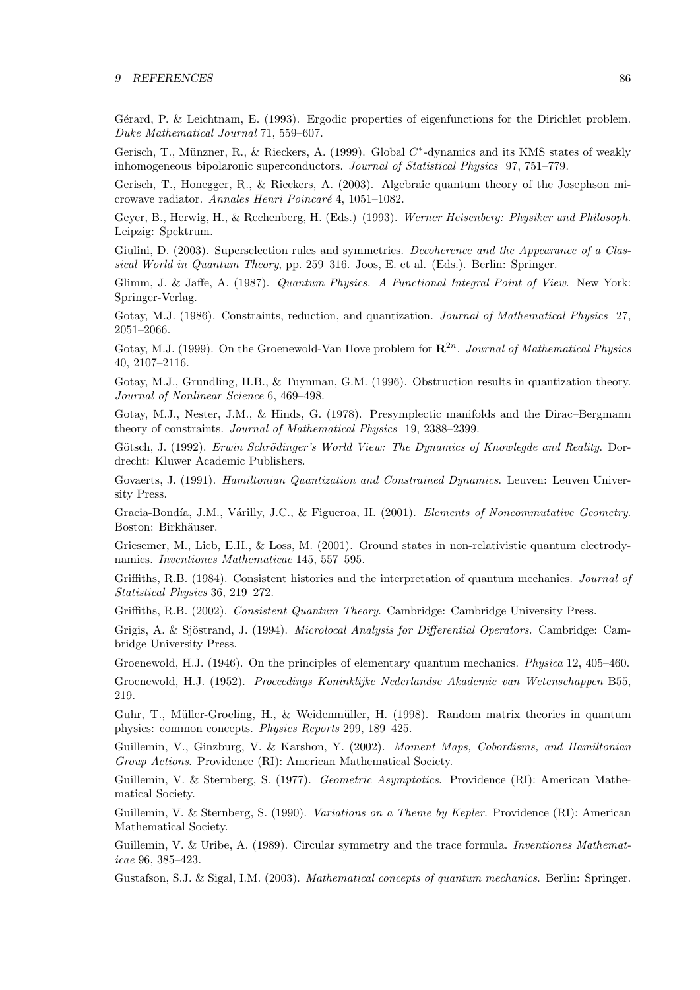Gérard, P. & Leichtnam, E. (1993). Ergodic properties of eigenfunctions for the Dirichlet problem. Duke Mathematical Journal 71, 559–607.

Gerisch, T., Münzner, R., & Rieckers, A. (1999). Global  $C^*$ -dynamics and its KMS states of weakly inhomogeneous bipolaronic superconductors. Journal of Statistical Physics 97, 751–779.

Gerisch, T., Honegger, R., & Rieckers, A. (2003). Algebraic quantum theory of the Josephson microwave radiator. Annales Henri Poincaré 4, 1051–1082.

Geyer, B., Herwig, H., & Rechenberg, H. (Eds.) (1993). Werner Heisenberg: Physiker und Philosoph. Leipzig: Spektrum.

Giulini, D. (2003). Superselection rules and symmetries. *Decoherence and the Appearance of a Clas*sical World in Quantum Theory, pp. 259–316. Joos, E. et al. (Eds.). Berlin: Springer.

Glimm, J. & Jaffe, A. (1987). Quantum Physics. A Functional Integral Point of View. New York: Springer-Verlag.

Gotay, M.J. (1986). Constraints, reduction, and quantization. Journal of Mathematical Physics 27, 2051–2066.

Gotay, M.J. (1999). On the Groenewold-Van Hove problem for  $\mathbb{R}^{2n}$ . Journal of Mathematical Physics 40, 2107–2116.

Gotay, M.J., Grundling, H.B., & Tuynman, G.M. (1996). Obstruction results in quantization theory. Journal of Nonlinear Science 6, 469–498.

Gotay, M.J., Nester, J.M., & Hinds, G. (1978). Presymplectic manifolds and the Dirac–Bergmann theory of constraints. Journal of Mathematical Physics 19, 2388–2399.

Götsch, J. (1992). Erwin Schrödinger's World View: The Dynamics of Knowlegde and Reality. Dordrecht: Kluwer Academic Publishers.

Govaerts, J. (1991). Hamiltonian Quantization and Constrained Dynamics. Leuven: Leuven University Press.

Gracia-Bondía, J.M., Várilly, J.C., & Figueroa, H. (2001). Elements of Noncommutative Geometry. Boston: Birkhäuser.

Griesemer, M., Lieb, E.H., & Loss, M. (2001). Ground states in non-relativistic quantum electrodynamics. Inventiones Mathematicae 145, 557–595.

Griffiths, R.B. (1984). Consistent histories and the interpretation of quantum mechanics. *Journal of* Statistical Physics 36, 219–272.

Griffiths, R.B. (2002). Consistent Quantum Theory. Cambridge: Cambridge University Press.

Grigis, A. & Sjöstrand, J. (1994). *Microlocal Analysis for Differential Operators*. Cambridge: Cambridge University Press.

Groenewold, H.J. (1946). On the principles of elementary quantum mechanics. Physica 12, 405–460.

Groenewold, H.J. (1952). Proceedings Koninklijke Nederlandse Akademie van Wetenschappen B55, 219.

Guhr, T., Müller-Groeling, H., & Weidenmüller, H. (1998). Random matrix theories in quantum physics: common concepts. Physics Reports 299, 189–425.

Guillemin, V., Ginzburg, V. & Karshon, Y. (2002). Moment Maps, Cobordisms, and Hamiltonian Group Actions. Providence (RI): American Mathematical Society.

Guillemin, V. & Sternberg, S. (1977). Geometric Asymptotics. Providence (RI): American Mathematical Society.

Guillemin, V. & Sternberg, S. (1990). Variations on a Theme by Kepler. Providence (RI): American Mathematical Society.

Guillemin, V. & Uribe, A. (1989). Circular symmetry and the trace formula. Inventiones Mathematicae 96, 385–423.

Gustafson, S.J. & Sigal, I.M. (2003). Mathematical concepts of quantum mechanics. Berlin: Springer.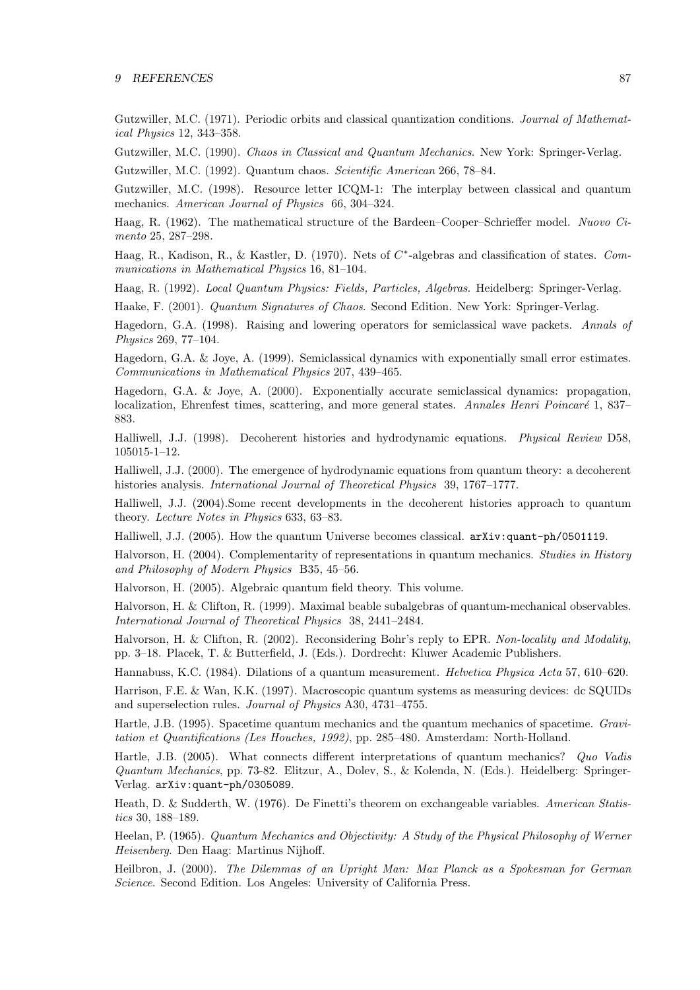#### 9 REFERENCES 87

Gutzwiller, M.C. (1971). Periodic orbits and classical quantization conditions. Journal of Mathematical Physics 12, 343–358.

Gutzwiller, M.C. (1990). Chaos in Classical and Quantum Mechanics. New York: Springer-Verlag.

Gutzwiller, M.C. (1992). Quantum chaos. Scientific American 266, 78–84.

Gutzwiller, M.C. (1998). Resource letter ICQM-1: The interplay between classical and quantum mechanics. American Journal of Physics 66, 304–324.

Haag, R. (1962). The mathematical structure of the Bardeen–Cooper–Schrieffer model. Nuovo Cimento 25, 287–298.

Haag, R., Kadison, R., & Kastler, D. (1970). Nets of  $C^*$ -algebras and classification of states. Communications in Mathematical Physics 16, 81–104.

Haag, R. (1992). Local Quantum Physics: Fields, Particles, Algebras. Heidelberg: Springer-Verlag.

Haake, F. (2001). Quantum Signatures of Chaos. Second Edition. New York: Springer-Verlag.

Hagedorn, G.A. (1998). Raising and lowering operators for semiclassical wave packets. Annals of Physics 269, 77–104.

Hagedorn, G.A. & Joye, A. (1999). Semiclassical dynamics with exponentially small error estimates. Communications in Mathematical Physics 207, 439–465.

Hagedorn, G.A. & Joye, A. (2000). Exponentially accurate semiclassical dynamics: propagation, localization, Ehrenfest times, scattering, and more general states. Annales Henri Poincaré 1, 837– 883.

Halliwell, J.J. (1998). Decoherent histories and hydrodynamic equations. Physical Review D58, 105015-1–12.

Halliwell, J.J. (2000). The emergence of hydrodynamic equations from quantum theory: a decoherent histories analysis. International Journal of Theoretical Physics 39, 1767–1777.

Halliwell, J.J. (2004).Some recent developments in the decoherent histories approach to quantum theory. Lecture Notes in Physics 633, 63–83.

Halliwell, J.J. (2005). How the quantum Universe becomes classical. arXiv:quant-ph/0501119.

Halvorson, H. (2004). Complementarity of representations in quantum mechanics. Studies in History and Philosophy of Modern Physics B35, 45–56.

Halvorson, H. (2005). Algebraic quantum field theory. This volume.

Halvorson, H. & Clifton, R. (1999). Maximal beable subalgebras of quantum-mechanical observables. International Journal of Theoretical Physics 38, 2441–2484.

Halvorson, H. & Clifton, R. (2002). Reconsidering Bohr's reply to EPR. Non-locality and Modality, pp. 3–18. Placek, T. & Butterfield, J. (Eds.). Dordrecht: Kluwer Academic Publishers.

Hannabuss, K.C. (1984). Dilations of a quantum measurement. Helvetica Physica Acta 57, 610–620.

Harrison, F.E. & Wan, K.K. (1997). Macroscopic quantum systems as measuring devices: dc SQUIDs and superselection rules. Journal of Physics A30, 4731–4755.

Hartle, J.B. (1995). Spacetime quantum mechanics and the quantum mechanics of spacetime. Gravitation et Quantifications (Les Houches, 1992), pp. 285–480. Amsterdam: North-Holland.

Hartle, J.B. (2005). What connects different interpretations of quantum mechanics? Quo Vadis Quantum Mechanics, pp. 73-82. Elitzur, A., Dolev, S., & Kolenda, N. (Eds.). Heidelberg: Springer-Verlag. arXiv:quant-ph/0305089.

Heath, D. & Sudderth, W. (1976). De Finetti's theorem on exchangeable variables. American Statistics 30, 188–189.

Heelan, P. (1965). Quantum Mechanics and Objectivity: A Study of the Physical Philosophy of Werner Heisenberg. Den Haag: Martinus Nijhoff.

Heilbron, J. (2000). The Dilemmas of an Upright Man: Max Planck as a Spokesman for German Science. Second Edition. Los Angeles: University of California Press.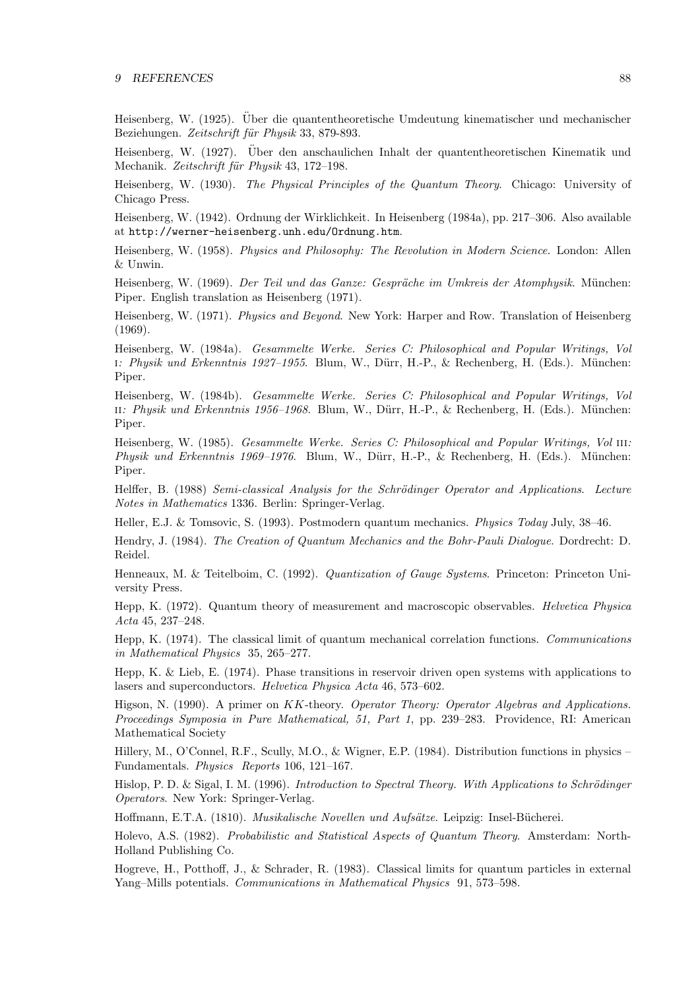Heisenberg, W. (1925). Über die quantentheoretische Umdeutung kinematischer und mechanischer Beziehungen. Zeitschrift für Physik 33, 879-893.

Heisenberg, W. (1927). Über den anschaulichen Inhalt der quantentheoretischen Kinematik und Mechanik. Zeitschrift für Physik 43, 172–198.

Heisenberg, W. (1930). The Physical Principles of the Quantum Theory. Chicago: University of Chicago Press.

Heisenberg, W. (1942). Ordnung der Wirklichkeit. In Heisenberg (1984a), pp. 217–306. Also available at http://werner-heisenberg.unh.edu/Ordnung.htm.

Heisenberg, W. (1958). Physics and Philosophy: The Revolution in Modern Science. London: Allen & Unwin.

Heisenberg, W. (1969). Der Teil und das Ganze: Gespräche im Umkreis der Atomphysik. München: Piper. English translation as Heisenberg (1971).

Heisenberg, W. (1971). *Physics and Beyond*. New York: Harper and Row. Translation of Heisenberg (1969).

Heisenberg, W. (1984a). Gesammelte Werke. Series C: Philosophical and Popular Writings, Vol 1: Physik und Erkenntnis 1927–1955. Blum, W., Dürr, H.-P., & Rechenberg, H. (Eds.). München: Piper.

Heisenberg, W. (1984b). Gesammelte Werke. Series C: Philosophical and Popular Writings, Vol II: Physik und Erkenntnis 1956–1968. Blum, W., Dürr, H.-P., & Rechenberg, H. (Eds.). München: Piper.

Heisenberg, W. (1985). Gesammelte Werke. Series C: Philosophical and Popular Writings, Vol III: Physik und Erkenntnis 1969–1976. Blum, W., Dürr, H.-P., & Rechenberg, H. (Eds.). München: Piper.

Helffer, B. (1988) Semi-classical Analysis for the Schrödinger Operator and Applications. Lecture Notes in Mathematics 1336. Berlin: Springer-Verlag.

Heller, E.J. & Tomsovic, S. (1993). Postmodern quantum mechanics. Physics Today July, 38–46.

Hendry, J. (1984). The Creation of Quantum Mechanics and the Bohr-Pauli Dialogue. Dordrecht: D. Reidel.

Henneaux, M. & Teitelboim, C. (1992). Quantization of Gauge Systems. Princeton: Princeton University Press.

Hepp, K. (1972). Quantum theory of measurement and macroscopic observables. Helvetica Physica Acta 45, 237–248.

Hepp, K. (1974). The classical limit of quantum mechanical correlation functions. Communications in Mathematical Physics 35, 265–277.

Hepp, K. & Lieb, E. (1974). Phase transitions in reservoir driven open systems with applications to lasers and superconductors. Helvetica Physica Acta 46, 573–602.

Higson, N. (1990). A primer on KK-theory. Operator Theory: Operator Algebras and Applications. Proceedings Symposia in Pure Mathematical, 51, Part 1, pp. 239–283. Providence, RI: American Mathematical Society

Hillery, M., O'Connel, R.F., Scully, M.O., & Wigner, E.P. (1984). Distribution functions in physics – Fundamentals. Physics Reports 106, 121–167.

Hislop, P. D. & Sigal, I. M. (1996). Introduction to Spectral Theory. With Applications to Schrödinger Operators. New York: Springer-Verlag.

Hoffmann, E.T.A. (1810). *Musikalische Novellen und Aufsätze*. Leipzig: Insel-Bücherei.

Holevo, A.S. (1982). Probabilistic and Statistical Aspects of Quantum Theory. Amsterdam: North-Holland Publishing Co.

Hogreve, H., Potthoff, J., & Schrader, R. (1983). Classical limits for quantum particles in external Yang–Mills potentials. Communications in Mathematical Physics 91, 573–598.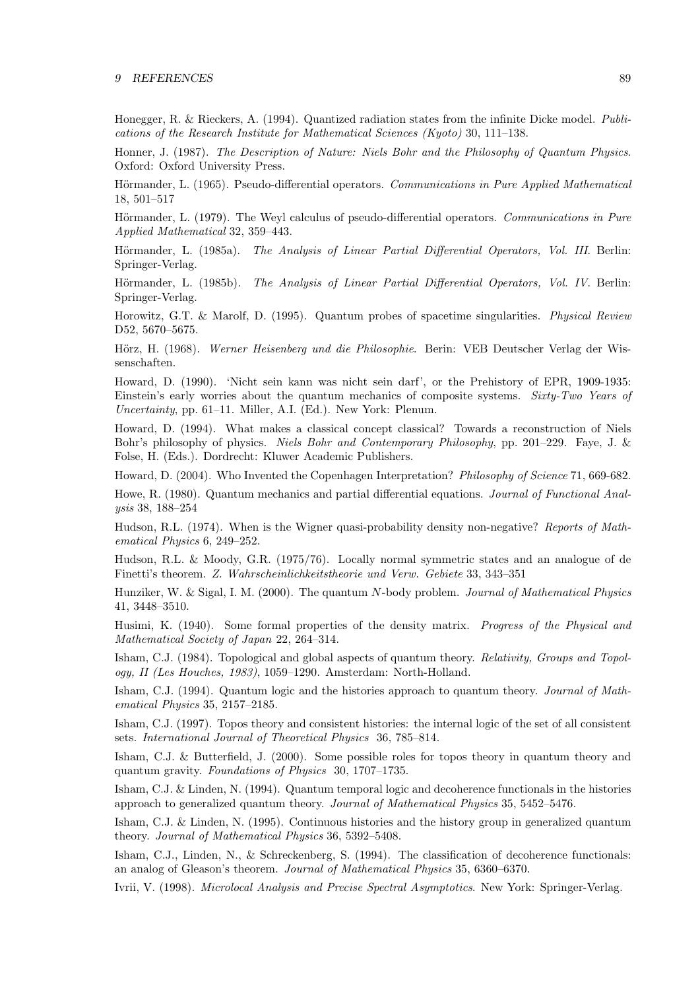Honegger, R. & Rieckers, A. (1994). Quantized radiation states from the infinite Dicke model. Publications of the Research Institute for Mathematical Sciences (Kyoto) 30, 111–138.

Honner, J. (1987). The Description of Nature: Niels Bohr and the Philosophy of Quantum Physics. Oxford: Oxford University Press.

Hörmander, L. (1965). Pseudo-differential operators. Communications in Pure Applied Mathematical 18, 501–517

Hörmander, L. (1979). The Weyl calculus of pseudo-differential operators. Communications in Pure Applied Mathematical 32, 359–443.

Hörmander, L. (1985a). The Analysis of Linear Partial Differential Operators, Vol. III. Berlin: Springer-Verlag.

Hörmander, L. (1985b). The Analysis of Linear Partial Differential Operators, Vol. IV. Berlin: Springer-Verlag.

Horowitz, G.T. & Marolf, D. (1995). Quantum probes of spacetime singularities. Physical Review D52, 5670–5675.

Hörz, H. (1968). Werner Heisenberg und die Philosophie. Berin: VEB Deutscher Verlag der Wissenschaften.

Howard, D. (1990). 'Nicht sein kann was nicht sein darf', or the Prehistory of EPR, 1909-1935: Einstein's early worries about the quantum mechanics of composite systems. Sixty-Two Years of Uncertainty, pp. 61–11. Miller, A.I. (Ed.). New York: Plenum.

Howard, D. (1994). What makes a classical concept classical? Towards a reconstruction of Niels Bohr's philosophy of physics. Niels Bohr and Contemporary Philosophy, pp. 201–229. Faye, J. & Folse, H. (Eds.). Dordrecht: Kluwer Academic Publishers.

Howard, D. (2004). Who Invented the Copenhagen Interpretation? Philosophy of Science 71, 669-682.

Howe, R. (1980). Quantum mechanics and partial differential equations. Journal of Functional Analysis 38, 188–254

Hudson, R.L. (1974). When is the Wigner quasi-probability density non-negative? Reports of Mathematical Physics 6, 249–252.

Hudson, R.L. & Moody, G.R. (1975/76). Locally normal symmetric states and an analogue of de Finetti's theorem. Z. Wahrscheinlichkeitstheorie und Verw. Gebiete 33, 343–351

Hunziker, W. & Sigal, I. M. (2000). The quantum N-body problem. Journal of Mathematical Physics 41, 3448–3510.

Husimi, K. (1940). Some formal properties of the density matrix. Progress of the Physical and Mathematical Society of Japan 22, 264–314.

Isham, C.J. (1984). Topological and global aspects of quantum theory. Relativity, Groups and Topology, II (Les Houches, 1983), 1059–1290. Amsterdam: North-Holland.

Isham, C.J. (1994). Quantum logic and the histories approach to quantum theory. Journal of Mathematical Physics 35, 2157–2185.

Isham, C.J. (1997). Topos theory and consistent histories: the internal logic of the set of all consistent sets. International Journal of Theoretical Physics 36, 785–814.

Isham, C.J. & Butterfield, J. (2000). Some possible roles for topos theory in quantum theory and quantum gravity. Foundations of Physics 30, 1707–1735.

Isham, C.J. & Linden, N. (1994). Quantum temporal logic and decoherence functionals in the histories approach to generalized quantum theory. Journal of Mathematical Physics 35, 5452–5476.

Isham, C.J. & Linden, N. (1995). Continuous histories and the history group in generalized quantum theory. Journal of Mathematical Physics 36, 5392–5408.

Isham, C.J., Linden, N., & Schreckenberg, S. (1994). The classification of decoherence functionals: an analog of Gleason's theorem. Journal of Mathematical Physics 35, 6360–6370.

Ivrii, V. (1998). *Microlocal Analysis and Precise Spectral Asymptotics*. New York: Springer-Verlag.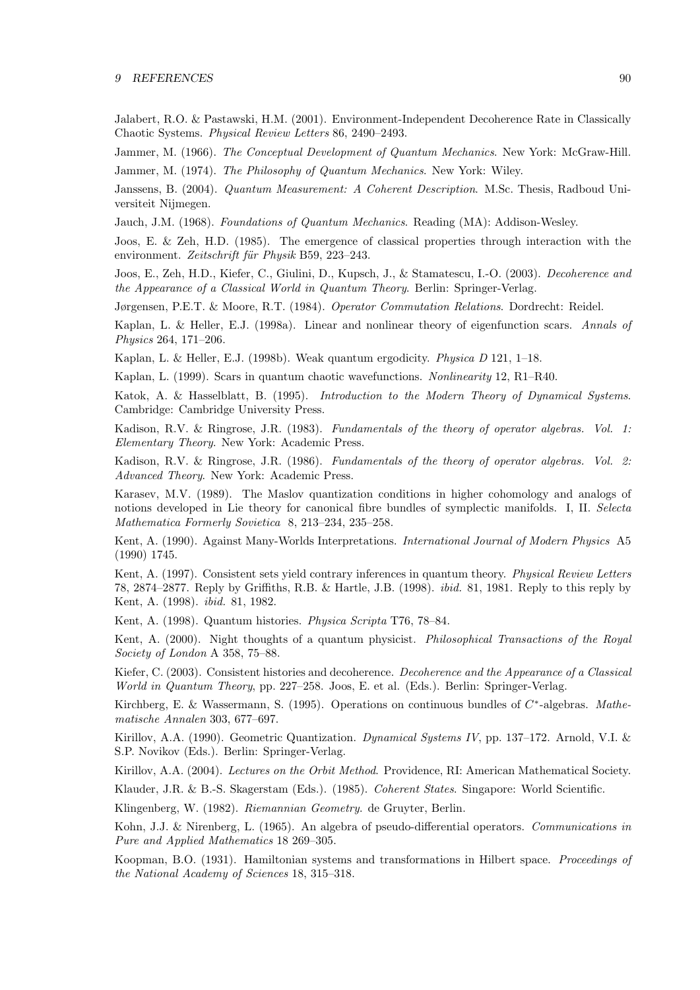Jalabert, R.O. & Pastawski, H.M. (2001). Environment-Independent Decoherence Rate in Classically Chaotic Systems. Physical Review Letters 86, 2490–2493.

Jammer, M. (1966). The Conceptual Development of Quantum Mechanics. New York: McGraw-Hill. Jammer, M. (1974). The Philosophy of Quantum Mechanics. New York: Wiley.

Janssens, B. (2004). Quantum Measurement: A Coherent Description. M.Sc. Thesis, Radboud Universiteit Nijmegen.

Jauch, J.M. (1968). Foundations of Quantum Mechanics. Reading (MA): Addison-Wesley.

Joos, E. & Zeh, H.D. (1985). The emergence of classical properties through interaction with the environment. Zeitschrift für Physik B59, 223-243.

Joos, E., Zeh, H.D., Kiefer, C., Giulini, D., Kupsch, J., & Stamatescu, I.-O. (2003). Decoherence and the Appearance of a Classical World in Quantum Theory. Berlin: Springer-Verlag.

Jørgensen, P.E.T. & Moore, R.T. (1984). Operator Commutation Relations. Dordrecht: Reidel.

Kaplan, L. & Heller, E.J. (1998a). Linear and nonlinear theory of eigenfunction scars. Annals of Physics 264, 171–206.

Kaplan, L. & Heller, E.J. (1998b). Weak quantum ergodicity. Physica D 121, 1–18.

Kaplan, L. (1999). Scars in quantum chaotic wavefunctions. Nonlinearity 12, R1–R40.

Katok, A. & Hasselblatt, B. (1995). Introduction to the Modern Theory of Dynamical Systems. Cambridge: Cambridge University Press.

Kadison, R.V. & Ringrose, J.R. (1983). Fundamentals of the theory of operator algebras. Vol. 1: Elementary Theory. New York: Academic Press.

Kadison, R.V. & Ringrose, J.R. (1986). Fundamentals of the theory of operator algebras. Vol. 2: Advanced Theory. New York: Academic Press.

Karasev, M.V. (1989). The Maslov quantization conditions in higher cohomology and analogs of notions developed in Lie theory for canonical fibre bundles of symplectic manifolds. I, II. Selecta Mathematica Formerly Sovietica 8, 213–234, 235–258.

Kent, A. (1990). Against Many-Worlds Interpretations. International Journal of Modern Physics A5 (1990) 1745.

Kent, A. (1997). Consistent sets yield contrary inferences in quantum theory. Physical Review Letters 78, 2874–2877. Reply by Griffiths, R.B. & Hartle, J.B. (1998). ibid. 81, 1981. Reply to this reply by Kent, A. (1998). ibid. 81, 1982.

Kent, A. (1998). Quantum histories. Physica Scripta T76, 78–84.

Kent, A. (2000). Night thoughts of a quantum physicist. *Philosophical Transactions of the Royal* Society of London A 358, 75–88.

Kiefer, C. (2003). Consistent histories and decoherence. *Decoherence and the Appearance of a Classical* World in Quantum Theory, pp. 227–258. Joos, E. et al. (Eds.). Berlin: Springer-Verlag.

Kirchberg, E. & Wassermann, S. (1995). Operations on continuous bundles of  $C^*$ -algebras. Mathematische Annalen 303, 677–697.

Kirillov, A.A. (1990). Geometric Quantization. Dynamical Systems IV, pp. 137–172. Arnold, V.I. & S.P. Novikov (Eds.). Berlin: Springer-Verlag.

Kirillov, A.A. (2004). Lectures on the Orbit Method. Providence, RI: American Mathematical Society.

Klauder, J.R. & B.-S. Skagerstam (Eds.). (1985). Coherent States. Singapore: World Scientific.

Klingenberg, W. (1982). Riemannian Geometry. de Gruyter, Berlin.

Kohn, J.J. & Nirenberg, L. (1965). An algebra of pseudo-differential operators. Communications in Pure and Applied Mathematics 18 269–305.

Koopman, B.O. (1931). Hamiltonian systems and transformations in Hilbert space. Proceedings of the National Academy of Sciences 18, 315–318.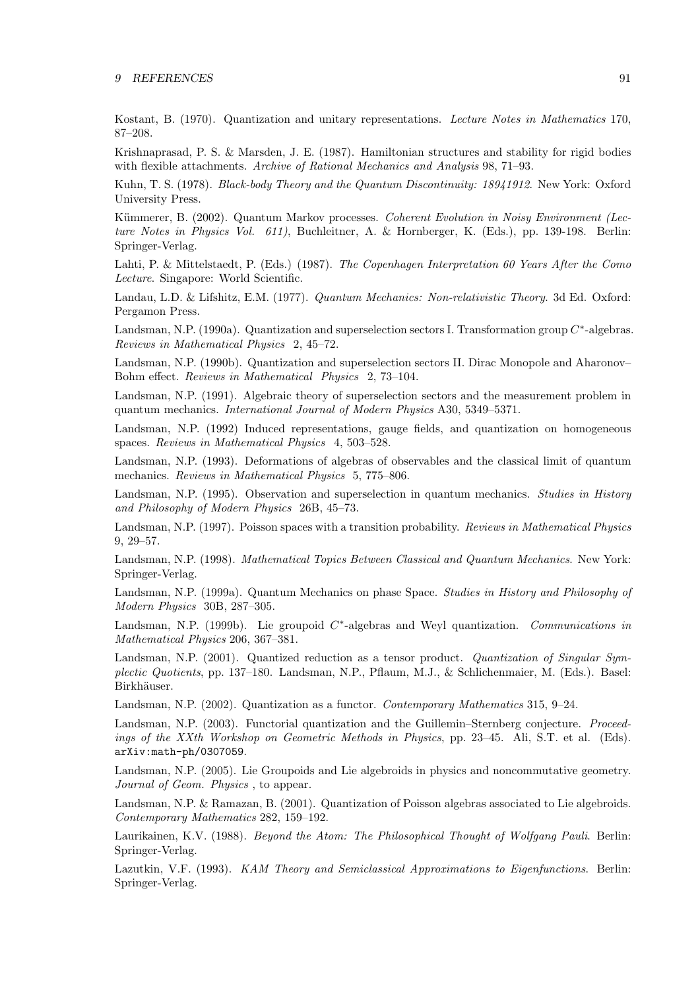Kostant, B. (1970). Quantization and unitary representations. Lecture Notes in Mathematics 170, 87–208.

Krishnaprasad, P. S. & Marsden, J. E. (1987). Hamiltonian structures and stability for rigid bodies with flexible attachments. Archive of Rational Mechanics and Analysis 98, 71–93.

Kuhn, T. S. (1978). Black-body Theory and the Quantum Discontinuity: 18941912. New York: Oxford University Press.

Kümmerer, B. (2002). Quantum Markov processes. Coherent Evolution in Noisy Environment (Lecture Notes in Physics Vol. 611), Buchleitner, A. & Hornberger, K. (Eds.), pp. 139-198. Berlin: Springer-Verlag.

Lahti, P. & Mittelstaedt, P. (Eds.) (1987). The Copenhagen Interpretation 60 Years After the Como Lecture. Singapore: World Scientific.

Landau, L.D. & Lifshitz, E.M. (1977). Quantum Mechanics: Non-relativistic Theory. 3d Ed. Oxford: Pergamon Press.

Landsman, N.P. (1990a). Quantization and superselection sectors I. Transformation group  $C^*$ -algebras. Reviews in Mathematical Physics 2, 45–72.

Landsman, N.P. (1990b). Quantization and superselection sectors II. Dirac Monopole and Aharonov– Bohm effect. Reviews in Mathematical Physics 2, 73–104.

Landsman, N.P. (1991). Algebraic theory of superselection sectors and the measurement problem in quantum mechanics. International Journal of Modern Physics A30, 5349–5371.

Landsman, N.P. (1992) Induced representations, gauge fields, and quantization on homogeneous spaces. Reviews in Mathematical Physics 4, 503–528.

Landsman, N.P. (1993). Deformations of algebras of observables and the classical limit of quantum mechanics. Reviews in Mathematical Physics 5, 775–806.

Landsman, N.P. (1995). Observation and superselection in quantum mechanics. Studies in History and Philosophy of Modern Physics 26B, 45–73.

Landsman, N.P. (1997). Poisson spaces with a transition probability. Reviews in Mathematical Physics 9, 29–57.

Landsman, N.P. (1998). Mathematical Topics Between Classical and Quantum Mechanics. New York: Springer-Verlag.

Landsman, N.P. (1999a). Quantum Mechanics on phase Space. Studies in History and Philosophy of Modern Physics 30B, 287–305.

Landsman, N.P. (1999b). Lie groupoid  $C^*$ -algebras and Weyl quantization. Communications in Mathematical Physics 206, 367–381.

Landsman, N.P. (2001). Quantized reduction as a tensor product. *Quantization of Singular Sym*plectic Quotients, pp. 137–180. Landsman, N.P., Pflaum, M.J., & Schlichenmaier, M. (Eds.). Basel: Birkhäuser.

Landsman, N.P. (2002). Quantization as a functor. Contemporary Mathematics 315, 9–24.

Landsman, N.P. (2003). Functorial quantization and the Guillemin–Sternberg conjecture. *Proceed*ings of the XXth Workshop on Geometric Methods in Physics, pp. 23–45. Ali, S.T. et al. (Eds). arXiv:math-ph/0307059.

Landsman, N.P. (2005). Lie Groupoids and Lie algebroids in physics and noncommutative geometry. Journal of Geom. Physics , to appear.

Landsman, N.P. & Ramazan, B. (2001). Quantization of Poisson algebras associated to Lie algebroids. Contemporary Mathematics 282, 159–192.

Laurikainen, K.V. (1988). Beyond the Atom: The Philosophical Thought of Wolfgang Pauli. Berlin: Springer-Verlag.

Lazutkin, V.F. (1993). KAM Theory and Semiclassical Approximations to Eigenfunctions. Berlin: Springer-Verlag.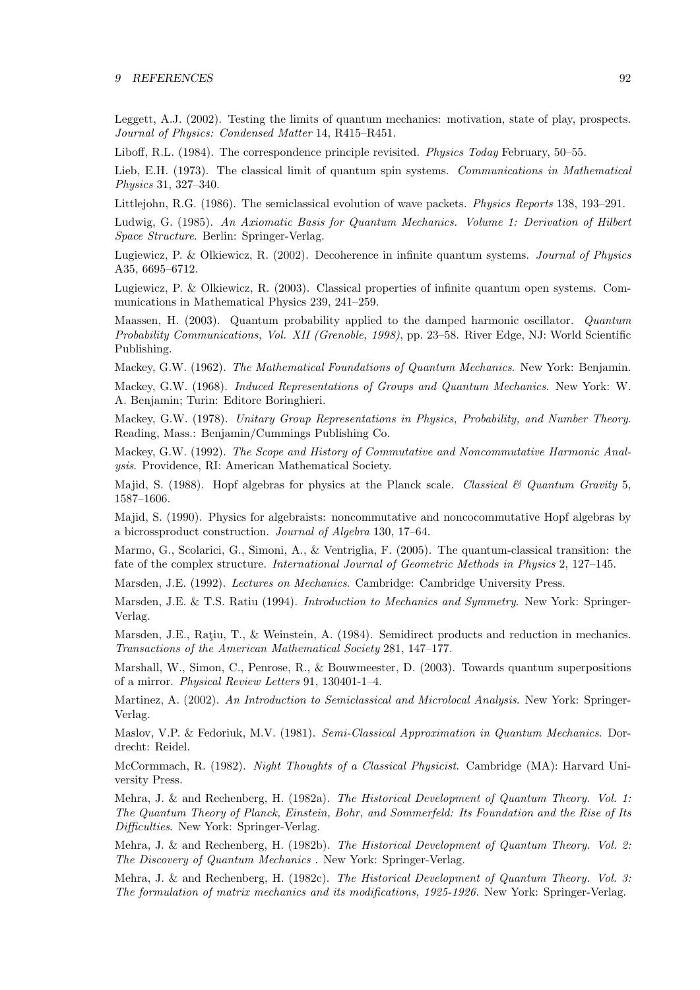Leggett, A.J. (2002). Testing the limits of quantum mechanics: motivation, state of play, prospects. Journal of Physics: Condensed Matter 14, R415–R451.

Liboff, R.L. (1984). The correspondence principle revisited. *Physics Today* February, 50–55.

Lieb, E.H. (1973). The classical limit of quantum spin systems. Communications in Mathematical Physics 31, 327–340.

Littlejohn, R.G. (1986). The semiclassical evolution of wave packets. *Physics Reports* 138, 193–291.

Ludwig, G. (1985). An Axiomatic Basis for Quantum Mechanics. Volume 1: Derivation of Hilbert Space Structure. Berlin: Springer-Verlag.

Lugiewicz, P. & Olkiewicz, R. (2002). Decoherence in infinite quantum systems. Journal of Physics A35, 6695–6712.

Lugiewicz, P. & Olkiewicz, R. (2003). Classical properties of infinite quantum open systems. Communications in Mathematical Physics 239, 241–259.

Maassen, H. (2003). Quantum probability applied to the damped harmonic oscillator. Quantum Probability Communications, Vol. XII (Grenoble, 1998), pp. 23–58. River Edge, NJ: World Scientific Publishing.

Mackey, G.W. (1962). The Mathematical Foundations of Quantum Mechanics. New York: Benjamin.

Mackey, G.W. (1968). Induced Representations of Groups and Quantum Mechanics. New York: W. A. Benjamin; Turin: Editore Boringhieri.

Mackey, G.W. (1978). Unitary Group Representations in Physics, Probability, and Number Theory. Reading, Mass.: Benjamin/Cummings Publishing Co.

Mackey, G.W. (1992). The Scope and History of Commutative and Noncommutative Harmonic Analysis. Providence, RI: American Mathematical Society.

Majid, S. (1988). Hopf algebras for physics at the Planck scale. Classical & Quantum Gravity 5, 1587–1606.

Majid, S. (1990). Physics for algebraists: noncommutative and noncocommutative Hopf algebras by a bicrossproduct construction. Journal of Algebra 130, 17–64.

Marmo, G., Scolarici, G., Simoni, A., & Ventriglia, F. (2005). The quantum-classical transition: the fate of the complex structure. International Journal of Geometric Methods in Physics 2, 127–145.

Marsden, J.E. (1992). Lectures on Mechanics. Cambridge: Cambridge University Press.

Marsden, J.E. & T.S. Ratiu (1994). *Introduction to Mechanics and Symmetry*. New York: Springer-Verlag.

Marsden, J.E., Ratiu, T., & Weinstein, A. (1984). Semidirect products and reduction in mechanics. Transactions of the American Mathematical Society 281, 147–177.

Marshall, W., Simon, C., Penrose, R., & Bouwmeester, D. (2003). Towards quantum superpositions of a mirror. Physical Review Letters 91, 130401-1–4.

Martinez, A. (2002). An Introduction to Semiclassical and Microlocal Analysis. New York: Springer-Verlag.

Maslov, V.P. & Fedoriuk, M.V. (1981). Semi-Classical Approximation in Quantum Mechanics. Dordrecht: Reidel.

McCormmach, R. (1982). Night Thoughts of a Classical Physicist. Cambridge (MA): Harvard University Press.

Mehra, J. & and Rechenberg, H. (1982a). The Historical Development of Quantum Theory. Vol. 1: The Quantum Theory of Planck, Einstein, Bohr, and Sommerfeld: Its Foundation and the Rise of Its Difficulties. New York: Springer-Verlag.

Mehra, J. & and Rechenberg, H. (1982b). The Historical Development of Quantum Theory. Vol. 2: The Discovery of Quantum Mechanics . New York: Springer-Verlag.

Mehra, J. & and Rechenberg, H. (1982c). The Historical Development of Quantum Theory. Vol. 3: The formulation of matrix mechanics and its modifications, 1925-1926. New York: Springer-Verlag.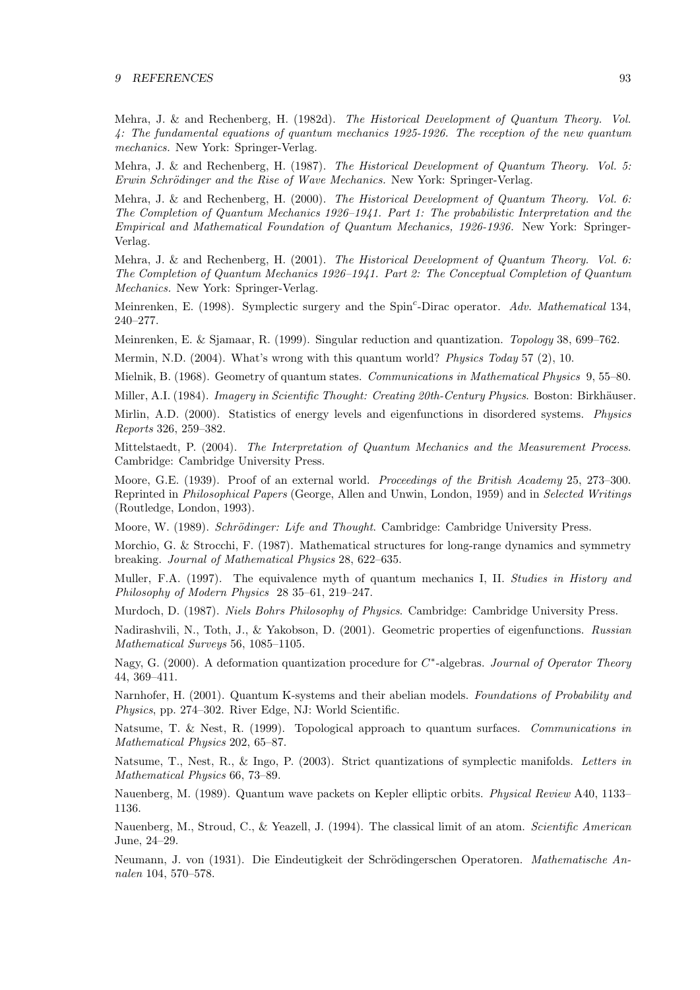Mehra, J. & and Rechenberg, H. (1982d). The Historical Development of Quantum Theory. Vol. 4: The fundamental equations of quantum mechanics 1925-1926. The reception of the new quantum mechanics. New York: Springer-Verlag.

Mehra, J. & and Rechenberg, H. (1987). The Historical Development of Quantum Theory. Vol. 5: Erwin Schrödinger and the Rise of Wave Mechanics. New York: Springer-Verlag.

Mehra, J. & and Rechenberg, H. (2000). The Historical Development of Quantum Theory. Vol. 6: The Completion of Quantum Mechanics 1926–1941. Part 1: The probabilistic Interpretation and the Empirical and Mathematical Foundation of Quantum Mechanics, 1926-1936. New York: Springer-Verlag.

Mehra, J. & and Rechenberg, H. (2001). The Historical Development of Quantum Theory. Vol. 6: The Completion of Quantum Mechanics 1926–1941. Part 2: The Conceptual Completion of Quantum Mechanics. New York: Springer-Verlag.

Meinrenken, E. (1998). Symplectic surgery and the Spin<sup>c</sup>-Dirac operator. Adv. Mathematical 134, 240–277.

Meinrenken, E. & Sjamaar, R. (1999). Singular reduction and quantization. Topology 38, 699–762.

Mermin, N.D. (2004). What's wrong with this quantum world? Physics Today 57 (2), 10.

Mielnik, B. (1968). Geometry of quantum states. Communications in Mathematical Physics 9, 55–80.

Miller, A.I. (1984). *Imagery in Scientific Thought: Creating 20th-Century Physics.* Boston: Birkhäuser.

Mirlin, A.D. (2000). Statistics of energy levels and eigenfunctions in disordered systems. Physics Reports 326, 259–382.

Mittelstaedt, P. (2004). The Interpretation of Quantum Mechanics and the Measurement Process. Cambridge: Cambridge University Press.

Moore, G.E. (1939). Proof of an external world. *Proceedings of the British Academy* 25, 273–300. Reprinted in Philosophical Papers (George, Allen and Unwin, London, 1959) and in Selected Writings (Routledge, London, 1993).

Moore, W. (1989). Schrödinger: Life and Thought. Cambridge: Cambridge University Press.

Morchio, G. & Strocchi, F. (1987). Mathematical structures for long-range dynamics and symmetry breaking. Journal of Mathematical Physics 28, 622–635.

Muller, F.A. (1997). The equivalence myth of quantum mechanics I, II. Studies in History and Philosophy of Modern Physics 28 35–61, 219–247.

Murdoch, D. (1987). Niels Bohrs Philosophy of Physics. Cambridge: Cambridge University Press.

Nadirashvili, N., Toth, J., & Yakobson, D. (2001). Geometric properties of eigenfunctions. Russian Mathematical Surveys 56, 1085–1105.

Nagy, G. (2000). A deformation quantization procedure for C<sup>\*</sup>-algebras. Journal of Operator Theory 44, 369–411.

Narnhofer, H. (2001). Quantum K-systems and their abelian models. Foundations of Probability and Physics, pp. 274–302. River Edge, NJ: World Scientific.

Natsume, T. & Nest, R. (1999). Topological approach to quantum surfaces. Communications in Mathematical Physics 202, 65–87.

Natsume, T., Nest, R., & Ingo, P. (2003). Strict quantizations of symplectic manifolds. Letters in Mathematical Physics 66, 73–89.

Nauenberg, M. (1989). Quantum wave packets on Kepler elliptic orbits. Physical Review A40, 1133– 1136.

Nauenberg, M., Stroud, C., & Yeazell, J. (1994). The classical limit of an atom. Scientific American June, 24–29.

Neumann, J. von (1931). Die Eindeutigkeit der Schrödingerschen Operatoren. Mathematische Annalen 104, 570–578.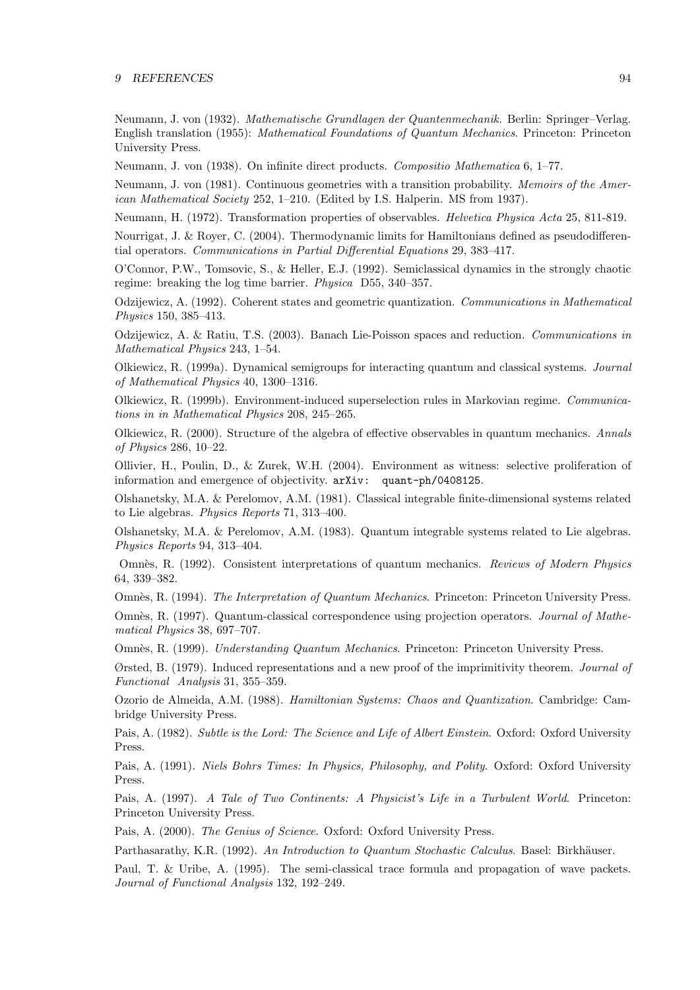Neumann, J. von (1932). Mathematische Grundlagen der Quantenmechanik. Berlin: Springer–Verlag. English translation (1955): Mathematical Foundations of Quantum Mechanics. Princeton: Princeton University Press.

Neumann, J. von (1938). On infinite direct products. Compositio Mathematica 6, 1–77.

Neumann, J. von (1981). Continuous geometries with a transition probability. Memoirs of the American Mathematical Society 252, 1–210. (Edited by I.S. Halperin. MS from 1937).

Neumann, H. (1972). Transformation properties of observables. *Helvetica Physica Acta* 25, 811-819.

Nourrigat, J. & Royer, C. (2004). Thermodynamic limits for Hamiltonians defined as pseudodifferential operators. Communications in Partial Differential Equations 29, 383–417.

O'Connor, P.W., Tomsovic, S., & Heller, E.J. (1992). Semiclassical dynamics in the strongly chaotic regime: breaking the log time barrier. Physica D55, 340–357.

Odzijewicz, A. (1992). Coherent states and geometric quantization. Communications in Mathematical Physics 150, 385–413.

Odzijewicz, A. & Ratiu, T.S. (2003). Banach Lie-Poisson spaces and reduction. Communications in Mathematical Physics 243, 1–54.

Olkiewicz, R. (1999a). Dynamical semigroups for interacting quantum and classical systems. Journal of Mathematical Physics 40, 1300–1316.

Olkiewicz, R. (1999b). Environment-induced superselection rules in Markovian regime. Communications in in Mathematical Physics 208, 245–265.

Olkiewicz, R. (2000). Structure of the algebra of effective observables in quantum mechanics. Annals of Physics 286, 10–22.

Ollivier, H., Poulin, D., & Zurek, W.H. (2004). Environment as witness: selective proliferation of information and emergence of objectivity. arXiv: quant-ph/0408125.

Olshanetsky, M.A. & Perelomov, A.M. (1981). Classical integrable finite-dimensional systems related to Lie algebras. Physics Reports 71, 313–400.

Olshanetsky, M.A. & Perelomov, A.M. (1983). Quantum integrable systems related to Lie algebras. Physics Reports 94, 313–404.

Omnès, R. (1992). Consistent interpretations of quantum mechanics. Reviews of Modern Physics 64, 339–382.

Omnès, R. (1994). The Interpretation of Quantum Mechanics. Princeton: Princeton University Press.

Omnès, R. (1997). Quantum-classical correspondence using projection operators. Journal of Mathematical Physics 38, 697–707.

Omnès, R. (1999). Understanding Quantum Mechanics. Princeton: Princeton University Press.

Ørsted, B. (1979). Induced representations and a new proof of the imprimitivity theorem. Journal of Functional Analysis 31, 355–359.

Ozorio de Almeida, A.M. (1988). Hamiltonian Systems: Chaos and Quantization. Cambridge: Cambridge University Press.

Pais, A. (1982). Subtle is the Lord: The Science and Life of Albert Einstein. Oxford: Oxford University Press.

Pais, A. (1991). Niels Bohrs Times: In Physics, Philosophy, and Polity. Oxford: Oxford University Press.

Pais, A. (1997). A Tale of Two Continents: A Physicist's Life in a Turbulent World. Princeton: Princeton University Press.

Pais, A. (2000). The Genius of Science. Oxford: Oxford University Press.

Parthasarathy, K.R. (1992). An Introduction to Quantum Stochastic Calculus. Basel: Birkhäuser.

Paul, T. & Uribe, A. (1995). The semi-classical trace formula and propagation of wave packets. Journal of Functional Analysis 132, 192–249.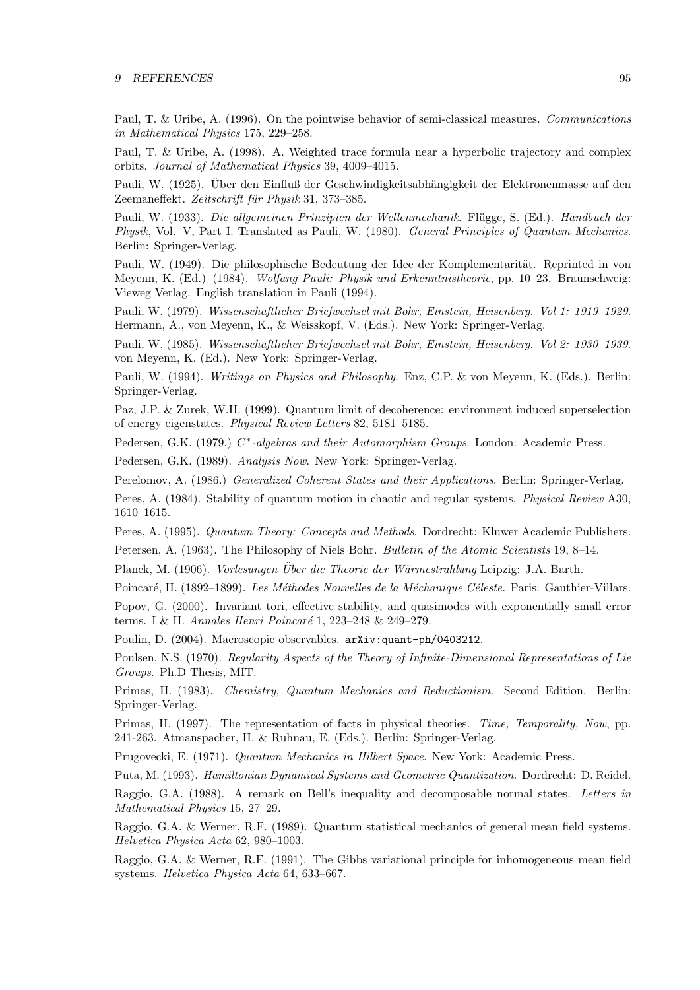Paul, T. & Uribe, A. (1996). On the pointwise behavior of semi-classical measures. Communications in Mathematical Physics 175, 229–258.

Paul, T. & Uribe, A. (1998). A. Weighted trace formula near a hyperbolic trajectory and complex orbits. Journal of Mathematical Physics 39, 4009–4015.

Pauli, W. (1925). Über den Einfluß der Geschwindigkeitsabhängigkeit der Elektronenmasse auf den Zeemaneffekt. Zeitschrift für Physik 31, 373–385.

Pauli, W. (1933). Die allgemeinen Prinzipien der Wellenmechanik. Flügge, S. (Ed.). Handbuch der Physik, Vol. V, Part I. Translated as Pauli, W. (1980). General Principles of Quantum Mechanics. Berlin: Springer-Verlag.

Pauli, W. (1949). Die philosophische Bedeutung der Idee der Komplementarität. Reprinted in von Meyenn, K. (Ed.) (1984). Wolfang Pauli: Physik und Erkenntnistheorie, pp. 10–23. Braunschweig: Vieweg Verlag. English translation in Pauli (1994).

Pauli, W. (1979). Wissenschaftlicher Briefwechsel mit Bohr, Einstein, Heisenberg. Vol 1: 1919–1929. Hermann, A., von Meyenn, K., & Weisskopf, V. (Eds.). New York: Springer-Verlag.

Pauli, W. (1985). Wissenschaftlicher Briefwechsel mit Bohr, Einstein, Heisenberg. Vol 2: 1930–1939. von Meyenn, K. (Ed.). New York: Springer-Verlag.

Pauli, W. (1994). Writings on Physics and Philosophy. Enz, C.P. & von Meyenn, K. (Eds.). Berlin: Springer-Verlag.

Paz, J.P. & Zurek, W.H. (1999). Quantum limit of decoherence: environment induced superselection of energy eigenstates. Physical Review Letters 82, 5181–5185.

Pedersen, G.K. (1979.) C<sup>\*</sup>-algebras and their Automorphism Groups. London: Academic Press.

Pedersen, G.K. (1989). Analysis Now. New York: Springer-Verlag.

Perelomov, A. (1986.) Generalized Coherent States and their Applications. Berlin: Springer-Verlag.

Peres, A. (1984). Stability of quantum motion in chaotic and regular systems. Physical Review A30, 1610–1615.

Peres, A. (1995). Quantum Theory: Concepts and Methods. Dordrecht: Kluwer Academic Publishers.

Petersen, A. (1963). The Philosophy of Niels Bohr. Bulletin of the Atomic Scientists 19, 8–14.

Planck, M. (1906). *Vorlesungen Über die Theorie der Wärmestrahlung* Leipzig: J.A. Barth.

Poincaré, H. (1892–1899). Les Méthodes Nouvelles de la Méchanique Céleste. Paris: Gauthier-Villars.

Popov, G. (2000). Invariant tori, effective stability, and quasimodes with exponentially small error terms. I & II. Annales Henri Poincaré 1, 223–248 & 249–279.

Poulin, D. (2004). Macroscopic observables. arXiv:quant-ph/0403212.

Poulsen, N.S. (1970). Regularity Aspects of the Theory of Infinite-Dimensional Representations of Lie Groups. Ph.D Thesis, MIT.

Primas, H. (1983). Chemistry, Quantum Mechanics and Reductionism. Second Edition. Berlin: Springer-Verlag.

Primas, H. (1997). The representation of facts in physical theories. Time, Temporality, Now, pp. 241-263. Atmanspacher, H. & Ruhnau, E. (Eds.). Berlin: Springer-Verlag.

Prugovecki, E. (1971). Quantum Mechanics in Hilbert Space. New York: Academic Press.

Puta, M. (1993). Hamiltonian Dynamical Systems and Geometric Quantization. Dordrecht: D. Reidel.

Raggio, G.A. (1988). A remark on Bell's inequality and decomposable normal states. Letters in Mathematical Physics 15, 27–29.

Raggio, G.A. & Werner, R.F. (1989). Quantum statistical mechanics of general mean field systems. Helvetica Physica Acta 62, 980–1003.

Raggio, G.A. & Werner, R.F. (1991). The Gibbs variational principle for inhomogeneous mean field systems. Helvetica Physica Acta 64, 633–667.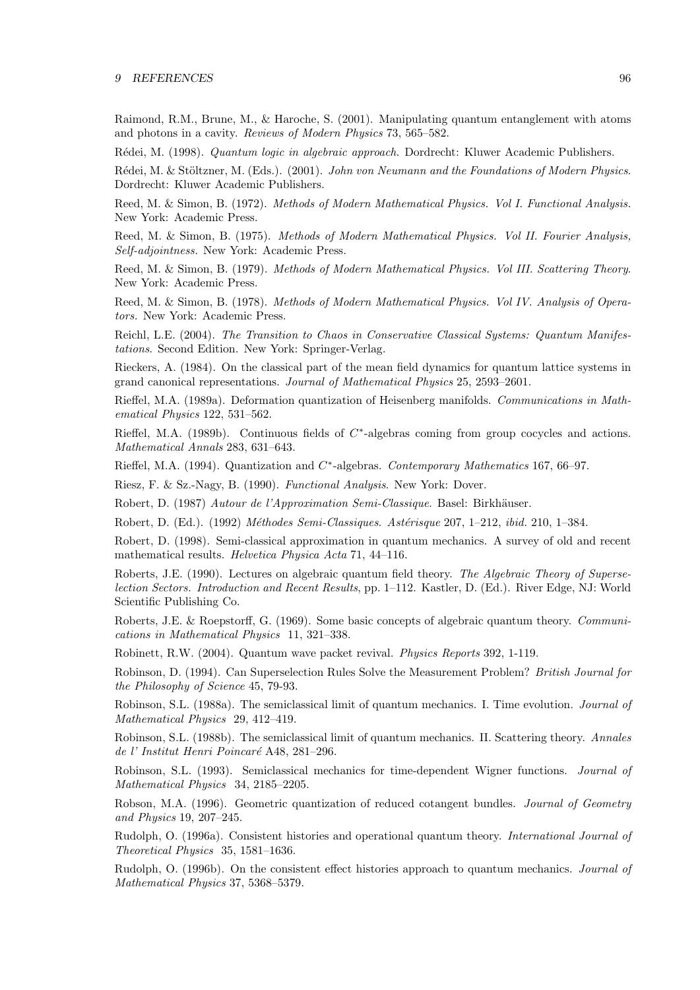Raimond, R.M., Brune, M., & Haroche, S. (2001). Manipulating quantum entanglement with atoms and photons in a cavity. Reviews of Modern Physics 73, 565–582.

Rédei, M. (1998). Quantum logic in algebraic approach. Dordrecht: Kluwer Academic Publishers.

Rédei, M. & Stöltzner, M. (Eds.). (2001). John von Neumann and the Foundations of Modern Physics. Dordrecht: Kluwer Academic Publishers.

Reed, M. & Simon, B. (1972). Methods of Modern Mathematical Physics. Vol I. Functional Analysis. New York: Academic Press.

Reed, M. & Simon, B. (1975). Methods of Modern Mathematical Physics. Vol II. Fourier Analysis, Self-adjointness. New York: Academic Press.

Reed, M. & Simon, B. (1979). Methods of Modern Mathematical Physics. Vol III. Scattering Theory. New York: Academic Press.

Reed, M. & Simon, B. (1978). Methods of Modern Mathematical Physics. Vol IV. Analysis of Operators. New York: Academic Press.

Reichl, L.E. (2004). The Transition to Chaos in Conservative Classical Systems: Quantum Manifestations. Second Edition. New York: Springer-Verlag.

Rieckers, A. (1984). On the classical part of the mean field dynamics for quantum lattice systems in grand canonical representations. Journal of Mathematical Physics 25, 2593–2601.

Rieffel, M.A. (1989a). Deformation quantization of Heisenberg manifolds. Communications in Mathematical Physics 122, 531–562.

Rieffel, M.A. (1989b). Continuous fields of C<sup>\*</sup>-algebras coming from group cocycles and actions. Mathematical Annals 283, 631–643.

Rieffel, M.A. (1994). Quantization and C<sup>\*</sup>-algebras. Contemporary Mathematics 167, 66-97.

Riesz, F. & Sz.-Nagy, B. (1990). Functional Analysis. New York: Dover.

Robert, D. (1987) Autour de l'Approximation Semi-Classique. Basel: Birkhäuser.

Robert, D. (Ed.). (1992) Méthodes Semi-Classiques. Astérisque 207, 1-212, ibid. 210, 1-384.

Robert, D. (1998). Semi-classical approximation in quantum mechanics. A survey of old and recent mathematical results. Helvetica Physica Acta 71, 44–116.

Roberts, J.E. (1990). Lectures on algebraic quantum field theory. The Algebraic Theory of Superselection Sectors. Introduction and Recent Results, pp. 1–112. Kastler, D. (Ed.). River Edge, NJ: World Scientific Publishing Co.

Roberts, J.E. & Roepstorff, G. (1969). Some basic concepts of algebraic quantum theory. Communications in Mathematical Physics 11, 321–338.

Robinett, R.W. (2004). Quantum wave packet revival. Physics Reports 392, 1-119.

Robinson, D. (1994). Can Superselection Rules Solve the Measurement Problem? British Journal for the Philosophy of Science 45, 79-93.

Robinson, S.L. (1988a). The semiclassical limit of quantum mechanics. I. Time evolution. Journal of Mathematical Physics 29, 412–419.

Robinson, S.L. (1988b). The semiclassical limit of quantum mechanics. II. Scattering theory. Annales de l'Institut Henri Poincaré A48, 281-296.

Robinson, S.L. (1993). Semiclassical mechanics for time-dependent Wigner functions. Journal of Mathematical Physics 34, 2185–2205.

Robson, M.A. (1996). Geometric quantization of reduced cotangent bundles. Journal of Geometry and Physics 19, 207–245.

Rudolph, O. (1996a). Consistent histories and operational quantum theory. International Journal of Theoretical Physics 35, 1581–1636.

Rudolph, O. (1996b). On the consistent effect histories approach to quantum mechanics. Journal of Mathematical Physics 37, 5368–5379.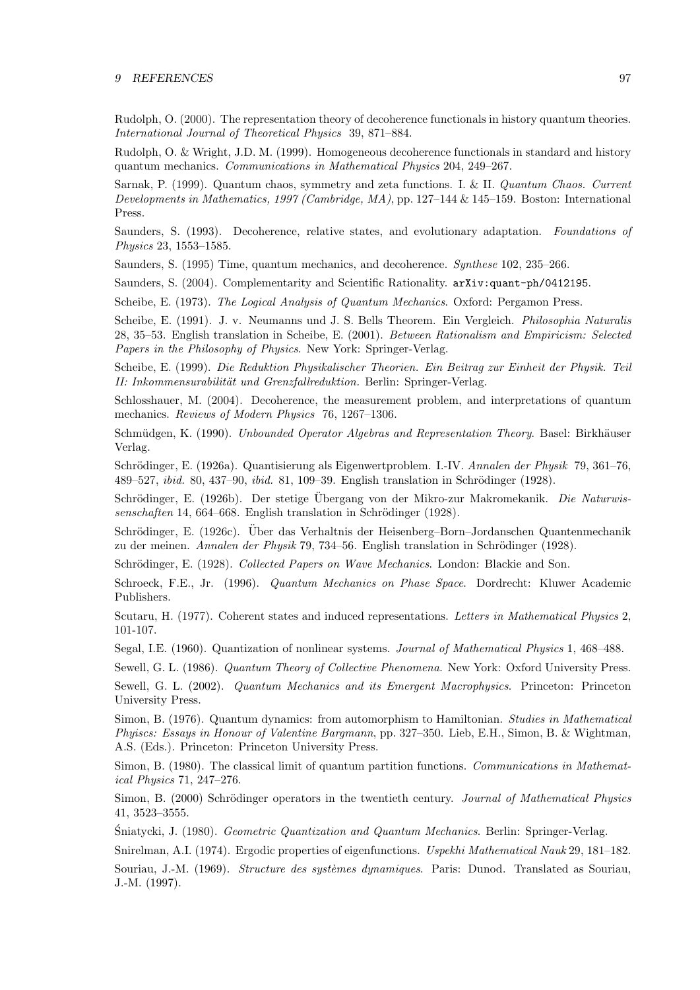Rudolph, O. (2000). The representation theory of decoherence functionals in history quantum theories. International Journal of Theoretical Physics 39, 871–884.

Rudolph, O. & Wright, J.D. M. (1999). Homogeneous decoherence functionals in standard and history quantum mechanics. Communications in Mathematical Physics 204, 249–267.

Sarnak, P. (1999). Quantum chaos, symmetry and zeta functions. I. & II. Quantum Chaos. Current Developments in Mathematics, 1997 (Cambridge, MA), pp. 127–144 & 145–159. Boston: International Press.

Saunders, S. (1993). Decoherence, relative states, and evolutionary adaptation. Foundations of Physics 23, 1553–1585.

Saunders, S. (1995) Time, quantum mechanics, and decoherence. Synthese 102, 235–266.

Saunders, S. (2004). Complementarity and Scientific Rationality. arXiv:quant-ph/0412195.

Scheibe, E. (1973). The Logical Analysis of Quantum Mechanics. Oxford: Pergamon Press.

Scheibe, E. (1991). J. v. Neumanns und J. S. Bells Theorem. Ein Vergleich. Philosophia Naturalis 28, 35–53. English translation in Scheibe, E. (2001). Between Rationalism and Empiricism: Selected Papers in the Philosophy of Physics. New York: Springer-Verlag.

Scheibe, E. (1999). Die Reduktion Physikalischer Theorien. Ein Beitrag zur Einheit der Physik. Teil II: Inkommensurabilität und Grenzfallreduktion. Berlin: Springer-Verlag.

Schlosshauer, M. (2004). Decoherence, the measurement problem, and interpretations of quantum mechanics. Reviews of Modern Physics 76, 1267–1306.

Schmüdgen, K. (1990). Unbounded Operator Algebras and Representation Theory. Basel: Birkhäuser Verlag.

Schrödinger, E. (1926a). Quantisierung als Eigenwertproblem. I.-IV. Annalen der Physik 79, 361–76, 489–527, *ibid.* 80, 437–90, *ibid.* 81, 109–39. English translation in Schrödinger (1928).

Schrödinger, E. (1926b). Der stetige Übergang von der Mikro-zur Makromekanik. Die Naturwis $senschaften$  14, 664–668. English translation in Schrödinger (1928).

Schrödinger, E. (1926c). Über das Verhaltnis der Heisenberg–Born–Jordanschen Quantenmechanik zu der meinen. Annalen der Physik 79, 734–56. English translation in Schrödinger (1928).

Schrödinger, E. (1928). Collected Papers on Wave Mechanics. London: Blackie and Son.

Schroeck, F.E., Jr. (1996). Quantum Mechanics on Phase Space. Dordrecht: Kluwer Academic Publishers.

Scutaru, H. (1977). Coherent states and induced representations. Letters in Mathematical Physics 2, 101-107.

Segal, I.E. (1960). Quantization of nonlinear systems. Journal of Mathematical Physics 1, 468–488.

Sewell, G. L. (1986). Quantum Theory of Collective Phenomena. New York: Oxford University Press.

Sewell, G. L. (2002). Quantum Mechanics and its Emergent Macrophysics. Princeton: Princeton University Press.

Simon, B. (1976). Quantum dynamics: from automorphism to Hamiltonian. Studies in Mathematical Phyiscs: Essays in Honour of Valentine Bargmann, pp. 327–350. Lieb, E.H., Simon, B. & Wightman, A.S. (Eds.). Princeton: Princeton University Press.

Simon, B. (1980). The classical limit of quantum partition functions. Communications in Mathematical Physics 71, 247–276.

Simon, B. (2000) Schrödinger operators in the twentieth century. Journal of Mathematical Physics 41, 3523–3555.

Sniatycki, J. (1980). *Geometric Quantization and Quantum Mechanics*. Berlin: Springer-Verlag.

Snirelman, A.I. (1974). Ergodic properties of eigenfunctions. Uspekhi Mathematical Nauk 29, 181–182.

Souriau, J.-M. (1969). Structure des systèmes dynamiques. Paris: Dunod. Translated as Souriau, J.-M. (1997).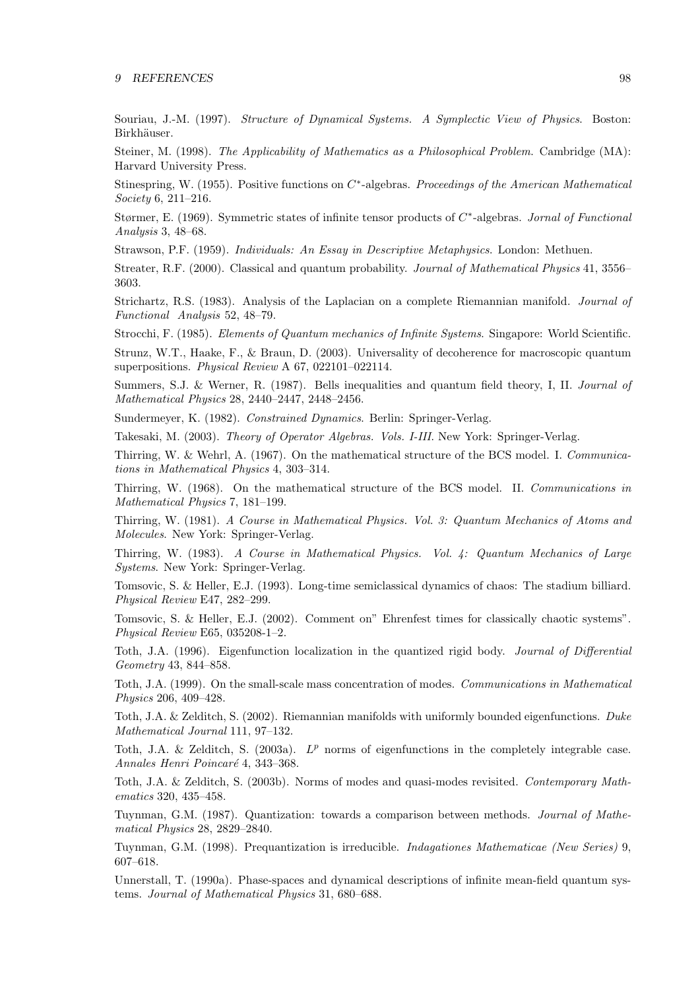Souriau, J.-M. (1997). Structure of Dynamical Systems. A Symplectic View of Physics. Boston: Birkhäuser.

Steiner, M. (1998). The Applicability of Mathematics as a Philosophical Problem. Cambridge (MA): Harvard University Press.

Stinespring, W. (1955). Positive functions on  $C^*$ -algebras. Proceedings of the American Mathematical Society 6, 211–216.

Størmer, E. (1969). Symmetric states of infinite tensor products of  $C^*$ -algebras. Jornal of Functional Analysis 3, 48–68.

Strawson, P.F. (1959). Individuals: An Essay in Descriptive Metaphysics. London: Methuen.

Streater, R.F. (2000). Classical and quantum probability. Journal of Mathematical Physics 41, 3556– 3603.

Strichartz, R.S. (1983). Analysis of the Laplacian on a complete Riemannian manifold. Journal of Functional Analysis 52, 48–79.

Strocchi, F. (1985). Elements of Quantum mechanics of Infinite Systems. Singapore: World Scientific.

Strunz, W.T., Haake, F., & Braun, D. (2003). Universality of decoherence for macroscopic quantum superpositions. Physical Review A 67, 022101–022114.

Summers, S.J. & Werner, R. (1987). Bells inequalities and quantum field theory, I, II. Journal of Mathematical Physics 28, 2440–2447, 2448–2456.

Sundermeyer, K. (1982). Constrained Dynamics. Berlin: Springer-Verlag.

Takesaki, M. (2003). Theory of Operator Algebras. Vols. I-III. New York: Springer-Verlag.

Thirring, W. & Wehrl, A. (1967). On the mathematical structure of the BCS model. I. Communications in Mathematical Physics 4, 303–314.

Thirring, W. (1968). On the mathematical structure of the BCS model. II. Communications in Mathematical Physics 7, 181–199.

Thirring, W. (1981). A Course in Mathematical Physics. Vol. 3: Quantum Mechanics of Atoms and Molecules. New York: Springer-Verlag.

Thirring, W. (1983). A Course in Mathematical Physics. Vol. 4: Quantum Mechanics of Large Systems. New York: Springer-Verlag.

Tomsovic, S. & Heller, E.J. (1993). Long-time semiclassical dynamics of chaos: The stadium billiard. Physical Review E47, 282–299.

Tomsovic, S. & Heller, E.J. (2002). Comment on" Ehrenfest times for classically chaotic systems". Physical Review E65, 035208-1–2.

Toth, J.A. (1996). Eigenfunction localization in the quantized rigid body. Journal of Differential Geometry 43, 844–858.

Toth, J.A. (1999). On the small-scale mass concentration of modes. Communications in Mathematical Physics 206, 409–428.

Toth, J.A. & Zelditch, S. (2002). Riemannian manifolds with uniformly bounded eigenfunctions. Duke Mathematical Journal 111, 97–132.

Toth, J.A. & Zelditch, S. (2003a).  $L^p$  norms of eigenfunctions in the completely integrable case. Annales Henri Poincaré 4, 343-368.

Toth, J.A. & Zelditch, S. (2003b). Norms of modes and quasi-modes revisited. Contemporary Mathematics 320, 435–458.

Tuynman, G.M. (1987). Quantization: towards a comparison between methods. Journal of Mathematical Physics 28, 2829–2840.

Tuynman, G.M. (1998). Prequantization is irreducible. Indagationes Mathematicae (New Series) 9, 607–618.

Unnerstall, T. (1990a). Phase-spaces and dynamical descriptions of infinite mean-field quantum systems. Journal of Mathematical Physics 31, 680–688.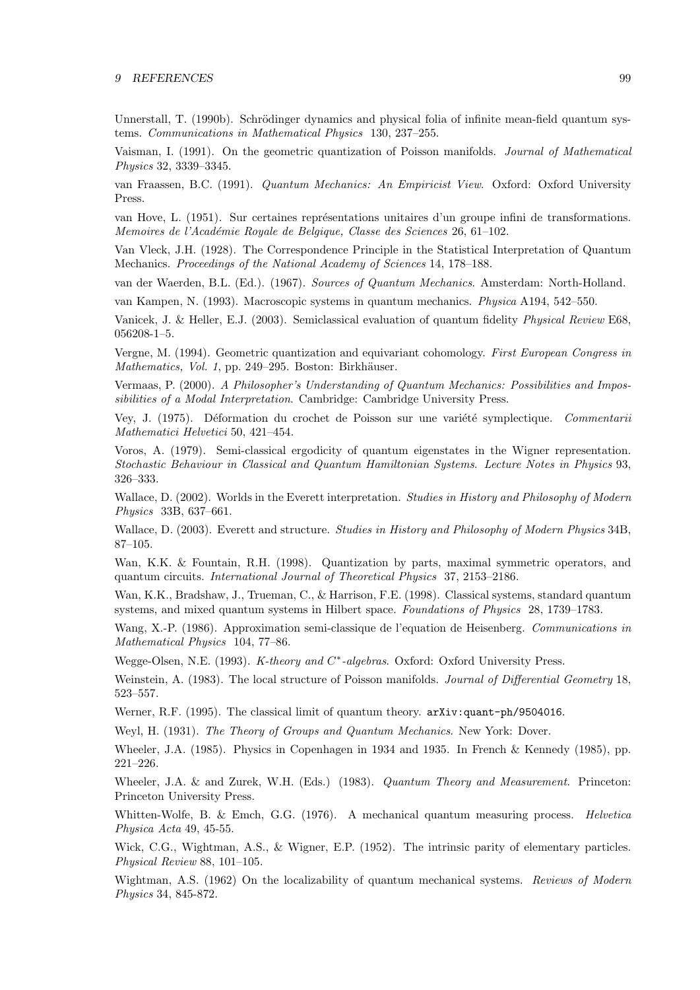Unnerstall, T. (1990b). Schrödinger dynamics and physical folia of infinite mean-field quantum systems. Communications in Mathematical Physics 130, 237–255.

Vaisman, I. (1991). On the geometric quantization of Poisson manifolds. Journal of Mathematical Physics 32, 3339–3345.

van Fraassen, B.C. (1991). Quantum Mechanics: An Empiricist View. Oxford: Oxford University Press.

van Hove, L. (1951). Sur certaines représentations unitaires d'un groupe infini de transformations. Memoires de l'Académie Royale de Belgique, Classe des Sciences 26, 61-102.

Van Vleck, J.H. (1928). The Correspondence Principle in the Statistical Interpretation of Quantum Mechanics. Proceedings of the National Academy of Sciences 14, 178–188.

van der Waerden, B.L. (Ed.). (1967). Sources of Quantum Mechanics. Amsterdam: North-Holland.

van Kampen, N. (1993). Macroscopic systems in quantum mechanics. Physica A194, 542–550.

Vanicek, J. & Heller, E.J. (2003). Semiclassical evaluation of quantum fidelity Physical Review E68, 056208-1–5.

Vergne, M. (1994). Geometric quantization and equivariant cohomology. First European Congress in Mathematics, Vol. 1, pp. 249–295. Boston: Birkhäuser.

Vermaas, P. (2000). A Philosopher's Understanding of Quantum Mechanics: Possibilities and Impossibilities of a Modal Interpretation. Cambridge: Cambridge University Press.

Vey, J. (1975). Déformation du crochet de Poisson sur une variété symplectique. Commentarii Mathematici Helvetici 50, 421–454.

Voros, A. (1979). Semi-classical ergodicity of quantum eigenstates in the Wigner representation. Stochastic Behaviour in Classical and Quantum Hamiltonian Systems. Lecture Notes in Physics 93, 326–333.

Wallace, D. (2002). Worlds in the Everett interpretation. Studies in History and Philosophy of Modern Physics 33B, 637–661.

Wallace, D. (2003). Everett and structure. *Studies in History and Philosophy of Modern Physics* 34B, 87–105.

Wan, K.K. & Fountain, R.H. (1998). Quantization by parts, maximal symmetric operators, and quantum circuits. International Journal of Theoretical Physics 37, 2153–2186.

Wan, K.K., Bradshaw, J., Trueman, C., & Harrison, F.E. (1998). Classical systems, standard quantum systems, and mixed quantum systems in Hilbert space. Foundations of Physics 28, 1739–1783.

Wang, X.-P. (1986). Approximation semi-classique de l'equation de Heisenberg. Communications in Mathematical Physics 104, 77–86.

Wegge-Olsen, N.E. (1993). K-theory and C<sup>\*</sup>-algebras. Oxford: Oxford University Press.

Weinstein, A. (1983). The local structure of Poisson manifolds. Journal of Differential Geometry 18, 523–557.

Werner, R.F. (1995). The classical limit of quantum theory.  $arXiv:quant-ph/9504016$ .

Weyl, H. (1931). The Theory of Groups and Quantum Mechanics. New York: Dover.

Wheeler, J.A.  $(1985)$ . Physics in Copenhagen in 1934 and 1935. In French & Kennedy (1985), pp. 221–226.

Wheeler, J.A. & and Zurek, W.H. (Eds.) (1983). *Quantum Theory and Measurement*. Princeton: Princeton University Press.

Whitten-Wolfe, B. & Emch, G.G. (1976). A mechanical quantum measuring process. Helvetica Physica Acta 49, 45-55.

Wick, C.G., Wightman, A.S., & Wigner, E.P. (1952). The intrinsic parity of elementary particles. Physical Review 88, 101–105.

Wightman, A.S. (1962) On the localizability of quantum mechanical systems. Reviews of Modern Physics 34, 845-872.